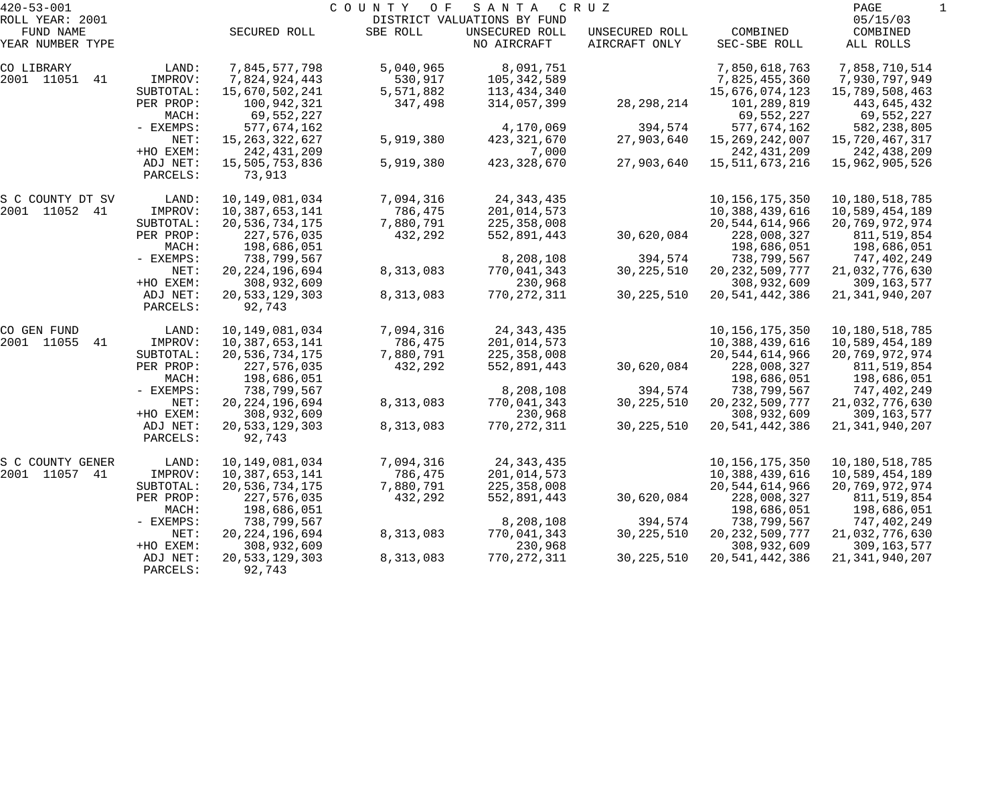| $420 - 53 - 001$  |             |                   | COUNTY<br>O F | SANTA                       | C R U Z        |                   | PAGE              |  |
|-------------------|-------------|-------------------|---------------|-----------------------------|----------------|-------------------|-------------------|--|
| ROLL YEAR: 2001   |             |                   |               | DISTRICT VALUATIONS BY FUND |                |                   | 05/15/03          |  |
| FUND NAME         |             | SECURED ROLL      | SBE ROLL      | UNSECURED ROLL              | UNSECURED ROLL | COMBINED          | COMBINED          |  |
| YEAR NUMBER TYPE  |             |                   |               | NO AIRCRAFT                 | AIRCRAFT ONLY  | SEC-SBE ROLL      | ALL ROLLS         |  |
| CO LIBRARY        | LAND:       | 7,845,577,798     | 5,040,965     | 8,091,751                   |                | 7,850,618,763     | 7,858,710,514     |  |
| 2001 11051<br>41  | IMPROV:     | 7,824,924,443     | 530,917       | 105,342,589                 |                | 7,825,455,360     | 7,930,797,949     |  |
|                   | SUBTOTAL:   | 15,670,502,241    | 5,571,882     | 113,434,340                 |                | 15,676,074,123    | 15,789,508,463    |  |
|                   | PER PROP:   | 100,942,321       | 347,498       | 314,057,399                 | 28, 298, 214   | 101,289,819       | 443,645,432       |  |
|                   | MACH:       | 69,552,227        |               |                             |                | 69,552,227        | 69,552,227        |  |
|                   | - EXEMPS:   | 577,674,162       |               | 4,170,069                   | 394,574        | 577,674,162       | 582,238,805       |  |
|                   | NET:        | 15, 263, 322, 627 | 5,919,380     | 423, 321, 670               | 27,903,640     | 15, 269, 242, 007 | 15,720,467,317    |  |
|                   | +HO EXEM:   | 242, 431, 209     |               | 7,000                       |                | 242, 431, 209     | 242,438,209       |  |
|                   | ADJ NET:    | 15,505,753,836    | 5,919,380     | 423, 328, 670               | 27,903,640     | 15,511,673,216    | 15,962,905,526    |  |
|                   | PARCELS:    | 73,913            |               |                             |                |                   |                   |  |
| S C COUNTY DT SV  | LAND:       | 10, 149, 081, 034 | 7,094,316     | 24, 343, 435                |                | 10, 156, 175, 350 | 10,180,518,785    |  |
| 2001 11052 41     | IMPROV:     | 10,387,653,141    | 786,475       | 201,014,573                 |                | 10,388,439,616    | 10,589,454,189    |  |
|                   | SUBTOTAL:   | 20,536,734,175    | 7,880,791     | 225,358,008                 |                | 20,544,614,966    | 20,769,972,974    |  |
|                   | PER PROP:   | 227,576,035       | 432,292       | 552,891,443                 | 30,620,084     | 228,008,327       | 811,519,854       |  |
|                   | MACH:       | 198,686,051       |               |                             |                | 198,686,051       | 198,686,051       |  |
|                   | - EXEMPS:   | 738,799,567       |               | 8,208,108                   | 394,574        | 738,799,567       | 747,402,249       |  |
|                   | NET:        | 20, 224, 196, 694 | 8,313,083     | 770,041,343                 | 30, 225, 510   | 20, 232, 509, 777 | 21,032,776,630    |  |
|                   | +HO EXEM:   | 308,932,609       |               | 230,968                     |                | 308,932,609       | 309,163,577       |  |
|                   | ADJ NET:    | 20,533,129,303    | 8,313,083     | 770,272,311                 | 30, 225, 510   | 20,541,442,386    | 21, 341, 940, 207 |  |
|                   | PARCELS:    | 92,743            |               |                             |                |                   |                   |  |
| CO GEN FUND       | LAND:       | 10,149,081,034    | 7,094,316     | 24, 343, 435                |                | 10,156,175,350    | 10,180,518,785    |  |
| 2001 11055<br>-41 | IMPROV:     | 10,387,653,141    | 786,475       | 201,014,573                 |                | 10,388,439,616    | 10,589,454,189    |  |
|                   | SUBTOTAL:   | 20,536,734,175    | 7,880,791     | 225,358,008                 |                | 20,544,614,966    | 20,769,972,974    |  |
|                   | PER PROP:   | 227,576,035       | 432,292       | 552,891,443                 | 30,620,084     | 228,008,327       | 811,519,854       |  |
|                   | MACH:       | 198,686,051       |               |                             |                | 198,686,051       | 198,686,051       |  |
|                   | - EXEMPS:   | 738,799,567       |               | 8,208,108                   | 394,574        | 738,799,567       | 747,402,249       |  |
|                   | NET:        | 20, 224, 196, 694 | 8,313,083     | 770,041,343                 | 30, 225, 510   | 20, 232, 509, 777 | 21,032,776,630    |  |
|                   | +HO EXEM:   | 308,932,609       |               | 230,968                     |                | 308,932,609       | 309, 163, 577     |  |
|                   | ADJ NET:    | 20,533,129,303    | 8,313,083     | 770, 272, 311               | 30, 225, 510   | 20, 541, 442, 386 | 21, 341, 940, 207 |  |
|                   | PARCELS:    | 92,743            |               |                             |                |                   |                   |  |
| S C COUNTY GENER  | LAND:       | 10,149,081,034    | 7,094,316     | 24, 343, 435                |                | 10,156,175,350    | 10,180,518,785    |  |
| 2001 11057<br>41  | IMPROV:     | 10,387,653,141    | 786,475       | 201,014,573                 |                | 10,388,439,616    | 10,589,454,189    |  |
|                   | SUBTOTAL:   | 20,536,734,175    | 7,880,791     | 225,358,008                 |                | 20,544,614,966    | 20,769,972,974    |  |
|                   | PER PROP:   | 227,576,035       | 432,292       | 552,891,443                 | 30,620,084     | 228,008,327       | 811,519,854       |  |
|                   | MACH:       | 198,686,051       |               |                             |                | 198,686,051       | 198,686,051       |  |
|                   | $-$ EXEMPS: | 738,799,567       |               | 8,208,108                   | 394,574        | 738,799,567       | 747,402,249       |  |
|                   | NET:        | 20, 224, 196, 694 | 8,313,083     | 770,041,343                 | 30, 225, 510   | 20, 232, 509, 777 | 21,032,776,630    |  |
|                   | +HO EXEM:   | 308,932,609       |               | 230,968                     |                | 308,932,609       | 309,163,577       |  |
|                   | ADJ NET:    | 20,533,129,303    | 8,313,083     | 770, 272, 311               | 30, 225, 510   | 20, 541, 442, 386 | 21, 341, 940, 207 |  |
|                   | PARCELS:    | 92,743            |               |                             |                |                   |                   |  |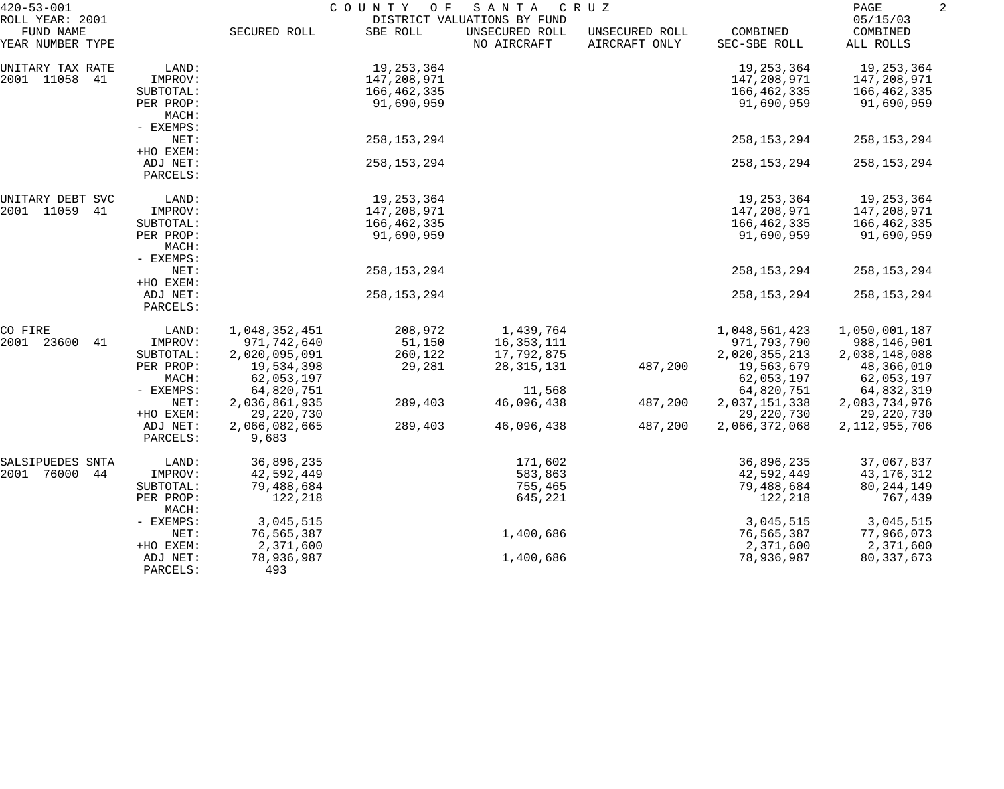| $420 - 53 - 001$                                 |                      | COUNTY<br>C R U Z<br>O F<br>SANTA<br>DISTRICT VALUATIONS BY FUND |               |                               |                                 |                          |                                   | 2 |
|--------------------------------------------------|----------------------|------------------------------------------------------------------|---------------|-------------------------------|---------------------------------|--------------------------|-----------------------------------|---|
| ROLL YEAR: 2001<br>FUND NAME<br>YEAR NUMBER TYPE |                      | SECURED ROLL                                                     | SBE ROLL      | UNSECURED ROLL<br>NO AIRCRAFT | UNSECURED ROLL<br>AIRCRAFT ONLY | COMBINED<br>SEC-SBE ROLL | 05/15/03<br>COMBINED<br>ALL ROLLS |   |
|                                                  |                      |                                                                  |               |                               |                                 |                          |                                   |   |
| UNITARY TAX RATE                                 | LAND:                |                                                                  | 19,253,364    |                               |                                 | 19, 253, 364             | 19,253,364                        |   |
| 2001 11058<br>41                                 | IMPROV:              |                                                                  | 147,208,971   |                               |                                 | 147,208,971              | 147,208,971                       |   |
|                                                  | SUBTOTAL:            |                                                                  | 166,462,335   |                               |                                 | 166,462,335              | 166,462,335                       |   |
|                                                  | PER PROP:            |                                                                  | 91,690,959    |                               |                                 | 91,690,959               | 91,690,959                        |   |
|                                                  | MACH:                |                                                                  |               |                               |                                 |                          |                                   |   |
|                                                  | - EXEMPS:            |                                                                  |               |                               |                                 |                          |                                   |   |
|                                                  | NET:                 |                                                                  | 258,153,294   |                               |                                 | 258, 153, 294            | 258, 153, 294                     |   |
|                                                  | +HO EXEM:            |                                                                  |               |                               |                                 |                          |                                   |   |
|                                                  | ADJ NET:<br>PARCELS: |                                                                  | 258, 153, 294 |                               |                                 | 258, 153, 294            | 258, 153, 294                     |   |
| UNITARY DEBT SVC                                 | LAND:                |                                                                  | 19,253,364    |                               |                                 | 19,253,364               | 19,253,364                        |   |
| 2001 11059<br>41                                 | IMPROV:              |                                                                  | 147,208,971   |                               |                                 | 147,208,971              | 147,208,971                       |   |
|                                                  | SUBTOTAL:            |                                                                  | 166,462,335   |                               |                                 | 166,462,335              | 166,462,335                       |   |
|                                                  | PER PROP:            |                                                                  | 91,690,959    |                               |                                 | 91,690,959               | 91,690,959                        |   |
|                                                  | MACH:                |                                                                  |               |                               |                                 |                          |                                   |   |
|                                                  | - EXEMPS:            |                                                                  |               |                               |                                 |                          |                                   |   |
|                                                  | NET:                 |                                                                  | 258, 153, 294 |                               |                                 | 258, 153, 294            | 258, 153, 294                     |   |
|                                                  | +HO EXEM:            |                                                                  |               |                               |                                 |                          |                                   |   |
|                                                  | ADJ NET:             |                                                                  | 258, 153, 294 |                               |                                 | 258, 153, 294            | 258, 153, 294                     |   |
|                                                  | PARCELS:             |                                                                  |               |                               |                                 |                          |                                   |   |
| CO FIRE                                          | LAND:                | 1,048,352,451                                                    | 208,972       | 1,439,764                     |                                 | 1,048,561,423            | 1,050,001,187                     |   |
| 2001<br>23600<br>41                              | IMPROV:              | 971,742,640                                                      | 51,150        | 16,353,111                    |                                 | 971,793,790              | 988,146,901                       |   |
|                                                  | SUBTOTAL:            | 2,020,095,091                                                    | 260,122       | 17,792,875                    |                                 | 2,020,355,213            | 2,038,148,088                     |   |
|                                                  | PER PROP:            | 19,534,398                                                       | 29,281        | 28, 315, 131                  | 487,200                         | 19,563,679               | 48,366,010                        |   |
|                                                  | MACH:                | 62,053,197                                                       |               |                               |                                 | 62,053,197               | 62,053,197                        |   |
|                                                  | - EXEMPS:            | 64,820,751                                                       |               | 11,568                        |                                 | 64,820,751               | 64,832,319                        |   |
|                                                  | NET:                 | 2,036,861,935                                                    | 289,403       | 46,096,438                    | 487,200                         | 2,037,151,338            | 2,083,734,976                     |   |
|                                                  | +HO EXEM:            | 29, 220, 730                                                     |               |                               |                                 | 29, 220, 730             | 29,220,730                        |   |
|                                                  | ADJ NET:             | 2,066,082,665                                                    | 289,403       | 46,096,438                    | 487,200                         | 2,066,372,068            | 2, 112, 955, 706                  |   |
|                                                  | PARCELS:             | 9,683                                                            |               |                               |                                 |                          |                                   |   |
| SALSIPUEDES SNTA                                 | LAND:                | 36,896,235                                                       |               | 171,602                       |                                 | 36,896,235               | 37,067,837                        |   |
| 2001<br>76000<br>44                              | IMPROV:              | 42,592,449                                                       |               | 583,863                       |                                 | 42,592,449               | 43, 176, 312                      |   |
|                                                  | SUBTOTAL:            | 79,488,684                                                       |               | 755,465                       |                                 | 79,488,684               | 80, 244, 149                      |   |
|                                                  | PER PROP:            | 122,218                                                          |               | 645,221                       |                                 | 122,218                  | 767,439                           |   |
|                                                  | MACH:                |                                                                  |               |                               |                                 |                          |                                   |   |
|                                                  | - EXEMPS:            | 3,045,515                                                        |               |                               |                                 | 3,045,515                | 3,045,515                         |   |
|                                                  | NET:                 | 76,565,387                                                       |               | 1,400,686                     |                                 | 76,565,387               | 77,966,073                        |   |
|                                                  | +HO EXEM:            | 2,371,600                                                        |               |                               |                                 | 2,371,600                | 2,371,600                         |   |
|                                                  | ADJ NET:             | 78,936,987                                                       |               | 1,400,686                     |                                 | 78,936,987               | 80, 337, 673                      |   |
|                                                  | PARCELS:             | 493                                                              |               |                               |                                 |                          |                                   |   |
|                                                  |                      |                                                                  |               |                               |                                 |                          |                                   |   |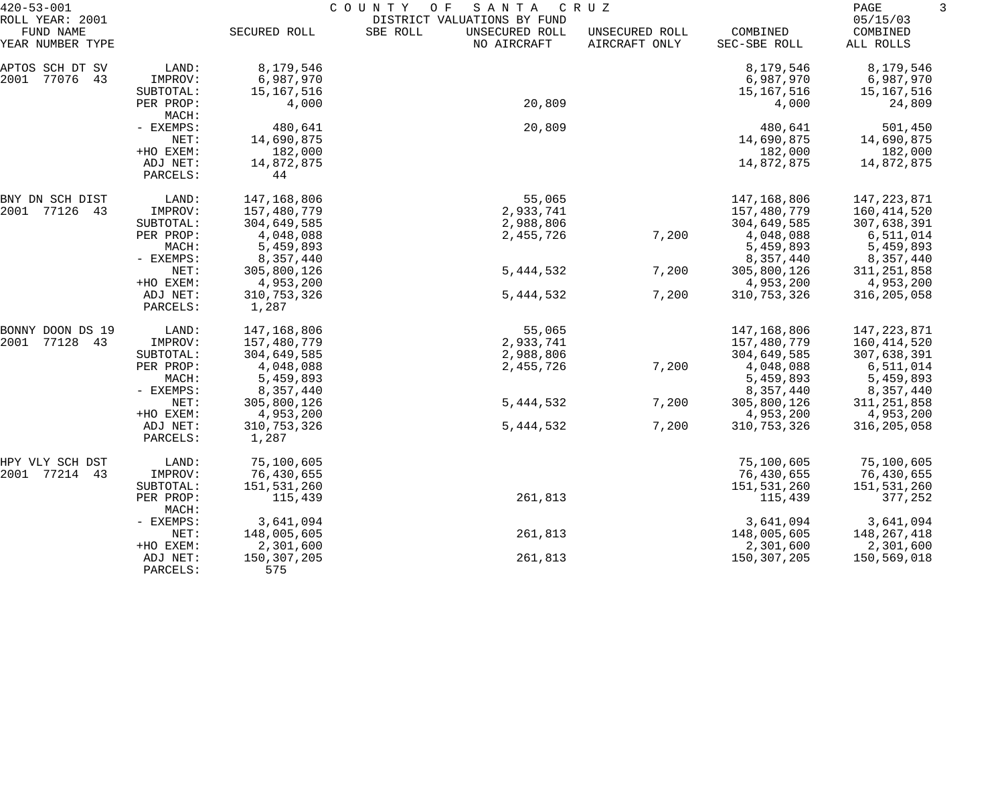| $420 - 53 - 001$              | COUNTY<br>SANTA<br>C R U Z<br>O F |               |                                           |                                 |                          |                       |  |
|-------------------------------|-----------------------------------|---------------|-------------------------------------------|---------------------------------|--------------------------|-----------------------|--|
| ROLL YEAR: 2001               |                                   |               | DISTRICT VALUATIONS BY FUND               |                                 |                          | 05/15/03              |  |
| FUND NAME<br>YEAR NUMBER TYPE |                                   | SECURED ROLL  | SBE ROLL<br>UNSECURED ROLL<br>NO AIRCRAFT | UNSECURED ROLL<br>AIRCRAFT ONLY | COMBINED<br>SEC-SBE ROLL | COMBINED<br>ALL ROLLS |  |
| APTOS SCH DT SV               | LAND:                             | 8,179,546     |                                           |                                 | 8,179,546                | 8,179,546             |  |
| 2001<br>77076 43              | IMPROV:                           | 6,987,970     |                                           |                                 | 6,987,970                | 6,987,970             |  |
|                               | SUBTOTAL:                         | 15, 167, 516  |                                           |                                 | 15,167,516               | 15,167,516            |  |
|                               | PER PROP:<br>MACH:                | 4,000         | 20,809                                    |                                 | 4,000                    | 24,809                |  |
|                               | - EXEMPS:                         | 480,641       | 20,809                                    |                                 | 480,641                  | 501,450               |  |
|                               | NET:                              | 14,690,875    |                                           |                                 | 14,690,875               | 14,690,875            |  |
|                               | +HO EXEM:                         | 182,000       |                                           |                                 | 182,000                  | 182,000               |  |
|                               | ADJ NET:                          | 14,872,875    |                                           |                                 | 14,872,875               | 14,872,875            |  |
|                               | PARCELS:                          | 44            |                                           |                                 |                          |                       |  |
| BNY DN SCH DIST               | LAND:                             | 147,168,806   | 55,065                                    |                                 | 147,168,806              | 147,223,871           |  |
| 2001 77126<br>43              | IMPROV:                           | 157,480,779   | 2,933,741                                 |                                 | 157,480,779              | 160, 414, 520         |  |
|                               | SUBTOTAL:                         | 304,649,585   | 2,988,806                                 |                                 | 304,649,585              | 307,638,391           |  |
|                               | PER PROP:                         | 4,048,088     | 2,455,726                                 | 7,200                           | 4,048,088                | 6,511,014             |  |
|                               | MACH:                             | 5,459,893     |                                           |                                 | 5,459,893                | 5,459,893             |  |
|                               | - EXEMPS:                         | 8,357,440     |                                           |                                 | 8,357,440                | 8,357,440             |  |
|                               | NET:                              | 305,800,126   | 5, 444, 532                               | 7,200                           | 305,800,126              | 311, 251, 858         |  |
|                               | +HO EXEM:                         | 4,953,200     |                                           |                                 | 4,953,200                | 4,953,200             |  |
|                               | ADJ NET:                          | 310, 753, 326 | 5,444,532                                 | 7,200                           | 310, 753, 326            | 316, 205, 058         |  |
|                               | PARCELS:                          | 1,287         |                                           |                                 |                          |                       |  |
| BONNY DOON DS 19              | LAND:                             | 147,168,806   | 55,065                                    |                                 | 147,168,806              | 147,223,871           |  |
| 2001<br>77128<br>43           | IMPROV:                           | 157,480,779   | 2,933,741                                 |                                 | 157,480,779              | 160, 414, 520         |  |
|                               | SUBTOTAL:                         | 304,649,585   | 2,988,806                                 |                                 | 304,649,585              | 307,638,391           |  |
|                               | PER PROP:                         | 4,048,088     | 2,455,726                                 | 7,200                           | 4,048,088                | 6,511,014             |  |
|                               | MACH:                             | 5,459,893     |                                           |                                 | 5,459,893                | 5,459,893             |  |
|                               | - EXEMPS:                         | 8,357,440     |                                           |                                 | 8,357,440                | 8,357,440             |  |
|                               | NET:                              | 305,800,126   | 5, 444, 532                               | 7,200                           | 305,800,126              | 311, 251, 858         |  |
|                               | +HO EXEM:                         | 4,953,200     |                                           |                                 | 4,953,200                | 4,953,200             |  |
|                               | ADJ NET:                          | 310, 753, 326 | 5, 444, 532                               | 7,200                           | 310, 753, 326            | 316, 205, 058         |  |
|                               | PARCELS:                          | 1,287         |                                           |                                 |                          |                       |  |
| HPY VLY SCH DST               | LAND:                             | 75,100,605    |                                           |                                 | 75,100,605               | 75,100,605            |  |
| 2001 77214 43                 | IMPROV:                           | 76,430,655    |                                           |                                 | 76,430,655               | 76,430,655            |  |
|                               | SUBTOTAL:                         | 151,531,260   |                                           |                                 | 151,531,260              | 151,531,260           |  |
|                               | PER PROP:<br>MACH:                | 115,439       | 261,813                                   |                                 | 115,439                  | 377,252               |  |
|                               | - EXEMPS:                         | 3,641,094     |                                           |                                 | 3,641,094                | 3,641,094             |  |
|                               | NET:                              | 148,005,605   | 261,813                                   |                                 | 148,005,605              | 148,267,418           |  |
|                               | +HO EXEM:                         | 2,301,600     |                                           |                                 | 2,301,600                | 2,301,600             |  |
|                               | ADJ NET:                          | 150,307,205   | 261,813                                   |                                 | 150,307,205              | 150,569,018           |  |
|                               | PARCELS:                          | 575           |                                           |                                 |                          |                       |  |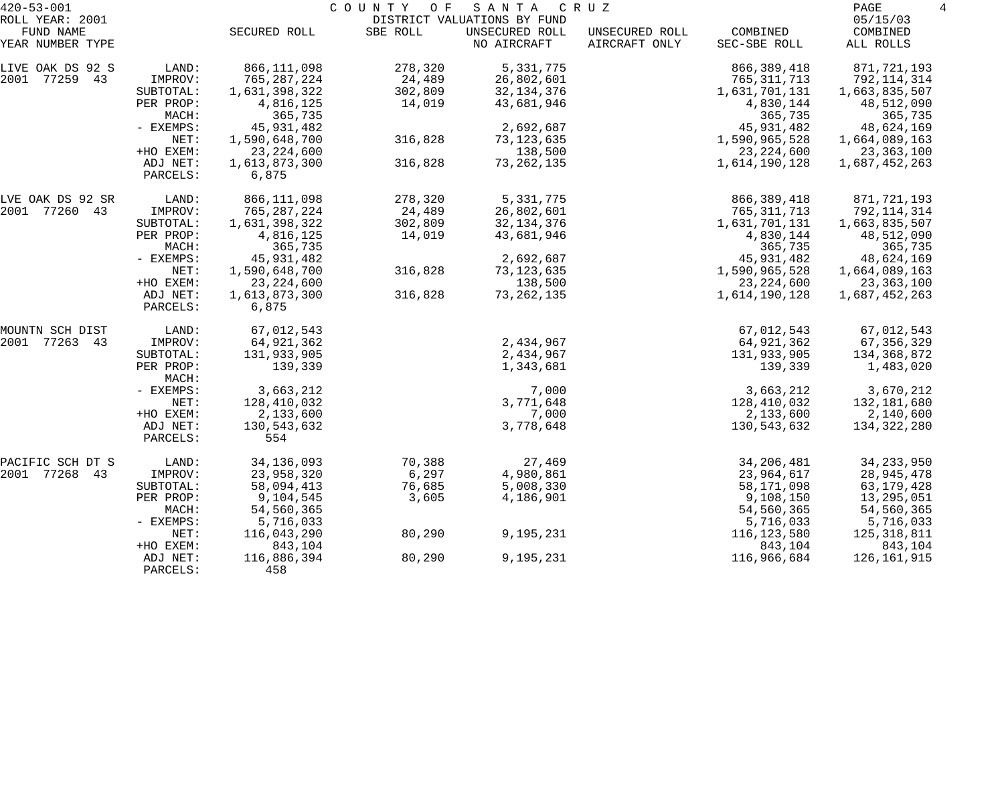| $420 - 53 - 001$              |                      | COUNTY OF<br>SANTA<br>C R U Z |          |                               |                                 |                          |                       |  |
|-------------------------------|----------------------|-------------------------------|----------|-------------------------------|---------------------------------|--------------------------|-----------------------|--|
| ROLL YEAR: 2001               |                      |                               |          | DISTRICT VALUATIONS BY FUND   |                                 |                          | 05/15/03              |  |
| FUND NAME<br>YEAR NUMBER TYPE |                      | SECURED ROLL                  | SBE ROLL | UNSECURED ROLL<br>NO AIRCRAFT | UNSECURED ROLL<br>AIRCRAFT ONLY | COMBINED<br>SEC-SBE ROLL | COMBINED<br>ALL ROLLS |  |
| LIVE OAK DS 92 S              | LAND:                | 866, 111, 098                 | 278,320  | 5,331,775                     |                                 | 866, 389, 418            | 871,721,193           |  |
| 77259 43<br>2001              | IMPROV:              | 765, 287, 224                 | 24,489   | 26,802,601                    |                                 | 765, 311, 713            | 792,114,314           |  |
|                               | SUBTOTAL:            | 1,631,398,322                 | 302,809  | 32, 134, 376                  |                                 | 1,631,701,131            | 1,663,835,507         |  |
|                               | PER PROP:            | 4,816,125                     | 14,019   | 43,681,946                    |                                 | 4,830,144                | 48,512,090            |  |
|                               | MACH:                | 365,735                       |          |                               |                                 | 365,735                  | 365,735               |  |
|                               | - EXEMPS:            | 45, 931, 482                  |          | 2,692,687                     |                                 | 45, 931, 482             | 48,624,169            |  |
|                               | NET:                 | 1,590,648,700                 | 316,828  | 73, 123, 635                  |                                 | 1,590,965,528            | 1,664,089,163         |  |
|                               | +HO EXEM:            | 23, 224, 600                  |          | 138,500                       |                                 | 23, 224, 600             | 23,363,100            |  |
|                               | ADJ NET:<br>PARCELS: | 1,613,873,300<br>6,875        | 316,828  | 73, 262, 135                  |                                 | 1,614,190,128            | 1,687,452,263         |  |
| LVE OAK DS 92 SR              | LAND:                | 866,111,098                   | 278,320  | 5, 331, 775                   |                                 | 866,389,418              | 871,721,193           |  |
| 2001 77260 43                 | IMPROV:              | 765, 287, 224                 | 24,489   | 26,802,601                    |                                 | 765, 311, 713            | 792,114,314           |  |
|                               | SUBTOTAL:            | 1,631,398,322                 | 302,809  | 32, 134, 376                  |                                 | 1,631,701,131            | 1,663,835,507         |  |
|                               | PER PROP:            | 4,816,125                     | 14,019   | 43,681,946                    |                                 | 4,830,144                | 48,512,090            |  |
|                               | MACH:                | 365,735                       |          |                               |                                 | 365,735                  | 365,735               |  |
|                               | - EXEMPS:            | 45, 931, 482                  |          | 2,692,687                     |                                 | 45,931,482               | 48,624,169            |  |
|                               | NET:                 | 1,590,648,700                 | 316,828  | 73, 123, 635                  |                                 | 1,590,965,528            | 1,664,089,163         |  |
|                               | +HO EXEM:            | 23, 224, 600                  |          | 138,500                       |                                 | 23, 224, 600             | 23,363,100            |  |
|                               | ADJ NET:<br>PARCELS: | 1,613,873,300<br>6,875        | 316,828  | 73, 262, 135                  |                                 | 1,614,190,128            | 1,687,452,263         |  |
| MOUNTN SCH DIST               | LAND:                | 67,012,543                    |          |                               |                                 | 67,012,543               | 67,012,543            |  |
| 77263 43<br>2001              | IMPROV:              | 64,921,362                    |          | 2,434,967                     |                                 | 64,921,362               | 67, 356, 329          |  |
|                               | SUBTOTAL:            | 131,933,905                   |          | 2,434,967                     |                                 | 131,933,905              | 134,368,872           |  |
|                               | PER PROP:<br>MACH:   | 139,339                       |          | 1,343,681                     |                                 | 139,339                  | 1,483,020             |  |
|                               | - EXEMPS:            | 3,663,212                     |          | 7,000                         |                                 | 3,663,212                | 3,670,212             |  |
|                               | NET:                 | 128,410,032                   |          | 3,771,648                     |                                 | 128,410,032              | 132,181,680           |  |
|                               | +HO EXEM:            | 2,133,600                     |          | 7,000                         |                                 | 2,133,600                | 2,140,600             |  |
|                               | ADJ NET:<br>PARCELS: | 130,543,632<br>554            |          | 3,778,648                     |                                 | 130,543,632              | 134,322,280           |  |
| PACIFIC SCH DT S              | LAND:                | 34, 136, 093                  | 70,388   | 27,469                        |                                 | 34, 206, 481             | 34, 233, 950          |  |
| 2001 77268<br>43              | IMPROV:              | 23,958,320                    | 6,297    | 4,980,861                     |                                 | 23,964,617               | 28,945,478            |  |
|                               | SUBTOTAL:            | 58,094,413                    | 76,685   | 5,008,330                     |                                 | 58, 171, 098             | 63,179,428            |  |
|                               | PER PROP:            | 9,104,545                     | 3,605    | 4,186,901                     |                                 | 9,108,150                | 13,295,051            |  |
|                               | MACH:                | 54,560,365                    |          |                               |                                 | 54,560,365               | 54,560,365            |  |
|                               | - EXEMPS:            | 5,716,033                     |          |                               |                                 | 5,716,033                | 5,716,033             |  |
|                               | NET:                 | 116,043,290                   | 80,290   | 9,195,231                     |                                 | 116, 123, 580            | 125,318,811           |  |
|                               | +HO EXEM:            | 843,104                       |          |                               |                                 | 843,104                  | 843,104               |  |
|                               | ADJ NET:<br>PARCELS: | 116,886,394<br>458            | 80,290   | 9,195,231                     |                                 | 116,966,684              | 126,161,915           |  |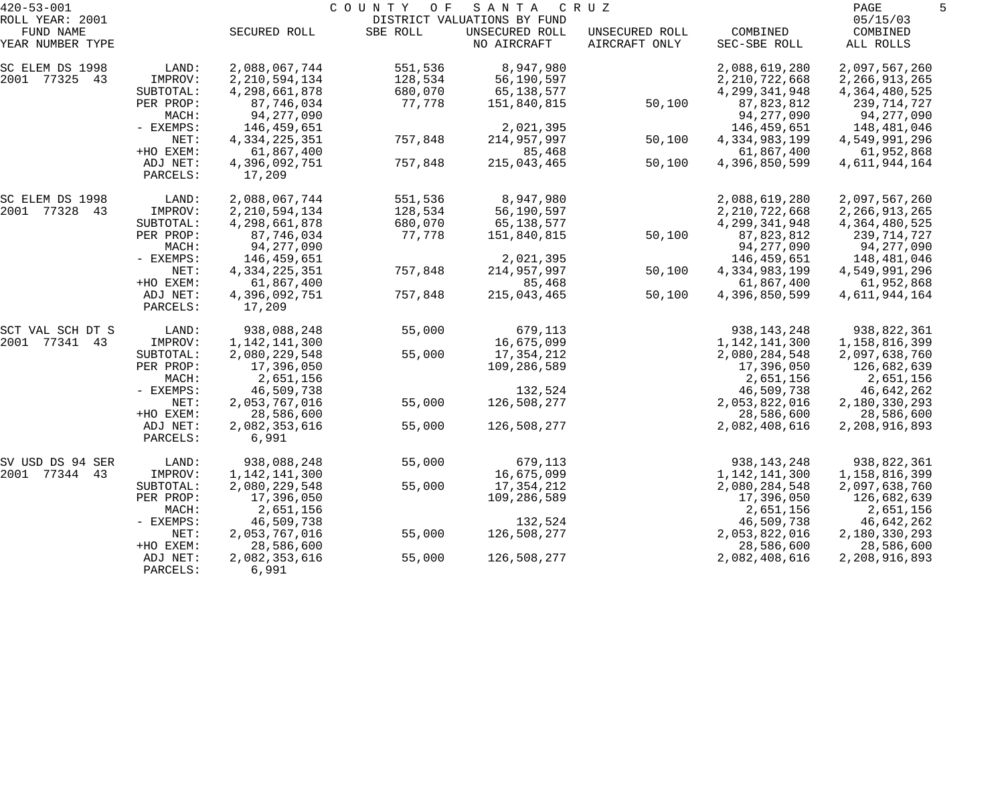| $420 - 53 - 001$              |                      |                         | COUNTY<br>O F | SANTA                                         | C R U Z                         |                  | PAGE                  |  |
|-------------------------------|----------------------|-------------------------|---------------|-----------------------------------------------|---------------------------------|------------------|-----------------------|--|
| ROLL YEAR: 2001               |                      |                         |               | DISTRICT VALUATIONS BY FUND<br>UNSECURED ROLL |                                 | COMBINED         | 05/15/03              |  |
| FUND NAME<br>YEAR NUMBER TYPE |                      | SECURED ROLL            | SBE ROLL      | NO AIRCRAFT                                   | UNSECURED ROLL<br>AIRCRAFT ONLY | SEC-SBE ROLL     | COMBINED<br>ALL ROLLS |  |
| SC ELEM DS 1998               | LAND:                | 2,088,067,744           | 551,536       | 8,947,980                                     |                                 | 2,088,619,280    | 2,097,567,260         |  |
| 2001 77325 43                 | IMPROV:              | 2, 210, 594, 134        | 128,534       | 56,190,597                                    |                                 | 2, 210, 722, 668 | 2, 266, 913, 265      |  |
|                               | SUBTOTAL:            | 4,298,661,878           | 680,070       | 65,138,577                                    |                                 | 4, 299, 341, 948 | 4, 364, 480, 525      |  |
|                               | PER PROP:            | 87,746,034              | 77,778        | 151,840,815                                   | 50,100                          | 87,823,812       | 239,714,727           |  |
|                               | MACH:                | 94,277,090              |               |                                               |                                 | 94,277,090       | 94,277,090            |  |
|                               | - EXEMPS:            | 146,459,651             |               | 2,021,395                                     |                                 | 146,459,651      | 148,481,046           |  |
|                               | NET:                 | 4, 334, 225, 351        | 757,848       | 214,957,997                                   | 50,100                          | 4,334,983,199    | 4,549,991,296         |  |
|                               | +HO EXEM:            | 61,867,400              |               | 85,468                                        |                                 | 61,867,400       | 61,952,868            |  |
|                               | ADJ NET:<br>PARCELS: | 4,396,092,751<br>17,209 | 757,848       | 215,043,465                                   | 50,100                          | 4,396,850,599    | 4,611,944,164         |  |
| SC ELEM DS 1998               | LAND:                | 2,088,067,744           | 551,536       | 8,947,980                                     |                                 | 2,088,619,280    | 2,097,567,260         |  |
| 2001 77328 43                 | IMPROV:              | 2, 210, 594, 134        | 128,534       | 56,190,597                                    |                                 | 2, 210, 722, 668 | 2, 266, 913, 265      |  |
|                               | SUBTOTAL:            | 4,298,661,878           | 680,070       | 65,138,577                                    |                                 | 4, 299, 341, 948 | 4, 364, 480, 525      |  |
|                               | PER PROP:            | 87,746,034              | 77,778        | 151,840,815                                   | 50,100                          | 87,823,812       | 239,714,727           |  |
|                               | MACH:                | 94,277,090              |               |                                               |                                 | 94,277,090       | 94,277,090            |  |
|                               | - EXEMPS:            | 146,459,651             |               | 2,021,395                                     |                                 | 146,459,651      | 148,481,046           |  |
|                               | NET:                 | 4, 334, 225, 351        | 757,848       | 214,957,997                                   | 50,100                          | 4,334,983,199    | 4,549,991,296         |  |
|                               | +HO EXEM:            | 61,867,400              |               | 85,468                                        |                                 | 61,867,400       | 61,952,868            |  |
|                               | ADJ NET:<br>PARCELS: | 4,396,092,751<br>17,209 | 757,848       | 215,043,465                                   | 50,100                          | 4,396,850,599    | 4,611,944,164         |  |
| SCT VAL SCH DT S              | LAND:                | 938,088,248             | 55,000        | 679,113                                       |                                 | 938, 143, 248    | 938,822,361           |  |
| 2001 77341 43                 | IMPROV:              | 1,142,141,300           |               | 16,675,099                                    |                                 | 1,142,141,300    | 1,158,816,399         |  |
|                               | SUBTOTAL:            | 2,080,229,548           | 55,000        | 17,354,212                                    |                                 | 2,080,284,548    | 2,097,638,760         |  |
|                               | PER PROP:            | 17,396,050              |               | 109,286,589                                   |                                 | 17,396,050       | 126,682,639           |  |
|                               | MACH:                | 2,651,156               |               |                                               |                                 | 2,651,156        | 2,651,156             |  |
|                               | - EXEMPS:            | 46,509,738              |               | 132,524                                       |                                 | 46,509,738       | 46,642,262            |  |
|                               | NET:                 | 2,053,767,016           | 55,000        | 126,508,277                                   |                                 | 2,053,822,016    | 2,180,330,293         |  |
|                               | +HO EXEM:            | 28,586,600              |               |                                               |                                 | 28,586,600       | 28,586,600            |  |
|                               | ADJ NET:<br>PARCELS: | 2,082,353,616<br>6,991  | 55,000        | 126,508,277                                   |                                 | 2,082,408,616    | 2,208,916,893         |  |
| SV USD DS 94 SER              | LAND:                | 938,088,248             | 55,000        | 679,113                                       |                                 | 938, 143, 248    | 938,822,361           |  |
| 2001 77344 43                 | IMPROV:              | 1,142,141,300           |               | 16,675,099                                    |                                 | 1,142,141,300    | 1,158,816,399         |  |
|                               | SUBTOTAL:            | 2,080,229,548           | 55,000        | 17,354,212                                    |                                 | 2,080,284,548    | 2,097,638,760         |  |
|                               | PER PROP:            | 17,396,050              |               | 109,286,589                                   |                                 | 17,396,050       | 126,682,639           |  |
|                               | MACH:                | 2,651,156               |               |                                               |                                 | 2,651,156        | 2,651,156             |  |
|                               | $-$ EXEMPS:          | 46,509,738              |               | 132,524                                       |                                 | 46,509,738       | 46,642,262            |  |
|                               | NET:                 | 2,053,767,016           | 55,000        | 126,508,277                                   |                                 | 2,053,822,016    | 2,180,330,293         |  |
|                               | +HO EXEM:            | 28,586,600              |               |                                               |                                 | 28,586,600       | 28,586,600            |  |
|                               | ADJ NET:<br>PARCELS: | 2,082,353,616<br>6,991  | 55,000        | 126,508,277                                   |                                 | 2,082,408,616    | 2,208,916,893         |  |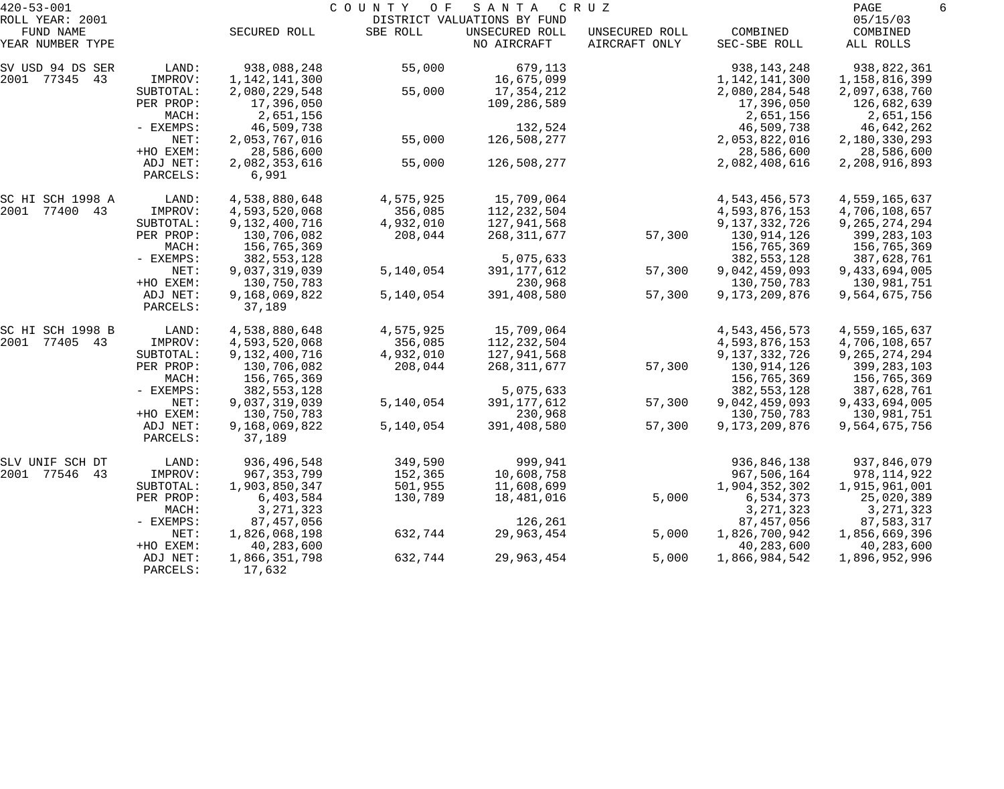| $420 - 53 - 001$              |                      |                         | COUNTY<br>O F | SANTA                         | C R U Z                         |                          | PAGE<br>6             |
|-------------------------------|----------------------|-------------------------|---------------|-------------------------------|---------------------------------|--------------------------|-----------------------|
| ROLL YEAR: 2001               |                      |                         |               | DISTRICT VALUATIONS BY FUND   |                                 |                          | 05/15/03              |
| FUND NAME<br>YEAR NUMBER TYPE |                      | SECURED ROLL            | SBE ROLL      | UNSECURED ROLL<br>NO AIRCRAFT | UNSECURED ROLL<br>AIRCRAFT ONLY | COMBINED<br>SEC-SBE ROLL | COMBINED<br>ALL ROLLS |
| SV USD 94 DS SER              | LAND:                | 938,088,248             | 55,000        | 679,113                       |                                 | 938, 143, 248            | 938,822,361           |
| 2001 77345 43                 | IMPROV:              | 1, 142, 141, 300        |               | 16,675,099                    |                                 | 1, 142, 141, 300         | 1,158,816,399         |
|                               | SUBTOTAL:            | 2,080,229,548           | 55,000        | 17,354,212                    |                                 | 2,080,284,548            | 2,097,638,760         |
|                               | PER PROP:            | 17,396,050              |               | 109,286,589                   |                                 | 17,396,050               | 126,682,639           |
|                               | MACH:                | 2,651,156               |               |                               |                                 | 2,651,156                | 2,651,156             |
|                               | - EXEMPS:            | 46,509,738              |               | 132,524                       |                                 | 46,509,738               | 46,642,262            |
|                               | NET:                 | 2,053,767,016           | 55,000        | 126,508,277                   |                                 | 2,053,822,016            | 2,180,330,293         |
|                               | +HO EXEM:            | 28,586,600              |               |                               |                                 | 28,586,600               | 28,586,600            |
|                               | ADJ NET:             | 2,082,353,616           | 55,000        | 126,508,277                   |                                 | 2,082,408,616            | 2,208,916,893         |
|                               | PARCELS:             | 6,991                   |               |                               |                                 |                          |                       |
| SC HI SCH 1998 A              | LAND:                | 4,538,880,648           | 4,575,925     | 15,709,064                    |                                 | 4,543,456,573            | 4,559,165,637         |
| 2001 77400 43                 | IMPROV:              | 4,593,520,068           | 356,085       | 112, 232, 504                 |                                 | 4,593,876,153            | 4,706,108,657         |
|                               | SUBTOTAL:            | 9,132,400,716           | 4,932,010     | 127,941,568                   |                                 | 9,137,332,726            | 9, 265, 274, 294      |
|                               | PER PROP:            | 130,706,082             | 208,044       | 268, 311, 677                 | 57,300                          | 130,914,126              | 399,283,103           |
|                               | MACH:                | 156,765,369             |               |                               |                                 | 156,765,369              | 156,765,369           |
|                               | - EXEMPS:            | 382,553,128             |               | 5,075,633                     |                                 | 382, 553, 128            | 387,628,761           |
|                               | NET:                 | 9,037,319,039           | 5,140,054     | 391, 177, 612                 | 57,300                          | 9,042,459,093            | 9,433,694,005         |
|                               | +HO EXEM:            | 130,750,783             |               | 230,968                       |                                 | 130,750,783              | 130,981,751           |
|                               | ADJ NET:<br>PARCELS: | 9,168,069,822<br>37,189 | 5,140,054     | 391,408,580                   | 57,300                          | 9,173,209,876            | 9,564,675,756         |
| SC HI SCH 1998 B              | LAND:                | 4,538,880,648           | 4,575,925     | 15,709,064                    |                                 | 4,543,456,573            | 4,559,165,637         |
| 2001 77405 43                 | IMPROV:              | 4,593,520,068           | 356,085       | 112, 232, 504                 |                                 | 4,593,876,153            | 4,706,108,657         |
|                               | SUBTOTAL:            | 9,132,400,716           | 4,932,010     | 127,941,568                   |                                 | 9,137,332,726            | 9, 265, 274, 294      |
|                               | PER PROP:            | 130,706,082             | 208,044       | 268, 311, 677                 | 57,300                          | 130,914,126              | 399, 283, 103         |
|                               | MACH:                | 156,765,369             |               |                               |                                 | 156,765,369              | 156,765,369           |
|                               | - EXEMPS:            | 382,553,128             |               | 5,075,633                     |                                 | 382, 553, 128            | 387,628,761           |
|                               | NET:                 | 9,037,319,039           | 5,140,054     | 391, 177, 612                 | 57,300                          | 9,042,459,093            | 9,433,694,005         |
|                               | +HO EXEM:            | 130,750,783             |               | 230,968                       |                                 | 130,750,783              | 130,981,751           |
|                               | ADJ NET:             | 9,168,069,822           | 5,140,054     | 391,408,580                   | 57,300                          | 9, 173, 209, 876         | 9,564,675,756         |
|                               | PARCELS:             | 37,189                  |               |                               |                                 |                          |                       |
| SLV UNIF SCH DT               | LAND:                | 936,496,548             | 349,590       | 999,941                       |                                 | 936,846,138              | 937,846,079           |
| 2001<br>77546<br>-43          | IMPROV:              | 967, 353, 799           | 152,365       | 10,608,758                    |                                 | 967,506,164              | 978,114,922           |
|                               | SUBTOTAL:            | 1,903,850,347           | 501,955       | 11,608,699                    |                                 | 1,904,352,302            | 1,915,961,001         |
|                               | PER PROP:            | 6,403,584               | 130,789       | 18,481,016                    | 5,000                           | 6,534,373                | 25,020,389            |
|                               | MACH:                | 3, 271, 323             |               |                               |                                 | 3, 271, 323              | 3, 271, 323           |
|                               | $-$ EXEMPS:          | 87,457,056              |               | 126,261                       |                                 | 87, 457, 056             | 87,583,317            |
|                               | NET:                 | 1,826,068,198           | 632,744       | 29,963,454                    | 5,000                           | 1,826,700,942            | 1,856,669,396         |
|                               | +HO EXEM:            | 40,283,600              |               |                               |                                 | 40,283,600               | 40,283,600            |
|                               | ADJ NET:             | 1,866,351,798           | 632,744       | 29,963,454                    | 5,000                           | 1,866,984,542            | 1,896,952,996         |
|                               | PARCELS:             | 17,632                  |               |                               |                                 |                          |                       |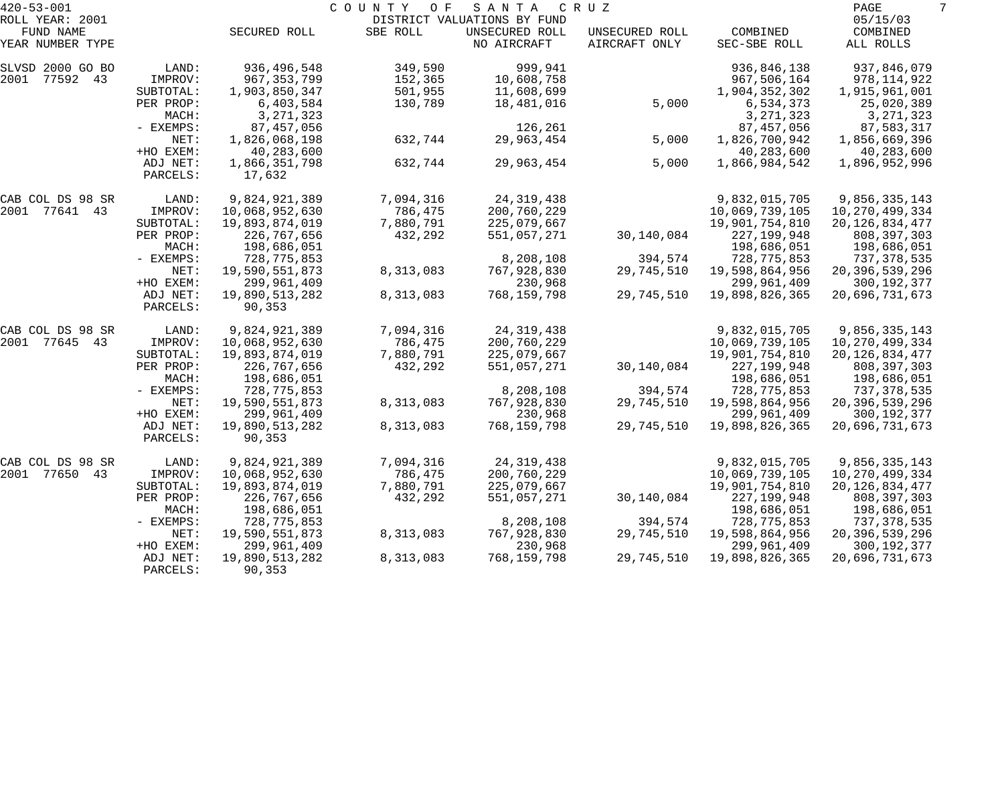| $420 - 53 - 001$    |                  |                | COUNTY<br>O F | SANTA                         | C R U Z                         |                          | PAGE                  |  |
|---------------------|------------------|----------------|---------------|-------------------------------|---------------------------------|--------------------------|-----------------------|--|
| ROLL YEAR: 2001     |                  |                |               | DISTRICT VALUATIONS BY FUND   |                                 |                          | 05/15/03              |  |
| FUND NAME           |                  | SECURED ROLL   | SBE ROLL      | UNSECURED ROLL<br>NO AIRCRAFT | UNSECURED ROLL<br>AIRCRAFT ONLY | COMBINED<br>SEC-SBE ROLL | COMBINED<br>ALL ROLLS |  |
| YEAR NUMBER TYPE    |                  |                |               |                               |                                 |                          |                       |  |
| SLVSD 2000 GO BO    | $\texttt{LAND}:$ | 936,496,548    | 349,590       | 999,941                       |                                 | 936,846,138              | 937,846,079           |  |
| 2001<br>77592 43    | IMPROV:          | 967, 353, 799  | 152,365       | 10,608,758                    |                                 | 967,506,164              | 978,114,922           |  |
|                     | SUBTOTAL:        | 1,903,850,347  | 501,955       | 11,608,699                    |                                 | 1,904,352,302            | 1,915,961,001         |  |
|                     | PER PROP:        | 6,403,584      | 130,789       | 18,481,016                    | 5,000                           | 6,534,373                | 25,020,389            |  |
|                     | MACH:            | 3, 271, 323    |               |                               |                                 | 3, 271, 323              | 3, 271, 323           |  |
|                     | - EXEMPS:        | 87, 457, 056   |               | 126,261                       |                                 | 87, 457, 056             | 87,583,317            |  |
|                     | NET:             | 1,826,068,198  | 632,744       | 29,963,454                    | 5,000                           | 1,826,700,942            | 1,856,669,396         |  |
|                     | +HO EXEM:        | 40,283,600     |               |                               |                                 | 40,283,600               | 40,283,600            |  |
|                     | ADJ NET:         | 1,866,351,798  | 632,744       | 29,963,454                    | 5,000                           | 1,866,984,542            | 1,896,952,996         |  |
|                     | PARCELS:         | 17,632         |               |                               |                                 |                          |                       |  |
| CAB COL DS 98 SR    | LAND:            | 9,824,921,389  | 7,094,316     | 24, 319, 438                  |                                 | 9,832,015,705            | 9,856,335,143         |  |
| 2001<br>77641 43    | IMPROV:          | 10,068,952,630 | 786,475       | 200,760,229                   |                                 | 10,069,739,105           | 10, 270, 499, 334     |  |
|                     | SUBTOTAL:        | 19,893,874,019 | 7,880,791     | 225,079,667                   |                                 | 19,901,754,810           | 20, 126, 834, 477     |  |
|                     | PER PROP:        | 226,767,656    | 432,292       | 551,057,271                   | 30,140,084                      | 227, 199, 948            | 808,397,303           |  |
|                     | MACH:            | 198,686,051    |               |                               |                                 | 198,686,051              | 198,686,051           |  |
|                     | - EXEMPS:        | 728,775,853    |               | 8,208,108                     | 394,574                         | 728, 775, 853            | 737,378,535           |  |
|                     | NET:             | 19,590,551,873 | 8,313,083     | 767,928,830                   | 29,745,510                      | 19,598,864,956           | 20, 396, 539, 296     |  |
|                     | +HO EXEM:        | 299,961,409    |               | 230,968                       |                                 | 299,961,409              | 300, 192, 377         |  |
|                     | ADJ NET:         | 19,890,513,282 | 8,313,083     | 768,159,798                   | 29,745,510                      | 19,898,826,365           | 20,696,731,673        |  |
|                     | PARCELS:         | 90,353         |               |                               |                                 |                          |                       |  |
| CAB COL DS 98 SR    | LAND:            | 9,824,921,389  | 7,094,316     | 24, 319, 438                  |                                 | 9,832,015,705            | 9,856,335,143         |  |
| 2001<br>77645 43    | IMPROV:          | 10,068,952,630 | 786,475       | 200,760,229                   |                                 | 10,069,739,105           | 10, 270, 499, 334     |  |
|                     | SUBTOTAL:        | 19,893,874,019 | 7,880,791     | 225,079,667                   |                                 | 19,901,754,810           | 20, 126, 834, 477     |  |
|                     | PER PROP:        | 226,767,656    | 432,292       | 551,057,271                   | 30,140,084                      | 227, 199, 948            | 808,397,303           |  |
|                     | MACH:            | 198,686,051    |               |                               |                                 | 198,686,051              | 198,686,051           |  |
|                     | - EXEMPS:        | 728,775,853    |               | 8,208,108                     | 394,574                         | 728,775,853              | 737,378,535           |  |
|                     | NET:             | 19,590,551,873 | 8,313,083     | 767,928,830                   | 29,745,510                      | 19,598,864,956           | 20,396,539,296        |  |
|                     | +HO EXEM:        | 299,961,409    |               | 230,968                       |                                 | 299,961,409              | 300, 192, 377         |  |
|                     | ADJ NET:         | 19,890,513,282 | 8,313,083     | 768,159,798                   | 29,745,510                      | 19,898,826,365           | 20,696,731,673        |  |
|                     | PARCELS:         | 90,353         |               |                               |                                 |                          |                       |  |
| CAB COL DS 98 SR    | LAND:            | 9,824,921,389  | 7,094,316     | 24, 319, 438                  |                                 | 9,832,015,705            | 9,856,335,143         |  |
| 2001<br>77650<br>43 | IMPROV:          | 10,068,952,630 | 786,475       | 200,760,229                   |                                 | 10,069,739,105           | 10,270,499,334        |  |
|                     | SUBTOTAL:        | 19,893,874,019 | 7,880,791     | 225,079,667                   |                                 | 19,901,754,810           | 20, 126, 834, 477     |  |
|                     | PER PROP:        | 226,767,656    | 432,292       | 551,057,271                   | 30,140,084                      | 227, 199, 948            | 808,397,303           |  |
|                     | MACH:            | 198,686,051    |               |                               |                                 | 198,686,051              | 198,686,051           |  |
|                     | - EXEMPS:        | 728,775,853    |               | 8,208,108                     | 394,574                         | 728,775,853              | 737,378,535           |  |
|                     | NET:             | 19,590,551,873 | 8,313,083     | 767,928,830                   | 29,745,510                      | 19,598,864,956           | 20, 396, 539, 296     |  |
|                     | +HO EXEM:        | 299,961,409    |               | 230,968                       |                                 | 299,961,409              | 300,192,377           |  |
|                     | ADJ NET:         | 19,890,513,282 | 8,313,083     | 768,159,798                   | 29,745,510                      | 19,898,826,365           | 20,696,731,673        |  |
|                     | PARCELS:         | 90,353         |               |                               |                                 |                          |                       |  |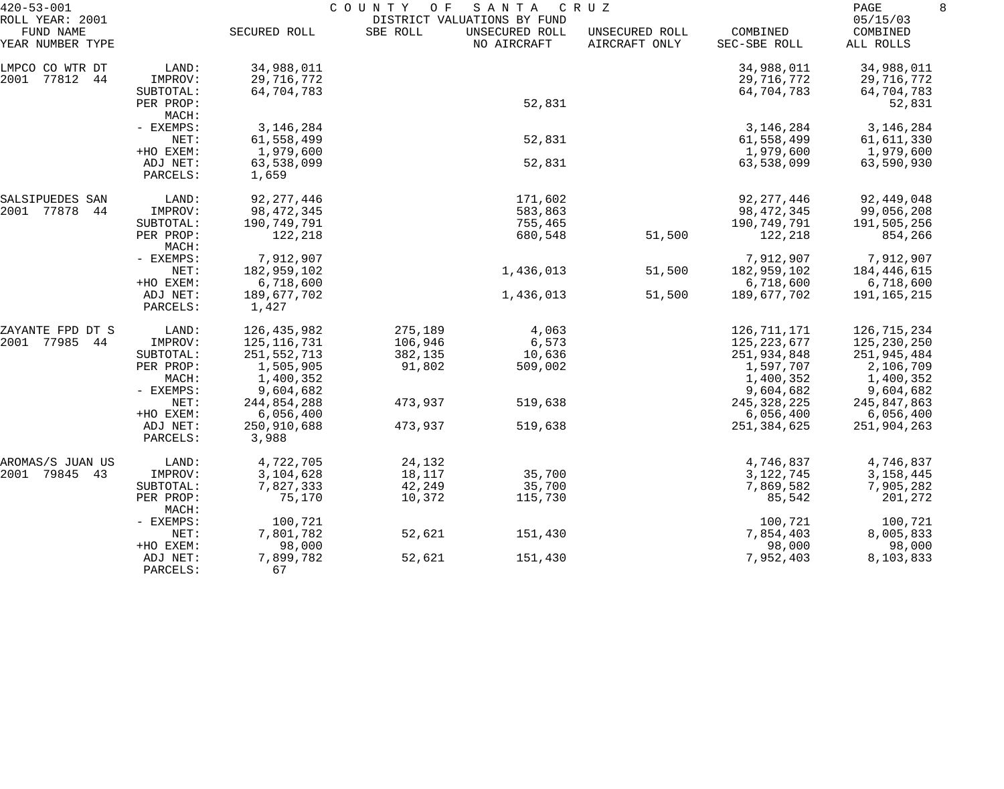| $420 - 53 - 001$                                 |                               | COUNTY<br>O F<br>S A N T A<br>C R U Z<br>DISTRICT VALUATIONS BY FUND |          |                               |                                 |                                        |                                        |  |
|--------------------------------------------------|-------------------------------|----------------------------------------------------------------------|----------|-------------------------------|---------------------------------|----------------------------------------|----------------------------------------|--|
| ROLL YEAR: 2001<br>FUND NAME<br>YEAR NUMBER TYPE |                               | SECURED ROLL                                                         | SBE ROLL | UNSECURED ROLL<br>NO AIRCRAFT | UNSECURED ROLL<br>AIRCRAFT ONLY | COMBINED<br>SEC-SBE ROLL               | 05/15/03<br>COMBINED<br>ALL ROLLS      |  |
| LMPCO CO WTR DT<br>2001 77812 44                 | LAND:<br>IMPROV:<br>SUBTOTAL: | 34,988,011<br>29,716,772<br>64,704,783                               |          |                               |                                 | 34,988,011<br>29,716,772<br>64,704,783 | 34,988,011<br>29,716,772<br>64,704,783 |  |
|                                                  | PER PROP:<br>MACH:            |                                                                      |          | 52,831                        |                                 |                                        | 52,831                                 |  |
|                                                  | - EXEMPS:                     | 3, 146, 284                                                          |          |                               |                                 | 3, 146, 284                            | 3, 146, 284                            |  |
|                                                  | NET:                          | 61,558,499                                                           |          | 52,831                        |                                 | 61,558,499                             | 61,611,330                             |  |
|                                                  | +HO EXEM:<br>ADJ NET:         | 1,979,600<br>63,538,099                                              |          | 52,831                        |                                 | 1,979,600<br>63,538,099                | 1,979,600<br>63,590,930                |  |
|                                                  | PARCELS:                      | 1,659                                                                |          |                               |                                 |                                        |                                        |  |
| SALSIPUEDES SAN                                  | LAND:                         | 92, 277, 446                                                         |          | 171,602                       |                                 | 92, 277, 446                           | 92,449,048                             |  |
| 2001 77878 44                                    | IMPROV:                       | 98, 472, 345                                                         |          | 583,863                       |                                 | 98,472,345                             | 99,056,208                             |  |
|                                                  | SUBTOTAL:<br>PER PROP:        | 190,749,791<br>122,218                                               |          | 755,465<br>680,548            | 51,500                          | 190,749,791<br>122,218                 | 191,505,256<br>854,266                 |  |
|                                                  | MACH:                         |                                                                      |          |                               |                                 |                                        |                                        |  |
|                                                  | - EXEMPS:                     | 7,912,907                                                            |          |                               |                                 | 7,912,907                              | 7,912,907                              |  |
|                                                  | NET:                          | 182,959,102                                                          |          | 1,436,013                     | 51,500                          | 182,959,102                            | 184,446,615                            |  |
|                                                  | +HO EXEM:                     | 6,718,600                                                            |          |                               |                                 | 6,718,600                              | 6,718,600                              |  |
|                                                  | ADJ NET:<br>PARCELS:          | 189,677,702<br>1,427                                                 |          | 1,436,013                     | 51,500                          | 189,677,702                            | 191,165,215                            |  |
| ZAYANTE FPD DT S                                 | LAND:                         | 126,435,982                                                          | 275,189  | 4,063                         |                                 | 126,711,171                            | 126,715,234                            |  |
| 2001 77985 44                                    | IMPROV:                       | 125, 116, 731                                                        | 106,946  | 6,573                         |                                 | 125,223,677                            | 125,230,250                            |  |
|                                                  | SUBTOTAL:                     | 251,552,713                                                          | 382,135  | 10,636                        |                                 | 251,934,848                            | 251,945,484                            |  |
|                                                  | PER PROP:                     | 1,505,905                                                            | 91,802   | 509,002                       |                                 | 1,597,707                              | 2,106,709                              |  |
|                                                  | MACH:<br>- EXEMPS:            | 1,400,352<br>9,604,682                                               |          |                               |                                 | 1,400,352<br>9,604,682                 | 1,400,352<br>9,604,682                 |  |
|                                                  | NET:                          | 244,854,288                                                          | 473,937  | 519,638                       |                                 | 245, 328, 225                          | 245,847,863                            |  |
|                                                  | +HO EXEM:                     | 6,056,400                                                            |          |                               |                                 | 6,056,400                              | 6,056,400                              |  |
|                                                  | ADJ NET:                      | 250,910,688                                                          | 473,937  | 519,638                       |                                 | 251,384,625                            | 251,904,263                            |  |
|                                                  | PARCELS:                      | 3,988                                                                |          |                               |                                 |                                        |                                        |  |
| AROMAS/S JUAN US                                 | LAND:                         | 4,722,705                                                            | 24,132   |                               |                                 | 4,746,837                              | 4,746,837                              |  |
| 2001 79845 43                                    | IMPROV:                       | 3,104,628                                                            | 18,117   | 35,700                        |                                 | 3,122,745                              | 3,158,445                              |  |
|                                                  | SUBTOTAL:                     | 7,827,333                                                            | 42,249   | 35,700                        |                                 | 7,869,582                              | 7,905,282                              |  |
|                                                  | PER PROP:<br>MACH:            | 75,170                                                               | 10,372   | 115,730                       |                                 | 85,542                                 | 201,272                                |  |
|                                                  | - EXEMPS:                     | 100,721                                                              |          |                               |                                 | 100,721                                | 100,721                                |  |
|                                                  | NET:                          | 7,801,782                                                            | 52,621   | 151,430                       |                                 | 7,854,403                              | 8,005,833                              |  |
|                                                  | +HO EXEM:                     | 98,000                                                               |          |                               |                                 | 98,000                                 | 98,000                                 |  |
|                                                  | ADJ NET:<br>PARCELS:          | 7,899,782<br>67                                                      | 52,621   | 151,430                       |                                 | 7,952,403                              | 8,103,833                              |  |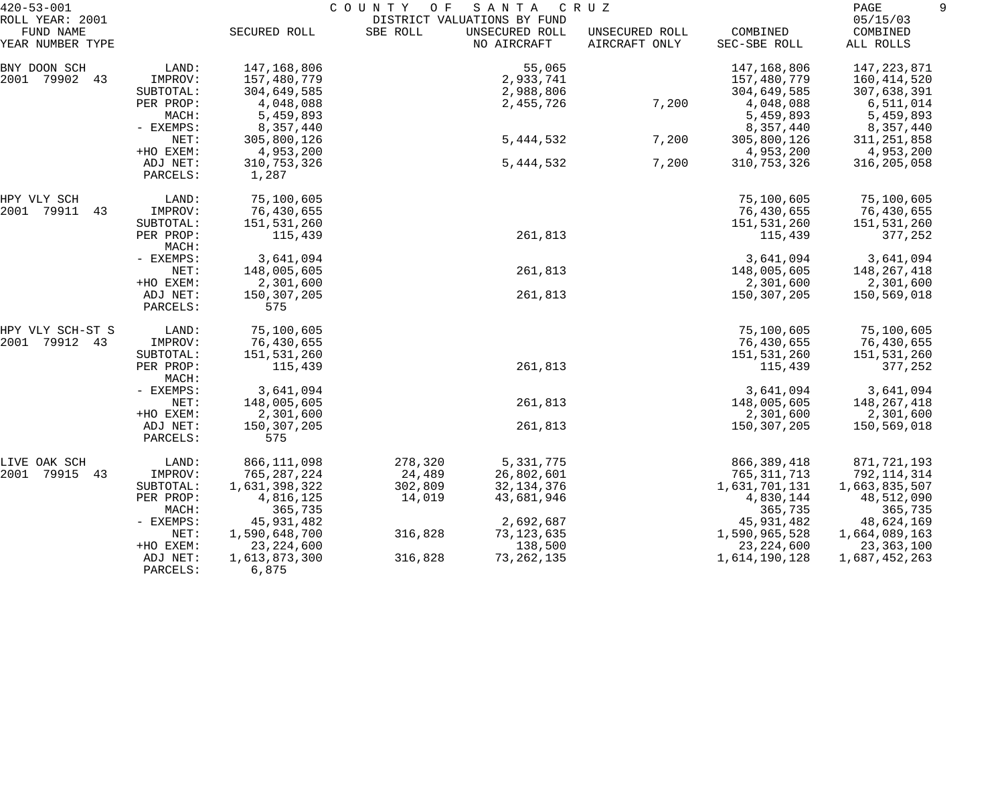| $420 - 53 - 001$                                 |                      |                        | COUNTY<br>O F | SANTA                                                        | C R U Z                         |                          | PAGE                              |
|--------------------------------------------------|----------------------|------------------------|---------------|--------------------------------------------------------------|---------------------------------|--------------------------|-----------------------------------|
| ROLL YEAR: 2001<br>FUND NAME<br>YEAR NUMBER TYPE |                      | SECURED ROLL           | SBE ROLL      | DISTRICT VALUATIONS BY FUND<br>UNSECURED ROLL<br>NO AIRCRAFT | UNSECURED ROLL<br>AIRCRAFT ONLY | COMBINED<br>SEC-SBE ROLL | 05/15/03<br>COMBINED<br>ALL ROLLS |
| BNY DOON SCH                                     | LAND:                | 147,168,806            |               | 55,065                                                       |                                 | 147,168,806              | 147,223,871                       |
| 2001 79902 43                                    | IMPROV:              | 157,480,779            |               | 2,933,741                                                    |                                 | 157,480,779              | 160,414,520                       |
|                                                  | SUBTOTAL:            | 304,649,585            |               | 2,988,806                                                    |                                 | 304,649,585              | 307,638,391                       |
|                                                  | PER PROP:            | 4,048,088              |               | 2,455,726                                                    | 7,200                           | 4,048,088                | 6,511,014                         |
|                                                  | MACH:                | 5,459,893              |               |                                                              |                                 | 5,459,893                | 5,459,893                         |
|                                                  | - EXEMPS:            | 8,357,440              |               |                                                              |                                 | 8,357,440                | 8,357,440                         |
|                                                  | NET:                 | 305,800,126            |               | 5, 444, 532                                                  | 7,200                           | 305,800,126              | 311,251,858                       |
|                                                  | +HO EXEM:            | 4,953,200              |               |                                                              |                                 | 4,953,200                | 4,953,200                         |
|                                                  | ADJ NET:<br>PARCELS: | 310,753,326<br>1,287   |               | 5,444,532                                                    | 7,200                           | 310,753,326              | 316,205,058                       |
| HPY VLY SCH                                      | LAND:                | 75,100,605             |               |                                                              |                                 | 75,100,605               | 75,100,605                        |
| 2001<br>79911<br>43                              | IMPROV:              | 76,430,655             |               |                                                              |                                 | 76,430,655               | 76,430,655                        |
|                                                  | SUBTOTAL:            | 151,531,260            |               |                                                              |                                 | 151,531,260              | 151,531,260                       |
|                                                  | PER PROP:<br>MACH:   | 115,439                |               | 261,813                                                      |                                 | 115,439                  | 377,252                           |
|                                                  | - EXEMPS:            | 3,641,094              |               |                                                              |                                 | 3,641,094                | 3,641,094                         |
|                                                  | NET:                 | 148,005,605            |               | 261,813                                                      |                                 | 148,005,605              | 148,267,418                       |
|                                                  | +HO EXEM:            | 2,301,600              |               |                                                              |                                 | 2,301,600                | 2,301,600                         |
|                                                  | ADJ NET:<br>PARCELS: | 150,307,205<br>575     |               | 261,813                                                      |                                 | 150,307,205              | 150,569,018                       |
| HPY VLY SCH-ST S                                 | LAND:                | 75,100,605             |               |                                                              |                                 | 75,100,605               | 75,100,605                        |
| 2001<br>79912 43                                 | IMPROV:              | 76,430,655             |               |                                                              |                                 | 76,430,655               | 76,430,655                        |
|                                                  | SUBTOTAL:            | 151,531,260            |               |                                                              |                                 | 151,531,260              | 151,531,260                       |
|                                                  | PER PROP:<br>MACH:   | 115,439                |               | 261,813                                                      |                                 | 115,439                  | 377,252                           |
|                                                  | - EXEMPS:            | 3,641,094              |               |                                                              |                                 | 3,641,094                | 3,641,094                         |
|                                                  | NET:                 | 148,005,605            |               | 261,813                                                      |                                 | 148,005,605              | 148,267,418                       |
|                                                  | +HO EXEM:            | 2,301,600              |               |                                                              |                                 | 2,301,600                | 2,301,600                         |
|                                                  | ADJ NET:<br>PARCELS: | 150,307,205<br>575     |               | 261,813                                                      |                                 | 150,307,205              | 150,569,018                       |
| LIVE OAK SCH                                     | LAND:                | 866,111,098            | 278,320       | 5,331,775                                                    |                                 | 866, 389, 418            | 871,721,193                       |
| 2001<br>79915 43                                 | IMPROV:              | 765, 287, 224          | 24,489        | 26,802,601                                                   |                                 | 765, 311, 713            | 792,114,314                       |
|                                                  | SUBTOTAL:            | 1,631,398,322          | 302,809       | 32, 134, 376                                                 |                                 | 1,631,701,131            | 1,663,835,507                     |
|                                                  | PER PROP:            | 4,816,125              | 14,019        | 43,681,946                                                   |                                 | 4,830,144                | 48,512,090                        |
|                                                  | MACH:                | 365,735                |               |                                                              |                                 | 365,735                  | 365,735                           |
|                                                  | - EXEMPS:            | 45,931,482             |               | 2,692,687                                                    |                                 | 45,931,482               | 48,624,169                        |
|                                                  | NET:                 | 1,590,648,700          | 316,828       | 73,123,635                                                   |                                 | 1,590,965,528            | 1,664,089,163                     |
|                                                  | +HO EXEM:            | 23, 224, 600           |               | 138,500                                                      |                                 | 23, 224, 600             | 23,363,100                        |
|                                                  | ADJ NET:<br>PARCELS: | 1,613,873,300<br>6,875 | 316,828       | 73, 262, 135                                                 |                                 | 1,614,190,128            | 1,687,452,263                     |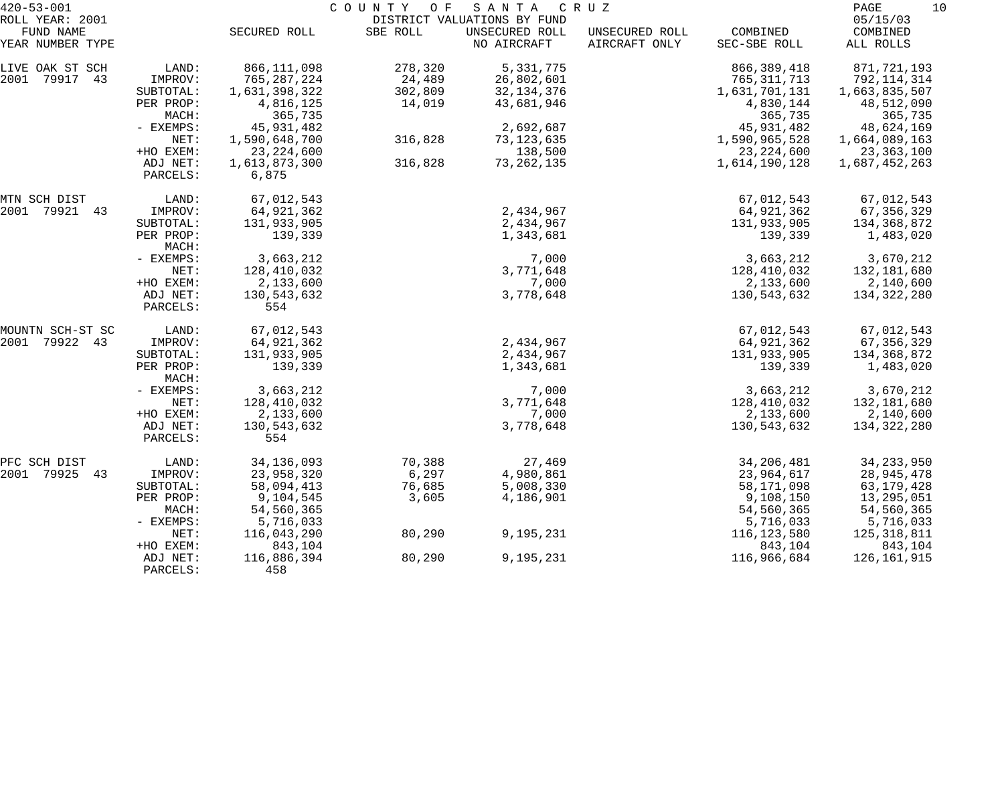| $420 - 53 - 001$    |                    |               | COUNTY OF | S A N T A                   | C R U Z        |               | 10<br>PAGE    |
|---------------------|--------------------|---------------|-----------|-----------------------------|----------------|---------------|---------------|
| ROLL YEAR: 2001     |                    |               |           | DISTRICT VALUATIONS BY FUND |                |               | 05/15/03      |
| FUND NAME           |                    | SECURED ROLL  | SBE ROLL  | UNSECURED ROLL              | UNSECURED ROLL | COMBINED      | COMBINED      |
| YEAR NUMBER TYPE    |                    |               |           | NO AIRCRAFT                 | AIRCRAFT ONLY  | SEC-SBE ROLL  | ALL ROLLS     |
| LIVE OAK ST SCH     | LAND:              | 866, 111, 098 | 278,320   | 5,331,775                   |                | 866, 389, 418 | 871,721,193   |
| 2001<br>79917<br>43 | IMPROV:            | 765, 287, 224 | 24,489    | 26,802,601                  |                | 765, 311, 713 | 792,114,314   |
|                     | SUBTOTAL:          | 1,631,398,322 | 302,809   | 32, 134, 376                |                | 1,631,701,131 | 1,663,835,507 |
|                     | PER PROP:          | 4,816,125     | 14,019    | 43,681,946                  |                | 4,830,144     | 48,512,090    |
|                     | MACH:              | 365,735       |           |                             |                | 365,735       | 365,735       |
|                     | - EXEMPS:          | 45,931,482    |           | 2,692,687                   |                | 45,931,482    | 48,624,169    |
|                     | NET:               | 1,590,648,700 | 316,828   | 73, 123, 635                |                | 1,590,965,528 | 1,664,089,163 |
|                     | +HO EXEM:          | 23, 224, 600  |           | 138,500                     |                | 23, 224, 600  | 23,363,100    |
|                     | ADJ NET:           | 1,613,873,300 | 316,828   | 73, 262, 135                |                | 1,614,190,128 | 1,687,452,263 |
|                     | PARCELS:           | 6,875         |           |                             |                |               |               |
| MTN SCH DIST        | LAND:              | 67,012,543    |           |                             |                | 67,012,543    | 67,012,543    |
| 79921 43<br>2001    | IMPROV:            | 64, 921, 362  |           | 2,434,967                   |                | 64,921,362    | 67, 356, 329  |
|                     | SUBTOTAL:          | 131,933,905   |           | 2,434,967                   |                | 131,933,905   | 134,368,872   |
|                     | PER PROP:<br>MACH: | 139,339       |           | 1,343,681                   |                | 139,339       | 1,483,020     |
|                     | - EXEMPS:          | 3,663,212     |           | 7,000                       |                | 3,663,212     | 3,670,212     |
|                     | NET:               | 128,410,032   |           | 3,771,648                   |                | 128,410,032   | 132,181,680   |
|                     | +HO EXEM:          | 2,133,600     |           | 7,000                       |                | 2,133,600     | 2,140,600     |
|                     | ADJ NET:           | 130,543,632   |           | 3,778,648                   |                | 130,543,632   | 134,322,280   |
|                     | PARCELS:           | 554           |           |                             |                |               |               |
| MOUNTN SCH-ST SC    | LAND:              | 67,012,543    |           |                             |                | 67,012,543    | 67,012,543    |
| 79922<br>2001<br>43 | IMPROV:            | 64, 921, 362  |           | 2,434,967                   |                | 64,921,362    | 67, 356, 329  |
|                     | SUBTOTAL:          | 131,933,905   |           | 2,434,967                   |                | 131,933,905   | 134,368,872   |
|                     | PER PROP:<br>MACH: | 139,339       |           | 1,343,681                   |                | 139,339       | 1,483,020     |
|                     | - EXEMPS:          | 3,663,212     |           | 7,000                       |                | 3,663,212     | 3,670,212     |
|                     | NET:               | 128,410,032   |           | 3,771,648                   |                | 128,410,032   | 132,181,680   |
|                     | +HO EXEM:          | 2,133,600     |           | 7,000                       |                | 2,133,600     | 2,140,600     |
|                     | ADJ NET:           | 130,543,632   |           | 3,778,648                   |                | 130,543,632   | 134,322,280   |
|                     | PARCELS:           | 554           |           |                             |                |               |               |
| PFC SCH DIST        | LAND:              | 34, 136, 093  | 70,388    | 27,469                      |                | 34, 206, 481  | 34, 233, 950  |
| 2001<br>79925<br>43 | IMPROV:            | 23,958,320    | 6,297     | 4,980,861                   |                | 23,964,617    | 28,945,478    |
|                     | SUBTOTAL:          | 58,094,413    | 76,685    | 5,008,330                   |                | 58,171,098    | 63, 179, 428  |
|                     | PER PROP:          | 9,104,545     | 3,605     | 4,186,901                   |                | 9,108,150     | 13,295,051    |
|                     | MACH:              | 54,560,365    |           |                             |                | 54,560,365    | 54,560,365    |
|                     | - EXEMPS:          | 5,716,033     |           |                             |                | 5,716,033     | 5,716,033     |
|                     | NET:               | 116,043,290   | 80,290    | 9,195,231                   |                | 116, 123, 580 | 125, 318, 811 |
|                     | +HO EXEM:          | 843,104       |           |                             |                | 843,104       | 843,104       |
|                     | ADJ NET:           | 116,886,394   | 80,290    | 9,195,231                   |                | 116,966,684   | 126,161,915   |
|                     | PARCELS:           | 458           |           |                             |                |               |               |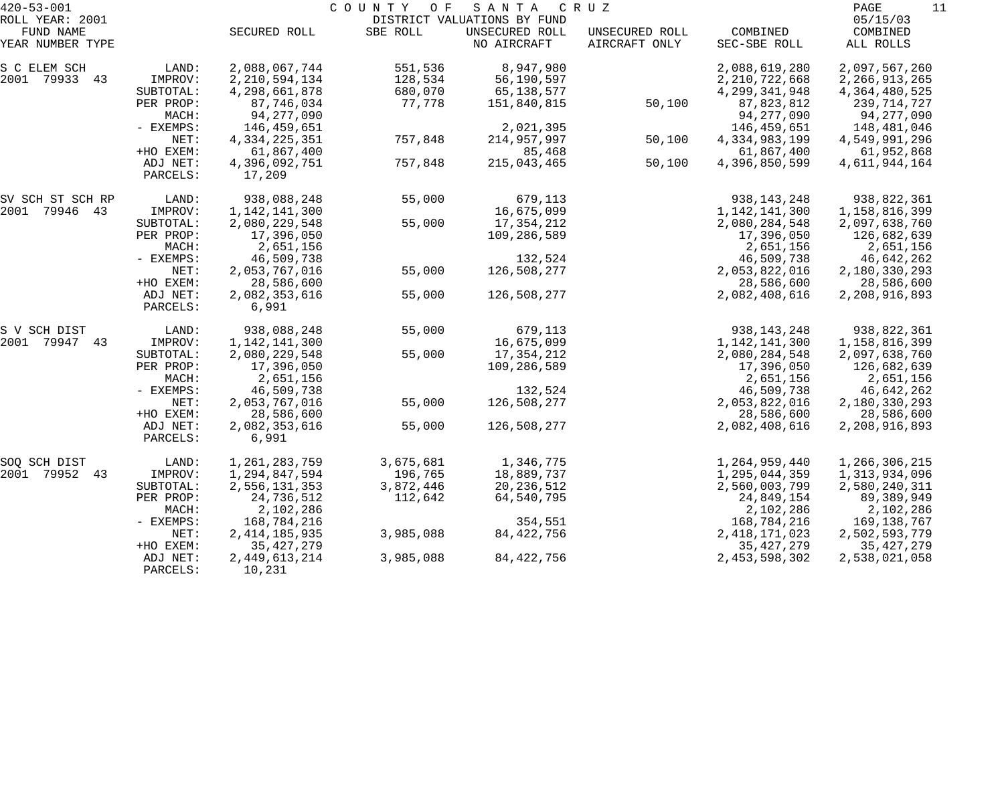| $420 - 53 - 001$    |             |                  | COUNTY OF | SANTA                       | C R U Z        |                  | PAGE<br>11       |
|---------------------|-------------|------------------|-----------|-----------------------------|----------------|------------------|------------------|
| ROLL YEAR: 2001     |             |                  |           | DISTRICT VALUATIONS BY FUND |                |                  | 05/15/03         |
| FUND NAME           |             | SECURED ROLL     | SBE ROLL  | UNSECURED ROLL              | UNSECURED ROLL | COMBINED         | COMBINED         |
| YEAR NUMBER TYPE    |             |                  |           | NO AIRCRAFT                 | AIRCRAFT ONLY  | SEC-SBE ROLL     | ALL ROLLS        |
| S C ELEM SCH        | LAND:       | 2,088,067,744    | 551,536   | 8,947,980                   |                | 2,088,619,280    | 2,097,567,260    |
| 2001 79933 43       | IMPROV:     | 2, 210, 594, 134 | 128,534   | 56,190,597                  |                | 2, 210, 722, 668 | 2, 266, 913, 265 |
|                     | SUBTOTAL:   | 4,298,661,878    | 680,070   | 65,138,577                  |                | 4, 299, 341, 948 | 4, 364, 480, 525 |
|                     | PER PROP:   | 87,746,034       | 77,778    | 151,840,815                 | 50,100         | 87,823,812       | 239,714,727      |
|                     | MACH:       | 94, 277, 090     |           |                             |                | 94, 277, 090     | 94,277,090       |
|                     | - EXEMPS:   | 146,459,651      |           | 2,021,395                   |                | 146,459,651      | 148,481,046      |
|                     | NET:        | 4, 334, 225, 351 | 757,848   | 214,957,997                 | 50,100         | 4,334,983,199    | 4,549,991,296    |
|                     | +HO EXEM:   | 61,867,400       |           | 85,468                      |                | 61,867,400       | 61,952,868       |
|                     | ADJ NET:    | 4,396,092,751    | 757,848   | 215,043,465                 | 50,100         | 4,396,850,599    | 4,611,944,164    |
|                     | PARCELS:    | 17,209           |           |                             |                |                  |                  |
| SV SCH ST SCH RP    | LAND:       | 938,088,248      | 55,000    | 679,113                     |                | 938, 143, 248    | 938,822,361      |
| 2001<br>79946 43    | IMPROV:     | 1, 142, 141, 300 |           | 16,675,099                  |                | 1,142,141,300    | 1,158,816,399    |
|                     | SUBTOTAL:   | 2,080,229,548    | 55,000    | 17,354,212                  |                | 2,080,284,548    | 2,097,638,760    |
|                     | PER PROP:   | 17,396,050       |           | 109,286,589                 |                | 17,396,050       | 126,682,639      |
|                     | MACH:       | 2,651,156        |           |                             |                | 2,651,156        | 2,651,156        |
|                     | - EXEMPS:   | 46,509,738       |           | 132,524                     |                | 46,509,738       | 46,642,262       |
|                     | NET:        | 2,053,767,016    | 55,000    | 126,508,277                 |                | 2,053,822,016    | 2,180,330,293    |
|                     | +HO EXEM:   | 28,586,600       |           |                             |                | 28,586,600       | 28,586,600       |
|                     | ADJ NET:    | 2,082,353,616    | 55,000    | 126,508,277                 |                | 2,082,408,616    | 2,208,916,893    |
|                     | PARCELS:    | 6,991            |           |                             |                |                  |                  |
| S V SCH DIST        | LAND:       | 938,088,248      | 55,000    | 679,113                     |                | 938, 143, 248    | 938,822,361      |
| 2001<br>79947<br>43 | IMPROV:     | 1,142,141,300    |           | 16,675,099                  |                | 1,142,141,300    | 1,158,816,399    |
|                     | SUBTOTAL:   | 2,080,229,548    | 55,000    | 17,354,212                  |                | 2,080,284,548    | 2,097,638,760    |
|                     | PER PROP:   | 17,396,050       |           | 109,286,589                 |                | 17,396,050       | 126,682,639      |
|                     | MACH:       | 2,651,156        |           |                             |                | 2,651,156        | 2,651,156        |
|                     | - EXEMPS:   | 46,509,738       |           | 132,524                     |                | 46,509,738       | 46,642,262       |
|                     | NET:        | 2,053,767,016    | 55,000    | 126,508,277                 |                | 2,053,822,016    | 2,180,330,293    |
|                     | +HO EXEM:   | 28,586,600       |           |                             |                | 28,586,600       | 28,586,600       |
|                     | ADJ NET:    | 2,082,353,616    | 55,000    | 126,508,277                 |                | 2,082,408,616    | 2,208,916,893    |
|                     | PARCELS:    | 6,991            |           |                             |                |                  |                  |
| SOQ SCH DIST        | LAND:       | 1,261,283,759    | 3,675,681 | 1,346,775                   |                | 1,264,959,440    | 1,266,306,215    |
| 2001<br>79952 43    | IMPROV:     | 1,294,847,594    | 196,765   | 18,889,737                  |                | 1,295,044,359    | 1,313,934,096    |
|                     | SUBTOTAL:   | 2,556,131,353    | 3,872,446 | 20, 236, 512                |                | 2,560,003,799    | 2,580,240,311    |
|                     | PER PROP:   | 24,736,512       | 112,642   | 64,540,795                  |                | 24,849,154       | 89,389,949       |
|                     | MACH:       | 2,102,286        |           |                             |                | 2,102,286        | 2,102,286        |
|                     | $-$ EXEMPS: | 168,784,216      |           | 354,551                     |                | 168,784,216      | 169,138,767      |
|                     | NET:        | 2, 414, 185, 935 | 3,985,088 | 84, 422, 756                |                | 2, 418, 171, 023 | 2,502,593,779    |
|                     | +HO EXEM:   | 35, 427, 279     |           |                             |                | 35, 427, 279     | 35, 427, 279     |
|                     | ADJ NET:    | 2, 449, 613, 214 | 3,985,088 | 84, 422, 756                |                | 2, 453, 598, 302 | 2,538,021,058    |
|                     | PARCELS:    | 10,231           |           |                             |                |                  |                  |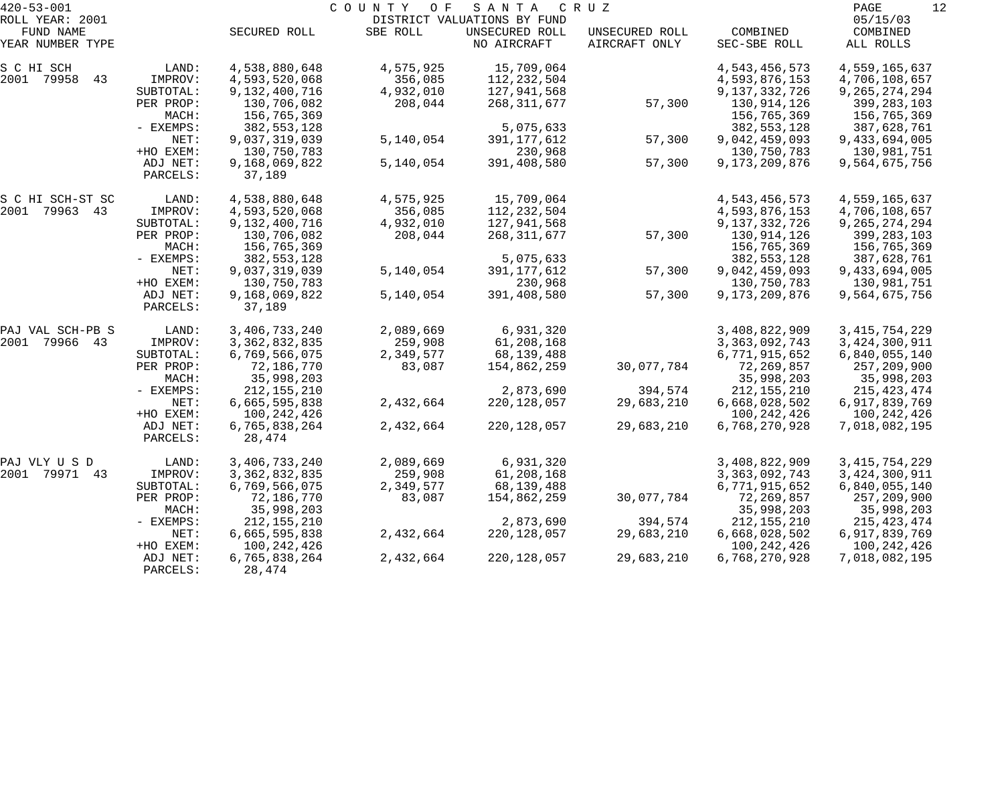| $420 - 53 - 001$              |             |                  | COUNTY OF | SANTA                         | C R U Z                         |                          | 12<br>PAGE            |
|-------------------------------|-------------|------------------|-----------|-------------------------------|---------------------------------|--------------------------|-----------------------|
| ROLL YEAR: 2001               |             |                  |           | DISTRICT VALUATIONS BY FUND   |                                 |                          | 05/15/03              |
| FUND NAME<br>YEAR NUMBER TYPE |             | SECURED ROLL     | SBE ROLL  | UNSECURED ROLL<br>NO AIRCRAFT | UNSECURED ROLL<br>AIRCRAFT ONLY | COMBINED<br>SEC-SBE ROLL | COMBINED<br>ALL ROLLS |
| S C HI SCH                    | LAND:       | 4,538,880,648    | 4,575,925 | 15,709,064                    |                                 | 4,543,456,573            | 4,559,165,637         |
| 2001 79958<br>43              | IMPROV:     | 4,593,520,068    | 356,085   | 112, 232, 504                 |                                 | 4,593,876,153            | 4,706,108,657         |
|                               | SUBTOTAL:   | 9,132,400,716    | 4,932,010 | 127,941,568                   |                                 | 9,137,332,726            | 9, 265, 274, 294      |
|                               | PER PROP:   | 130,706,082      | 208,044   | 268, 311, 677                 | 57,300                          | 130,914,126              | 399, 283, 103         |
|                               | MACH:       | 156,765,369      |           |                               |                                 | 156,765,369              | 156,765,369           |
|                               | - EXEMPS:   | 382, 553, 128    |           | 5,075,633                     |                                 | 382, 553, 128            | 387,628,761           |
|                               | NET:        | 9,037,319,039    | 5,140,054 | 391, 177, 612                 | 57,300                          | 9,042,459,093            | 9,433,694,005         |
|                               | +HO EXEM:   | 130,750,783      |           | 230,968                       |                                 | 130,750,783              | 130,981,751           |
|                               | ADJ NET:    | 9,168,069,822    | 5,140,054 | 391,408,580                   | 57,300                          | 9,173,209,876            | 9,564,675,756         |
|                               | PARCELS:    | 37,189           |           |                               |                                 |                          |                       |
| S C HI SCH-ST SC              | LAND:       | 4,538,880,648    | 4,575,925 | 15,709,064                    |                                 | 4,543,456,573            | 4,559,165,637         |
| 2001 79963 43                 | IMPROV:     | 4,593,520,068    | 356,085   | 112,232,504                   |                                 | 4,593,876,153            | 4,706,108,657         |
|                               | SUBTOTAL:   | 9,132,400,716    | 4,932,010 | 127,941,568                   |                                 | 9, 137, 332, 726         | 9, 265, 274, 294      |
|                               | PER PROP:   | 130,706,082      | 208,044   | 268, 311, 677                 | 57,300                          | 130,914,126              | 399,283,103           |
|                               | MACH:       | 156,765,369      |           |                               |                                 | 156,765,369              | 156,765,369           |
|                               | - EXEMPS:   | 382, 553, 128    |           | 5,075,633                     |                                 | 382, 553, 128            | 387,628,761           |
|                               | NET:        | 9,037,319,039    | 5,140,054 | 391, 177, 612                 | 57,300                          | 9,042,459,093            | 9,433,694,005         |
|                               | +HO EXEM:   | 130,750,783      |           | 230,968                       |                                 | 130,750,783              | 130,981,751           |
|                               | ADJ NET:    | 9,168,069,822    | 5,140,054 | 391,408,580                   | 57,300                          | 9,173,209,876            | 9,564,675,756         |
|                               | PARCELS:    | 37,189           |           |                               |                                 |                          |                       |
| PAJ VAL SCH-PB S              | LAND:       | 3,406,733,240    | 2,089,669 | 6,931,320                     |                                 | 3,408,822,909            | 3, 415, 754, 229      |
| 79966 43<br>2001              | IMPROV:     | 3, 362, 832, 835 | 259,908   | 61,208,168                    |                                 | 3, 363, 092, 743         | 3,424,300,911         |
|                               | SUBTOTAL:   | 6,769,566,075    | 2,349,577 | 68,139,488                    |                                 | 6,771,915,652            | 6,840,055,140         |
|                               | PER PROP:   | 72,186,770       | 83,087    | 154,862,259                   | 30,077,784                      | 72,269,857               | 257,209,900           |
|                               | MACH:       | 35,998,203       |           |                               |                                 | 35,998,203               | 35,998,203            |
|                               | - EXEMPS:   | 212, 155, 210    |           | 2,873,690                     | 394,574                         | 212, 155, 210            | 215, 423, 474         |
|                               | NET:        | 6,665,595,838    | 2,432,664 | 220, 128, 057                 | 29,683,210                      | 6,668,028,502            | 6,917,839,769         |
|                               | +HO EXEM:   | 100, 242, 426    |           |                               |                                 | 100, 242, 426            | 100,242,426           |
|                               | ADJ NET:    | 6,765,838,264    | 2,432,664 | 220, 128, 057                 | 29,683,210                      | 6,768,270,928            | 7,018,082,195         |
|                               | PARCELS:    | 28,474           |           |                               |                                 |                          |                       |
| PAJ VLY U S D                 | LAND:       | 3,406,733,240    | 2,089,669 | 6,931,320                     |                                 | 3,408,822,909            | 3, 415, 754, 229      |
| 2001<br>79971<br>43           | IMPROV:     | 3, 362, 832, 835 | 259,908   | 61,208,168                    |                                 | 3, 363, 092, 743         | 3,424,300,911         |
|                               | SUBTOTAL:   | 6,769,566,075    | 2,349,577 | 68, 139, 488                  |                                 | 6,771,915,652            | 6,840,055,140         |
|                               | PER PROP:   | 72,186,770       | 83,087    | 154,862,259                   | 30,077,784                      | 72,269,857               | 257,209,900           |
|                               | MACH:       | 35,998,203       |           |                               |                                 | 35,998,203               | 35,998,203            |
|                               | $-$ EXEMPS: | 212, 155, 210    |           | 2,873,690                     | 394,574                         | 212, 155, 210            | 215, 423, 474         |
|                               | NET:        | 6,665,595,838    | 2,432,664 | 220, 128, 057                 | 29,683,210                      | 6,668,028,502            | 6,917,839,769         |
|                               | +HO EXEM:   | 100, 242, 426    |           |                               |                                 | 100, 242, 426            | 100,242,426           |
|                               | ADJ NET:    | 6,765,838,264    | 2,432,664 | 220, 128, 057                 | 29,683,210                      | 6,768,270,928            | 7,018,082,195         |
|                               | PARCELS:    | 28,474           |           |                               |                                 |                          |                       |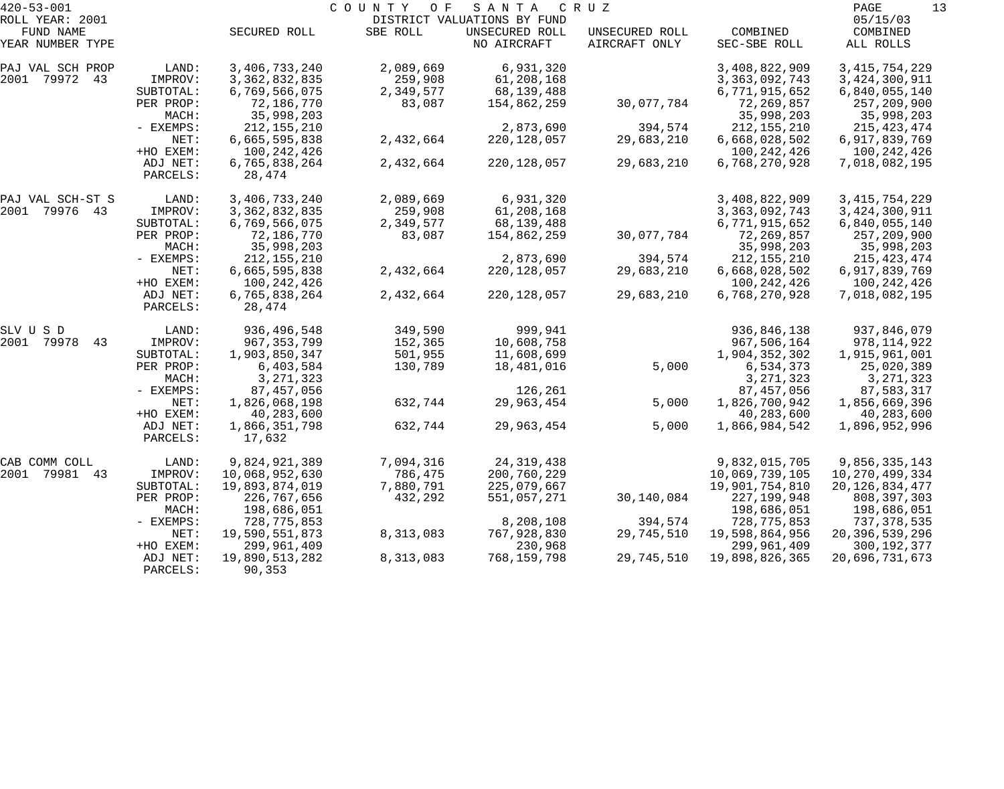| $420 - 53 - 001$              |           | COUNTY<br>O F<br>SANTA<br>C R U Z |           |                               |                                 |                          |                       |  |
|-------------------------------|-----------|-----------------------------------|-----------|-------------------------------|---------------------------------|--------------------------|-----------------------|--|
| ROLL YEAR: 2001               |           |                                   |           | DISTRICT VALUATIONS BY FUND   |                                 |                          | 05/15/03              |  |
| FUND NAME<br>YEAR NUMBER TYPE |           | SECURED ROLL                      | SBE ROLL  | UNSECURED ROLL<br>NO AIRCRAFT | UNSECURED ROLL<br>AIRCRAFT ONLY | COMBINED<br>SEC-SBE ROLL | COMBINED<br>ALL ROLLS |  |
| PAJ VAL SCH PROP              | LAND:     | 3,406,733,240                     | 2,089,669 | 6,931,320                     |                                 | 3,408,822,909            | 3, 415, 754, 229      |  |
| 2001 79972 43                 | IMPROV:   | 3, 362, 832, 835                  | 259,908   | 61,208,168                    |                                 | 3, 363, 092, 743         | 3,424,300,911         |  |
|                               | SUBTOTAL: | 6,769,566,075                     | 2,349,577 | 68,139,488                    |                                 | 6,771,915,652            | 6,840,055,140         |  |
|                               | PER PROP: | 72,186,770                        | 83,087    | 154,862,259                   | 30,077,784                      | 72,269,857               | 257,209,900           |  |
|                               | MACH:     | 35,998,203                        |           |                               |                                 | 35,998,203               | 35,998,203            |  |
|                               | - EXEMPS: | 212, 155, 210                     |           | 2,873,690                     | 394,574                         | 212, 155, 210            | 215, 423, 474         |  |
|                               | NET:      | 6,665,595,838                     | 2,432,664 | 220,128,057                   | 29,683,210                      | 6,668,028,502            | 6,917,839,769         |  |
|                               | +HO EXEM: | 100, 242, 426                     |           |                               |                                 | 100, 242, 426            | 100,242,426           |  |
|                               | ADJ NET:  | 6,765,838,264                     | 2,432,664 | 220,128,057                   | 29,683,210                      | 6,768,270,928            | 7,018,082,195         |  |
|                               | PARCELS:  | 28,474                            |           |                               |                                 |                          |                       |  |
| PAJ VAL SCH-ST S              | LAND:     | 3,406,733,240                     | 2,089,669 | 6,931,320                     |                                 | 3,408,822,909            | 3, 415, 754, 229      |  |
| 2001 79976 43                 | IMPROV:   | 3, 362, 832, 835                  | 259,908   | 61,208,168                    |                                 | 3, 363, 092, 743         | 3,424,300,911         |  |
|                               | SUBTOTAL: | 6,769,566,075                     | 2,349,577 | 68,139,488                    |                                 | 6,771,915,652            | 6,840,055,140         |  |
|                               | PER PROP: | 72,186,770                        | 83,087    | 154,862,259                   | 30,077,784                      | 72,269,857               | 257,209,900           |  |
|                               | MACH:     | 35,998,203                        |           |                               |                                 | 35,998,203               | 35,998,203            |  |
|                               | - EXEMPS: | 212, 155, 210                     |           | 2,873,690                     | 394,574                         | 212, 155, 210            | 215, 423, 474         |  |
|                               | NET:      | 6,665,595,838                     | 2,432,664 | 220, 128, 057                 | 29,683,210                      | 6,668,028,502            | 6,917,839,769         |  |
|                               | +HO EXEM: | 100, 242, 426                     |           |                               |                                 | 100, 242, 426            | 100,242,426           |  |
|                               | ADJ NET:  | 6,765,838,264                     | 2,432,664 | 220,128,057                   | 29,683,210                      | 6,768,270,928            | 7,018,082,195         |  |
|                               | PARCELS:  | 28,474                            |           |                               |                                 |                          |                       |  |
| SLV U S D                     | LAND:     | 936,496,548                       | 349,590   | 999,941                       |                                 | 936,846,138              | 937,846,079           |  |
| 2001<br>79978<br>43           | IMPROV:   | 967, 353, 799                     | 152,365   | 10,608,758                    |                                 | 967,506,164              | 978,114,922           |  |
|                               | SUBTOTAL: | 1,903,850,347                     | 501,955   | 11,608,699                    |                                 | 1,904,352,302            | 1,915,961,001         |  |
|                               | PER PROP: | 6,403,584                         | 130,789   | 18,481,016                    | 5,000                           | 6,534,373                | 25,020,389            |  |
|                               | MACH:     | 3, 271, 323                       |           |                               |                                 | 3, 271, 323              | 3, 271, 323           |  |
|                               | - EXEMPS: | 87,457,056                        |           | 126,261                       |                                 | 87, 457, 056             | 87,583,317            |  |
|                               | NET:      | 1,826,068,198                     | 632,744   | 29,963,454                    | 5,000                           | 1,826,700,942            | 1,856,669,396         |  |
|                               | +HO EXEM: | 40,283,600                        |           |                               |                                 | 40,283,600               | 40,283,600            |  |
|                               | ADJ NET:  | 1,866,351,798                     | 632,744   | 29,963,454                    | 5,000                           | 1,866,984,542            | 1,896,952,996         |  |
|                               | PARCELS:  | 17,632                            |           |                               |                                 |                          |                       |  |
| CAB COMM COLL                 | LAND:     | 9,824,921,389                     | 7,094,316 | 24, 319, 438                  |                                 | 9,832,015,705            | 9,856,335,143         |  |
| 2001<br>79981<br>43           | IMPROV:   | 10,068,952,630                    | 786,475   | 200,760,229                   |                                 | 10,069,739,105           | 10,270,499,334        |  |
|                               | SUBTOTAL: | 19,893,874,019                    | 7,880,791 | 225,079,667                   |                                 | 19,901,754,810           | 20, 126, 834, 477     |  |
|                               | PER PROP: | 226,767,656                       | 432,292   | 551,057,271                   | 30,140,084                      | 227, 199, 948            | 808,397,303           |  |
|                               | MACH:     | 198,686,051                       |           |                               |                                 | 198,686,051              | 198,686,051           |  |
|                               | - EXEMPS: | 728,775,853                       |           | 8,208,108                     | 394,574                         | 728, 775, 853            | 737,378,535           |  |
|                               | NET:      | 19,590,551,873                    | 8,313,083 | 767,928,830                   | 29,745,510                      | 19,598,864,956           | 20,396,539,296        |  |
|                               | +HO EXEM: | 299,961,409                       |           | 230,968                       |                                 | 299,961,409              | 300,192,377           |  |
|                               | ADJ NET:  | 19,890,513,282                    | 8,313,083 | 768,159,798                   | 29,745,510                      | 19,898,826,365           | 20,696,731,673        |  |
|                               | PARCELS:  | 90,353                            |           |                               |                                 |                          |                       |  |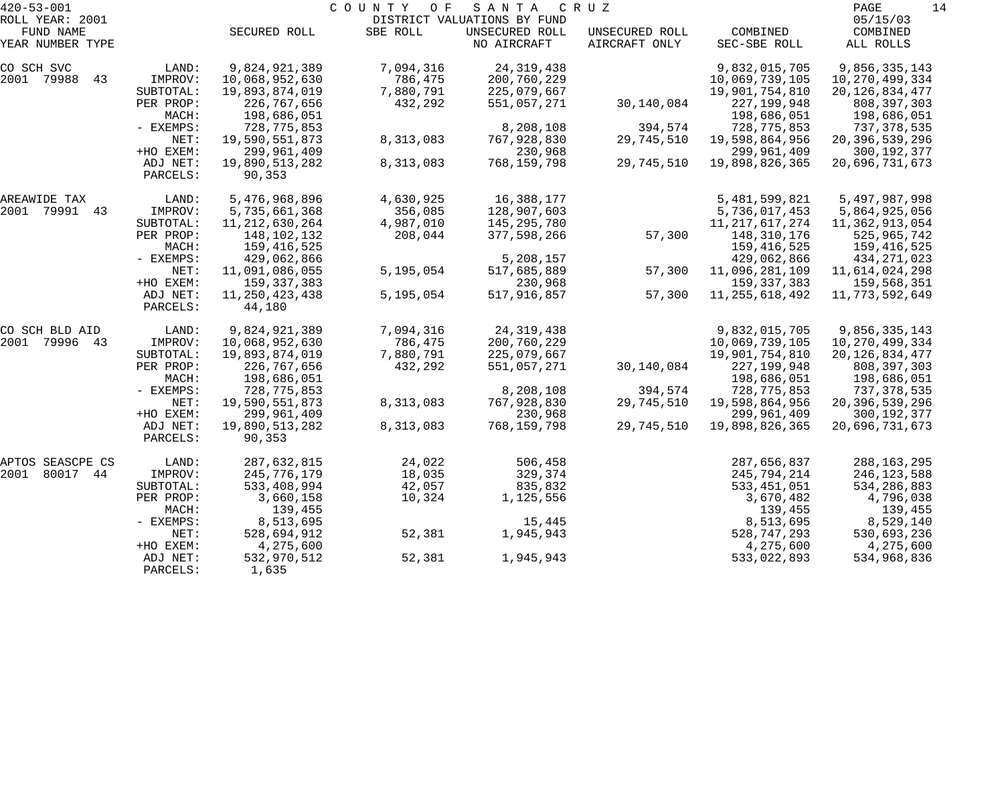| $420 - 53 - 001$    |           |                   | COUNTY<br>O F | SANTA                       | C R U Z        |                   | 14<br>PAGE        |
|---------------------|-----------|-------------------|---------------|-----------------------------|----------------|-------------------|-------------------|
| ROLL YEAR: 2001     |           |                   |               | DISTRICT VALUATIONS BY FUND |                |                   | 05/15/03          |
| FUND NAME           |           | SECURED ROLL      | SBE ROLL      | UNSECURED ROLL              | UNSECURED ROLL | COMBINED          | COMBINED          |
| YEAR NUMBER TYPE    |           |                   |               | NO AIRCRAFT                 | AIRCRAFT ONLY  | SEC-SBE ROLL      | ALL ROLLS         |
| CO SCH SVC          | LAND:     | 9,824,921,389     | 7,094,316     | 24, 319, 438                |                | 9,832,015,705     | 9,856,335,143     |
| 2001 79988<br>43    | IMPROV:   | 10,068,952,630    | 786,475       | 200,760,229                 |                | 10,069,739,105    | 10,270,499,334    |
|                     | SUBTOTAL: | 19,893,874,019    | 7,880,791     | 225,079,667                 |                | 19,901,754,810    | 20, 126, 834, 477 |
|                     | PER PROP: | 226,767,656       | 432,292       | 551,057,271                 | 30,140,084     | 227, 199, 948     | 808, 397, 303     |
|                     | MACH:     | 198,686,051       |               |                             |                | 198,686,051       | 198,686,051       |
|                     | - EXEMPS: | 728,775,853       |               | 8,208,108                   | 394,574        | 728, 775, 853     | 737,378,535       |
|                     | NET:      | 19,590,551,873    | 8,313,083     | 767,928,830                 | 29,745,510     | 19,598,864,956    | 20,396,539,296    |
|                     | +HO EXEM: | 299,961,409       |               | 230,968                     |                | 299,961,409       | 300, 192, 377     |
|                     | ADJ NET:  | 19,890,513,282    | 8,313,083     | 768,159,798                 | 29,745,510     | 19,898,826,365    | 20,696,731,673    |
|                     | PARCELS:  | 90,353            |               |                             |                |                   |                   |
| AREAWIDE TAX        | LAND:     | 5,476,968,896     | 4,630,925     | 16,388,177                  |                | 5,481,599,821     | 5,497,987,998     |
| 2001 79991 43       | IMPROV:   | 5,735,661,368     | 356,085       | 128,907,603                 |                | 5,736,017,453     | 5,864,925,056     |
|                     | SUBTOTAL: | 11, 212, 630, 264 | 4,987,010     | 145,295,780                 |                | 11, 217, 617, 274 | 11,362,913,054    |
|                     | PER PROP: | 148,102,132       | 208,044       | 377,598,266                 | 57,300         | 148,310,176       | 525,965,742       |
|                     | MACH:     | 159,416,525       |               |                             |                | 159,416,525       | 159,416,525       |
|                     | - EXEMPS: | 429,062,866       |               | 5,208,157                   |                | 429,062,866       | 434, 271, 023     |
|                     | NET:      | 11,091,086,055    | 5,195,054     | 517,685,889                 | 57,300         | 11,096,281,109    | 11,614,024,298    |
|                     | +HO EXEM: | 159, 337, 383     |               | 230,968                     |                | 159, 337, 383     | 159,568,351       |
|                     | ADJ NET:  | 11, 250, 423, 438 | 5,195,054     | 517,916,857                 | 57,300         | 11, 255, 618, 492 | 11,773,592,649    |
|                     | PARCELS:  | 44,180            |               |                             |                |                   |                   |
| CO SCH BLD AID      | LAND:     | 9,824,921,389     | 7,094,316     | 24, 319, 438                |                | 9,832,015,705     | 9,856,335,143     |
| 79996 43<br>2001    | IMPROV:   | 10,068,952,630    | 786,475       | 200,760,229                 |                | 10,069,739,105    | 10,270,499,334    |
|                     | SUBTOTAL: | 19,893,874,019    | 7,880,791     | 225,079,667                 |                | 19,901,754,810    | 20, 126, 834, 477 |
|                     | PER PROP: | 226,767,656       | 432,292       | 551,057,271                 | 30,140,084     | 227, 199, 948     | 808, 397, 303     |
|                     | MACH:     | 198,686,051       |               |                             |                | 198,686,051       | 198,686,051       |
|                     | - EXEMPS: | 728,775,853       |               | 8,208,108                   | 394,574        | 728, 775, 853     | 737,378,535       |
|                     | NET:      | 19,590,551,873    | 8,313,083     | 767,928,830                 | 29,745,510     | 19,598,864,956    | 20,396,539,296    |
|                     | +HO EXEM: | 299,961,409       |               | 230,968                     |                | 299,961,409       | 300, 192, 377     |
|                     | ADJ NET:  | 19,890,513,282    | 8,313,083     | 768,159,798                 | 29,745,510     | 19,898,826,365    | 20,696,731,673    |
|                     | PARCELS:  | 90,353            |               |                             |                |                   |                   |
| APTOS SEASCPE CS    | LAND:     | 287,632,815       | 24,022        | 506,458                     |                | 287,656,837       | 288,163,295       |
| 2001<br>80017<br>44 | IMPROV:   | 245,776,179       | 18,035        | 329,374                     |                | 245,794,214       | 246,123,588       |
|                     | SUBTOTAL: | 533,408,994       | 42,057        | 835,832                     |                | 533, 451, 051     | 534,286,883       |
|                     | PER PROP: | 3,660,158         | 10,324        | 1,125,556                   |                | 3,670,482         | 4,796,038         |
|                     | MACH:     | 139,455           |               |                             |                | 139,455           | 139,455           |
|                     | - EXEMPS: | 8,513,695         |               | 15,445                      |                | 8,513,695         | 8,529,140         |
|                     | NET:      | 528,694,912       | 52,381        | 1,945,943                   |                | 528, 747, 293     | 530,693,236       |
|                     | +HO EXEM: | 4,275,600         |               |                             |                | 4,275,600         | 4,275,600         |
|                     | ADJ NET:  | 532,970,512       | 52,381        | 1,945,943                   |                | 533,022,893       | 534,968,836       |
|                     | PARCELS:  | 1,635             |               |                             |                |                   |                   |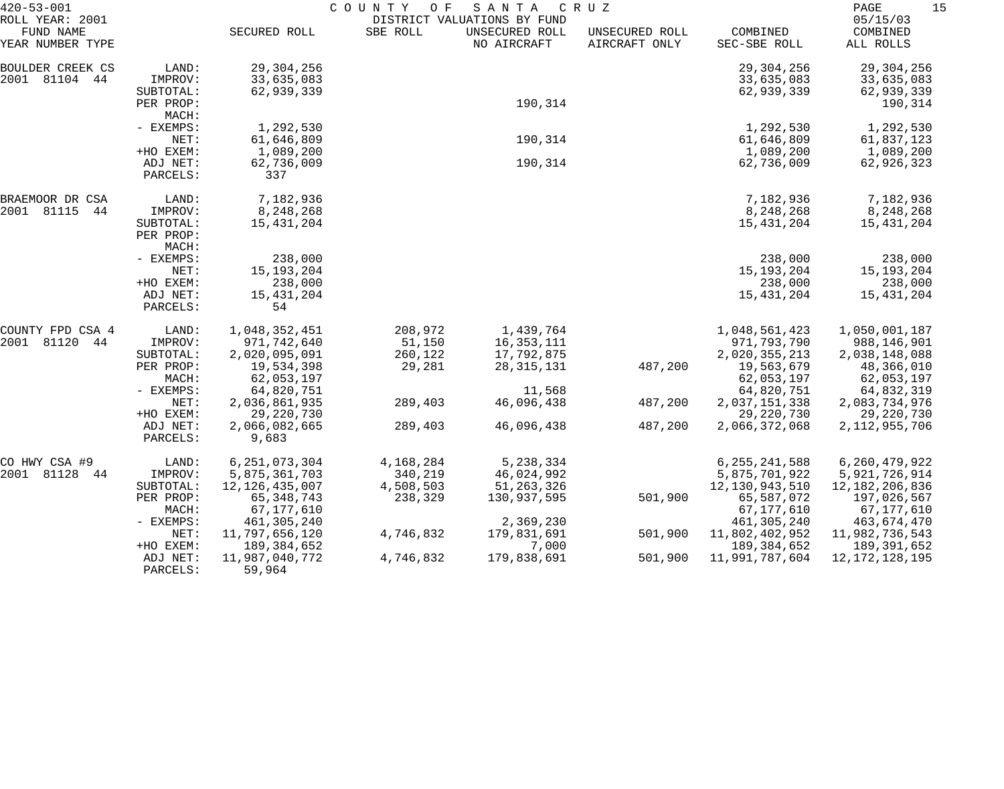| $420 - 53 - 001$                                 |                                                                 | COUNTY<br>O F<br>SANTA<br>C R U Z<br>DISTRICT VALUATIONS BY FUND                     |                                              |                                                        |                                 |                                                                                 |                                                                               |
|--------------------------------------------------|-----------------------------------------------------------------|--------------------------------------------------------------------------------------|----------------------------------------------|--------------------------------------------------------|---------------------------------|---------------------------------------------------------------------------------|-------------------------------------------------------------------------------|
| ROLL YEAR: 2001<br>FUND NAME<br>YEAR NUMBER TYPE |                                                                 | SECURED ROLL                                                                         | SBE ROLL                                     | UNSECURED ROLL<br>NO AIRCRAFT                          | UNSECURED ROLL<br>AIRCRAFT ONLY | COMBINED<br>SEC-SBE ROLL                                                        | 05/15/03<br>COMBINED<br>ALL ROLLS                                             |
| BOULDER CREEK CS<br>2001 81104 44                | LAND:<br>IMPROV:<br>SUBTOTAL:<br>PER PROP:                      | 29,304,256<br>33,635,083<br>62,939,339                                               |                                              | 190,314                                                |                                 | 29,304,256<br>33,635,083<br>62,939,339                                          | 29, 304, 256<br>33,635,083<br>62,939,339<br>190,314                           |
|                                                  | MACH:<br>- EXEMPS:<br>NET:<br>+HO EXEM:                         | 1,292,530<br>61,646,809<br>1,089,200                                                 |                                              | 190,314                                                |                                 | 1,292,530<br>61,646,809<br>1,089,200                                            | 1,292,530<br>61,837,123<br>1,089,200                                          |
|                                                  | ADJ NET:<br>PARCELS:                                            | 62,736,009<br>337                                                                    |                                              | 190,314                                                |                                 | 62,736,009                                                                      | 62,926,323                                                                    |
| BRAEMOOR DR CSA<br>2001 81115<br>44              | LAND:<br>IMPROV:<br>SUBTOTAL:<br>PER PROP:                      | 7,182,936<br>8,248,268<br>15,431,204                                                 |                                              |                                                        |                                 | 7,182,936<br>8,248,268<br>15,431,204                                            | 7,182,936<br>8,248,268<br>15,431,204                                          |
|                                                  | MACH:<br>- EXEMPS:<br>NET:<br>+HO EXEM:<br>ADJ NET:<br>PARCELS: | 238,000<br>15, 193, 204<br>238,000<br>15, 431, 204<br>54                             |                                              |                                                        |                                 | 238,000<br>15, 193, 204<br>238,000<br>15,431,204                                | 238,000<br>15, 193, 204<br>238,000<br>15,431,204                              |
| COUNTY FPD CSA 4<br>2001 81120<br>44             | LAND:<br>IMPROV:<br>SUBTOTAL:<br>PER PROP:<br>MACH:             | 1,048,352,451<br>971,742,640<br>2,020,095,091<br>19,534,398<br>62,053,197            | 208,972<br>51,150<br>260,122<br>29,281       | 1,439,764<br>16,353,111<br>17,792,875<br>28, 315, 131  | 487,200                         | 1,048,561,423<br>971,793,790<br>2,020,355,213<br>19,563,679<br>62,053,197       | 1,050,001,187<br>988,146,901<br>2,038,148,088<br>48,366,010<br>62,053,197     |
|                                                  | - EXEMPS:<br>NET:<br>+HO EXEM:<br>ADJ NET:<br>PARCELS:          | 64,820,751<br>2,036,861,935<br>29, 220, 730<br>2,066,082,665<br>9,683                | 289,403<br>289,403                           | 11,568<br>46,096,438<br>46,096,438                     | 487,200<br>487,200              | 64,820,751<br>2,037,151,338<br>29,220,730<br>2,066,372,068                      | 64,832,319<br>2,083,734,976<br>29, 220, 730<br>2, 112, 955, 706               |
| CO HWY CSA #9<br>2001 81128<br>44                | LAND:<br>IMPROV:<br>SUBTOTAL:<br>PER PROP:<br>MACH:             | 6, 251, 073, 304<br>5,875,361,703<br>12, 126, 435, 007<br>65, 348, 743<br>67,177,610 | 4,168,284<br>340,219<br>4,508,503<br>238,329 | 5,238,334<br>46,024,992<br>51, 263, 326<br>130,937,595 | 501,900                         | 6, 255, 241, 588<br>5,875,701,922<br>12,130,943,510<br>65,587,072<br>67,177,610 | 6,260,479,922<br>5,921,726,914<br>12,182,206,836<br>197,026,567<br>67,177,610 |
|                                                  | - EXEMPS:<br>NET:<br>+HO EXEM:                                  | 461,305,240<br>11,797,656,120<br>189,384,652                                         | 4,746,832                                    | 2,369,230<br>179,831,691<br>7,000                      | 501,900                         | 461,305,240<br>11,802,402,952<br>189, 384, 652                                  | 463,674,470<br>11,982,736,543<br>189,391,652                                  |
|                                                  | ADJ NET:<br>PARCELS:                                            | 11,987,040,772<br>59,964                                                             | 4,746,832                                    | 179,838,691                                            | 501,900                         | 11,991,787,604                                                                  | 12, 172, 128, 195                                                             |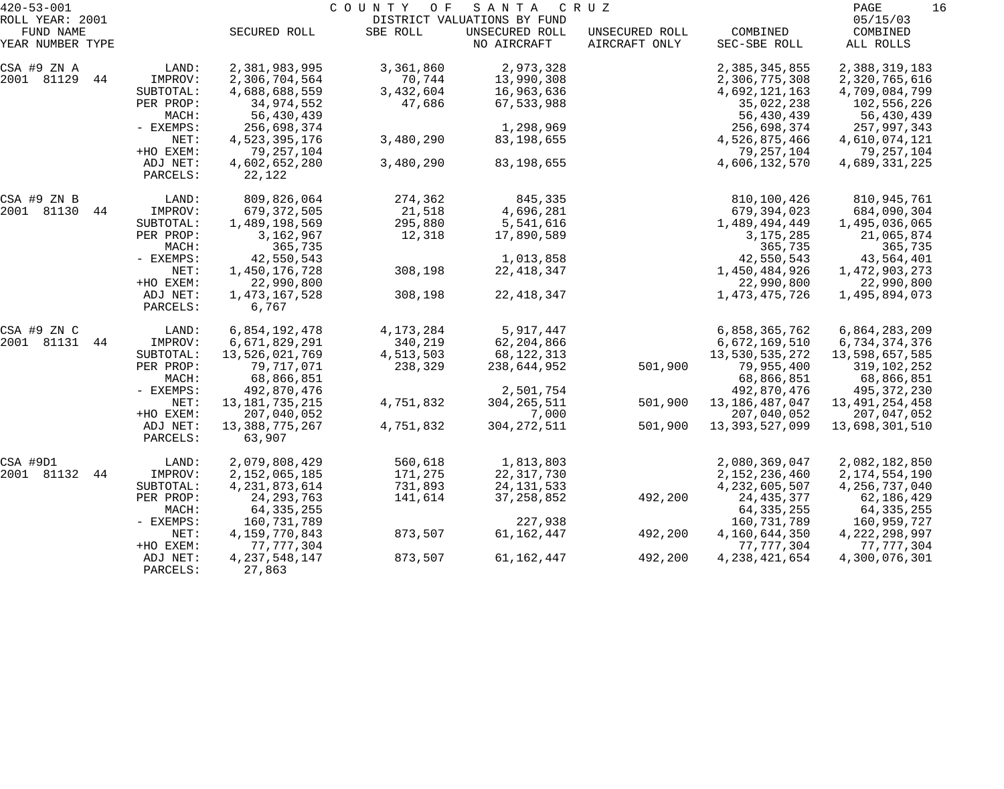| $420 - 53 - 001$              |                      |                          | COUNTY OF   | S A N T A                     | C R U Z                         |                          | PAGE<br>16            |
|-------------------------------|----------------------|--------------------------|-------------|-------------------------------|---------------------------------|--------------------------|-----------------------|
| ROLL YEAR: 2001               |                      |                          |             | DISTRICT VALUATIONS BY FUND   |                                 |                          | 05/15/03              |
| FUND NAME<br>YEAR NUMBER TYPE |                      | SECURED ROLL             | SBE ROLL    | UNSECURED ROLL<br>NO AIRCRAFT | UNSECURED ROLL<br>AIRCRAFT ONLY | COMBINED<br>SEC-SBE ROLL | COMBINED<br>ALL ROLLS |
| CSA #9 ZN A                   | LAND:                | 2,381,983,995            | 3,361,860   | 2,973,328                     |                                 | 2,385,345,855            | 2,388,319,183         |
| 2001 81129<br>44              | IMPROV:              | 2,306,704,564            | 70,744      | 13,990,308                    |                                 | 2,306,775,308            | 2,320,765,616         |
|                               | SUBTOTAL:            | 4,688,688,559            | 3,432,604   | 16,963,636                    |                                 | 4,692,121,163            | 4,709,084,799         |
|                               | PER PROP:            | 34,974,552               | 47,686      | 67,533,988                    |                                 | 35,022,238               | 102,556,226           |
|                               | MACH:                | 56,430,439               |             |                               |                                 | 56,430,439               | 56,430,439            |
|                               | - EXEMPS:            | 256,698,374              |             | 1,298,969                     |                                 | 256,698,374              | 257,997,343           |
|                               | NET:                 | 4,523,395,176            | 3,480,290   | 83,198,655                    |                                 | 4,526,875,466            | 4,610,074,121         |
|                               | +HO EXEM:            | 79, 257, 104             |             |                               |                                 | 79, 257, 104             | 79,257,104            |
|                               | ADJ NET:<br>PARCELS: | 4,602,652,280<br>22,122  | 3,480,290   | 83,198,655                    |                                 | 4,606,132,570            | 4,689,331,225         |
| CSA #9 ZN B                   | LAND:                | 809,826,064              | 274,362     | 845,335                       |                                 | 810,100,426              | 810,945,761           |
| 2001 81130<br>44              | IMPROV:              | 679,372,505              | 21,518      | 4,696,281                     |                                 | 679,394,023              | 684,090,304           |
|                               | SUBTOTAL:            | 1,489,198,569            | 295,880     | 5,541,616                     |                                 | 1,489,494,449            | 1,495,036,065         |
|                               | PER PROP:            | 3,162,967                | 12,318      | 17,890,589                    |                                 | 3, 175, 285              | 21,065,874            |
|                               | MACH:                | 365,735                  |             |                               |                                 | 365,735                  | 365,735               |
|                               | - EXEMPS:            | 42,550,543               |             | 1,013,858                     |                                 | 42,550,543               | 43,564,401            |
|                               | NET:                 | 1,450,176,728            | 308,198     | 22, 418, 347                  |                                 | 1,450,484,926            | 1,472,903,273         |
|                               | +HO EXEM:            | 22,990,800               |             |                               |                                 | 22,990,800               | 22,990,800            |
|                               | ADJ NET:             | 1,473,167,528            | 308,198     | 22, 418, 347                  |                                 | 1, 473, 475, 726         | 1,495,894,073         |
|                               | PARCELS:             | 6,767                    |             |                               |                                 |                          |                       |
| CSA #9 ZN C                   | LAND:                | 6,854,192,478            | 4, 173, 284 | 5,917,447                     |                                 | 6,858,365,762            | 6,864,283,209         |
| 2001 81131<br>44              | IMPROV:              | 6,671,829,291            | 340,219     | 62,204,866                    |                                 | 6,672,169,510            | 6,734,374,376         |
|                               | SUBTOTAL:            | 13,526,021,769           | 4,513,503   | 68,122,313                    |                                 | 13,530,535,272           | 13,598,657,585        |
|                               | PER PROP:            | 79,717,071               | 238,329     | 238,644,952                   | 501,900                         | 79,955,400               | 319,102,252           |
|                               | MACH:                | 68,866,851               |             |                               |                                 | 68,866,851               | 68,866,851            |
|                               | - EXEMPS:            | 492,870,476              |             | 2,501,754                     |                                 | 492,870,476              | 495, 372, 230         |
|                               | NET:                 | 13, 181, 735, 215        | 4,751,832   | 304, 265, 511                 | 501,900                         | 13, 186, 487, 047        | 13, 491, 254, 458     |
|                               | +HO EXEM:            | 207,040,052              |             | 7,000                         |                                 | 207,040,052              | 207,047,052           |
|                               | ADJ NET:<br>PARCELS: | 13,388,775,267<br>63,907 | 4,751,832   | 304, 272, 511                 | 501,900                         | 13, 393, 527, 099        | 13,698,301,510        |
| CSA #9D1                      | LAND:                | 2,079,808,429            | 560,618     | 1,813,803                     |                                 | 2,080,369,047            | 2,082,182,850         |
| 2001 81132<br>44              | IMPROV:              | 2, 152, 065, 185         | 171,275     | 22, 317, 730                  |                                 | 2, 152, 236, 460         | 2, 174, 554, 190      |
|                               | SUBTOTAL:            | 4, 231, 873, 614         | 731,893     | 24, 131, 533                  |                                 | 4, 232, 605, 507         | 4, 256, 737, 040      |
|                               | PER PROP:            | 24, 293, 763             | 141,614     | 37, 258, 852                  | 492,200                         | 24, 435, 377             | 62,186,429            |
|                               | MACH:                | 64, 335, 255             |             |                               |                                 | 64, 335, 255             | 64, 335, 255          |
|                               | $-$ EXEMPS:          | 160,731,789              |             | 227,938                       |                                 | 160,731,789              | 160,959,727           |
|                               | NET:                 | 4, 159, 770, 843         | 873,507     | 61, 162, 447                  | 492,200                         | 4,160,644,350            | 4, 222, 298, 997      |
|                               | +HO EXEM:            | 77, 777, 304             |             |                               |                                 | 77, 777, 304             | 77, 777, 304          |
|                               | ADJ NET:             | 4, 237, 548, 147         | 873,507     | 61, 162, 447                  | 492,200                         | 4, 238, 421, 654         | 4,300,076,301         |
|                               | PARCELS:             | 27,863                   |             |                               |                                 |                          |                       |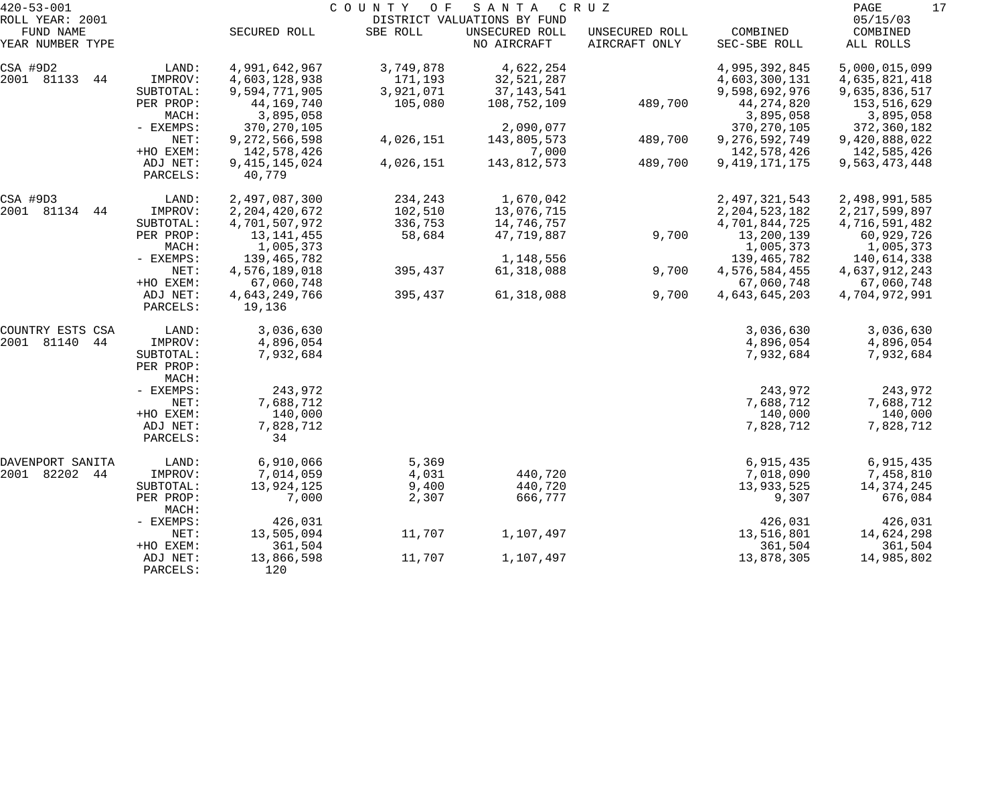| $420 - 53 - 001$    |                    |                  | COUNTY<br>O F | SANTA                       | C R U Z        |                  | 17<br>PAGE       |
|---------------------|--------------------|------------------|---------------|-----------------------------|----------------|------------------|------------------|
| ROLL YEAR: 2001     |                    |                  |               | DISTRICT VALUATIONS BY FUND |                |                  | 05/15/03         |
| FUND NAME           |                    | SECURED ROLL     | SBE ROLL      | UNSECURED ROLL              | UNSECURED ROLL | COMBINED         | COMBINED         |
| YEAR NUMBER TYPE    |                    |                  |               | NO AIRCRAFT                 | AIRCRAFT ONLY  | SEC-SBE ROLL     | ALL ROLLS        |
| CSA #9D2            | LAND:              | 4,991,642,967    | 3,749,878     | 4,622,254                   |                | 4,995,392,845    | 5,000,015,099    |
| 2001 81133<br>44    | IMPROV:            | 4,603,128,938    | 171,193       | 32,521,287                  |                | 4,603,300,131    | 4,635,821,418    |
|                     | SUBTOTAL:          | 9,594,771,905    | 3,921,071     | 37, 143, 541                |                | 9,598,692,976    | 9,635,836,517    |
|                     | PER PROP:          | 44,169,740       | 105,080       | 108,752,109                 | 489,700        | 44, 274, 820     | 153,516,629      |
|                     | MACH:              | 3,895,058        |               |                             |                | 3,895,058        | 3,895,058        |
|                     | - EXEMPS:          | 370, 270, 105    |               | 2,090,077                   |                | 370, 270, 105    | 372,360,182      |
|                     | NET:               | 9,272,566,598    | 4,026,151     | 143,805,573                 | 489,700        | 9,276,592,749    | 9,420,888,022    |
|                     | +HO EXEM:          | 142,578,426      |               | 7,000                       |                | 142,578,426      | 142,585,426      |
|                     | ADJ NET:           | 9, 415, 145, 024 | 4,026,151     | 143,812,573                 | 489,700        | 9, 419, 171, 175 | 9,563,473,448    |
|                     | PARCELS:           | 40,779           |               |                             |                |                  |                  |
| CSA #9D3            | LAND:              | 2,497,087,300    | 234,243       | 1,670,042                   |                | 2,497,321,543    | 2,498,991,585    |
| 2001<br>81134<br>44 | IMPROV:            | 2, 204, 420, 672 | 102,510       | 13,076,715                  |                | 2, 204, 523, 182 | 2, 217, 599, 897 |
|                     | SUBTOTAL:          | 4,701,507,972    | 336,753       | 14,746,757                  |                | 4,701,844,725    | 4,716,591,482    |
|                     | PER PROP:          | 13, 141, 455     | 58,684        | 47,719,887                  | 9,700          | 13,200,139       | 60,929,726       |
|                     | MACH:              | 1,005,373        |               |                             |                | 1,005,373        | 1,005,373        |
|                     | - EXEMPS:          | 139,465,782      |               | 1,148,556                   |                | 139, 465, 782    | 140,614,338      |
|                     | NET:               | 4,576,189,018    | 395,437       | 61, 318, 088                | 9,700          | 4,576,584,455    | 4,637,912,243    |
|                     | +HO EXEM:          | 67,060,748       |               |                             |                | 67,060,748       | 67,060,748       |
|                     | ADJ NET:           | 4,643,249,766    | 395,437       | 61, 318, 088                | 9,700          | 4,643,645,203    | 4,704,972,991    |
|                     | PARCELS:           | 19,136           |               |                             |                |                  |                  |
| COUNTRY ESTS CSA    | LAND:              | 3,036,630        |               |                             |                | 3,036,630        | 3,036,630        |
| 2001<br>81140<br>44 | IMPROV:            | 4,896,054        |               |                             |                | 4,896,054        | 4,896,054        |
|                     | SUBTOTAL:          | 7,932,684        |               |                             |                | 7,932,684        | 7,932,684        |
|                     | PER PROP:          |                  |               |                             |                |                  |                  |
|                     | MACH:              |                  |               |                             |                |                  |                  |
|                     | - EXEMPS:          | 243,972          |               |                             |                | 243,972          | 243,972          |
|                     | NET:               | 7,688,712        |               |                             |                | 7,688,712        | 7,688,712        |
|                     | +HO EXEM:          | 140,000          |               |                             |                | 140,000          | 140,000          |
|                     | ADJ NET:           | 7,828,712        |               |                             |                | 7,828,712        | 7,828,712        |
|                     | PARCELS:           | 34               |               |                             |                |                  |                  |
| DAVENPORT SANITA    | LAND:              | 6,910,066        | 5,369         |                             |                | 6,915,435        | 6,915,435        |
| 2001<br>82202 44    | IMPROV:            | 7,014,059        | 4,031         | 440,720                     |                | 7,018,090        | 7,458,810        |
|                     | SUBTOTAL:          | 13,924,125       | 9,400         | 440,720                     |                | 13,933,525       | 14,374,245       |
|                     | PER PROP:<br>MACH: | 7,000            | 2,307         | 666,777                     |                | 9,307            | 676,084          |
|                     | - EXEMPS:          | 426,031          |               |                             |                | 426,031          | 426,031          |
|                     | NET:               | 13,505,094       | 11,707        | 1,107,497                   |                | 13,516,801       | 14,624,298       |
|                     | +HO EXEM:          | 361,504          |               |                             |                | 361,504          | 361,504          |
|                     | ADJ NET:           | 13,866,598       | 11,707        | 1,107,497                   |                | 13,878,305       | 14,985,802       |
|                     | PARCELS:           | 120              |               |                             |                |                  |                  |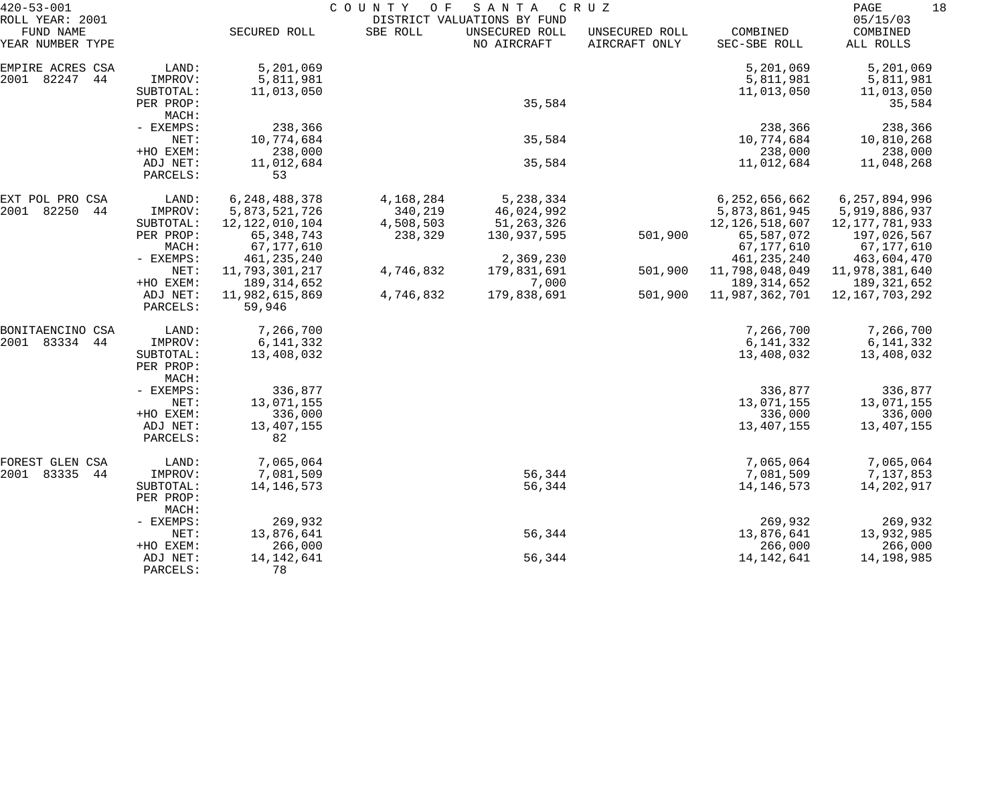|                                 | COUNTY<br>O F<br>SANTA<br>C R U Z                                                                                                    |                                                                                                                                                                        |                                   |                                                                                                       |                                      |                                                                                                                                                          |                                                                                                                                                                    |
|---------------------------------|--------------------------------------------------------------------------------------------------------------------------------------|------------------------------------------------------------------------------------------------------------------------------------------------------------------------|-----------------------------------|-------------------------------------------------------------------------------------------------------|--------------------------------------|----------------------------------------------------------------------------------------------------------------------------------------------------------|--------------------------------------------------------------------------------------------------------------------------------------------------------------------|
|                                 | SECURED ROLL                                                                                                                         | SBE ROLL                                                                                                                                                               | UNSECURED ROLL<br>NO AIRCRAFT     | UNSECURED ROLL<br>AIRCRAFT ONLY                                                                       | COMBINED<br>SEC-SBE ROLL             | COMBINED<br>ALL ROLLS                                                                                                                                    |                                                                                                                                                                    |
| LAND:<br>IMPROV:<br>SUBTOTAL:   | 5,201,069<br>5,811,981<br>11,013,050                                                                                                 |                                                                                                                                                                        |                                   |                                                                                                       | 5,201,069<br>5,811,981<br>11,013,050 | 5,201,069<br>5,811,981<br>11,013,050                                                                                                                     |                                                                                                                                                                    |
| PER PROP:<br>MACH:              |                                                                                                                                      |                                                                                                                                                                        |                                   |                                                                                                       |                                      | 35,584                                                                                                                                                   |                                                                                                                                                                    |
| NET:                            | 10,774,684                                                                                                                           |                                                                                                                                                                        | 35,584                            |                                                                                                       | 10,774,684                           | 10,810,268                                                                                                                                               |                                                                                                                                                                    |
| ADJ NET:<br>PARCELS:            | 11,012,684<br>53                                                                                                                     |                                                                                                                                                                        | 35,584                            |                                                                                                       | 11,012,684                           | 11,048,268                                                                                                                                               |                                                                                                                                                                    |
| LAND:                           | 6, 248, 488, 378                                                                                                                     | 4,168,284                                                                                                                                                              | 5,238,334                         |                                                                                                       | 6,252,656,662                        | 6,257,894,996                                                                                                                                            |                                                                                                                                                                    |
| SUBTOTAL:<br>PER PROP:          | 12, 122, 010, 104<br>65, 348, 743                                                                                                    | 4,508,503<br>238,329                                                                                                                                                   | 51, 263, 326<br>130,937,595       | 501,900                                                                                               | 12, 126, 518, 607<br>65,587,072      | 12, 177, 781, 933<br>197,026,567                                                                                                                         |                                                                                                                                                                    |
| - EXEMPS:                       | 461, 235, 240                                                                                                                        |                                                                                                                                                                        | 2,369,230                         |                                                                                                       | 461, 235, 240                        | 463,604,470                                                                                                                                              |                                                                                                                                                                    |
| +HO EXEM:                       | 189, 314, 652                                                                                                                        |                                                                                                                                                                        | 7,000                             |                                                                                                       | 189, 314, 652                        | 189,321,652                                                                                                                                              |                                                                                                                                                                    |
| PARCELS:                        | 59,946                                                                                                                               |                                                                                                                                                                        |                                   |                                                                                                       |                                      |                                                                                                                                                          |                                                                                                                                                                    |
| LAND:                           | 7,266,700                                                                                                                            |                                                                                                                                                                        |                                   |                                                                                                       | 7,266,700                            | 7,266,700                                                                                                                                                |                                                                                                                                                                    |
| SUBTOTAL:<br>PER PROP:<br>MACH: | 13,408,032                                                                                                                           |                                                                                                                                                                        |                                   |                                                                                                       | 13,408,032                           | 13,408,032                                                                                                                                               |                                                                                                                                                                    |
| - EXEMPS:<br>NET:               | 336,877<br>13,071,155                                                                                                                |                                                                                                                                                                        |                                   |                                                                                                       | 336,877<br>13,071,155                | 336,877<br>13,071,155                                                                                                                                    |                                                                                                                                                                    |
| +HO EXEM:<br>ADJ NET:           | 336,000<br>13,407,155                                                                                                                |                                                                                                                                                                        |                                   |                                                                                                       | 336,000<br>13,407,155                | 336,000<br>13,407,155                                                                                                                                    |                                                                                                                                                                    |
|                                 |                                                                                                                                      |                                                                                                                                                                        |                                   |                                                                                                       |                                      |                                                                                                                                                          |                                                                                                                                                                    |
| IMPROV:                         | 7,081,509                                                                                                                            |                                                                                                                                                                        | 56,344                            |                                                                                                       | 7,081,509                            | 7,137,853                                                                                                                                                |                                                                                                                                                                    |
| PER PROP:<br>MACH:              |                                                                                                                                      |                                                                                                                                                                        |                                   |                                                                                                       |                                      |                                                                                                                                                          |                                                                                                                                                                    |
| NET:                            |                                                                                                                                      |                                                                                                                                                                        |                                   |                                                                                                       |                                      | 13,932,985                                                                                                                                               |                                                                                                                                                                    |
| +HO EXEM:<br>ADJ NET:           | 266,000<br>14,142,641                                                                                                                |                                                                                                                                                                        | 56,344                            |                                                                                                       | 266,000<br>14, 142, 641              | 266,000<br>14,198,985                                                                                                                                    |                                                                                                                                                                    |
|                                 | - EXEMPS:<br>+HO EXEM:<br>IMPROV:<br>MACH:<br>NET:<br>ADJ NET:<br>IMPROV:<br>PARCELS:<br>LAND:<br>SUBTOTAL:<br>- EXEMPS:<br>PARCELS: | 238,366<br>238,000<br>5,873,521,726<br>67,177,610<br>11,793,301,217<br>11,982,615,869<br>6, 141, 332<br>82<br>7,065,064<br>14, 146, 573<br>269,932<br>13,876,641<br>78 | 340,219<br>4,746,832<br>4,746,832 | DISTRICT VALUATIONS BY FUND<br>35,584<br>46,024,992<br>179,831,691<br>179,838,691<br>56,344<br>56,344 | 501,900<br>501,900                   | 238,366<br>238,000<br>5,873,861,945<br>67,177,610<br>11,798,048,049<br>11,987,362,701<br>6,141,332<br>7,065,064<br>14, 146, 573<br>269,932<br>13,876,641 | 18<br>PAGE<br>05/15/03<br>238,366<br>238,000<br>5,919,886,937<br>67,177,610<br>11,978,381,640<br>12,167,703,292<br>6,141,332<br>7,065,064<br>14,202,917<br>269,932 |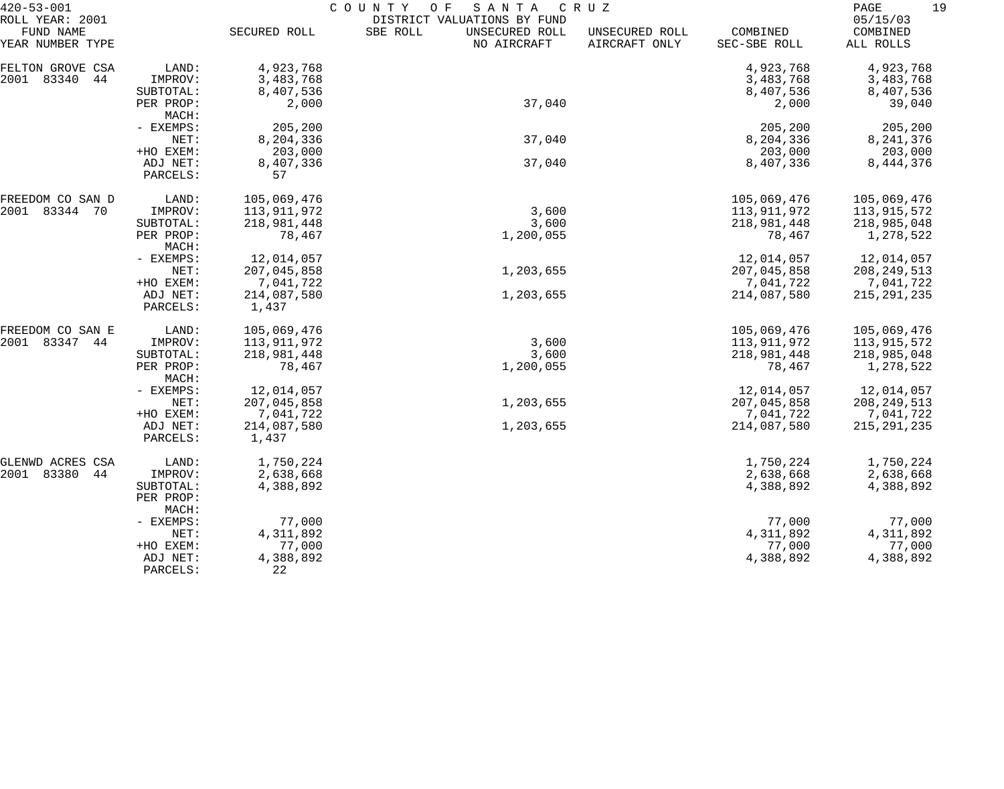| $420 - 53 - 001$                                 |                    | COUNTY<br>SANTA<br>O F<br>C R U Z |                                                                          |                                 |                          |                                   |  |  |
|--------------------------------------------------|--------------------|-----------------------------------|--------------------------------------------------------------------------|---------------------------------|--------------------------|-----------------------------------|--|--|
| ROLL YEAR: 2001<br>FUND NAME<br>YEAR NUMBER TYPE |                    | SECURED ROLL                      | DISTRICT VALUATIONS BY FUND<br>SBE ROLL<br>UNSECURED ROLL<br>NO AIRCRAFT | UNSECURED ROLL<br>AIRCRAFT ONLY | COMBINED<br>SEC-SBE ROLL | 05/15/03<br>COMBINED<br>ALL ROLLS |  |  |
|                                                  |                    |                                   |                                                                          |                                 |                          |                                   |  |  |
| FELTON GROVE CSA                                 | LAND:              | 4,923,768                         |                                                                          |                                 | 4,923,768                | 4,923,768                         |  |  |
| 2001<br>83340<br>44                              | IMPROV:            | 3,483,768                         |                                                                          |                                 | 3,483,768                | 3,483,768                         |  |  |
|                                                  | SUBTOTAL:          | 8,407,536                         |                                                                          |                                 | 8,407,536                | 8,407,536                         |  |  |
|                                                  | PER PROP:<br>MACH: | 2,000                             | 37,040                                                                   |                                 | 2,000                    | 39,040                            |  |  |
|                                                  | - EXEMPS:          | 205,200                           |                                                                          |                                 | 205,200                  | 205,200                           |  |  |
|                                                  | NET:               | 8,204,336                         | 37,040                                                                   |                                 | 8,204,336                | 8, 241, 376                       |  |  |
|                                                  | +HO EXEM:          | 203,000                           |                                                                          |                                 | 203,000                  | 203,000                           |  |  |
|                                                  | ADJ NET:           | 8,407,336                         | 37,040                                                                   |                                 | 8,407,336                | 8,444,376                         |  |  |
|                                                  | PARCELS:           | 57                                |                                                                          |                                 |                          |                                   |  |  |
| FREEDOM CO SAN D                                 | LAND:              | 105,069,476                       |                                                                          |                                 | 105,069,476              | 105,069,476                       |  |  |
| 2001 83344 70                                    | IMPROV:            | 113,911,972                       | 3,600                                                                    |                                 | 113,911,972              | 113,915,572                       |  |  |
|                                                  | SUBTOTAL:          | 218,981,448                       | 3,600                                                                    |                                 | 218,981,448              | 218,985,048                       |  |  |
|                                                  | PER PROP:<br>MACH: | 78,467                            | 1,200,055                                                                |                                 | 78,467                   | 1,278,522                         |  |  |
|                                                  | - EXEMPS:          | 12,014,057                        |                                                                          |                                 | 12,014,057               | 12,014,057                        |  |  |
|                                                  | NET:               | 207,045,858                       | 1,203,655                                                                |                                 | 207,045,858              | 208, 249, 513                     |  |  |
|                                                  | +HO EXEM:          | 7,041,722                         |                                                                          |                                 | 7,041,722                | 7,041,722                         |  |  |
|                                                  | ADJ NET:           | 214,087,580                       | 1,203,655                                                                |                                 | 214,087,580              | 215, 291, 235                     |  |  |
|                                                  | PARCELS:           | 1,437                             |                                                                          |                                 |                          |                                   |  |  |
| FREEDOM CO SAN E                                 | LAND:              | 105,069,476                       |                                                                          |                                 | 105,069,476              | 105,069,476                       |  |  |
| 2001 83347<br>44                                 | IMPROV:            | 113,911,972                       | 3,600                                                                    |                                 | 113,911,972              | 113,915,572                       |  |  |
|                                                  | SUBTOTAL:          | 218,981,448                       | 3,600                                                                    |                                 | 218,981,448              | 218,985,048                       |  |  |
|                                                  | PER PROP:<br>MACH: | 78,467                            | 1,200,055                                                                |                                 | 78,467                   | 1,278,522                         |  |  |
|                                                  | - EXEMPS:          | 12,014,057                        |                                                                          |                                 | 12,014,057               | 12,014,057                        |  |  |
|                                                  | NET:               | 207,045,858                       | 1,203,655                                                                |                                 | 207,045,858              | 208, 249, 513                     |  |  |
|                                                  | +HO EXEM:          | 7,041,722                         |                                                                          |                                 | 7,041,722                | 7,041,722                         |  |  |
|                                                  | ADJ NET:           | 214,087,580                       | 1,203,655                                                                |                                 | 214,087,580              | 215, 291, 235                     |  |  |
|                                                  | PARCELS:           | 1,437                             |                                                                          |                                 |                          |                                   |  |  |
| GLENWD ACRES CSA                                 | LAND:              | 1,750,224                         |                                                                          |                                 | 1,750,224                | 1,750,224                         |  |  |
| 83380<br>2001<br>44                              | IMPROV:            | 2,638,668                         |                                                                          |                                 | 2,638,668                | 2,638,668                         |  |  |
|                                                  | SUBTOTAL:          | 4,388,892                         |                                                                          |                                 | 4,388,892                | 4,388,892                         |  |  |
|                                                  | PER PROP:<br>MACH: |                                   |                                                                          |                                 |                          |                                   |  |  |
|                                                  | - EXEMPS:          | 77,000                            |                                                                          |                                 | 77,000                   | 77,000                            |  |  |
|                                                  | NET:               | 4,311,892                         |                                                                          |                                 | 4,311,892                | 4,311,892                         |  |  |
|                                                  | +HO EXEM:          | 77,000                            |                                                                          |                                 | 77,000                   | 77,000                            |  |  |
|                                                  | ADJ NET:           | 4,388,892                         |                                                                          |                                 | 4,388,892                | 4,388,892                         |  |  |
|                                                  | PARCELS:           | 22                                |                                                                          |                                 |                          |                                   |  |  |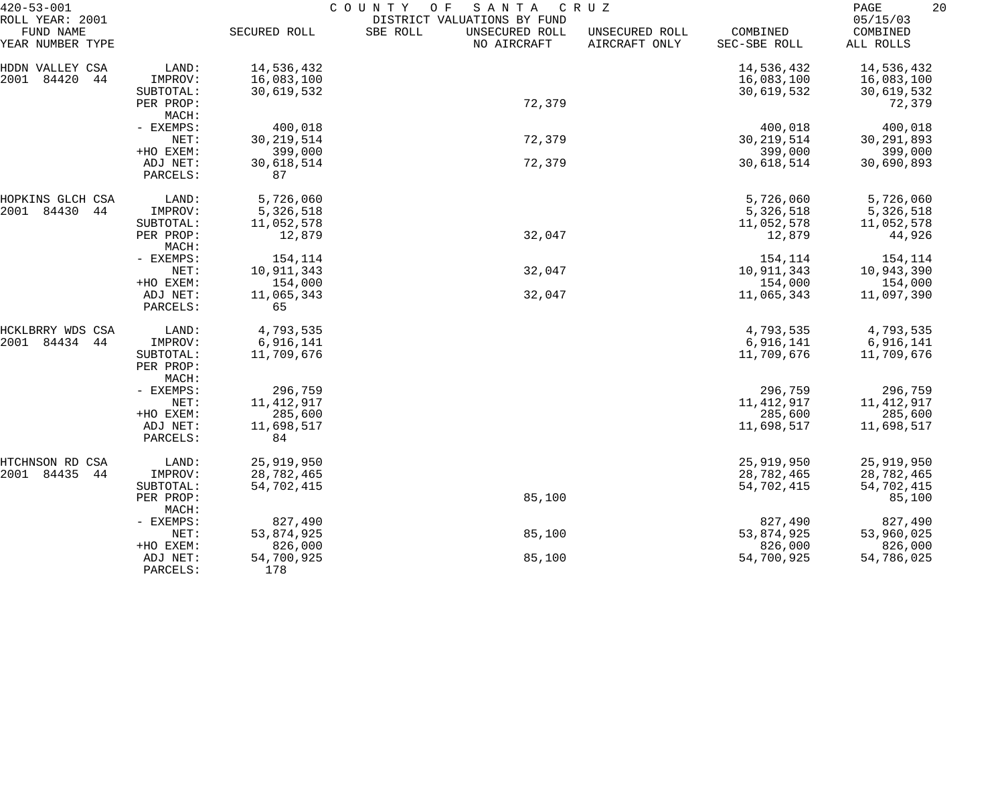| $420 - 53 - 001$              |                        |              | COUNTY<br>SANTA<br>O F                    | CRUZ                            |                          | 20<br>PAGE            |
|-------------------------------|------------------------|--------------|-------------------------------------------|---------------------------------|--------------------------|-----------------------|
| ROLL YEAR: 2001               |                        |              | DISTRICT VALUATIONS BY FUND               |                                 |                          | 05/15/03              |
| FUND NAME<br>YEAR NUMBER TYPE |                        | SECURED ROLL | SBE ROLL<br>UNSECURED ROLL<br>NO AIRCRAFT | UNSECURED ROLL<br>AIRCRAFT ONLY | COMBINED<br>SEC-SBE ROLL | COMBINED<br>ALL ROLLS |
| HDDN VALLEY CSA               | LAND:                  | 14,536,432   |                                           |                                 | 14,536,432               | 14,536,432            |
| 2001<br>84420<br>44           | IMPROV:                | 16,083,100   |                                           |                                 | 16,083,100               | 16,083,100            |
|                               | SUBTOTAL:              | 30,619,532   |                                           |                                 | 30,619,532               | 30,619,532            |
|                               | PER PROP:              |              | 72,379                                    |                                 |                          | 72,379                |
|                               | MACH:                  |              |                                           |                                 |                          |                       |
|                               | - EXEMPS:              | 400,018      |                                           |                                 | 400,018                  | 400,018               |
|                               | NET:                   | 30, 219, 514 | 72,379                                    |                                 | 30, 219, 514             | 30, 291, 893          |
|                               | +HO EXEM:              | 399,000      |                                           |                                 | 399,000                  | 399,000               |
|                               | ADJ NET:               | 30,618,514   | 72,379                                    |                                 | 30,618,514               | 30,690,893            |
|                               | PARCELS:               | 87           |                                           |                                 |                          |                       |
| HOPKINS GLCH CSA              | LAND:                  | 5,726,060    |                                           |                                 | 5,726,060                | 5,726,060             |
| 84430<br>2001<br>44           | IMPROV:                | 5,326,518    |                                           |                                 | 5,326,518                | 5,326,518             |
|                               | SUBTOTAL:              | 11,052,578   |                                           |                                 | 11,052,578               | 11,052,578            |
|                               | PER PROP:<br>MACH:     | 12,879       | 32,047                                    |                                 | 12,879                   | 44,926                |
|                               | - EXEMPS:              | 154,114      |                                           |                                 | 154,114                  | 154,114               |
|                               | NET:                   | 10,911,343   | 32,047                                    |                                 | 10,911,343               | 10,943,390            |
|                               | +HO EXEM:              | 154,000      |                                           |                                 | 154,000                  | 154,000               |
|                               | ADJ NET:               | 11,065,343   | 32,047                                    |                                 | 11,065,343               | 11,097,390            |
|                               | PARCELS:               | 65           |                                           |                                 |                          |                       |
| HCKLBRRY WDS CSA              | LAND:                  | 4,793,535    |                                           |                                 | 4,793,535                | 4,793,535             |
| 2001<br>84434<br>44           | IMPROV:                | 6,916,141    |                                           |                                 | 6,916,141                | 6,916,141             |
|                               | SUBTOTAL:<br>PER PROP: | 11,709,676   |                                           |                                 | 11,709,676               | 11,709,676            |
|                               | MACH:                  |              |                                           |                                 |                          |                       |
|                               | - EXEMPS:              | 296,759      |                                           |                                 | 296,759                  | 296,759               |
|                               | NET:                   | 11, 412, 917 |                                           |                                 | 11, 412, 917             | 11,412,917            |
|                               | +HO EXEM:              | 285,600      |                                           |                                 | 285,600                  | 285,600               |
|                               | ADJ NET:               | 11,698,517   |                                           |                                 | 11,698,517               | 11,698,517            |
|                               | PARCELS:               | 84           |                                           |                                 |                          |                       |
| HTCHNSON RD<br>CSA            | LAND:                  | 25,919,950   |                                           |                                 | 25,919,950               | 25,919,950            |
| 2001 84435<br>44              | IMPROV:                | 28,782,465   |                                           |                                 | 28,782,465               | 28,782,465            |
|                               | SUBTOTAL:              | 54,702,415   |                                           |                                 | 54,702,415               | 54,702,415            |
|                               | PER PROP:<br>MACH:     |              | 85,100                                    |                                 |                          | 85,100                |
|                               | - EXEMPS:              | 827,490      |                                           |                                 | 827,490                  | 827,490               |
|                               | NET:                   | 53,874,925   | 85,100                                    |                                 | 53,874,925               | 53,960,025            |
|                               | +HO EXEM:              | 826,000      |                                           |                                 | 826,000                  | 826,000               |
|                               | ADJ NET:               | 54,700,925   | 85,100                                    |                                 | 54,700,925               | 54,786,025            |
|                               | PARCELS:               | 178          |                                           |                                 |                          |                       |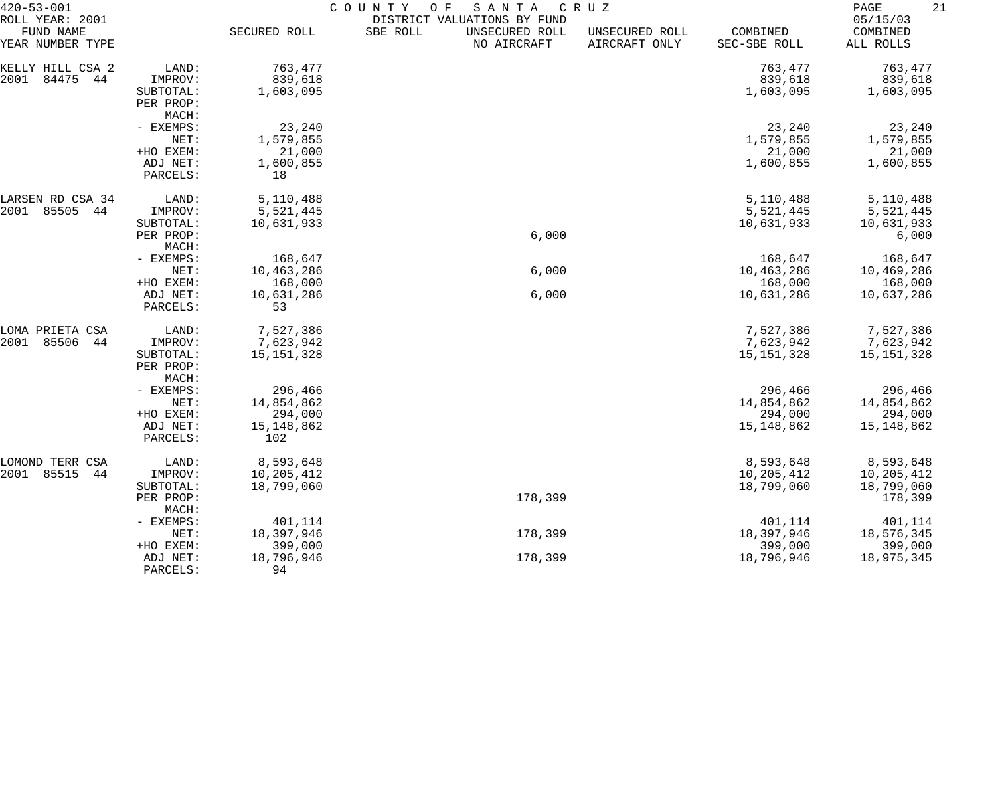| $420 - 53 - 001$                                 |                        | COUNTY<br>O F<br>SANTA<br>C R U Z |          |                                                              |                                 |                          |                                   |  |
|--------------------------------------------------|------------------------|-----------------------------------|----------|--------------------------------------------------------------|---------------------------------|--------------------------|-----------------------------------|--|
| ROLL YEAR: 2001<br>FUND NAME<br>YEAR NUMBER TYPE |                        | SECURED ROLL                      | SBE ROLL | DISTRICT VALUATIONS BY FUND<br>UNSECURED ROLL<br>NO AIRCRAFT | UNSECURED ROLL<br>AIRCRAFT ONLY | COMBINED<br>SEC-SBE ROLL | 05/15/03<br>COMBINED<br>ALL ROLLS |  |
| KELLY HILL CSA 2                                 | LAND:                  | 763,477                           |          |                                                              |                                 | 763,477                  | 763,477                           |  |
| 2001<br>84475<br>44                              | IMPROV:                | 839,618                           |          |                                                              |                                 | 839,618                  | 839,618                           |  |
|                                                  | SUBTOTAL:              | 1,603,095                         |          |                                                              |                                 | 1,603,095                | 1,603,095                         |  |
|                                                  | PER PROP:              |                                   |          |                                                              |                                 |                          |                                   |  |
|                                                  | MACH:                  |                                   |          |                                                              |                                 |                          |                                   |  |
|                                                  | - EXEMPS:              | 23,240                            |          |                                                              |                                 | 23,240                   | 23,240                            |  |
|                                                  | NET:                   | 1,579,855                         |          |                                                              |                                 | 1,579,855                | 1,579,855                         |  |
|                                                  | +HO EXEM:              | 21,000                            |          |                                                              |                                 | 21,000                   | 21,000                            |  |
|                                                  | ADJ NET:               | 1,600,855                         |          |                                                              |                                 | 1,600,855                | 1,600,855                         |  |
|                                                  | PARCELS:               | 18                                |          |                                                              |                                 |                          |                                   |  |
| LARSEN RD CSA 34                                 | LAND:                  | 5,110,488                         |          |                                                              |                                 | 5,110,488                | 5,110,488                         |  |
| 2001<br>85505<br>44                              | IMPROV:                | 5,521,445                         |          |                                                              |                                 | 5,521,445                | 5,521,445                         |  |
|                                                  | SUBTOTAL:              | 10,631,933                        |          |                                                              |                                 | 10,631,933               | 10,631,933                        |  |
|                                                  | PER PROP:              |                                   |          | 6,000                                                        |                                 |                          | 6,000                             |  |
|                                                  | MACH:                  |                                   |          |                                                              |                                 |                          |                                   |  |
|                                                  | - EXEMPS:              | 168,647                           |          |                                                              |                                 | 168,647                  | 168,647                           |  |
|                                                  | NET:                   | 10,463,286                        |          | 6,000                                                        |                                 | 10,463,286               | 10,469,286                        |  |
|                                                  | +HO EXEM:              | 168,000                           |          |                                                              |                                 | 168,000                  | 168,000                           |  |
|                                                  | ADJ NET:               | 10,631,286                        |          | 6,000                                                        |                                 | 10,631,286               | 10,637,286                        |  |
|                                                  | PARCELS:               | 53                                |          |                                                              |                                 |                          |                                   |  |
| LOMA PRIETA CSA                                  | LAND:                  | 7,527,386                         |          |                                                              |                                 | 7,527,386                | 7,527,386                         |  |
| 2001<br>85506<br>44                              | IMPROV:                | 7,623,942                         |          |                                                              |                                 | 7,623,942                | 7,623,942                         |  |
|                                                  | SUBTOTAL:<br>PER PROP: | 15, 151, 328                      |          |                                                              |                                 | 15, 151, 328             | 15, 151, 328                      |  |
|                                                  | MACH:                  |                                   |          |                                                              |                                 |                          |                                   |  |
|                                                  | - EXEMPS:              | 296,466                           |          |                                                              |                                 | 296,466                  | 296,466                           |  |
|                                                  | NET:                   | 14,854,862                        |          |                                                              |                                 | 14,854,862               | 14,854,862                        |  |
|                                                  | +HO EXEM:              | 294,000                           |          |                                                              |                                 | 294,000                  | 294,000                           |  |
|                                                  | ADJ NET:               | 15, 148, 862                      |          |                                                              |                                 | 15, 148, 862             | 15,148,862                        |  |
|                                                  | PARCELS:               | 102                               |          |                                                              |                                 |                          |                                   |  |
| LOMOND TERR CSA                                  | LAND:                  | 8,593,648                         |          |                                                              |                                 | 8,593,648                | 8,593,648                         |  |
| 2001<br>85515<br>44                              | IMPROV:                | 10,205,412                        |          |                                                              |                                 | 10,205,412               | 10,205,412                        |  |
|                                                  | SUBTOTAL:              | 18,799,060                        |          |                                                              |                                 | 18,799,060               | 18,799,060                        |  |
|                                                  | PER PROP:              |                                   |          | 178,399                                                      |                                 |                          | 178,399                           |  |
|                                                  | MACH:                  |                                   |          |                                                              |                                 |                          |                                   |  |
|                                                  | - EXEMPS:              | 401,114                           |          |                                                              |                                 | 401,114                  | 401,114                           |  |
|                                                  | NET:                   | 18,397,946                        |          | 178,399                                                      |                                 | 18,397,946               | 18,576,345                        |  |
|                                                  | +HO EXEM:              | 399,000                           |          |                                                              |                                 | 399,000                  | 399,000                           |  |
|                                                  | ADJ NET:               | 18,796,946                        |          | 178,399                                                      |                                 | 18,796,946               | 18,975,345                        |  |
|                                                  | PARCELS:               | 94                                |          |                                                              |                                 |                          |                                   |  |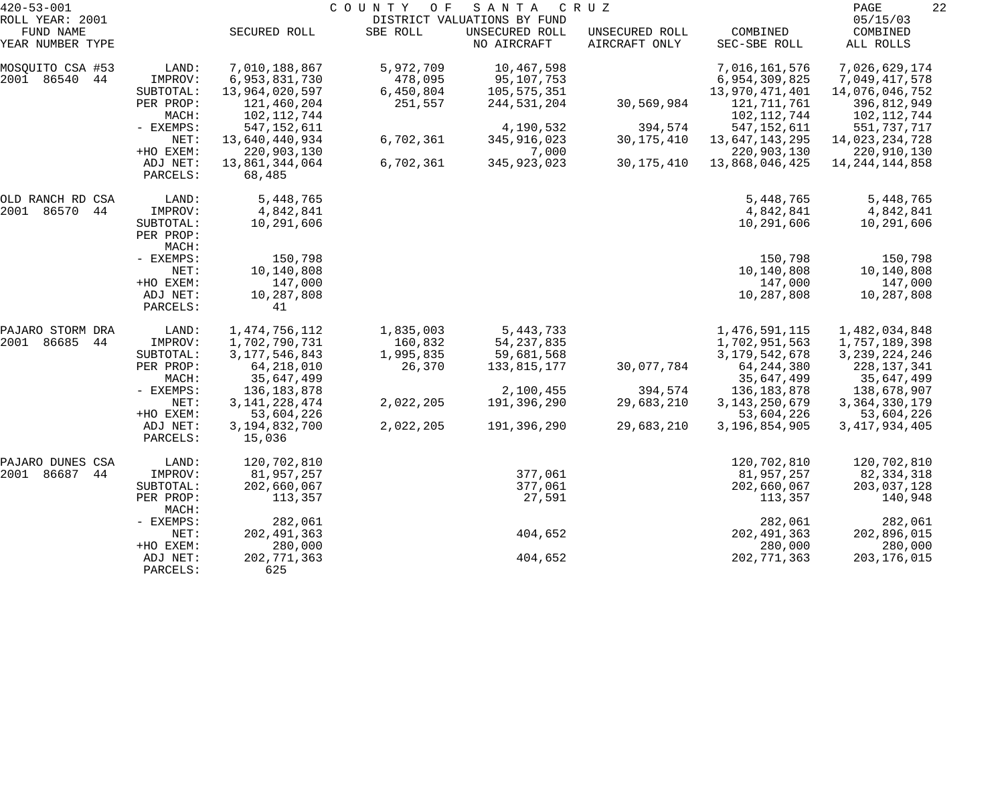| $420 - 53 - 001$    |                    | COUNTY OF<br>SANTA<br>C R U Z |           |                             |                |                  |                   |  |
|---------------------|--------------------|-------------------------------|-----------|-----------------------------|----------------|------------------|-------------------|--|
| ROLL YEAR: 2001     |                    |                               |           | DISTRICT VALUATIONS BY FUND |                |                  | 05/15/03          |  |
| FUND NAME           |                    | SECURED ROLL                  | SBE ROLL  | UNSECURED ROLL              | UNSECURED ROLL | COMBINED         | COMBINED          |  |
| YEAR NUMBER TYPE    |                    |                               |           | NO AIRCRAFT                 | AIRCRAFT ONLY  | SEC-SBE ROLL     | ALL ROLLS         |  |
| MOSOUITO CSA #53    | LAND:              | 7,010,188,867                 | 5,972,709 | 10,467,598                  |                | 7,016,161,576    | 7,026,629,174     |  |
| 2001 86540<br>44    | IMPROV:            | 6,953,831,730                 | 478,095   | 95,107,753                  |                | 6,954,309,825    | 7,049,417,578     |  |
|                     | SUBTOTAL:          | 13,964,020,597                | 6,450,804 | 105,575,351                 |                | 13,970,471,401   | 14,076,046,752    |  |
|                     | PER PROP:          | 121,460,204                   | 251,557   | 244,531,204                 | 30,569,984     | 121, 711, 761    | 396,812,949       |  |
|                     | MACH:              | 102, 112, 744                 |           |                             |                | 102, 112, 744    | 102,112,744       |  |
|                     | - EXEMPS:          | 547, 152, 611                 |           | 4,190,532                   | 394,574        | 547, 152, 611    | 551,737,717       |  |
|                     | NET:               | 13,640,440,934                | 6,702,361 | 345, 916, 023               | 30, 175, 410   | 13,647,143,295   | 14,023,234,728    |  |
|                     | +HO EXEM:          | 220,903,130                   |           | 7,000                       |                | 220,903,130      | 220,910,130       |  |
|                     | ADJ NET:           | 13,861,344,064                | 6,702,361 | 345, 923, 023               | 30,175,410     | 13,868,046,425   | 14, 244, 144, 858 |  |
|                     | PARCELS:           | 68,485                        |           |                             |                |                  |                   |  |
| OLD RANCH RD CSA    | LAND:              | 5,448,765                     |           |                             |                | 5,448,765        | 5,448,765         |  |
| 2001<br>86570<br>44 | IMPROV:            | 4,842,841                     |           |                             |                | 4,842,841        | 4,842,841         |  |
|                     | SUBTOTAL:          | 10,291,606                    |           |                             |                | 10,291,606       | 10,291,606        |  |
|                     | PER PROP:<br>MACH: |                               |           |                             |                |                  |                   |  |
|                     | - EXEMPS:          | 150,798                       |           |                             |                | 150,798          | 150,798           |  |
|                     | NET:               | 10,140,808                    |           |                             |                | 10,140,808       | 10,140,808        |  |
|                     | +HO EXEM:          | 147,000                       |           |                             |                | 147,000          | 147,000           |  |
|                     | ADJ NET:           | 10,287,808                    |           |                             |                | 10,287,808       | 10,287,808        |  |
|                     | PARCELS:           | 41                            |           |                             |                |                  |                   |  |
| PAJARO STORM DRA    | LAND:              | 1, 474, 756, 112              | 1,835,003 | 5, 443, 733                 |                | 1,476,591,115    | 1,482,034,848     |  |
| 2001<br>86685<br>44 | IMPROV:            | 1,702,790,731                 | 160,832   | 54, 237, 835                |                | 1,702,951,563    | 1,757,189,398     |  |
|                     | SUBTOTAL:          | 3, 177, 546, 843              | 1,995,835 | 59,681,568                  |                | 3, 179, 542, 678 | 3, 239, 224, 246  |  |
|                     | PER PROP:          | 64, 218, 010                  | 26,370    | 133,815,177                 | 30,077,784     | 64, 244, 380     | 228,137,341       |  |
|                     | MACH:              | 35,647,499                    |           |                             |                | 35,647,499       | 35,647,499        |  |
|                     | - EXEMPS:          | 136, 183, 878                 |           | 2,100,455                   | 394,574        | 136,183,878      | 138,678,907       |  |
|                     | NET:               | 3, 141, 228, 474              | 2,022,205 | 191,396,290                 | 29,683,210     | 3, 143, 250, 679 | 3, 364, 330, 179  |  |
|                     | +HO EXEM:          | 53,604,226                    |           |                             |                | 53,604,226       | 53,604,226        |  |
|                     | ADJ NET:           | 3, 194, 832, 700              | 2,022,205 | 191,396,290                 | 29,683,210     | 3,196,854,905    | 3, 417, 934, 405  |  |
|                     | PARCELS:           | 15,036                        |           |                             |                |                  |                   |  |
| PAJARO DUNES CSA    | LAND:              | 120,702,810                   |           |                             |                | 120,702,810      | 120,702,810       |  |
| 86687<br>2001<br>44 | IMPROV:            | 81,957,257                    |           | 377,061                     |                | 81,957,257       | 82, 334, 318      |  |
|                     | SUBTOTAL:          | 202,660,067                   |           | 377,061                     |                | 202,660,067      | 203,037,128       |  |
|                     | PER PROP:<br>MACH: | 113,357                       |           | 27,591                      |                | 113,357          | 140,948           |  |
|                     | - EXEMPS:          | 282,061                       |           |                             |                | 282,061          | 282,061           |  |
|                     | NET:               | 202, 491, 363                 |           | 404,652                     |                | 202, 491, 363    | 202,896,015       |  |
|                     | +HO EXEM:          | 280,000                       |           |                             |                | 280,000          | 280,000           |  |
|                     | ADJ NET:           | 202, 771, 363                 |           | 404,652                     |                | 202, 771, 363    | 203,176,015       |  |
|                     | PARCELS:           | 625                           |           |                             |                |                  |                   |  |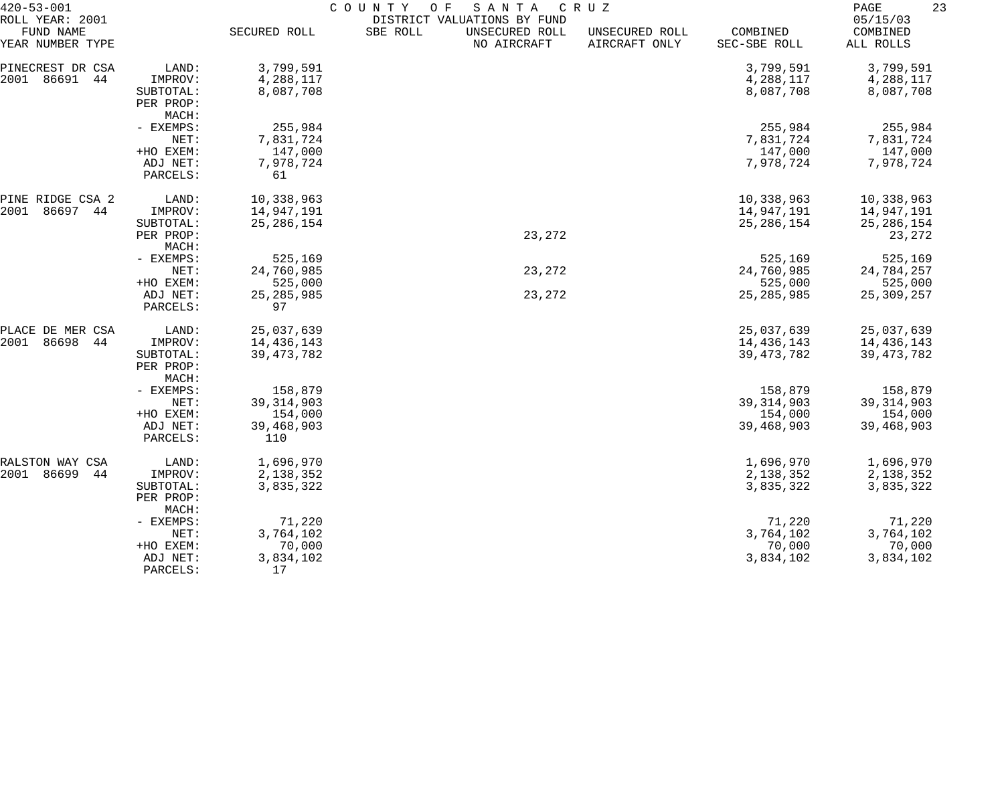| $420 - 53 - 001$<br>ROLL YEAR: 2001 |                      | COUNTY<br>O F<br>SANTA<br>C R U Z<br>DISTRICT VALUATIONS BY FUND |                                           |                                 |                          |                                   |  |  |
|-------------------------------------|----------------------|------------------------------------------------------------------|-------------------------------------------|---------------------------------|--------------------------|-----------------------------------|--|--|
| FUND NAME<br>YEAR NUMBER TYPE       |                      | SECURED ROLL                                                     | UNSECURED ROLL<br>SBE ROLL<br>NO AIRCRAFT | UNSECURED ROLL<br>AIRCRAFT ONLY | COMBINED<br>SEC-SBE ROLL | 05/15/03<br>COMBINED<br>ALL ROLLS |  |  |
| PINECREST DR CSA                    | LAND:                | 3,799,591                                                        |                                           |                                 | 3,799,591                | 3,799,591                         |  |  |
| 86691<br>2001<br>44                 | IMPROV:              | 4,288,117                                                        |                                           |                                 | 4,288,117                | 4,288,117                         |  |  |
|                                     | SUBTOTAL:            | 8,087,708                                                        |                                           |                                 | 8,087,708                | 8,087,708                         |  |  |
|                                     | PER PROP:            |                                                                  |                                           |                                 |                          |                                   |  |  |
|                                     | MACH:                |                                                                  |                                           |                                 |                          |                                   |  |  |
|                                     | - EXEMPS:            | 255,984                                                          |                                           |                                 | 255,984                  | 255,984                           |  |  |
|                                     | NET:                 | 7,831,724                                                        |                                           |                                 | 7,831,724                | 7,831,724                         |  |  |
|                                     | +HO EXEM:            | 147,000                                                          |                                           |                                 | 147,000                  | 147,000                           |  |  |
|                                     | ADJ NET:             | 7,978,724                                                        |                                           |                                 | 7,978,724                | 7,978,724                         |  |  |
|                                     | PARCELS:             | 61                                                               |                                           |                                 |                          |                                   |  |  |
| PINE RIDGE CSA 2                    | LAND:                | 10,338,963                                                       |                                           |                                 | 10,338,963               | 10,338,963                        |  |  |
| 2001<br>86697<br>44                 | IMPROV:              | 14,947,191                                                       |                                           |                                 | 14,947,191               | 14,947,191                        |  |  |
|                                     | SUBTOTAL:            | 25, 286, 154                                                     |                                           |                                 | 25, 286, 154             | 25, 286, 154                      |  |  |
|                                     | PER PROP:            |                                                                  | 23,272                                    |                                 |                          | 23,272                            |  |  |
|                                     | MACH:                |                                                                  |                                           |                                 |                          |                                   |  |  |
|                                     | - EXEMPS:            | 525,169                                                          | 23,272                                    |                                 | 525,169                  | 525,169                           |  |  |
|                                     | NET:<br>+HO EXEM:    | 24,760,985<br>525,000                                            |                                           |                                 | 24,760,985<br>525,000    | 24,784,257<br>525,000             |  |  |
|                                     | ADJ NET:             | 25, 285, 985                                                     | 23,272                                    |                                 | 25, 285, 985             | 25, 309, 257                      |  |  |
|                                     | PARCELS:             | 97                                                               |                                           |                                 |                          |                                   |  |  |
| PLACE DE MER CSA                    | LAND:                | 25,037,639                                                       |                                           |                                 | 25,037,639               | 25,037,639                        |  |  |
| 2001<br>86698<br>44                 | IMPROV:              | 14,436,143                                                       |                                           |                                 | 14,436,143               | 14,436,143                        |  |  |
|                                     | SUBTOTAL:            | 39, 473, 782                                                     |                                           |                                 | 39, 473, 782             | 39, 473, 782                      |  |  |
|                                     | PER PROP:            |                                                                  |                                           |                                 |                          |                                   |  |  |
|                                     | MACH:                |                                                                  |                                           |                                 |                          |                                   |  |  |
|                                     | - EXEMPS:            | 158,879                                                          |                                           |                                 | 158,879                  | 158,879                           |  |  |
|                                     | NET:                 | 39, 314, 903                                                     |                                           |                                 | 39, 314, 903             | 39, 314, 903                      |  |  |
|                                     | +HO EXEM:            | 154,000                                                          |                                           |                                 | 154,000                  | 154,000                           |  |  |
|                                     | ADJ NET:<br>PARCELS: | 39,468,903<br>110                                                |                                           |                                 | 39,468,903               | 39,468,903                        |  |  |
| RALSTON WAY CSA                     | LAND:                | 1,696,970                                                        |                                           |                                 | 1,696,970                | 1,696,970                         |  |  |
| 2001 86699<br>44                    | IMPROV:              | 2,138,352                                                        |                                           |                                 | 2,138,352                | 2,138,352                         |  |  |
|                                     | SUBTOTAL:            | 3,835,322                                                        |                                           |                                 | 3,835,322                | 3,835,322                         |  |  |
|                                     | PER PROP:            |                                                                  |                                           |                                 |                          |                                   |  |  |
|                                     | MACH:<br>- EXEMPS:   | 71,220                                                           |                                           |                                 | 71,220                   | 71,220                            |  |  |
|                                     | NET:                 | 3,764,102                                                        |                                           |                                 | 3,764,102                | 3,764,102                         |  |  |
|                                     | +HO EXEM:            | 70,000                                                           |                                           |                                 | 70,000                   | 70,000                            |  |  |
|                                     | ADJ NET:             | 3,834,102                                                        |                                           |                                 | 3,834,102                | 3,834,102                         |  |  |
|                                     | PARCELS:             | 17                                                               |                                           |                                 |                          |                                   |  |  |
|                                     |                      |                                                                  |                                           |                                 |                          |                                   |  |  |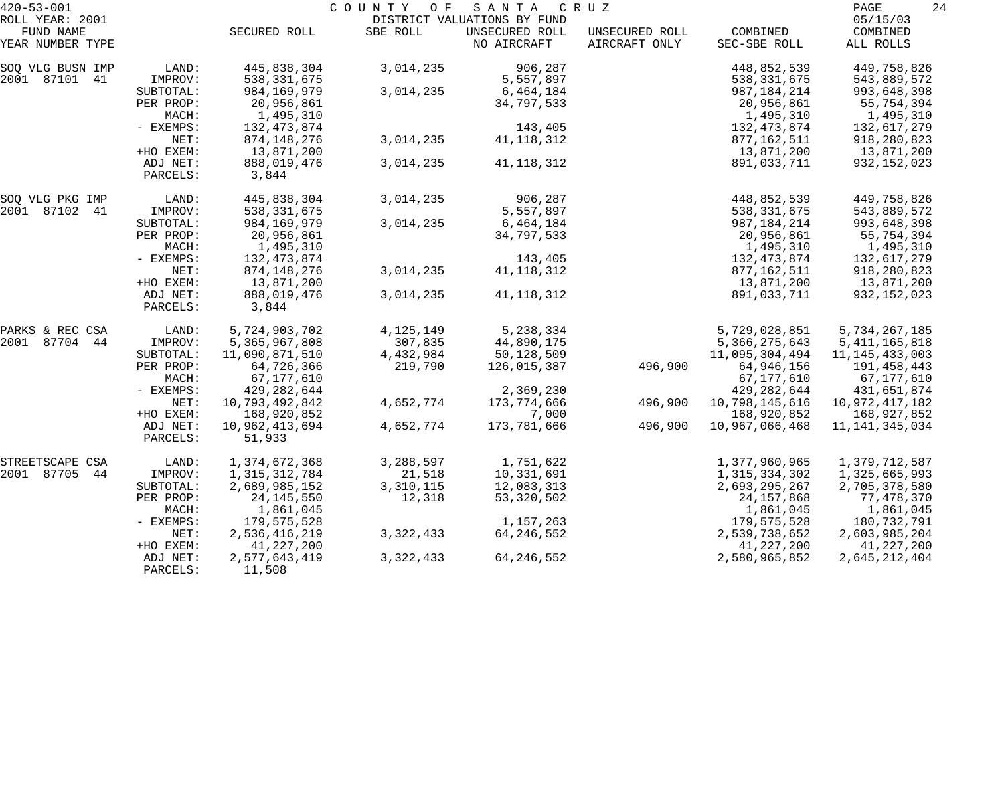| $420 - 53 - 001$              |                      | COUNTY<br>SANTA<br>O F<br>C R U Z |             |                               |                                 |                          |                       |
|-------------------------------|----------------------|-----------------------------------|-------------|-------------------------------|---------------------------------|--------------------------|-----------------------|
| ROLL YEAR: 2001               |                      |                                   |             | DISTRICT VALUATIONS BY FUND   |                                 |                          | 05/15/03              |
| FUND NAME<br>YEAR NUMBER TYPE |                      | SECURED ROLL                      | SBE ROLL    | UNSECURED ROLL<br>NO AIRCRAFT | UNSECURED ROLL<br>AIRCRAFT ONLY | COMBINED<br>SEC-SBE ROLL | COMBINED<br>ALL ROLLS |
| SOQ VLG BUSN IMP              | LAND:                | 445,838,304                       | 3,014,235   | 906,287                       |                                 | 448,852,539              | 449,758,826           |
| 2001 87101 41                 | IMPROV:              | 538, 331, 675                     |             | 5,557,897                     |                                 | 538, 331, 675            | 543,889,572           |
|                               | SUBTOTAL:            | 984, 169, 979                     | 3,014,235   | 6,464,184                     |                                 | 987, 184, 214            | 993,648,398           |
|                               | PER PROP:            | 20,956,861                        |             | 34,797,533                    |                                 | 20,956,861               | 55,754,394            |
|                               | MACH:                | 1,495,310                         |             |                               |                                 | 1,495,310                | 1,495,310             |
|                               | - EXEMPS:            | 132, 473, 874                     |             | 143,405                       |                                 | 132,473,874              | 132,617,279           |
|                               | NET:                 | 874, 148, 276                     | 3,014,235   | 41, 118, 312                  |                                 | 877,162,511              | 918,280,823           |
|                               | +HO EXEM:            | 13,871,200                        |             |                               |                                 | 13,871,200               | 13,871,200            |
|                               | ADJ NET:<br>PARCELS: | 888,019,476<br>3,844              | 3,014,235   | 41, 118, 312                  |                                 | 891,033,711              | 932, 152, 023         |
| SOQ VLG PKG IMP               | LAND:                | 445,838,304                       | 3,014,235   | 906,287                       |                                 | 448,852,539              | 449,758,826           |
| 2001 87102 41                 | IMPROV:              | 538, 331, 675                     |             | 5,557,897                     |                                 | 538, 331, 675            | 543,889,572           |
|                               | SUBTOTAL:            | 984,169,979                       | 3,014,235   | 6,464,184                     |                                 | 987,184,214              | 993,648,398           |
|                               | PER PROP:            | 20,956,861                        |             | 34,797,533                    |                                 | 20,956,861               | 55,754,394            |
|                               | MACH:                | 1,495,310                         |             |                               |                                 | 1,495,310                | 1,495,310             |
|                               | - EXEMPS:            | 132,473,874                       |             | 143,405                       |                                 | 132,473,874              | 132,617,279           |
|                               | NET:                 | 874, 148, 276                     | 3,014,235   | 41, 118, 312                  |                                 | 877,162,511              | 918,280,823           |
|                               | +HO EXEM:            | 13,871,200                        |             |                               |                                 | 13,871,200               | 13,871,200            |
|                               | ADJ NET:<br>PARCELS: | 888,019,476<br>3,844              | 3,014,235   | 41, 118, 312                  |                                 | 891,033,711              | 932, 152, 023         |
| PARKS & REC CSA               | LAND:                | 5,724,903,702                     | 4, 125, 149 | 5,238,334                     |                                 | 5,729,028,851            | 5,734,267,185         |
| 2001 87704 44                 | IMPROV:              | 5,365,967,808                     | 307,835     | 44,890,175                    |                                 | 5, 366, 275, 643         | 5, 411, 165, 818      |
|                               | SUBTOTAL:            | 11,090,871,510                    | 4,432,984   | 50,128,509                    |                                 | 11,095,304,494           | 11, 145, 433, 003     |
|                               | PER PROP:            | 64,726,366                        | 219,790     | 126,015,387                   | 496,900                         | 64,946,156               | 191,458,443           |
|                               | MACH:                | 67,177,610                        |             |                               |                                 | 67,177,610               | 67,177,610            |
|                               | - EXEMPS:            | 429, 282, 644                     |             | 2,369,230                     |                                 | 429, 282, 644            | 431,651,874           |
|                               | NET:                 | 10,793,492,842                    | 4,652,774   | 173,774,666                   | 496,900                         | 10,798,145,616           | 10,972,417,182        |
|                               | +HO EXEM:            | 168,920,852                       |             | 7,000                         |                                 | 168,920,852              | 168,927,852           |
|                               | ADJ NET:             | 10,962,413,694                    | 4,652,774   | 173,781,666                   | 496,900                         | 10,967,066,468           | 11, 141, 345, 034     |
|                               | PARCELS:             | 51,933                            |             |                               |                                 |                          |                       |
| STREETSCAPE CSA               | LAND:                | 1,374,672,368                     | 3,288,597   | 1,751,622                     |                                 | 1,377,960,965            | 1,379,712,587         |
| 2001 87705<br>44              | IMPROV:              | 1, 315, 312, 784                  | 21,518      | 10,331,691                    |                                 | 1,315,334,302            | 1,325,665,993         |
|                               | SUBTOTAL:            | 2,689,985,152                     | 3,310,115   | 12,083,313                    |                                 | 2,693,295,267            | 2,705,378,580         |
|                               | PER PROP:            | 24, 145, 550                      | 12,318      | 53, 320, 502                  |                                 | 24, 157, 868             | 77,478,370            |
|                               | MACH:                | 1,861,045                         |             |                               |                                 | 1,861,045                | 1,861,045             |
|                               | - EXEMPS:            | 179,575,528                       |             | 1,157,263                     |                                 | 179,575,528              | 180,732,791           |
|                               | NET:                 | 2,536,416,219                     | 3, 322, 433 | 64, 246, 552                  |                                 | 2,539,738,652            | 2,603,985,204         |
|                               | +HO EXEM:            | 41,227,200                        |             |                               |                                 | 41,227,200               | 41,227,200            |
|                               | ADJ NET:<br>PARCELS: | 2,577,643,419<br>11,508           | 3, 322, 433 | 64, 246, 552                  |                                 | 2,580,965,852            | 2,645,212,404         |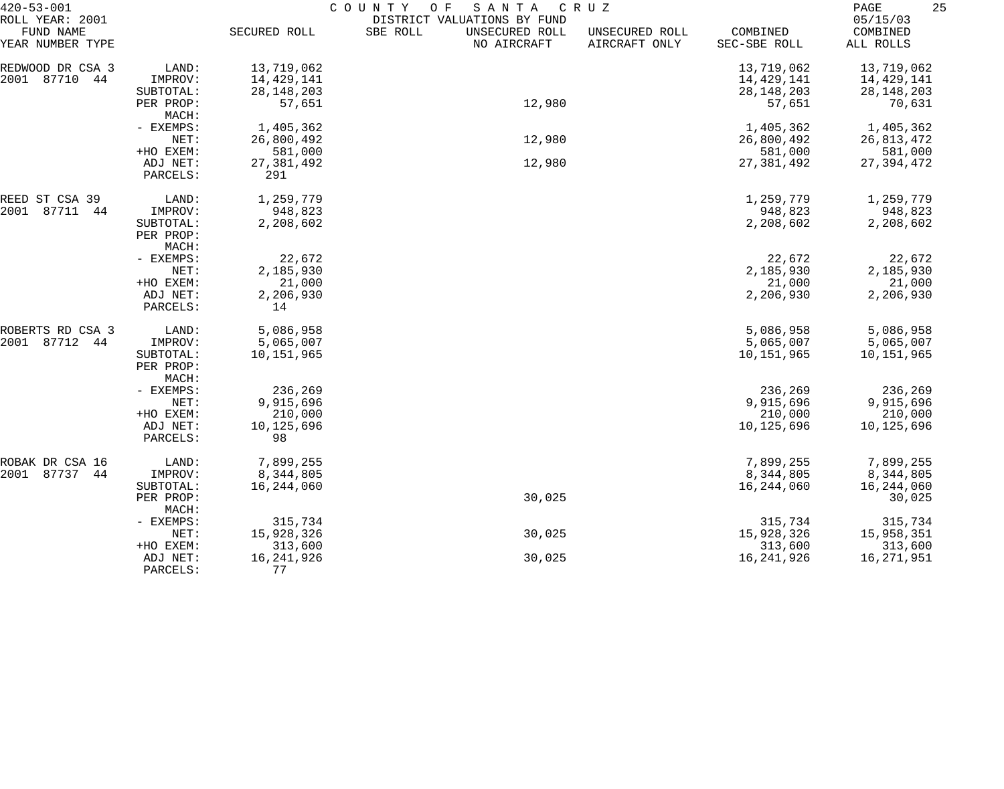| 420-53-001                                       |                                            | COUNTY<br>SANTA<br>C R U Z<br>O F |                                                                          |                                 |                          |                                   |  |  |
|--------------------------------------------------|--------------------------------------------|-----------------------------------|--------------------------------------------------------------------------|---------------------------------|--------------------------|-----------------------------------|--|--|
| ROLL YEAR: 2001<br>FUND NAME<br>YEAR NUMBER TYPE |                                            | SECURED ROLL                      | DISTRICT VALUATIONS BY FUND<br>SBE ROLL<br>UNSECURED ROLL<br>NO AIRCRAFT | UNSECURED ROLL<br>AIRCRAFT ONLY | COMBINED<br>SEC-SBE ROLL | 05/15/03<br>COMBINED<br>ALL ROLLS |  |  |
| REDWOOD DR CSA 3<br>2001 87710<br>44             | LAND:<br>IMPROV:                           | 13,719,062<br>14,429,141          |                                                                          |                                 | 13,719,062<br>14,429,141 | 13,719,062<br>14,429,141          |  |  |
|                                                  | SUBTOTAL:<br>PER PROP:<br>MACH:            | 28, 148, 203<br>57,651            | 12,980                                                                   |                                 | 28, 148, 203<br>57,651   | 28, 148, 203<br>70,631            |  |  |
|                                                  | - EXEMPS:<br>NET:                          | 1,405,362<br>26,800,492           | 12,980                                                                   |                                 | 1,405,362<br>26,800,492  | 1,405,362<br>26,813,472           |  |  |
|                                                  | +HO EXEM:                                  | 581,000                           |                                                                          |                                 | 581,000                  | 581,000                           |  |  |
|                                                  | ADJ NET:<br>PARCELS:                       | 27, 381, 492<br>291               | 12,980                                                                   |                                 | 27, 381, 492             | 27, 394, 472                      |  |  |
| REED ST CSA 39                                   | LAND:                                      | 1,259,779                         |                                                                          |                                 | 1,259,779                | 1,259,779                         |  |  |
| 2001<br>87711<br>44                              | IMPROV:<br>SUBTOTAL:<br>PER PROP:<br>MACH: | 948,823<br>2,208,602              |                                                                          |                                 | 948,823<br>2,208,602     | 948,823<br>2,208,602              |  |  |
|                                                  | - EXEMPS:                                  | 22,672                            |                                                                          |                                 | 22,672                   | 22,672                            |  |  |
|                                                  | NET:<br>+HO EXEM:                          | 2,185,930<br>21,000               |                                                                          |                                 | 2,185,930<br>21,000      | 2,185,930<br>21,000               |  |  |
|                                                  | ADJ NET:<br>PARCELS:                       | 2,206,930<br>14                   |                                                                          |                                 | 2,206,930                | 2,206,930                         |  |  |
| ROBERTS RD CSA 3                                 | LAND:                                      | 5,086,958                         |                                                                          |                                 | 5,086,958                | 5,086,958                         |  |  |
| 2001<br>87712<br>44                              | IMPROV:<br>SUBTOTAL:<br>PER PROP:<br>MACH: | 5,065,007<br>10,151,965           |                                                                          |                                 | 5,065,007<br>10,151,965  | 5,065,007<br>10,151,965           |  |  |
|                                                  | - EXEMPS:                                  | 236,269                           |                                                                          |                                 | 236,269                  | 236,269                           |  |  |
|                                                  | NET:<br>+HO EXEM:                          | 9,915,696<br>210,000              |                                                                          |                                 | 9,915,696<br>210,000     | 9,915,696<br>210,000              |  |  |
|                                                  | ADJ NET:<br>PARCELS:                       | 10,125,696<br>98                  |                                                                          |                                 | 10,125,696               | 10,125,696                        |  |  |
| ROBAK DR CSA 16                                  | LAND:                                      | 7,899,255                         |                                                                          |                                 | 7,899,255                | 7,899,255                         |  |  |
| 2001<br>87737<br>44                              | IMPROV:<br>SUBTOTAL:                       | 8,344,805<br>16,244,060           |                                                                          |                                 | 8,344,805<br>16,244,060  | 8,344,805<br>16,244,060           |  |  |
|                                                  | PER PROP:<br>MACH:                         |                                   | 30,025                                                                   |                                 |                          | 30,025                            |  |  |
|                                                  | - EXEMPS:<br>NET:                          | 315,734<br>15,928,326             | 30,025                                                                   |                                 | 315,734<br>15,928,326    | 315,734                           |  |  |
|                                                  | +HO EXEM:                                  | 313,600                           |                                                                          |                                 | 313,600                  | 15,958,351<br>313,600             |  |  |
|                                                  | ADJ NET:<br>PARCELS:                       | 16, 241, 926<br>77                | 30,025                                                                   |                                 | 16, 241, 926             | 16,271,951                        |  |  |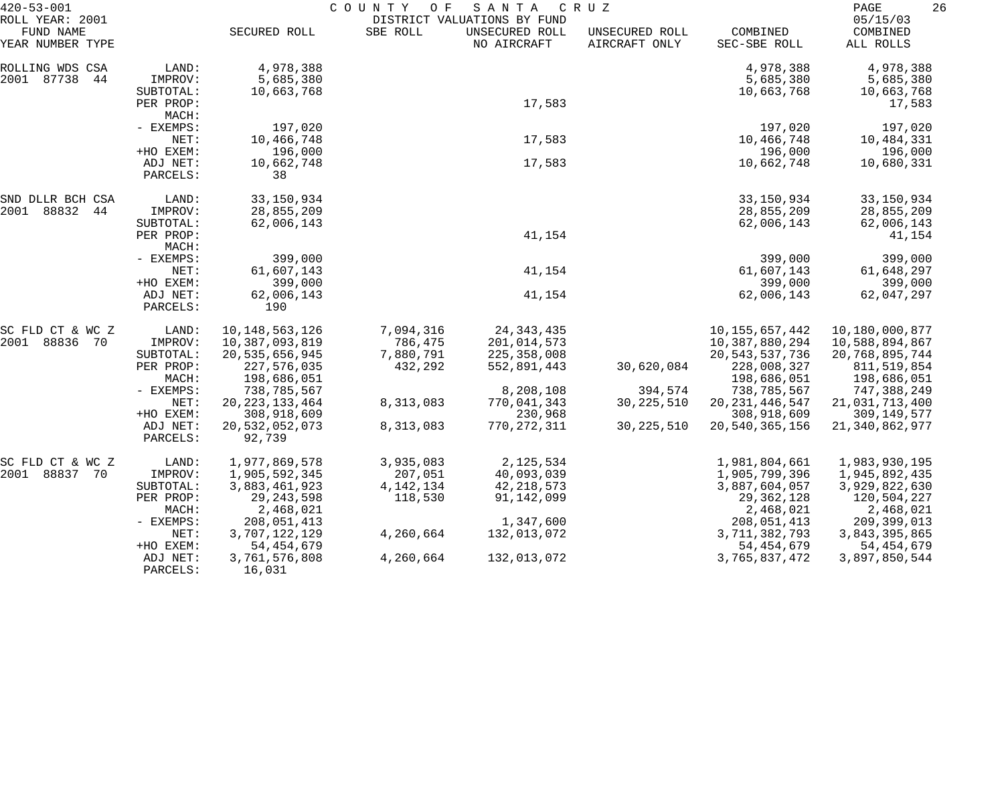| $420 - 53 - 001$                                 |                      |                          | COUNTY<br>O F | SANTA                                                        | C R U Z                         |                          | 26<br>PAGE                        |
|--------------------------------------------------|----------------------|--------------------------|---------------|--------------------------------------------------------------|---------------------------------|--------------------------|-----------------------------------|
| ROLL YEAR: 2001<br>FUND NAME<br>YEAR NUMBER TYPE |                      | SECURED ROLL             | SBE ROLL      | DISTRICT VALUATIONS BY FUND<br>UNSECURED ROLL<br>NO AIRCRAFT | UNSECURED ROLL<br>AIRCRAFT ONLY | COMBINED<br>SEC-SBE ROLL | 05/15/03<br>COMBINED<br>ALL ROLLS |
| ROLLING WDS CSA                                  | LAND:                | 4,978,388                |               |                                                              |                                 | 4,978,388                | 4,978,388                         |
| 2001 87738<br>44                                 | IMPROV:              | 5,685,380                |               |                                                              |                                 | 5,685,380                | 5,685,380                         |
|                                                  | SUBTOTAL:            | 10,663,768               |               |                                                              |                                 | 10,663,768               | 10,663,768                        |
|                                                  | PER PROP:            |                          |               | 17,583                                                       |                                 |                          | 17,583                            |
|                                                  | MACH:                |                          |               |                                                              |                                 |                          |                                   |
|                                                  | - EXEMPS:            | 197,020                  |               |                                                              |                                 | 197,020                  | 197,020                           |
|                                                  | NET:                 | 10,466,748               |               | 17,583                                                       |                                 | 10,466,748               | 10,484,331                        |
|                                                  | +HO EXEM:            | 196,000                  |               |                                                              |                                 | 196,000                  | 196,000                           |
|                                                  | ADJ NET:<br>PARCELS: | 10,662,748<br>38         |               | 17,583                                                       |                                 | 10,662,748               | 10,680,331                        |
| SND DLLR BCH CSA                                 | LAND:                | 33, 150, 934             |               |                                                              |                                 | 33, 150, 934             | 33, 150, 934                      |
| 2001 88832 44                                    | IMPROV:              | 28,855,209               |               |                                                              |                                 | 28,855,209               | 28,855,209                        |
|                                                  | SUBTOTAL:            | 62,006,143               |               |                                                              |                                 | 62,006,143               | 62,006,143                        |
|                                                  | PER PROP:            |                          |               | 41,154                                                       |                                 |                          | 41,154                            |
|                                                  | MACH:                |                          |               |                                                              |                                 |                          |                                   |
|                                                  | - EXEMPS:            | 399,000                  |               |                                                              |                                 | 399,000                  | 399,000                           |
|                                                  | NET:                 | 61,607,143               |               | 41,154                                                       |                                 | 61,607,143               | 61,648,297                        |
|                                                  | +HO EXEM:            | 399,000                  |               |                                                              |                                 | 399,000                  | 399,000                           |
|                                                  | ADJ NET:<br>PARCELS: | 62,006,143<br>190        |               | 41,154                                                       |                                 | 62,006,143               | 62,047,297                        |
| SC FLD CT & WC Z                                 | LAND:                | 10, 148, 563, 126        | 7,094,316     | 24, 343, 435                                                 |                                 | 10, 155, 657, 442        | 10,180,000,877                    |
| 2001<br>88836<br>- 70                            | IMPROV:              | 10,387,093,819           | 786,475       | 201,014,573                                                  |                                 | 10,387,880,294           | 10,588,894,867                    |
|                                                  | SUBTOTAL:            | 20,535,656,945           | 7,880,791     | 225,358,008                                                  |                                 | 20, 543, 537, 736        | 20,768,895,744                    |
|                                                  | PER PROP:            | 227,576,035              | 432,292       | 552,891,443                                                  | 30,620,084                      | 228,008,327              | 811,519,854                       |
|                                                  | MACH:                | 198,686,051              |               |                                                              |                                 | 198,686,051              | 198,686,051                       |
|                                                  | - EXEMPS:            | 738,785,567              |               | 8,208,108                                                    | 394,574                         | 738,785,567              | 747,388,249                       |
|                                                  | NET:                 | 20, 223, 133, 464        | 8,313,083     | 770,041,343                                                  | 30, 225, 510                    | 20, 231, 446, 547        | 21,031,713,400                    |
|                                                  | +HO EXEM:            | 308,918,609              |               | 230,968                                                      |                                 | 308,918,609              | 309,149,577                       |
|                                                  | ADJ NET:<br>PARCELS: | 20,532,052,073<br>92,739 | 8,313,083     | 770, 272, 311                                                | 30, 225, 510                    | 20,540,365,156           | 21, 340, 862, 977                 |
| SC FLD CT & WC Z                                 | LAND:                | 1,977,869,578            | 3,935,083     | 2,125,534                                                    |                                 | 1,981,804,661            | 1,983,930,195                     |
| 2001 88837 70                                    | IMPROV:              | 1,905,592,345            | 207,051       | 40,093,039                                                   |                                 | 1,905,799,396            | 1,945,892,435                     |
|                                                  | SUBTOTAL:            | 3,883,461,923            | 4, 142, 134   | 42, 218, 573                                                 |                                 | 3,887,604,057            | 3,929,822,630                     |
|                                                  | PER PROP:            | 29, 243, 598             | 118,530       | 91, 142, 099                                                 |                                 | 29, 362, 128             | 120,504,227                       |
|                                                  | MACH:                | 2,468,021                |               |                                                              |                                 | 2,468,021                | 2,468,021                         |
|                                                  | - EXEMPS:            | 208,051,413              |               | 1,347,600                                                    |                                 | 208,051,413              | 209,399,013                       |
|                                                  | NET:                 | 3,707,122,129            | 4,260,664     | 132,013,072                                                  |                                 | 3,711,382,793            | 3,843,395,865                     |
|                                                  | +HO EXEM:            | 54, 454, 679             |               |                                                              |                                 | 54, 454, 679             | 54, 454, 679                      |
|                                                  | ADJ NET:<br>PARCELS: | 3,761,576,808<br>16,031  | 4,260,664     | 132,013,072                                                  |                                 | 3,765,837,472            | 3,897,850,544                     |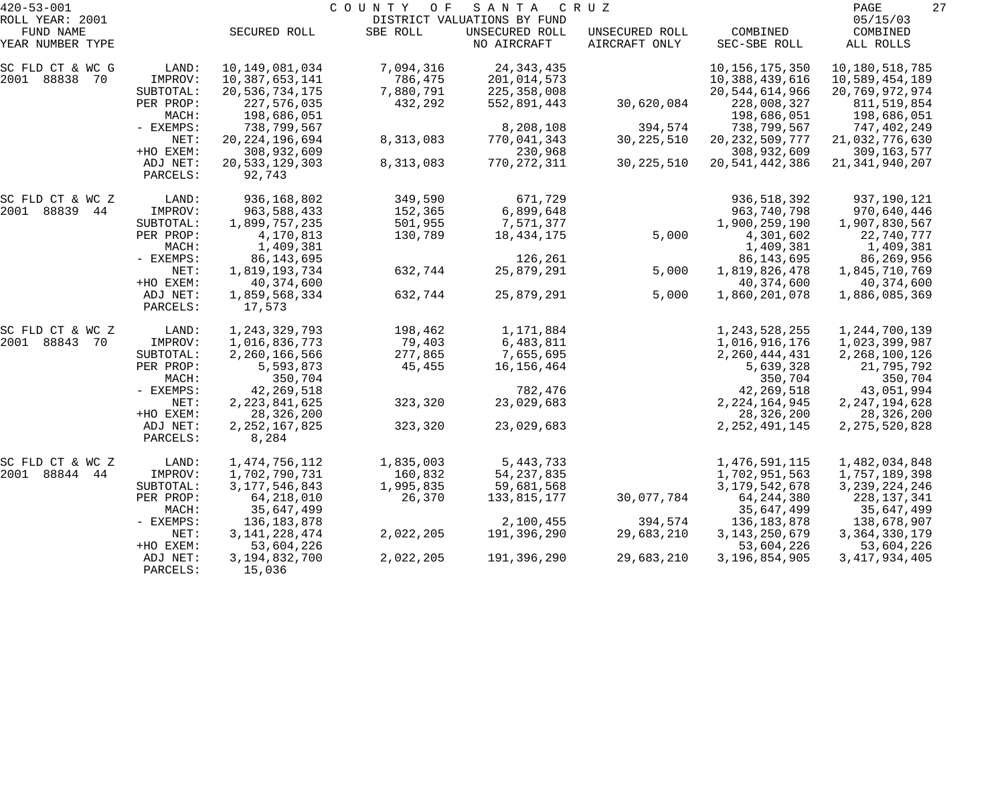| $420 - 53 - 001$             |                        |                                  | COUNTY<br>O F        | SANTA                                         | C R U Z        |                                | 27<br>PAGE                     |
|------------------------------|------------------------|----------------------------------|----------------------|-----------------------------------------------|----------------|--------------------------------|--------------------------------|
| ROLL YEAR: 2001<br>FUND NAME |                        | SECURED ROLL                     | SBE ROLL             | DISTRICT VALUATIONS BY FUND<br>UNSECURED ROLL | UNSECURED ROLL | COMBINED                       | 05/15/03<br>COMBINED           |
| YEAR NUMBER TYPE             |                        |                                  |                      | NO AIRCRAFT                                   | AIRCRAFT ONLY  | SEC-SBE ROLL                   | ALL ROLLS                      |
| SC FLD CT & WC G             | LAND:                  | 10,149,081,034                   | 7,094,316            | 24, 343, 435                                  |                | 10, 156, 175, 350              | 10,180,518,785                 |
| 2001 88838 70                | IMPROV:                | 10,387,653,141                   | 786,475              | 201,014,573                                   |                | 10,388,439,616                 | 10,589,454,189                 |
|                              | SUBTOTAL:<br>PER PROP: | 20,536,734,175<br>227,576,035    | 7,880,791<br>432,292 | 225, 358, 008<br>552,891,443                  | 30,620,084     | 20,544,614,966<br>228,008,327  | 20,769,972,974<br>811,519,854  |
|                              | MACH:                  | 198,686,051                      |                      |                                               |                | 198,686,051                    | 198,686,051                    |
|                              | - EXEMPS:              | 738,799,567                      |                      | 8,208,108                                     | 394,574        | 738,799,567                    | 747,402,249                    |
|                              | NET:                   | 20, 224, 196, 694                | 8,313,083            | 770,041,343                                   | 30, 225, 510   | 20, 232, 509, 777              | 21,032,776,630                 |
|                              | +HO EXEM:              | 308,932,609                      |                      | 230,968                                       |                | 308,932,609                    | 309,163,577                    |
|                              | ADJ NET:               | 20,533,129,303                   | 8,313,083            | 770,272,311                                   | 30, 225, 510   | 20, 541, 442, 386              | 21, 341, 940, 207              |
|                              | PARCELS:               | 92,743                           |                      |                                               |                |                                |                                |
| SC FLD CT & WC Z             | LAND:                  | 936,168,802                      | 349,590              | 671,729                                       |                | 936, 518, 392                  | 937,190,121                    |
| 2001 88839 44                | IMPROV:                | 963,588,433                      | 152,365              | 6,899,648                                     |                | 963,740,798                    | 970,640,446                    |
|                              | SUBTOTAL:              | 1,899,757,235                    | 501,955              | 7,571,377                                     |                | 1,900,259,190                  | 1,907,830,567                  |
|                              | PER PROP:              | 4,170,813                        | 130,789              | 18,434,175                                    | 5,000          | 4,301,602                      | 22,740,777                     |
|                              | MACH:                  | 1,409,381                        |                      |                                               |                | 1,409,381                      | 1,409,381                      |
|                              | - EXEMPS:<br>NET:      | 86, 143, 695<br>1,819,193,734    | 632,744              | 126,261<br>25,879,291                         | 5,000          | 86, 143, 695<br>1,819,826,478  | 86,269,956<br>1,845,710,769    |
|                              | +HO EXEM:              | 40,374,600                       |                      |                                               |                | 40,374,600                     | 40,374,600                     |
|                              | ADJ NET:               | 1,859,568,334                    | 632,744              | 25,879,291                                    | 5,000          | 1,860,201,078                  | 1,886,085,369                  |
|                              | PARCELS:               | 17,573                           |                      |                                               |                |                                |                                |
| SC FLD CT & WC Z             | LAND:                  | 1, 243, 329, 793                 | 198,462              | 1,171,884                                     |                | 1, 243, 528, 255               | 1,244,700,139                  |
| 2001 88843 70                | IMPROV:                | 1,016,836,773                    | 79,403               | 6,483,811                                     |                | 1,016,916,176                  | 1,023,399,987                  |
|                              | SUBTOTAL:              | 2,260,166,566                    | 277,865              | 7,655,695                                     |                | 2, 260, 444, 431               | 2, 268, 100, 126               |
|                              | PER PROP:              | 5,593,873                        | 45,455               | 16, 156, 464                                  |                | 5,639,328                      | 21,795,792                     |
|                              | MACH:                  | 350,704                          |                      |                                               |                | 350,704                        | 350,704                        |
|                              | - EXEMPS:              | 42, 269, 518                     |                      | 782,476                                       |                | 42, 269, 518                   | 43,051,994                     |
|                              | NET:                   | 2, 223, 841, 625                 | 323,320              | 23,029,683                                    |                | 2, 224, 164, 945               | 2, 247, 194, 628               |
|                              | +HO EXEM:<br>ADJ NET:  | 28, 326, 200<br>2, 252, 167, 825 | 323,320              | 23,029,683                                    |                | 28,326,200<br>2, 252, 491, 145 | 28,326,200<br>2, 275, 520, 828 |
|                              | PARCELS:               | 8,284                            |                      |                                               |                |                                |                                |
| SC FLD CT & WC Z             | LAND:                  | 1, 474, 756, 112                 | 1,835,003            | 5, 443, 733                                   |                | 1,476,591,115                  | 1,482,034,848                  |
| 2001<br>88844<br>44          | IMPROV:                | 1,702,790,731                    | 160,832              | 54, 237, 835                                  |                | 1,702,951,563                  | 1,757,189,398                  |
|                              | SUBTOTAL:              | 3, 177, 546, 843                 | 1,995,835            | 59,681,568                                    |                | 3,179,542,678                  | 3, 239, 224, 246               |
|                              | PER PROP:              | 64, 218, 010                     | 26,370               | 133,815,177                                   | 30,077,784     | 64, 244, 380                   | 228, 137, 341                  |
|                              | MACH:                  | 35,647,499                       |                      |                                               |                | 35,647,499                     | 35,647,499                     |
|                              | $-$ EXEMPS:            | 136, 183, 878                    |                      | 2,100,455                                     | 394,574        | 136, 183, 878                  | 138,678,907                    |
|                              | NET:                   | 3, 141, 228, 474                 | 2,022,205            | 191,396,290                                   | 29,683,210     | 3, 143, 250, 679               | 3, 364, 330, 179               |
|                              | +HO EXEM:              | 53,604,226                       |                      |                                               |                | 53,604,226                     | 53,604,226                     |
|                              | ADJ NET:<br>PARCELS:   | 3,194,832,700<br>15,036          | 2,022,205            | 191,396,290                                   | 29,683,210     | 3,196,854,905                  | 3, 417, 934, 405               |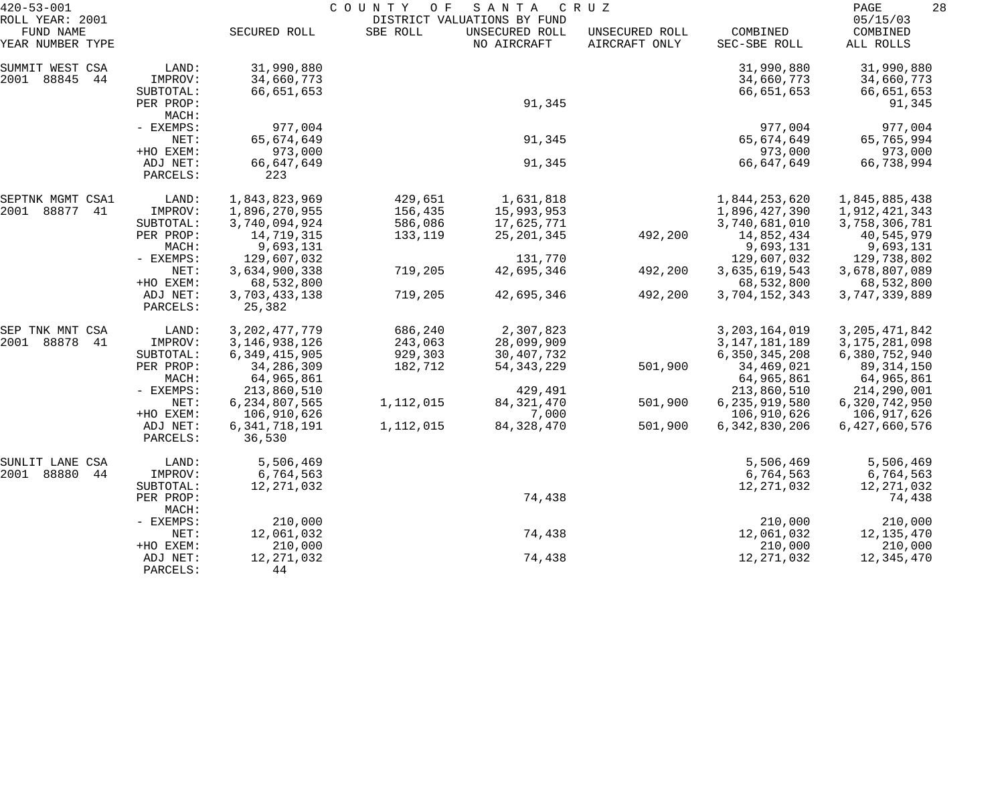| $420 - 53 - 001$                                 |                       | COUNTY<br>O F<br>SANTA<br>C R U Z |           |                                                              |                                 |                          | 28<br>PAGE                        |  |
|--------------------------------------------------|-----------------------|-----------------------------------|-----------|--------------------------------------------------------------|---------------------------------|--------------------------|-----------------------------------|--|
| ROLL YEAR: 2001<br>FUND NAME<br>YEAR NUMBER TYPE |                       | SECURED ROLL                      | SBE ROLL  | DISTRICT VALUATIONS BY FUND<br>UNSECURED ROLL<br>NO AIRCRAFT | UNSECURED ROLL<br>AIRCRAFT ONLY | COMBINED<br>SEC-SBE ROLL | 05/15/03<br>COMBINED<br>ALL ROLLS |  |
| SUMMIT WEST CSA                                  | LAND:                 | 31,990,880                        |           |                                                              |                                 | 31,990,880               | 31,990,880                        |  |
| 2001 88845<br>44                                 | IMPROV:<br>SUBTOTAL:  | 34,660,773<br>66,651,653          |           |                                                              |                                 | 34,660,773<br>66,651,653 | 34,660,773<br>66,651,653          |  |
|                                                  | PER PROP:<br>MACH:    |                                   |           | 91,345                                                       |                                 |                          | 91,345                            |  |
|                                                  | - EXEMPS:<br>NET:     | 977,004<br>65,674,649             |           | 91,345                                                       |                                 | 977,004<br>65,674,649    | 977,004<br>65,765,994             |  |
|                                                  | +HO EXEM:<br>ADJ NET: | 973,000                           |           | 91,345                                                       |                                 | 973,000<br>66,647,649    | 973,000<br>66,738,994             |  |
|                                                  | PARCELS:              | 66,647,649<br>223                 |           |                                                              |                                 |                          |                                   |  |
| SEPTNK MGMT CSA1                                 | LAND:                 | 1,843,823,969                     | 429,651   | 1,631,818                                                    |                                 | 1,844,253,620            | 1,845,885,438                     |  |
| 2001 88877<br>41                                 | IMPROV:               | 1,896,270,955                     | 156,435   | 15,993,953                                                   |                                 | 1,896,427,390            | 1,912,421,343                     |  |
|                                                  | SUBTOTAL:             | 3,740,094,924                     | 586,086   | 17,625,771                                                   |                                 | 3,740,681,010            | 3,758,306,781                     |  |
|                                                  | PER PROP:<br>MACH:    | 14,719,315<br>9,693,131           | 133,119   | 25, 201, 345                                                 | 492,200                         | 14,852,434<br>9,693,131  | 40,545,979                        |  |
|                                                  | - EXEMPS:             | 129,607,032                       |           | 131,770                                                      |                                 | 129,607,032              | 9,693,131<br>129,738,802          |  |
|                                                  | NET:                  | 3,634,900,338                     | 719,205   | 42,695,346                                                   | 492,200                         | 3,635,619,543            | 3,678,807,089                     |  |
|                                                  | +HO EXEM:             | 68,532,800                        |           |                                                              |                                 | 68,532,800               | 68,532,800                        |  |
|                                                  | ADJ NET:<br>PARCELS:  | 3,703,433,138<br>25,382           | 719,205   | 42,695,346                                                   | 492,200                         | 3,704,152,343            | 3,747,339,889                     |  |
| SEP TNK MNT CSA                                  | LAND:                 | 3, 202, 477, 779                  | 686,240   | 2,307,823                                                    |                                 | 3, 203, 164, 019         | 3, 205, 471, 842                  |  |
| 2001 88878<br>-41                                | IMPROV:               | 3, 146, 938, 126                  | 243,063   | 28,099,909                                                   |                                 | 3, 147, 181, 189         | 3, 175, 281, 098                  |  |
|                                                  | SUBTOTAL:             | 6, 349, 415, 905                  | 929,303   | 30, 407, 732                                                 |                                 | 6,350,345,208            | 6,380,752,940                     |  |
|                                                  | PER PROP:<br>MACH:    | 34,286,309<br>64,965,861          | 182,712   | 54, 343, 229                                                 | 501,900                         | 34,469,021<br>64,965,861 | 89, 314, 150<br>64,965,861        |  |
|                                                  | - EXEMPS:             | 213,860,510                       |           | 429,491                                                      |                                 | 213,860,510              | 214,290,001                       |  |
|                                                  | NET:                  | 6, 234, 807, 565                  | 1,112,015 | 84, 321, 470                                                 | 501,900                         | 6,235,919,580            | 6,320,742,950                     |  |
|                                                  | +HO EXEM:             | 106,910,626                       |           | 7,000                                                        |                                 | 106,910,626              | 106,917,626                       |  |
|                                                  | ADJ NET:<br>PARCELS:  | 6, 341, 718, 191<br>36,530        | 1,112,015 | 84, 328, 470                                                 | 501,900                         | 6, 342, 830, 206         | 6,427,660,576                     |  |
| SUNLIT LANE CSA                                  | LAND:                 | 5,506,469                         |           |                                                              |                                 | 5,506,469                | 5,506,469                         |  |
| 2001 88880<br>44                                 | IMPROV:               | 6,764,563                         |           |                                                              |                                 | 6,764,563                | 6,764,563                         |  |
|                                                  | SUBTOTAL:             | 12, 271, 032                      |           |                                                              |                                 | 12, 271, 032             | 12, 271, 032                      |  |
|                                                  | PER PROP:             |                                   |           | 74,438                                                       |                                 |                          | 74,438                            |  |
|                                                  | MACH:<br>- EXEMPS:    | 210,000                           |           |                                                              |                                 | 210,000                  | 210,000                           |  |
|                                                  | NET:                  | 12,061,032                        |           | 74,438                                                       |                                 | 12,061,032               | 12,135,470                        |  |
|                                                  | +HO EXEM:             | 210,000                           |           |                                                              |                                 | 210,000                  | 210,000                           |  |
|                                                  | ADJ NET:              | 12, 271, 032                      |           | 74,438                                                       |                                 | 12, 271, 032             | 12,345,470                        |  |
|                                                  | PARCELS:              | 44                                |           |                                                              |                                 |                          |                                   |  |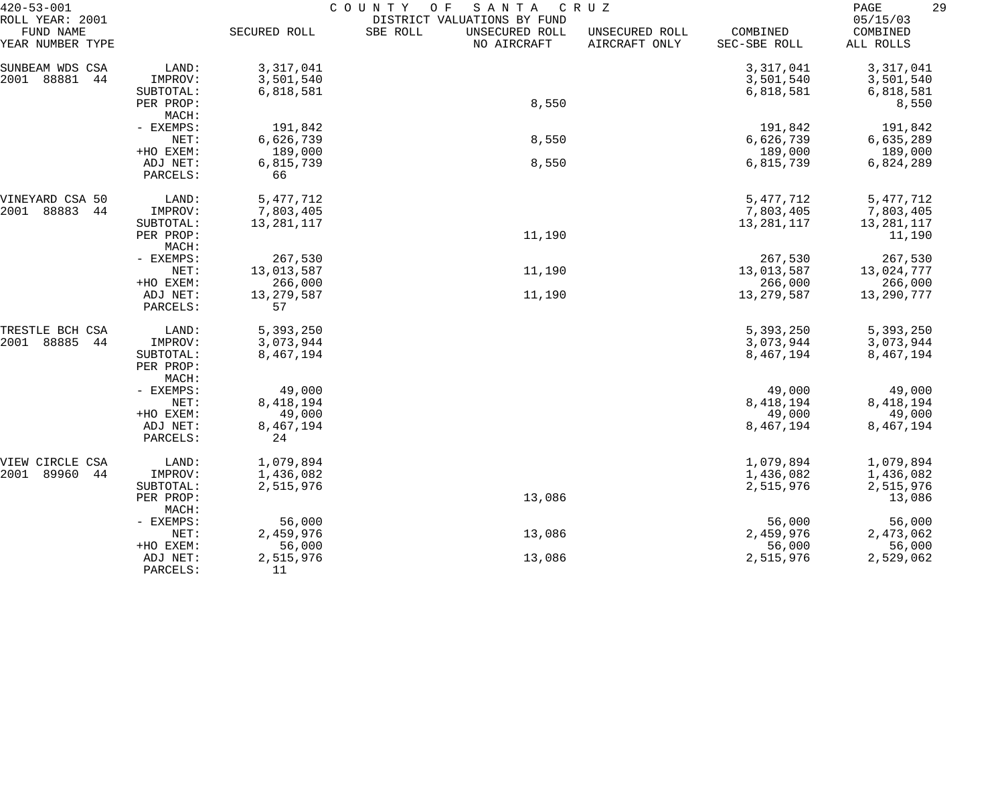| $420 - 53 - 001$                                 |                        | COUNTY<br>SANTA<br>CRUZ<br>O F |                                                                          |                                 |                          |                                   |  |
|--------------------------------------------------|------------------------|--------------------------------|--------------------------------------------------------------------------|---------------------------------|--------------------------|-----------------------------------|--|
| ROLL YEAR: 2001<br>FUND NAME<br>YEAR NUMBER TYPE |                        | SECURED ROLL                   | DISTRICT VALUATIONS BY FUND<br>SBE ROLL<br>UNSECURED ROLL<br>NO AIRCRAFT | UNSECURED ROLL<br>AIRCRAFT ONLY | COMBINED<br>SEC-SBE ROLL | 05/15/03<br>COMBINED<br>ALL ROLLS |  |
| SUNBEAM WDS CSA                                  | LAND:                  | 3,317,041                      |                                                                          |                                 | 3,317,041                | 3,317,041                         |  |
| 88881<br>2001<br>44                              | IMPROV:                | 3,501,540                      |                                                                          |                                 | 3,501,540                | 3,501,540                         |  |
|                                                  | SUBTOTAL:              | 6,818,581                      |                                                                          |                                 | 6,818,581                | 6,818,581                         |  |
|                                                  | PER PROP:              |                                | 8,550                                                                    |                                 |                          | 8,550                             |  |
|                                                  | MACH:                  |                                |                                                                          |                                 |                          |                                   |  |
|                                                  | - EXEMPS:              | 191,842                        |                                                                          |                                 | 191,842                  | 191,842                           |  |
|                                                  | NET:                   | 6,626,739                      | 8,550                                                                    |                                 | 6,626,739                | 6,635,289                         |  |
|                                                  | +HO EXEM:              | 189,000                        |                                                                          |                                 | 189,000                  | 189,000                           |  |
|                                                  | ADJ NET:               | 6,815,739                      | 8,550                                                                    |                                 | 6,815,739                | 6,824,289                         |  |
|                                                  | PARCELS:               | 66                             |                                                                          |                                 |                          |                                   |  |
| VINEYARD CSA 50                                  | LAND:                  | 5, 477, 712                    |                                                                          |                                 | 5, 477, 712              | 5, 477, 712                       |  |
| 2001<br>88883<br>44                              | IMPROV:                | 7,803,405                      |                                                                          |                                 | 7,803,405                | 7,803,405                         |  |
|                                                  | SUBTOTAL:              | 13,281,117                     |                                                                          |                                 | 13,281,117               | 13,281,117                        |  |
|                                                  | PER PROP:              |                                | 11,190                                                                   |                                 |                          | 11,190                            |  |
|                                                  | MACH:                  |                                |                                                                          |                                 |                          |                                   |  |
|                                                  | - EXEMPS:              | 267,530                        |                                                                          |                                 | 267,530                  | 267,530                           |  |
|                                                  | NET:                   | 13,013,587                     | 11,190                                                                   |                                 | 13,013,587               | 13,024,777                        |  |
|                                                  | +HO EXEM:              | 266,000                        |                                                                          |                                 | 266,000                  | 266,000                           |  |
|                                                  | ADJ NET:<br>PARCELS:   | 13, 279, 587<br>57             | 11,190                                                                   |                                 | 13, 279, 587             | 13,290,777                        |  |
| TRESTLE BCH CSA                                  | LAND:                  | 5,393,250                      |                                                                          |                                 | 5,393,250                | 5,393,250                         |  |
| 88885<br>2001<br>44                              | IMPROV:                | 3,073,944                      |                                                                          |                                 | 3,073,944                | 3,073,944                         |  |
|                                                  | SUBTOTAL:<br>PER PROP: | 8,467,194                      |                                                                          |                                 | 8,467,194                | 8,467,194                         |  |
|                                                  | MACH:<br>- EXEMPS:     | 49,000                         |                                                                          |                                 | 49,000                   | 49,000                            |  |
|                                                  | NET:                   | 8,418,194                      |                                                                          |                                 | 8,418,194                | 8, 418, 194                       |  |
|                                                  | +HO EXEM:              | 49,000                         |                                                                          |                                 | 49,000                   | 49,000                            |  |
|                                                  | ADJ NET:               | 8,467,194                      |                                                                          |                                 | 8,467,194                | 8,467,194                         |  |
|                                                  | PARCELS:               | 24                             |                                                                          |                                 |                          |                                   |  |
| VIEW CIRCLE<br>CSA                               | LAND:                  | 1,079,894                      |                                                                          |                                 | 1,079,894                | 1,079,894                         |  |
| 89960<br>2001<br>44                              | IMPROV:                | 1,436,082                      |                                                                          |                                 | 1,436,082                | 1,436,082                         |  |
|                                                  | SUBTOTAL:              | 2,515,976                      |                                                                          |                                 | 2,515,976                | 2,515,976                         |  |
|                                                  | PER PROP:<br>MACH:     |                                | 13,086                                                                   |                                 |                          | 13,086                            |  |
|                                                  | - EXEMPS:              | 56,000                         |                                                                          |                                 | 56,000                   | 56,000                            |  |
|                                                  | NET:                   | 2,459,976                      | 13,086                                                                   |                                 | 2,459,976                | 2,473,062                         |  |
|                                                  | +HO EXEM:              | 56,000                         |                                                                          |                                 | 56,000                   | 56,000                            |  |
|                                                  | ADJ NET:               | 2,515,976                      | 13,086                                                                   |                                 | 2,515,976                | 2,529,062                         |  |
|                                                  | PARCELS:               | 11                             |                                                                          |                                 |                          |                                   |  |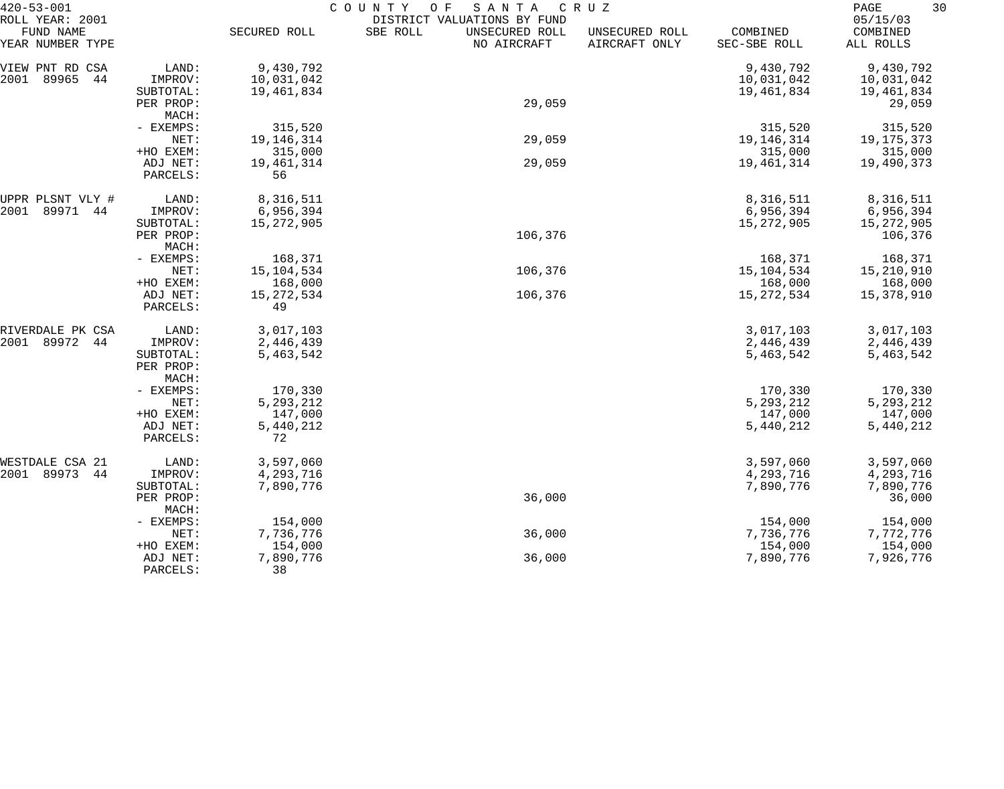| $420 - 53 - 001$              |                      | COUNTY<br>SANTA<br>O F<br>CRUZ |                                           |                                 |                          |                       |  |
|-------------------------------|----------------------|--------------------------------|-------------------------------------------|---------------------------------|--------------------------|-----------------------|--|
| ROLL YEAR: 2001               |                      |                                | DISTRICT VALUATIONS BY FUND               |                                 |                          | 05/15/03              |  |
| FUND NAME<br>YEAR NUMBER TYPE |                      | SECURED ROLL                   | SBE ROLL<br>UNSECURED ROLL<br>NO AIRCRAFT | UNSECURED ROLL<br>AIRCRAFT ONLY | COMBINED<br>SEC-SBE ROLL | COMBINED<br>ALL ROLLS |  |
| VIEW PNT RD CSA               | LAND:                | 9,430,792                      |                                           |                                 | 9,430,792                | 9,430,792             |  |
| 2001<br>89965<br>44           | IMPROV:              | 10,031,042                     |                                           |                                 | 10,031,042               | 10,031,042            |  |
|                               | SUBTOTAL:            | 19,461,834                     |                                           |                                 | 19,461,834               | 19,461,834            |  |
|                               | PER PROP:            |                                | 29,059                                    |                                 |                          | 29,059                |  |
|                               | MACH:                |                                |                                           |                                 |                          |                       |  |
|                               | - EXEMPS:            | 315,520                        |                                           |                                 | 315,520                  | 315,520               |  |
|                               | NET:                 | 19, 146, 314                   | 29,059                                    |                                 | 19, 146, 314             | 19,175,373            |  |
|                               | +HO EXEM:            | 315,000                        |                                           |                                 | 315,000                  | 315,000               |  |
|                               | ADJ NET:             | 19, 461, 314                   | 29,059                                    |                                 | 19,461,314               | 19,490,373            |  |
|                               | PARCELS:             | 56                             |                                           |                                 |                          |                       |  |
| UPPR PLSNT VLY #              | LAND:                | 8,316,511                      |                                           |                                 | 8,316,511                | 8,316,511             |  |
| 89971<br>2001<br>44           | IMPROV:              | 6,956,394                      |                                           |                                 | 6,956,394                | 6,956,394             |  |
|                               | SUBTOTAL:            | 15, 272, 905                   |                                           |                                 | 15, 272, 905             | 15,272,905            |  |
|                               | PER PROP:            |                                | 106,376                                   |                                 |                          | 106,376               |  |
|                               | MACH:                |                                |                                           |                                 |                          |                       |  |
|                               | - EXEMPS:            | 168,371                        | 106,376                                   |                                 | 168,371                  | 168,371               |  |
|                               | NET:<br>+HO EXEM:    | 15, 104, 534<br>168,000        |                                           |                                 | 15,104,534<br>168,000    | 15,210,910<br>168,000 |  |
|                               | ADJ NET:             | 15, 272, 534                   | 106,376                                   |                                 | 15, 272, 534             | 15,378,910            |  |
|                               | PARCELS:             | 49                             |                                           |                                 |                          |                       |  |
| RIVERDALE PK CSA              | LAND:                | 3,017,103                      |                                           |                                 | 3,017,103                | 3,017,103             |  |
| 89972<br>2001<br>44           | IMPROV:              | 2,446,439                      |                                           |                                 | 2,446,439                | 2,446,439             |  |
|                               | SUBTOTAL:            | 5,463,542                      |                                           |                                 | 5,463,542                | 5,463,542             |  |
|                               | PER PROP:            |                                |                                           |                                 |                          |                       |  |
|                               | MACH:                |                                |                                           |                                 |                          |                       |  |
|                               | - EXEMPS:            | 170,330                        |                                           |                                 | 170,330                  | 170,330               |  |
|                               | NET:                 | 5,293,212                      |                                           |                                 | 5, 293, 212              | 5,293,212             |  |
|                               | +HO EXEM:            | 147,000                        |                                           |                                 | 147,000                  | 147,000               |  |
|                               | ADJ NET:<br>PARCELS: | 5,440,212<br>72                |                                           |                                 | 5,440,212                | 5,440,212             |  |
| WESTDALE CSA 21               | LAND:                | 3,597,060                      |                                           |                                 | 3,597,060                | 3,597,060             |  |
| 2001 89973<br>44              | IMPROV:              | 4,293,716                      |                                           |                                 | 4,293,716                | 4,293,716             |  |
|                               | SUBTOTAL:            | 7,890,776                      |                                           |                                 | 7,890,776                | 7,890,776             |  |
|                               | PER PROP:            |                                | 36,000                                    |                                 |                          | 36,000                |  |
|                               | MACH:                |                                |                                           |                                 |                          |                       |  |
|                               | - EXEMPS:            | 154,000                        |                                           |                                 | 154,000                  | 154,000               |  |
|                               | NET:                 | 7,736,776                      | 36,000                                    |                                 | 7,736,776                | 7,772,776             |  |
|                               | +HO EXEM:            | 154,000                        |                                           |                                 | 154,000                  | 154,000               |  |
|                               | ADJ NET:             | 7,890,776                      | 36,000                                    |                                 | 7,890,776                | 7,926,776             |  |
|                               | PARCELS:             | 38                             |                                           |                                 |                          |                       |  |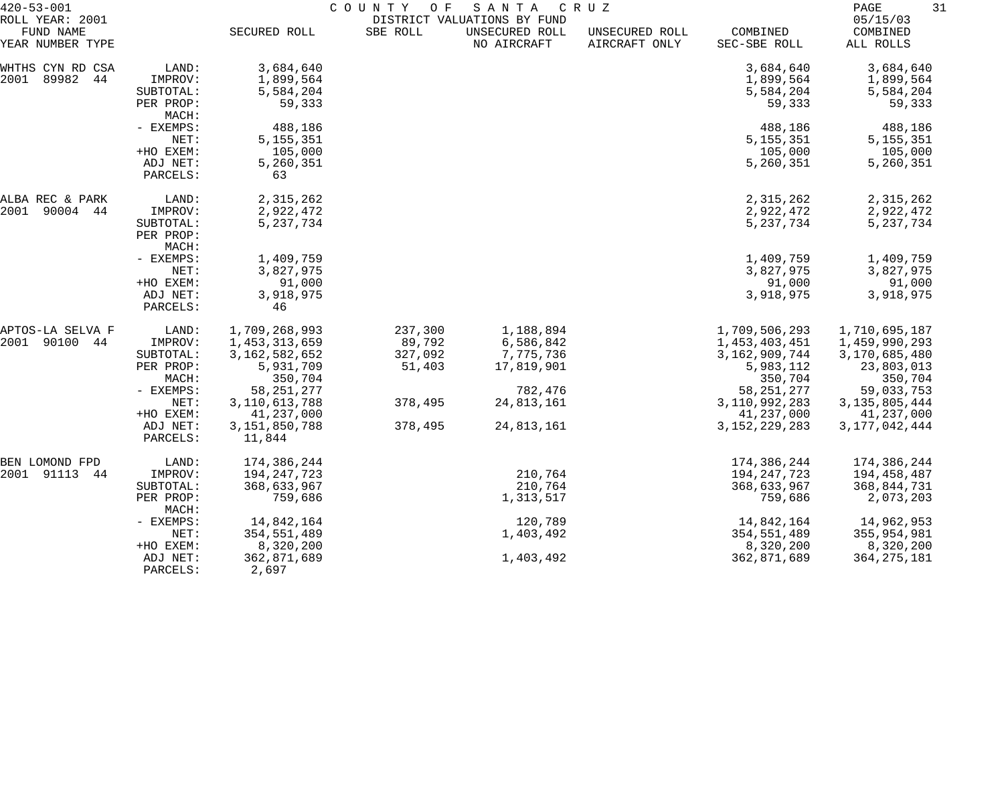| $420 - 53 - 001$                                 |                                                                                                   | COUNTY OF<br>SANTA<br>C R U Z<br>DISTRICT VALUATIONS BY FUND                                                                                  |                                                              |                                                                                          |                                 |                                                                                                                                                  | PAGE<br>31                                                                                                                                   |  |
|--------------------------------------------------|---------------------------------------------------------------------------------------------------|-----------------------------------------------------------------------------------------------------------------------------------------------|--------------------------------------------------------------|------------------------------------------------------------------------------------------|---------------------------------|--------------------------------------------------------------------------------------------------------------------------------------------------|----------------------------------------------------------------------------------------------------------------------------------------------|--|
| ROLL YEAR: 2001<br>FUND NAME<br>YEAR NUMBER TYPE |                                                                                                   | SECURED ROLL                                                                                                                                  | SBE ROLL                                                     | UNSECURED ROLL<br>NO AIRCRAFT                                                            | UNSECURED ROLL<br>AIRCRAFT ONLY | COMBINED<br>SEC-SBE ROLL                                                                                                                         | 05/15/03<br>COMBINED<br>ALL ROLLS                                                                                                            |  |
| WHTHS CYN RD CSA<br>2001<br>89982<br>44          | LAND:<br>IMPROV:<br>SUBTOTAL:<br>PER PROP:<br>MACH:                                               | 3,684,640<br>1,899,564<br>5,584,204<br>59,333                                                                                                 |                                                              |                                                                                          |                                 | 3,684,640<br>1,899,564<br>5,584,204<br>59,333                                                                                                    | 3,684,640<br>1,899,564<br>5,584,204<br>59,333                                                                                                |  |
|                                                  | - EXEMPS:<br>NET:<br>+HO EXEM:<br>ADJ NET:<br>PARCELS:                                            | 488,186<br>5, 155, 351<br>105,000<br>5,260,351<br>63                                                                                          |                                                              |                                                                                          |                                 | 488,186<br>5, 155, 351<br>105,000<br>5,260,351                                                                                                   | 488,186<br>5,155,351<br>105,000<br>5,260,351                                                                                                 |  |
| ALBA REC & PARK<br>2001<br>90004 44              | LAND:<br>IMPROV:<br>SUBTOTAL:<br>PER PROP:<br>MACH:                                               | 2,315,262<br>2,922,472<br>5,237,734                                                                                                           |                                                              |                                                                                          |                                 | 2,315,262<br>2,922,472<br>5,237,734                                                                                                              | 2,315,262<br>2,922,472<br>5, 237, 734                                                                                                        |  |
|                                                  | - EXEMPS:<br>NET:<br>+HO EXEM:<br>ADJ NET:<br>PARCELS:                                            | 1,409,759<br>3,827,975<br>91,000<br>3,918,975<br>46                                                                                           |                                                              |                                                                                          |                                 | 1,409,759<br>3,827,975<br>91,000<br>3,918,975                                                                                                    | 1,409,759<br>3,827,975<br>91,000<br>3,918,975                                                                                                |  |
| APTOS-LA SELVA F<br>2001<br>90100<br>44          | LAND:<br>IMPROV:<br>SUBTOTAL:<br>PER PROP:<br>MACH:<br>- EXEMPS:<br>NET:<br>+HO EXEM:<br>ADJ NET: | 1,709,268,993<br>1,453,313,659<br>3, 162, 582, 652<br>5,931,709<br>350,704<br>58, 251, 277<br>3, 110, 613, 788<br>41,237,000<br>3,151,850,788 | 237,300<br>89,792<br>327,092<br>51,403<br>378,495<br>378,495 | 1,188,894<br>6,586,842<br>7,775,736<br>17,819,901<br>782,476<br>24,813,161<br>24,813,161 |                                 | 1,709,506,293<br>1,453,403,451<br>3, 162, 909, 744<br>5,983,112<br>350,704<br>58, 251, 277<br>3, 110, 992, 283<br>41,237,000<br>3, 152, 229, 283 | 1,710,695,187<br>1,459,990,293<br>3,170,685,480<br>23,803,013<br>350,704<br>59,033,753<br>3, 135, 805, 444<br>41,237,000<br>3, 177, 042, 444 |  |
| BEN LOMOND FPD<br>2001 91113<br>44               | PARCELS:<br>LAND:<br>IMPROV:<br>SUBTOTAL:<br>PER PROP:<br>MACH:<br>- EXEMPS:<br>NET:<br>+HO EXEM: | 11,844<br>174,386,244<br>194, 247, 723<br>368,633,967<br>759,686<br>14,842,164<br>354,551,489<br>8,320,200                                    |                                                              | 210,764<br>210,764<br>1,313,517<br>120,789<br>1,403,492                                  |                                 | 174,386,244<br>194, 247, 723<br>368,633,967<br>759,686<br>14,842,164<br>354, 551, 489<br>8,320,200                                               | 174,386,244<br>194,458,487<br>368,844,731<br>2,073,203<br>14,962,953<br>355,954,981<br>8,320,200                                             |  |
|                                                  | ADJ NET:<br>PARCELS:                                                                              | 362,871,689<br>2,697                                                                                                                          |                                                              | 1,403,492                                                                                |                                 | 362,871,689                                                                                                                                      | 364, 275, 181                                                                                                                                |  |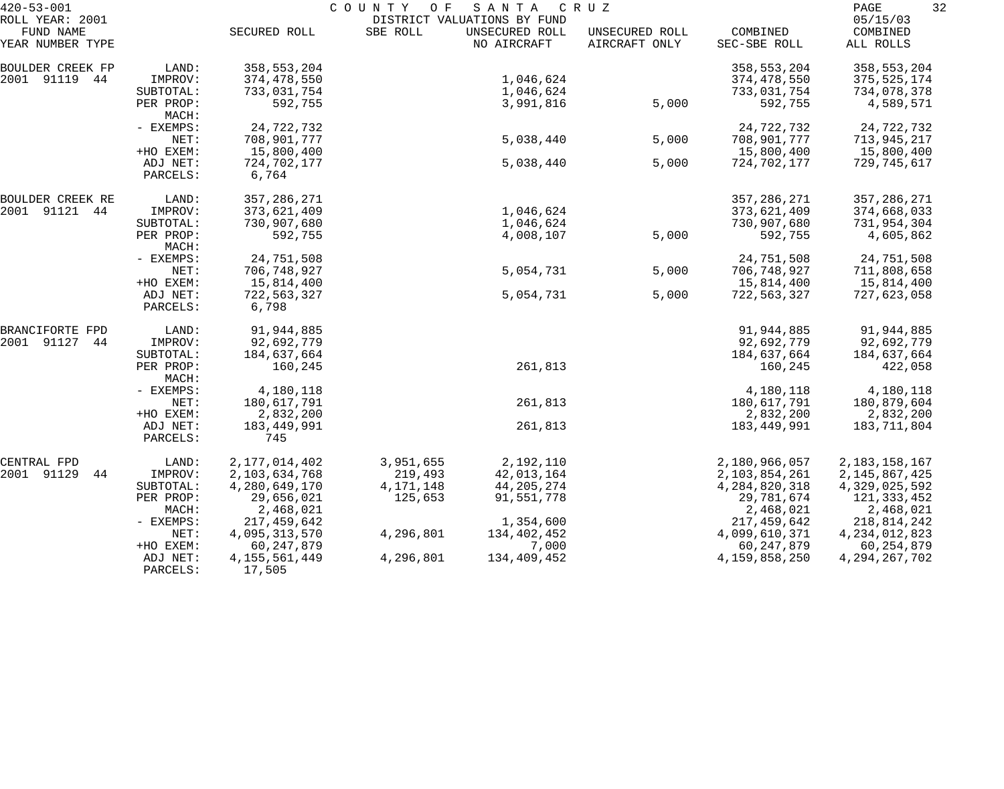| $420 - 53 - 001$                                 |                      | COUNTY<br>O F<br>SANTA<br>C R U Z<br>DISTRICT VALUATIONS BY FUND |             |                               |                                 |                          |                                   |
|--------------------------------------------------|----------------------|------------------------------------------------------------------|-------------|-------------------------------|---------------------------------|--------------------------|-----------------------------------|
| ROLL YEAR: 2001<br>FUND NAME<br>YEAR NUMBER TYPE |                      | SECURED ROLL                                                     | SBE ROLL    | UNSECURED ROLL<br>NO AIRCRAFT | UNSECURED ROLL<br>AIRCRAFT ONLY | COMBINED<br>SEC-SBE ROLL | 05/15/03<br>COMBINED<br>ALL ROLLS |
| BOULDER CREEK FP                                 | LAND:                | 358, 553, 204                                                    |             |                               |                                 | 358, 553, 204            | 358,553,204                       |
| 2001 91119 44                                    | IMPROV:              | 374,478,550                                                      |             | 1,046,624                     |                                 | 374,478,550              | 375, 525, 174                     |
|                                                  | SUBTOTAL:            | 733,031,754                                                      |             | 1,046,624                     |                                 | 733,031,754              | 734,078,378                       |
|                                                  | PER PROP:<br>MACH:   | 592,755                                                          |             | 3,991,816                     | 5,000                           | 592,755                  | 4,589,571                         |
|                                                  | - EXEMPS:            | 24,722,732                                                       |             |                               |                                 | 24,722,732               | 24,722,732                        |
|                                                  | NET:                 | 708,901,777                                                      |             | 5,038,440                     | 5,000                           | 708,901,777              | 713,945,217                       |
|                                                  | +HO EXEM:            | 15,800,400                                                       |             |                               |                                 | 15,800,400               | 15,800,400                        |
|                                                  | ADJ NET:             | 724,702,177                                                      |             | 5,038,440                     | 5,000                           | 724,702,177              | 729,745,617                       |
|                                                  | PARCELS:             | 6,764                                                            |             |                               |                                 |                          |                                   |
| BOULDER CREEK RE                                 | LAND:                | 357, 286, 271                                                    |             |                               |                                 | 357, 286, 271            | 357, 286, 271                     |
| 2001 91121 44                                    | IMPROV:              | 373,621,409                                                      |             | 1,046,624                     |                                 | 373,621,409              | 374,668,033                       |
|                                                  | SUBTOTAL:            | 730,907,680                                                      |             | 1,046,624                     |                                 | 730,907,680              | 731,954,304                       |
|                                                  | PER PROP:<br>MACH:   | 592,755                                                          |             | 4,008,107                     | 5,000                           | 592,755                  | 4,605,862                         |
|                                                  | - EXEMPS:            | 24,751,508                                                       |             |                               |                                 | 24,751,508               | 24,751,508                        |
|                                                  | NET:                 | 706,748,927                                                      |             | 5,054,731                     | 5,000                           | 706,748,927              | 711,808,658                       |
|                                                  | +HO EXEM:            | 15,814,400                                                       |             |                               |                                 | 15,814,400               | 15,814,400                        |
|                                                  | ADJ NET:<br>PARCELS: | 722,563,327<br>6,798                                             |             | 5,054,731                     | 5,000                           | 722,563,327              | 727,623,058                       |
| BRANCIFORTE FPD                                  | LAND:                | 91,944,885                                                       |             |                               |                                 | 91,944,885               | 91,944,885                        |
| 2001 91127<br>44                                 | IMPROV:              | 92,692,779                                                       |             |                               |                                 | 92,692,779               | 92,692,779                        |
|                                                  | SUBTOTAL:            | 184,637,664                                                      |             |                               |                                 | 184,637,664              | 184,637,664                       |
|                                                  | PER PROP:<br>MACH:   | 160,245                                                          |             | 261,813                       |                                 | 160,245                  | 422,058                           |
|                                                  | - EXEMPS:            | 4,180,118                                                        |             |                               |                                 | 4,180,118                | 4,180,118                         |
|                                                  | NET:                 | 180,617,791                                                      |             | 261,813                       |                                 | 180,617,791              | 180,879,604                       |
|                                                  | +HO EXEM:            | 2,832,200                                                        |             |                               |                                 | 2,832,200                | 2,832,200                         |
|                                                  | ADJ NET:             | 183,449,991                                                      |             | 261,813                       |                                 | 183,449,991              | 183,711,804                       |
|                                                  | PARCELS:             | 745                                                              |             |                               |                                 |                          |                                   |
| CENTRAL FPD                                      | LAND:                | 2, 177, 014, 402                                                 | 3,951,655   | 2,192,110                     |                                 | 2,180,966,057            | 2, 183, 158, 167                  |
| 2001 91129<br>44                                 | IMPROV:              | 2,103,634,768                                                    | 219,493     | 42,013,164                    |                                 | 2,103,854,261            | 2, 145, 867, 425                  |
|                                                  | SUBTOTAL:            | 4,280,649,170                                                    | 4, 171, 148 | 44, 205, 274                  |                                 | 4, 284, 820, 318         | 4,329,025,592                     |
|                                                  | PER PROP:            | 29,656,021                                                       | 125,653     | 91,551,778                    |                                 | 29,781,674               | 121,333,452                       |
|                                                  | MACH:                | 2,468,021                                                        |             |                               |                                 | 2,468,021                | 2,468,021                         |
|                                                  | $-$ EXEMPS:          | 217,459,642                                                      |             | 1,354,600                     |                                 | 217, 459, 642            | 218,814,242                       |
|                                                  | NET:                 | 4,095,313,570                                                    | 4,296,801   | 134,402,452                   |                                 | 4,099,610,371            | 4, 234, 012, 823                  |
|                                                  | +HO EXEM:            | 60, 247, 879                                                     |             | 7,000                         |                                 | 60, 247, 879             | 60, 254, 879                      |
|                                                  | ADJ NET:<br>PARCELS: | 4, 155, 561, 449<br>17,505                                       | 4,296,801   | 134,409,452                   |                                 | 4,159,858,250            | 4, 294, 267, 702                  |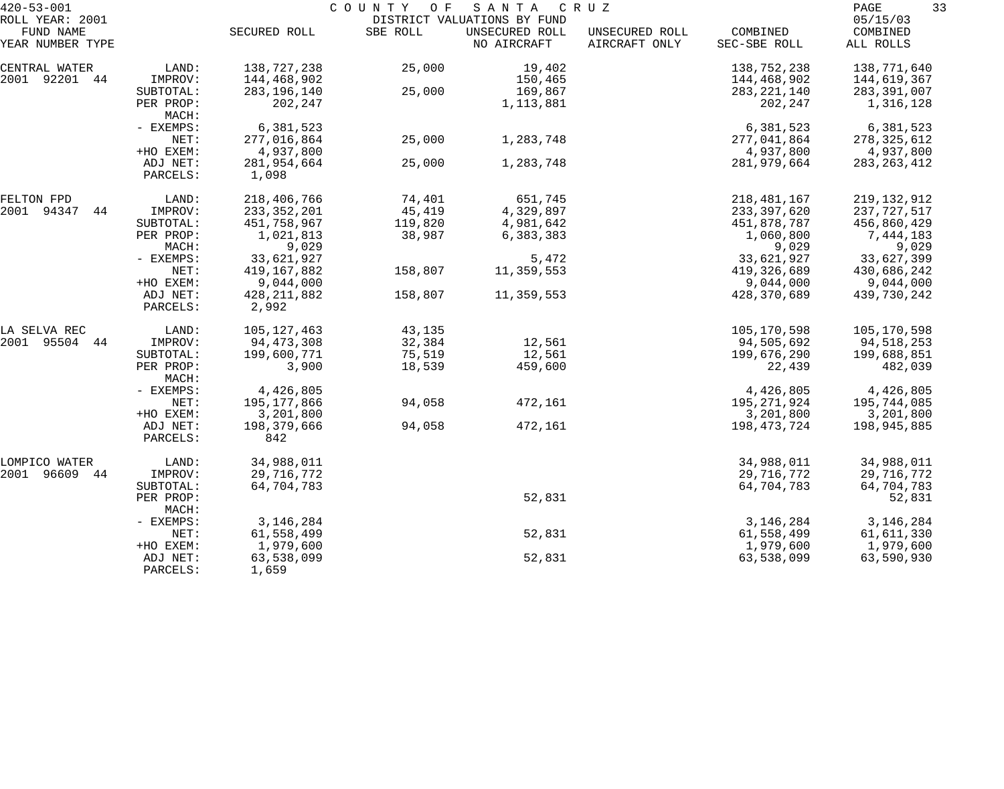| $420 - 53 - 001$             |                      |                        | COUNTY OF SANTA |                                               | C R U Z        |               | 33<br>PAGE           |
|------------------------------|----------------------|------------------------|-----------------|-----------------------------------------------|----------------|---------------|----------------------|
| ROLL YEAR: 2001<br>FUND NAME |                      | SECURED ROLL           | SBE ROLL        | DISTRICT VALUATIONS BY FUND<br>UNSECURED ROLL | UNSECURED ROLL | COMBINED      | 05/15/03<br>COMBINED |
| YEAR NUMBER TYPE             |                      |                        |                 | NO AIRCRAFT                                   | AIRCRAFT ONLY  | SEC-SBE ROLL  | ALL ROLLS            |
| CENTRAL WATER                | LAND:                | 138,727,238            | 25,000          | 19,402                                        |                | 138,752,238   | 138,771,640          |
| 2001 92201 44                | IMPROV:              | 144,468,902            |                 | 150,465                                       |                | 144,468,902   | 144,619,367          |
|                              | SUBTOTAL:            | 283, 196, 140          | 25,000          | 169,867                                       |                | 283, 221, 140 | 283,391,007          |
|                              | PER PROP:<br>MACH:   | 202,247                |                 | 1,113,881                                     |                | 202,247       | 1,316,128            |
|                              | - EXEMPS:            | 6,381,523              |                 |                                               |                | 6,381,523     | 6,381,523            |
|                              | NET:                 | 277,016,864            | 25,000          | 1,283,748                                     |                | 277,041,864   | 278, 325, 612        |
|                              | +HO EXEM:            | 4,937,800              |                 |                                               |                | 4,937,800     | 4,937,800            |
|                              | ADJ NET:<br>PARCELS: | 281,954,664<br>1,098   | 25,000          | 1,283,748                                     |                | 281,979,664   | 283, 263, 412        |
| FELTON FPD                   | LAND:                | 218,406,766            | 74,401          | 651,745                                       |                | 218, 481, 167 | 219, 132, 912        |
| 2001 94347<br>44             | IMPROV:              | 233, 352, 201          | 45,419          | 4,329,897                                     |                | 233,397,620   | 237,727,517          |
|                              | SUBTOTAL:            | 451,758,967            | 119,820         | 4,981,642                                     |                | 451,878,787   | 456,860,429          |
|                              | PER PROP:            | 1,021,813              | 38,987          | 6,383,383                                     |                | 1,060,800     | 7,444,183            |
|                              | MACH:                | 9,029                  |                 |                                               |                | 9,029         | 9,029                |
|                              | - EXEMPS:            | 33,621,927             |                 | 5,472                                         |                | 33,621,927    | 33,627,399           |
|                              | NET:                 | 419,167,882            | 158,807         | 11,359,553                                    |                | 419,326,689   | 430,686,242          |
|                              | +HO EXEM:            | 9,044,000              |                 |                                               |                | 9,044,000     | 9,044,000            |
|                              | ADJ NET:<br>PARCELS: | 428, 211, 882<br>2,992 | 158,807         | 11,359,553                                    |                | 428,370,689   | 439,730,242          |
| LA SELVA REC                 | LAND:                | 105, 127, 463          | 43,135          |                                               |                | 105,170,598   | 105,170,598          |
| 2001 95504 44                | IMPROV:              | 94,473,308             | 32,384          | 12,561                                        |                | 94,505,692    | 94,518,253           |
|                              | SUBTOTAL:            | 199,600,771            | 75,519          | 12,561                                        |                | 199,676,290   | 199,688,851          |
|                              | PER PROP:<br>MACH:   | 3,900                  | 18,539          | 459,600                                       |                | 22,439        | 482,039              |
|                              | - EXEMPS:            | 4,426,805              |                 |                                               |                | 4,426,805     | 4,426,805            |
|                              | NET:                 | 195, 177, 866          | 94,058          | 472,161                                       |                | 195,271,924   | 195,744,085          |
|                              | +HO EXEM:            | 3,201,800              |                 |                                               |                | 3,201,800     | 3,201,800            |
|                              | ADJ NET:<br>PARCELS: | 198,379,666<br>842     | 94,058          | 472,161                                       |                | 198, 473, 724 | 198,945,885          |
| LOMPICO WATER                | LAND:                | 34,988,011             |                 |                                               |                | 34,988,011    | 34,988,011           |
| 2001 96609<br>44             | IMPROV:              | 29,716,772             |                 |                                               |                | 29,716,772    | 29,716,772           |
|                              | SUBTOTAL:            | 64,704,783             |                 |                                               |                | 64,704,783    | 64,704,783           |
|                              | PER PROP:<br>MACH:   |                        |                 | 52,831                                        |                |               | 52,831               |
|                              | - EXEMPS:            | 3, 146, 284            |                 |                                               |                | 3, 146, 284   | 3, 146, 284          |
|                              | NET:                 | 61,558,499             |                 | 52,831                                        |                | 61,558,499    | 61,611,330           |
|                              | +HO EXEM:            | 1,979,600              |                 |                                               |                | 1,979,600     | 1,979,600            |
|                              | ADJ NET:<br>PARCELS: | 63,538,099<br>1,659    |                 | 52,831                                        |                | 63,538,099    | 63,590,930           |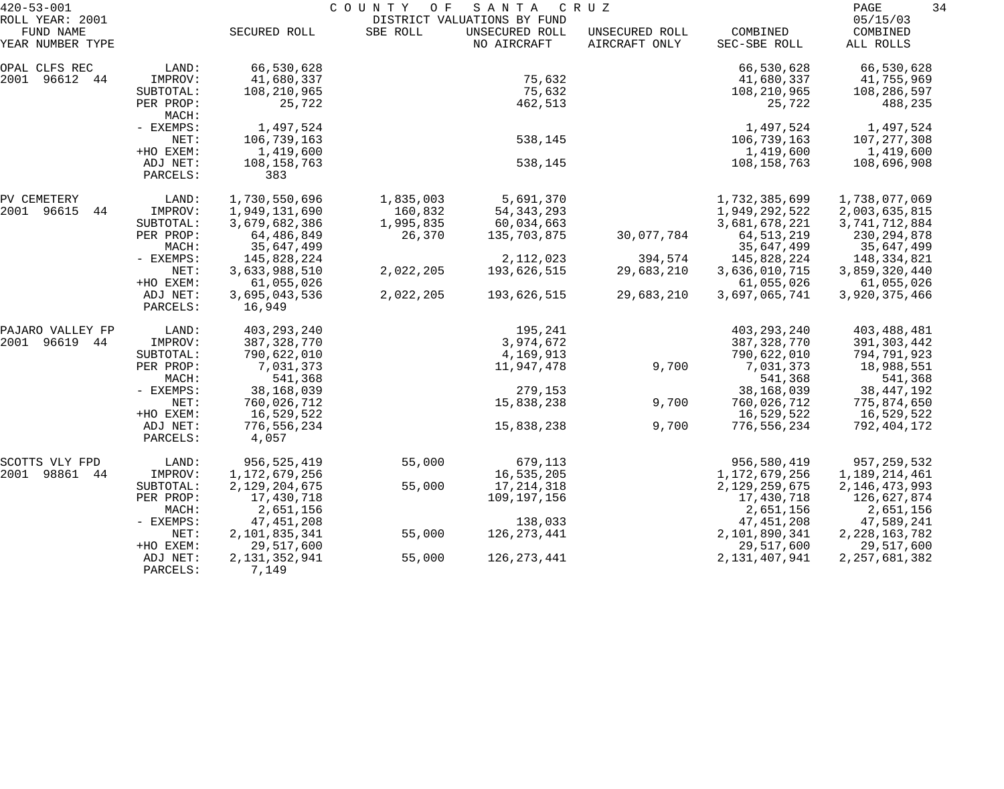| $420 - 53 - 001$                                 |                                                     |                                                                     | COUNTY OF                                   | SANTA                                                        | C R U Z                         |                                                                       | 34<br>PAGE                                                           |
|--------------------------------------------------|-----------------------------------------------------|---------------------------------------------------------------------|---------------------------------------------|--------------------------------------------------------------|---------------------------------|-----------------------------------------------------------------------|----------------------------------------------------------------------|
| ROLL YEAR: 2001<br>FUND NAME<br>YEAR NUMBER TYPE |                                                     | SECURED ROLL                                                        | SBE ROLL                                    | DISTRICT VALUATIONS BY FUND<br>UNSECURED ROLL<br>NO AIRCRAFT | UNSECURED ROLL<br>AIRCRAFT ONLY | COMBINED<br>SEC-SBE ROLL                                              | 05/15/03<br>COMBINED<br>ALL ROLLS                                    |
| OPAL CLFS REC<br>2001 96612 44                   | LAND:<br>IMPROV:<br>SUBTOTAL:<br>PER PROP:          | 66,530,628<br>41,680,337<br>108,210,965<br>25,722                   |                                             | 75,632<br>75,632<br>462,513                                  |                                 | 66,530,628<br>41,680,337<br>108,210,965<br>25,722                     | 66,530,628<br>41,755,969<br>108,286,597<br>488,235                   |
|                                                  | MACH:<br>- EXEMPS:<br>NET:<br>+HO EXEM:             | 1,497,524<br>106,739,163<br>1,419,600                               |                                             | 538,145                                                      |                                 | 1,497,524<br>106,739,163<br>1,419,600                                 | 1,497,524<br>107, 277, 308<br>1,419,600                              |
|                                                  | ADJ NET:<br>PARCELS:                                | 108, 158, 763<br>383                                                |                                             | 538,145                                                      |                                 | 108,158,763                                                           | 108,696,908                                                          |
| PV CEMETERY<br>2001 96615<br>44                  | LAND:<br>IMPROV:<br>SUBTOTAL:<br>PER PROP:          | 1,730,550,696<br>1,949,131,690<br>3,679,682,386<br>64,486,849       | 1,835,003<br>160,832<br>1,995,835<br>26,370 | 5,691,370<br>54, 343, 293<br>60,034,663<br>135,703,875       | 30,077,784                      | 1,732,385,699<br>1,949,292,522<br>3,681,678,221<br>64, 513, 219       | 1,738,077,069<br>2,003,635,815<br>3,741,712,884<br>230, 294, 878     |
|                                                  | MACH:<br>- EXEMPS:<br>NET:<br>+HO EXEM:             | 35,647,499<br>145,828,224<br>3,633,988,510<br>61,055,026            | 2,022,205                                   | 2,112,023<br>193,626,515                                     | 394,574<br>29,683,210           | 35,647,499<br>145,828,224<br>3,636,010,715<br>61,055,026              | 35,647,499<br>148,334,821<br>3,859,320,440<br>61,055,026             |
|                                                  | ADJ NET:<br>PARCELS:                                | 3,695,043,536<br>16,949                                             | 2,022,205                                   | 193,626,515                                                  | 29,683,210                      | 3,697,065,741                                                         | 3,920,375,466                                                        |
| PAJARO VALLEY FP<br>2001<br>96619 44             | LAND:<br>IMPROV:<br>SUBTOTAL:<br>PER PROP:<br>MACH: | 403, 293, 240<br>387,328,770<br>790,622,010<br>7,031,373<br>541,368 |                                             | 195,241<br>3,974,672<br>4,169,913<br>11,947,478              | 9,700                           | 403, 293, 240<br>387, 328, 770<br>790,622,010<br>7,031,373<br>541,368 | 403,488,481<br>391, 303, 442<br>794,791,923<br>18,988,551<br>541,368 |
|                                                  | - EXEMPS:<br>NET:<br>+HO EXEM:                      | 38,168,039<br>760,026,712<br>16,529,522                             |                                             | 279,153<br>15,838,238                                        | 9,700                           | 38,168,039<br>760,026,712<br>16,529,522                               | 38, 447, 192<br>775,874,650<br>16,529,522                            |
|                                                  | ADJ NET:<br>PARCELS:                                | 776,556,234<br>4,057                                                |                                             | 15,838,238                                                   | 9,700                           | 776,556,234                                                           | 792,404,172                                                          |
| SCOTTS VLY FPD<br>2001<br>98861<br>44            | LAND:<br>IMPROV:                                    | 956,525,419<br>1,172,679,256                                        | 55,000                                      | 679,113<br>16,535,205                                        |                                 | 956,580,419<br>1, 172, 679, 256                                       | 957,259,532<br>1,189,214,461                                         |
|                                                  | SUBTOTAL:<br>PER PROP:<br>MACH:                     | 2, 129, 204, 675<br>17,430,718<br>2,651,156                         | 55,000                                      | 17, 214, 318<br>109,197,156                                  |                                 | 2,129,259,675<br>17,430,718<br>2,651,156                              | 2, 146, 473, 993<br>126,627,874<br>2,651,156                         |
|                                                  | $-$ EXEMPS:<br>NET:<br>+HO EXEM:                    | 47,451,208<br>2,101,835,341<br>29,517,600                           | 55,000                                      | 138,033<br>126, 273, 441                                     |                                 | 47, 451, 208<br>2,101,890,341<br>29,517,600                           | 47,589,241<br>2, 228, 163, 782<br>29,517,600                         |
|                                                  | ADJ NET:<br>PARCELS:                                | 2, 131, 352, 941<br>7,149                                           | 55,000                                      | 126, 273, 441                                                |                                 | 2,131,407,941                                                         | 2, 257, 681, 382                                                     |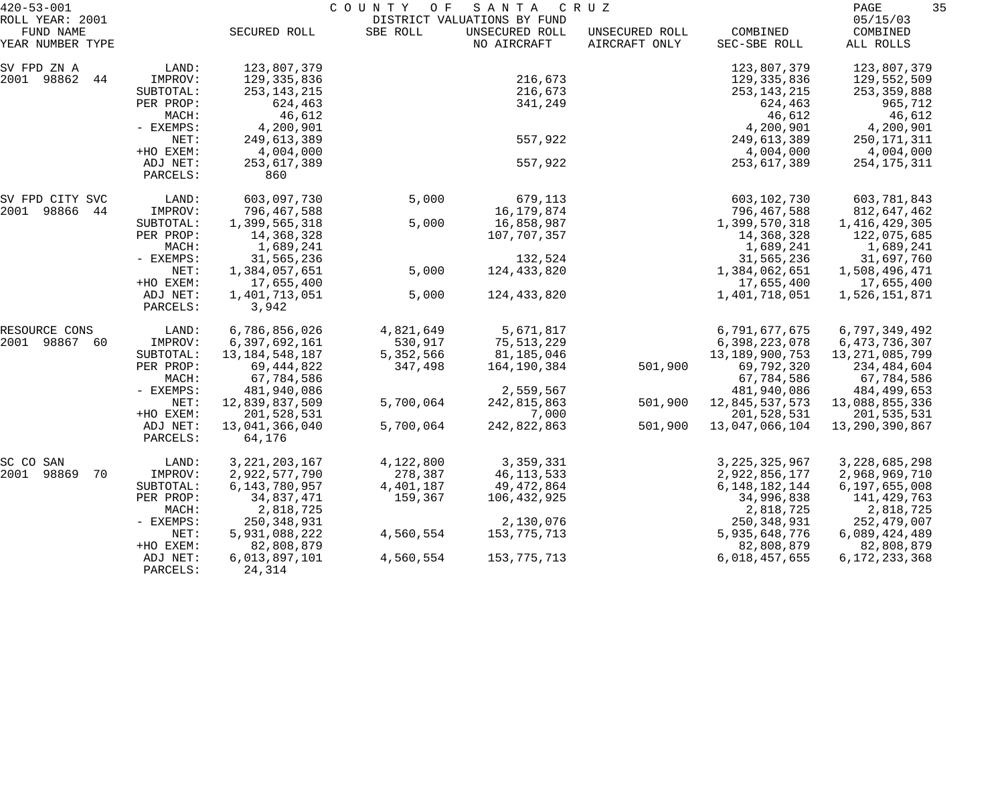| $420 - 53 - 001$                                 |                      |                          | COUNTY<br>O F | SANTA                                                        | C R U Z                         |                          | 35<br>PAGE                        |
|--------------------------------------------------|----------------------|--------------------------|---------------|--------------------------------------------------------------|---------------------------------|--------------------------|-----------------------------------|
| ROLL YEAR: 2001<br>FUND NAME<br>YEAR NUMBER TYPE |                      | SECURED ROLL             | SBE ROLL      | DISTRICT VALUATIONS BY FUND<br>UNSECURED ROLL<br>NO AIRCRAFT | UNSECURED ROLL<br>AIRCRAFT ONLY | COMBINED<br>SEC-SBE ROLL | 05/15/03<br>COMBINED<br>ALL ROLLS |
| SV FPD ZN A                                      | LAND:                | 123,807,379              |               |                                                              |                                 | 123,807,379              | 123,807,379                       |
| 2001 98862<br>44                                 | IMPROV:              | 129, 335, 836            |               | 216,673                                                      |                                 | 129,335,836              | 129,552,509                       |
|                                                  | SUBTOTAL:            | 253, 143, 215            |               | 216,673                                                      |                                 | 253, 143, 215            | 253, 359, 888                     |
|                                                  | PER PROP:            | 624,463                  |               | 341,249                                                      |                                 | 624,463                  | 965,712                           |
|                                                  | MACH:                | 46,612                   |               |                                                              |                                 | 46,612                   | 46,612                            |
|                                                  | - EXEMPS:            | 4,200,901                |               |                                                              |                                 | 4,200,901                | 4,200,901                         |
|                                                  | NET:                 | 249,613,389              |               | 557,922                                                      |                                 | 249,613,389              | 250,171,311                       |
|                                                  | +HO EXEM:            | 4,004,000                |               |                                                              |                                 | 4,004,000                | 4,004,000                         |
|                                                  | ADJ NET:<br>PARCELS: | 253,617,389<br>860       |               | 557,922                                                      |                                 | 253,617,389              | 254, 175, 311                     |
| SV FPD CITY SVC                                  | LAND:                | 603,097,730              | 5,000         | 679,113                                                      |                                 | 603,102,730              | 603,781,843                       |
| 2001 98866<br>44                                 | IMPROV:              | 796,467,588              |               | 16, 179, 874                                                 |                                 | 796,467,588              | 812,647,462                       |
|                                                  | SUBTOTAL:            | 1,399,565,318            | 5,000         | 16,858,987                                                   |                                 | 1,399,570,318            | 1,416,429,305                     |
|                                                  | PER PROP:            | 14,368,328               |               | 107,707,357                                                  |                                 | 14,368,328               | 122,075,685                       |
|                                                  | MACH:                | 1,689,241                |               |                                                              |                                 | 1,689,241                | 1,689,241                         |
|                                                  | - EXEMPS:            | 31,565,236               |               | 132,524                                                      |                                 | 31,565,236               | 31,697,760                        |
|                                                  | NET:                 | 1,384,057,651            | 5,000         | 124,433,820                                                  |                                 | 1,384,062,651            | 1,508,496,471                     |
|                                                  | +HO EXEM:            | 17,655,400               |               |                                                              |                                 | 17,655,400               | 17,655,400                        |
|                                                  | ADJ NET:<br>PARCELS: | 1,401,713,051<br>3,942   | 5,000         | 124,433,820                                                  |                                 | 1,401,718,051            | 1,526,151,871                     |
| RESOURCE CONS                                    | LAND:                | 6,786,856,026            | 4,821,649     | 5,671,817                                                    |                                 | 6,791,677,675            | 6,797,349,492                     |
| 2001<br>98867<br>60                              | IMPROV:              | 6,397,692,161            | 530,917       | 75,513,229                                                   |                                 | 6,398,223,078            | 6, 473, 736, 307                  |
|                                                  | SUBTOTAL:            | 13, 184, 548, 187        | 5,352,566     | 81,185,046                                                   |                                 | 13, 189, 900, 753        | 13,271,085,799                    |
|                                                  | PER PROP:            | 69, 444, 822             | 347,498       | 164,190,384                                                  | 501,900                         | 69,792,320               | 234,484,604                       |
|                                                  | MACH:                | 67,784,586               |               |                                                              |                                 | 67,784,586               | 67,784,586                        |
|                                                  | - EXEMPS:            | 481,940,086              |               | 2,559,567                                                    |                                 | 481,940,086              | 484,499,653                       |
|                                                  | NET:                 | 12,839,837,509           | 5,700,064     | 242,815,863                                                  | 501,900                         | 12,845,537,573           | 13,088,855,336                    |
|                                                  | +HO EXEM:            | 201,528,531              |               | 7,000                                                        |                                 | 201,528,531              | 201,535,531                       |
|                                                  | ADJ NET:<br>PARCELS: | 13,041,366,040<br>64,176 | 5,700,064     | 242,822,863                                                  | 501,900                         | 13,047,066,104           | 13,290,390,867                    |
| SC CO SAN                                        | LAND:                | 3, 221, 203, 167         | 4,122,800     | 3,359,331                                                    |                                 | 3, 225, 325, 967         | 3, 228, 685, 298                  |
| 2001<br>98869<br>70                              | IMPROV:              | 2,922,577,790            | 278,387       | 46, 113, 533                                                 |                                 | 2,922,856,177            | 2,968,969,710                     |
|                                                  | SUBTOTAL:            | 6, 143, 780, 957         | 4,401,187     | 49, 472, 864                                                 |                                 | 6, 148, 182, 144         | 6,197,655,008                     |
|                                                  | PER PROP:            | 34,837,471               | 159,367       | 106,432,925                                                  |                                 | 34,996,838               | 141,429,763                       |
|                                                  | MACH:                | 2,818,725                |               |                                                              |                                 | 2,818,725                | 2,818,725                         |
|                                                  | $-$ EXEMPS:          | 250, 348, 931            |               | 2,130,076                                                    |                                 | 250, 348, 931            | 252,479,007                       |
|                                                  | NET:                 | 5,931,088,222            | 4,560,554     | 153,775,713                                                  |                                 | 5,935,648,776            | 6,089,424,489                     |
|                                                  | +HO EXEM:            | 82,808,879               |               |                                                              |                                 | 82,808,879               | 82,808,879                        |
|                                                  | ADJ NET:<br>PARCELS: | 6,013,897,101<br>24,314  | 4,560,554     | 153,775,713                                                  |                                 | 6,018,457,655            | 6, 172, 233, 368                  |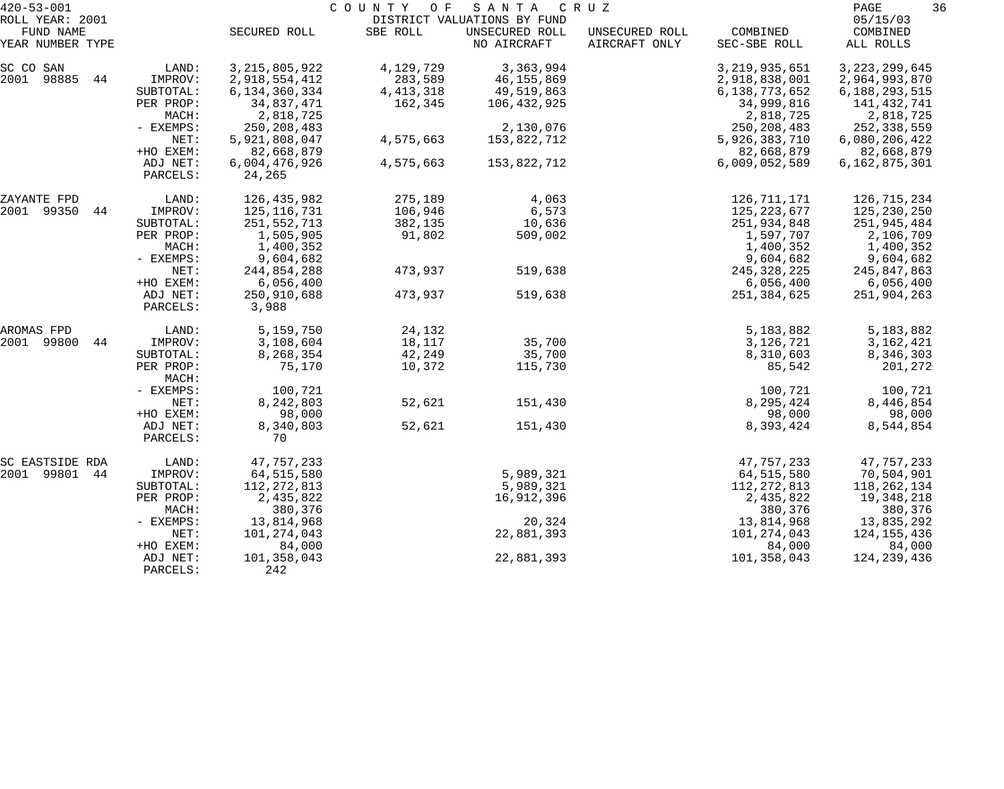| $420 - 53 - 001$<br>ROLL YEAR: 2001<br>FUND NAME |                    | SECURED ROLL     | COUNTY<br>O F<br>SBE ROLL | SANTA<br>DISTRICT VALUATIONS BY FUND<br>UNSECURED ROLL | C R U Z<br>UNSECURED ROLL | COMBINED         | 36<br>PAGE<br>05/15/03<br>COMBINED |
|--------------------------------------------------|--------------------|------------------|---------------------------|--------------------------------------------------------|---------------------------|------------------|------------------------------------|
| YEAR NUMBER TYPE                                 |                    |                  |                           | NO AIRCRAFT                                            | AIRCRAFT ONLY             | SEC-SBE ROLL     | ALL ROLLS                          |
| SC CO SAN                                        | LAND:              | 3, 215, 805, 922 | 4,129,729                 | 3,363,994                                              |                           | 3, 219, 935, 651 | 3, 223, 299, 645                   |
| 2001<br>98885<br>44                              | IMPROV:            | 2,918,554,412    | 283,589                   | 46,155,869                                             |                           | 2,918,838,001    | 2,964,993,870                      |
|                                                  | SUBTOTAL:          | 6, 134, 360, 334 | 4, 413, 318               | 49,519,863                                             |                           | 6,138,773,652    | 6,188,293,515                      |
|                                                  | PER PROP:          | 34,837,471       | 162,345                   | 106,432,925                                            |                           | 34,999,816       | 141,432,741                        |
|                                                  | MACH:              | 2,818,725        |                           |                                                        |                           | 2,818,725        | 2,818,725                          |
|                                                  | $-$ EXEMPS:        | 250, 208, 483    |                           | 2,130,076                                              |                           | 250, 208, 483    | 252,338,559                        |
|                                                  | NET:               | 5,921,808,047    | 4,575,663                 | 153,822,712                                            |                           | 5,926,383,710    | 6,080,206,422                      |
|                                                  | +HO EXEM:          | 82,668,879       |                           |                                                        |                           | 82,668,879       | 82,668,879                         |
|                                                  | ADJ NET:           | 6,004,476,926    | 4,575,663                 | 153,822,712                                            |                           | 6,009,052,589    | 6,162,875,301                      |
|                                                  | PARCELS:           | 24,265           |                           |                                                        |                           |                  |                                    |
| ZAYANTE FPD                                      | LAND:              | 126,435,982      | 275,189                   | 4,063                                                  |                           | 126,711,171      | 126,715,234                        |
| 2001 99350 44                                    | IMPROV:            | 125, 116, 731    | 106,946                   | 6,573                                                  |                           | 125, 223, 677    | 125,230,250                        |
|                                                  | SUBTOTAL:          | 251,552,713      | 382,135                   | 10,636                                                 |                           | 251,934,848      | 251,945,484                        |
|                                                  | PER PROP:          | 1,505,905        | 91,802                    | 509,002                                                |                           | 1,597,707        | 2,106,709                          |
|                                                  | MACH:              | 1,400,352        |                           |                                                        |                           | 1,400,352        | 1,400,352                          |
|                                                  | - EXEMPS:          | 9,604,682        |                           |                                                        |                           | 9,604,682        | 9,604,682                          |
|                                                  | NET:               | 244,854,288      | 473,937                   | 519,638                                                |                           | 245, 328, 225    | 245,847,863                        |
|                                                  | +HO EXEM:          | 6,056,400        |                           |                                                        |                           | 6,056,400        | 6,056,400                          |
|                                                  | ADJ NET:           | 250,910,688      | 473,937                   | 519,638                                                |                           | 251,384,625      | 251,904,263                        |
|                                                  | PARCELS:           | 3,988            |                           |                                                        |                           |                  |                                    |
| AROMAS FPD                                       | LAND:              | 5,159,750        | 24,132                    |                                                        |                           | 5,183,882        | 5,183,882                          |
| 2001<br>99800<br>44                              | IMPROV:            | 3,108,604        | 18,117                    | 35,700                                                 |                           | 3,126,721        | 3,162,421                          |
|                                                  | SUBTOTAL:          | 8,268,354        | 42,249                    | 35,700                                                 |                           | 8,310,603        | 8,346,303                          |
|                                                  | PER PROP:<br>MACH: | 75,170           | 10,372                    | 115,730                                                |                           | 85,542           | 201,272                            |
|                                                  | - EXEMPS:          | 100,721          |                           |                                                        |                           | 100,721          | 100,721                            |
|                                                  | NET:               | 8,242,803        | 52,621                    | 151,430                                                |                           | 8,295,424        | 8,446,854                          |
|                                                  | +HO EXEM:          | 98,000           |                           |                                                        |                           | 98,000           | 98,000                             |
|                                                  | ADJ NET:           | 8,340,803        | 52,621                    | 151,430                                                |                           | 8,393,424        | 8,544,854                          |
|                                                  | PARCELS:           | 70               |                           |                                                        |                           |                  |                                    |
| SC EASTSIDE RDA                                  | LAND:              | 47,757,233       |                           |                                                        |                           | 47,757,233       | 47,757,233                         |
| 2001 99801<br>44                                 | IMPROV:            | 64,515,580       |                           | 5,989,321                                              |                           | 64,515,580       | 70,504,901                         |
|                                                  | SUBTOTAL:          | 112, 272, 813    |                           | 5,989,321                                              |                           | 112, 272, 813    | 118, 262, 134                      |
|                                                  | PER PROP:          | 2,435,822        |                           | 16,912,396                                             |                           | 2,435,822        | 19,348,218                         |
|                                                  | MACH:              | 380,376          |                           |                                                        |                           | 380,376          | 380,376                            |
|                                                  | - EXEMPS:          | 13,814,968       |                           | 20,324                                                 |                           | 13,814,968       | 13,835,292                         |
|                                                  | NET:               | 101,274,043      |                           | 22,881,393                                             |                           | 101,274,043      | 124,155,436                        |
|                                                  | +HO EXEM:          | 84,000           |                           |                                                        |                           | 84,000           | 84,000                             |
|                                                  | ADJ NET:           | 101,358,043      |                           | 22,881,393                                             |                           | 101,358,043      | 124, 239, 436                      |
|                                                  | PARCELS:           | 242              |                           |                                                        |                           |                  |                                    |
|                                                  |                    |                  |                           |                                                        |                           |                  |                                    |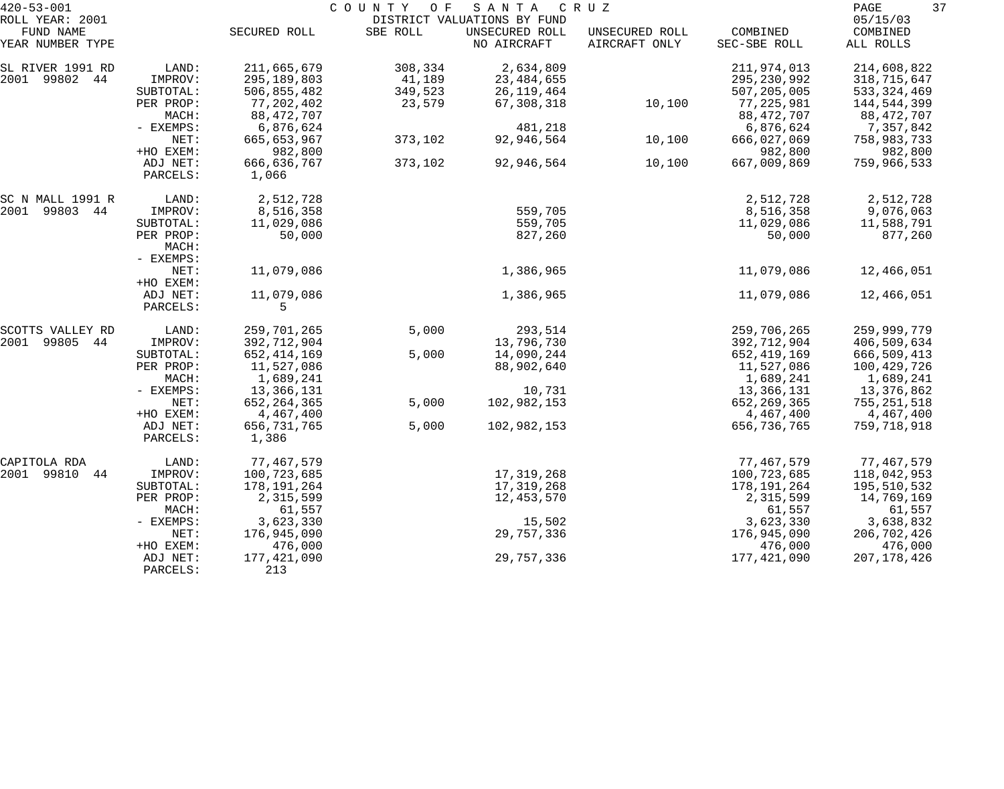| $420 - 53 - 001$                  |                        |                             | COUNTY<br>O F | SANTA                         | C R U Z                         |                             | 37<br>PAGE                 |
|-----------------------------------|------------------------|-----------------------------|---------------|-------------------------------|---------------------------------|-----------------------------|----------------------------|
| ROLL YEAR: 2001                   |                        |                             |               | DISTRICT VALUATIONS BY FUND   |                                 |                             | 05/15/03                   |
| FUND NAME<br>YEAR NUMBER TYPE     |                        | SECURED ROLL                | SBE ROLL      | UNSECURED ROLL<br>NO AIRCRAFT | UNSECURED ROLL<br>AIRCRAFT ONLY | COMBINED<br>SEC-SBE ROLL    | COMBINED<br>ALL ROLLS      |
| SL RIVER 1991 RD                  | LAND:                  | 211,665,679                 | 308,334       | 2,634,809                     |                                 | 211,974,013                 | 214,608,822                |
| 2001 99802 44                     | IMPROV:                | 295,189,803                 | 41,189        | 23, 484, 655                  |                                 | 295, 230, 992               | 318,715,647                |
|                                   | SUBTOTAL:              | 506,855,482                 | 349,523       | 26, 119, 464                  |                                 | 507,205,005                 | 533, 324, 469              |
|                                   | PER PROP:              | 77,202,402                  | 23,579        | 67,308,318                    | 10,100                          | 77,225,981                  | 144,544,399                |
|                                   | MACH:                  | 88, 472, 707                |               |                               |                                 | 88,472,707                  | 88,472,707                 |
|                                   | - EXEMPS:              | 6,876,624                   |               | 481,218                       |                                 | 6,876,624                   | 7,357,842                  |
|                                   | NET:                   | 665,653,967                 | 373,102       | 92,946,564                    | 10,100                          | 666,027,069                 | 758,983,733                |
|                                   | +HO EXEM:              | 982,800                     |               |                               |                                 | 982,800                     | 982,800                    |
|                                   | ADJ NET:               | 666,636,767                 | 373,102       | 92,946,564                    | 10,100                          | 667,009,869                 | 759,966,533                |
|                                   | PARCELS:               | 1,066                       |               |                               |                                 |                             |                            |
| SC N MALL 1991 R                  | LAND:                  | 2,512,728                   |               |                               |                                 | 2,512,728                   | 2,512,728                  |
| 2001 99803 44                     | IMPROV:                | 8,516,358                   |               | 559,705                       |                                 | 8,516,358                   | 9,076,063                  |
|                                   | SUBTOTAL:              | 11,029,086                  |               | 559,705                       |                                 | 11,029,086                  | 11,588,791                 |
|                                   | PER PROP:              | 50,000                      |               | 827,260                       |                                 | 50,000                      | 877,260                    |
|                                   | MACH:                  |                             |               |                               |                                 |                             |                            |
|                                   | - EXEMPS:              |                             |               |                               |                                 |                             |                            |
|                                   | NET:                   | 11,079,086                  |               | 1,386,965                     |                                 | 11,079,086                  | 12,466,051                 |
|                                   | +HO EXEM:              |                             |               |                               |                                 |                             |                            |
|                                   | ADJ NET:<br>PARCELS:   | 11,079,086<br>5             |               | 1,386,965                     |                                 | 11,079,086                  | 12,466,051                 |
|                                   |                        |                             |               |                               |                                 |                             |                            |
| SCOTTS VALLEY RD<br>2001<br>99805 | LAND:                  | 259,701,265<br>392,712,904  | 5,000         | 293,514                       |                                 | 259,706,265                 | 259,999,779                |
| 44                                | IMPROV:                |                             | 5,000         | 13,796,730                    |                                 | 392,712,904                 | 406,509,634                |
|                                   | SUBTOTAL:<br>PER PROP: | 652, 414, 169<br>11,527,086 |               | 14,090,244<br>88,902,640      |                                 | 652, 419, 169<br>11,527,086 | 666,509,413<br>100,429,726 |
|                                   | MACH:                  | 1,689,241                   |               |                               |                                 | 1,689,241                   | 1,689,241                  |
|                                   | - EXEMPS:              | 13,366,131                  |               | 10,731                        |                                 | 13,366,131                  | 13,376,862                 |
|                                   | NET:                   | 652, 264, 365               | 5,000         | 102,982,153                   |                                 | 652, 269, 365               | 755,251,518                |
|                                   | +HO EXEM:              | 4,467,400                   |               |                               |                                 | 4,467,400                   | 4,467,400                  |
|                                   | ADJ NET:               | 656,731,765                 | 5,000         | 102,982,153                   |                                 | 656, 736, 765               | 759,718,918                |
|                                   | PARCELS:               | 1,386                       |               |                               |                                 |                             |                            |
| CAPITOLA RDA                      | LAND:                  | 77,467,579                  |               |                               |                                 | 77,467,579                  | 77,467,579                 |
| 2001 99810<br>44                  | IMPROV:                | 100,723,685                 |               | 17,319,268                    |                                 | 100,723,685                 | 118,042,953                |
|                                   | SUBTOTAL:              | 178,191,264                 |               | 17,319,268                    |                                 | 178,191,264                 | 195,510,532                |
|                                   | PER PROP:              | 2,315,599                   |               | 12,453,570                    |                                 | 2,315,599                   | 14,769,169                 |
|                                   | MACH:                  | 61,557                      |               |                               |                                 | 61,557                      | 61,557                     |
|                                   | - EXEMPS:              | 3,623,330                   |               | 15,502                        |                                 | 3,623,330                   | 3,638,832                  |
|                                   | NET:                   | 176,945,090                 |               | 29,757,336                    |                                 | 176,945,090                 | 206,702,426                |
|                                   | +HO EXEM:              | 476,000                     |               |                               |                                 | 476,000                     | 476,000                    |
|                                   | ADJ NET:               | 177,421,090                 |               | 29,757,336                    |                                 | 177,421,090                 | 207, 178, 426              |
|                                   | PARCELS:               | 213                         |               |                               |                                 |                             |                            |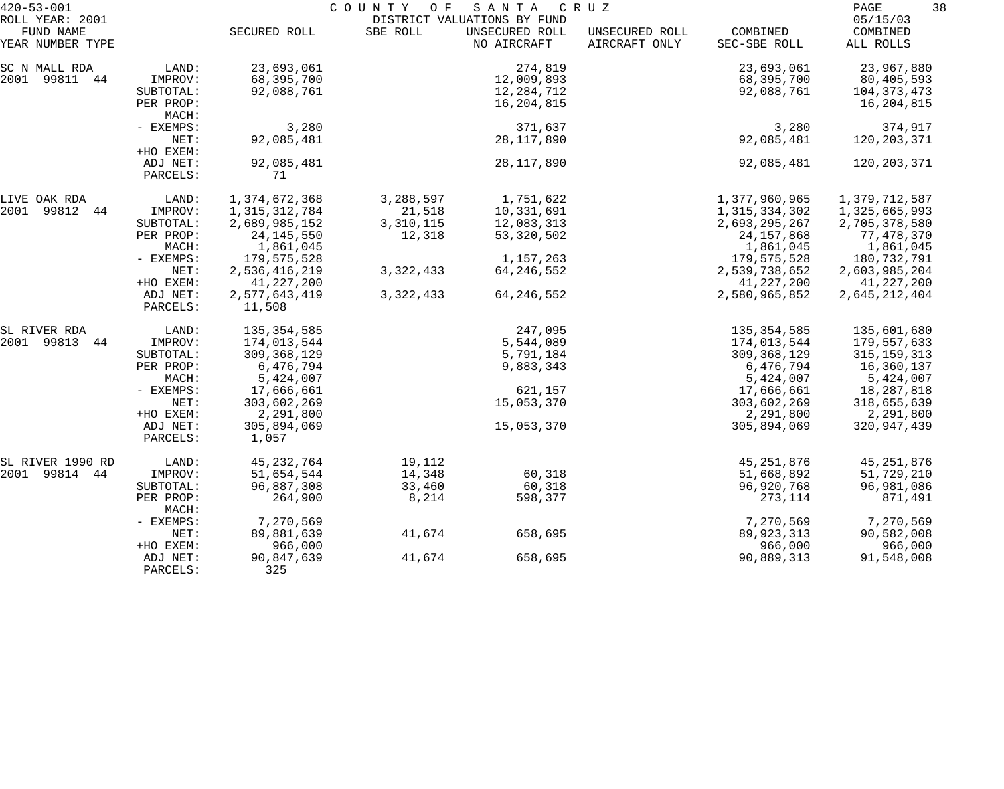| $420 - 53 - 001$                                 |                                            |                                        | COUNTY<br>O F       | S A N T A                                                    | C R U Z                         |                                        | 38<br>PAGE                                              |
|--------------------------------------------------|--------------------------------------------|----------------------------------------|---------------------|--------------------------------------------------------------|---------------------------------|----------------------------------------|---------------------------------------------------------|
| ROLL YEAR: 2001<br>FUND NAME<br>YEAR NUMBER TYPE |                                            | SECURED ROLL                           | SBE ROLL            | DISTRICT VALUATIONS BY FUND<br>UNSECURED ROLL<br>NO AIRCRAFT | UNSECURED ROLL<br>AIRCRAFT ONLY | COMBINED<br>SEC-SBE ROLL               | 05/15/03<br>COMBINED<br>ALL ROLLS                       |
|                                                  |                                            |                                        |                     |                                                              |                                 |                                        |                                                         |
| SC N MALL RDA<br>2001 99811 44                   | LAND:<br>IMPROV:<br>SUBTOTAL:<br>PER PROP: | 23,693,061<br>68,395,700<br>92,088,761 |                     | 274,819<br>12,009,893<br>12,284,712<br>16,204,815            |                                 | 23,693,061<br>68,395,700<br>92,088,761 | 23,967,880<br>80,405,593<br>104, 373, 473<br>16,204,815 |
|                                                  | MACH:<br>- EXEMPS:<br>NET:                 | 3,280<br>92,085,481                    |                     | 371,637<br>28,117,890                                        |                                 | 3,280<br>92,085,481                    | 374,917<br>120, 203, 371                                |
|                                                  | +HO EXEM:<br>ADJ NET:                      | 92,085,481                             |                     | 28, 117, 890                                                 |                                 | 92,085,481                             | 120,203,371                                             |
|                                                  | PARCELS:                                   | 71                                     |                     |                                                              |                                 |                                        |                                                         |
| LIVE OAK RDA<br>2001 99812 44                    | LAND:<br>IMPROV:                           | 1,374,672,368<br>1, 315, 312, 784      | 3,288,597<br>21,518 | 1,751,622<br>10,331,691                                      |                                 | 1,377,960,965<br>1,315,334,302         | 1,379,712,587<br>1,325,665,993                          |
|                                                  | SUBTOTAL:<br>PER PROP:                     | 2,689,985,152<br>24, 145, 550          | 3,310,115<br>12,318 | 12,083,313<br>53,320,502                                     |                                 | 2,693,295,267<br>24, 157, 868          | 2,705,378,580<br>77,478,370                             |
|                                                  | MACH:<br>- EXEMPS:                         | 1,861,045<br>179,575,528               |                     | 1, 157, 263                                                  |                                 | 1,861,045<br>179,575,528               | 1,861,045<br>180,732,791                                |
|                                                  | NET:<br>+HO EXEM:                          | 2,536,416,219<br>41, 227, 200          | 3, 322, 433         | 64, 246, 552                                                 |                                 | 2,539,738,652<br>41, 227, 200          | 2,603,985,204<br>41,227,200                             |
|                                                  | ADJ NET:<br>PARCELS:                       | 2,577,643,419<br>11,508                | 3, 322, 433         | 64, 246, 552                                                 |                                 | 2,580,965,852                          | 2,645,212,404                                           |
| SL RIVER RDA                                     | LAND:                                      | 135,354,585                            |                     | 247,095                                                      |                                 | 135, 354, 585                          | 135,601,680                                             |
| 2001 99813<br>44                                 | IMPROV:<br>SUBTOTAL:                       | 174,013,544<br>309,368,129             |                     | 5,544,089<br>5,791,184                                       |                                 | 174,013,544<br>309,368,129             | 179,557,633<br>315, 159, 313                            |
|                                                  | PER PROP:<br>MACH:                         | 6,476,794<br>5,424,007                 |                     | 9,883,343                                                    |                                 | 6,476,794<br>5,424,007                 | 16,360,137<br>5,424,007                                 |
|                                                  | - EXEMPS:                                  | 17,666,661                             |                     | 621,157                                                      |                                 | 17,666,661                             | 18,287,818                                              |
|                                                  | NET:<br>+HO EXEM:                          | 303,602,269<br>2,291,800               |                     | 15,053,370                                                   |                                 | 303,602,269<br>2,291,800               | 318,655,639<br>2,291,800                                |
|                                                  | ADJ NET:<br>PARCELS:                       | 305,894,069<br>1,057                   |                     | 15,053,370                                                   |                                 | 305,894,069                            | 320,947,439                                             |
| SL RIVER 1990 RD                                 | LAND:                                      | 45, 232, 764                           | 19,112              |                                                              |                                 | 45, 251, 876                           | 45, 251, 876                                            |
| 2001 99814 44                                    | IMPROV:                                    | 51,654,544                             | 14,348              | 60,318                                                       |                                 | 51,668,892                             | 51,729,210                                              |
|                                                  | SUBTOTAL:<br>PER PROP:<br>MACH:            | 96,887,308<br>264,900                  | 33,460<br>8,214     | 60,318<br>598,377                                            |                                 | 96,920,768<br>273,114                  | 96,981,086<br>871,491                                   |
|                                                  | - EXEMPS:                                  | 7,270,569                              |                     |                                                              |                                 | 7,270,569                              | 7,270,569                                               |
|                                                  | NET:<br>+HO EXEM:                          | 89,881,639<br>966,000                  | 41,674              | 658,695                                                      |                                 | 89, 923, 313<br>966,000                | 90,582,008<br>966,000                                   |
|                                                  | ADJ NET:<br>PARCELS:                       | 90,847,639<br>325                      | 41,674              | 658,695                                                      |                                 | 90,889,313                             | 91,548,008                                              |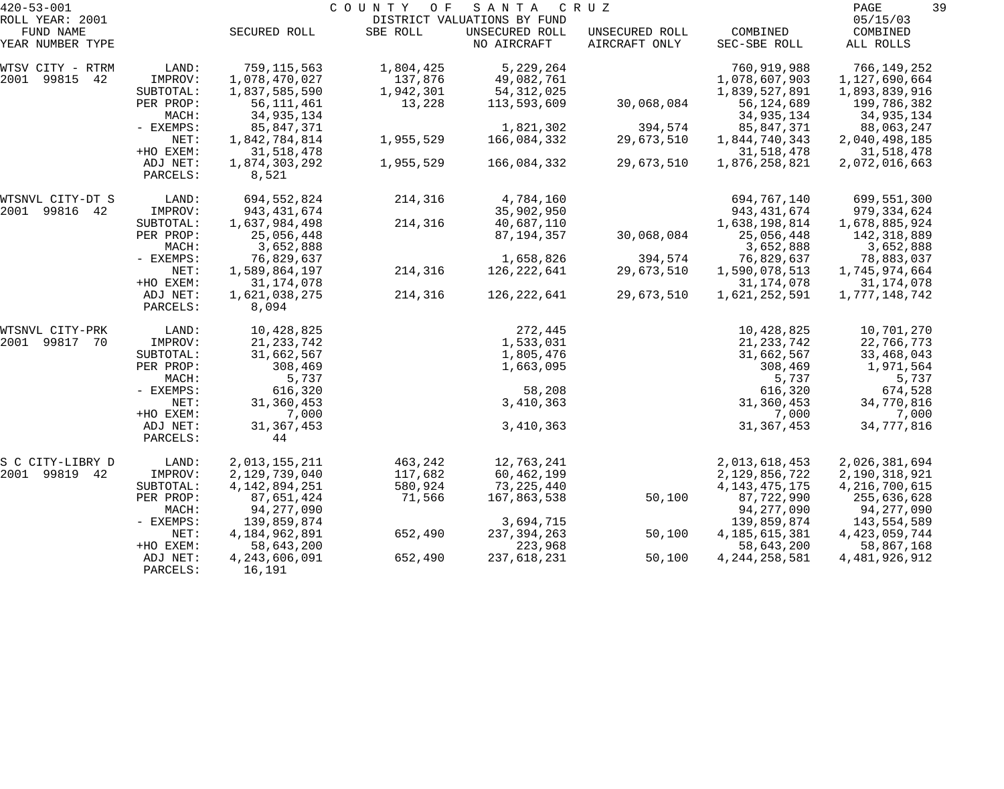| $420 - 53 - 001$              |           |                  | COUNTY<br>O F | SANTA                         | C R U Z                         |                          | 39<br>PAGE            |
|-------------------------------|-----------|------------------|---------------|-------------------------------|---------------------------------|--------------------------|-----------------------|
| ROLL YEAR: 2001               |           |                  |               | DISTRICT VALUATIONS BY FUND   |                                 |                          | 05/15/03              |
| FUND NAME<br>YEAR NUMBER TYPE |           | SECURED ROLL     | SBE ROLL      | UNSECURED ROLL<br>NO AIRCRAFT | UNSECURED ROLL<br>AIRCRAFT ONLY | COMBINED<br>SEC-SBE ROLL | COMBINED<br>ALL ROLLS |
|                               |           |                  |               |                               |                                 |                          |                       |
| WTSV CITY - RTRM              | LAND:     | 759,115,563      | 1,804,425     | 5,229,264                     |                                 | 760,919,988              | 766,149,252           |
| 99815<br>2001<br>42           | IMPROV:   | 1,078,470,027    | 137,876       | 49,082,761                    |                                 | 1,078,607,903            | 1,127,690,664         |
|                               | SUBTOTAL: | 1,837,585,590    | 1,942,301     | 54, 312, 025                  |                                 | 1,839,527,891            | 1,893,839,916         |
|                               | PER PROP: | 56, 111, 461     | 13,228        | 113,593,609                   | 30,068,084                      | 56,124,689               | 199,786,382           |
|                               | MACH:     | 34,935,134       |               |                               |                                 | 34,935,134               | 34,935,134            |
|                               | - EXEMPS: | 85,847,371       |               | 1,821,302                     | 394,574                         | 85,847,371               | 88,063,247            |
|                               | NET:      | 1,842,784,814    | 1,955,529     | 166,084,332                   | 29,673,510                      | 1,844,740,343            | 2,040,498,185         |
|                               | +HO EXEM: | 31,518,478       |               |                               |                                 | 31,518,478               | 31,518,478            |
|                               | ADJ NET:  | 1,874,303,292    | 1,955,529     | 166,084,332                   | 29,673,510                      | 1,876,258,821            | 2,072,016,663         |
|                               | PARCELS:  | 8,521            |               |                               |                                 |                          |                       |
| WTSNVL CITY-DT S              | LAND:     | 694,552,824      | 214,316       | 4,784,160                     |                                 | 694,767,140              | 699,551,300           |
| 2001<br>99816 42              | IMPROV:   | 943,431,674      |               | 35,902,950                    |                                 | 943, 431, 674            | 979, 334, 624         |
|                               | SUBTOTAL: | 1,637,984,498    | 214,316       | 40,687,110                    |                                 | 1,638,198,814            | 1,678,885,924         |
|                               | PER PROP: | 25,056,448       |               | 87,194,357                    | 30,068,084                      | 25,056,448               | 142,318,889           |
|                               | MACH:     | 3,652,888        |               |                               |                                 | 3,652,888                | 3,652,888             |
|                               | - EXEMPS: | 76,829,637       |               | 1,658,826                     | 394,574                         | 76,829,637               | 78,883,037            |
|                               | NET:      | 1,589,864,197    | 214,316       | 126, 222, 641                 | 29,673,510                      | 1,590,078,513            | 1,745,974,664         |
|                               | +HO EXEM: | 31, 174, 078     |               |                               |                                 | 31, 174, 078             | 31, 174, 078          |
|                               | ADJ NET:  | 1,621,038,275    | 214,316       | 126,222,641                   | 29,673,510                      | 1,621,252,591            | 1,777,148,742         |
|                               | PARCELS:  | 8,094            |               |                               |                                 |                          |                       |
| WTSNVL CITY-PRK               | LAND:     | 10,428,825       |               | 272,445                       |                                 | 10,428,825               | 10,701,270            |
| 2001<br>99817 70              | IMPROV:   | 21, 233, 742     |               | 1,533,031                     |                                 | 21, 233, 742             | 22,766,773            |
|                               | SUBTOTAL: | 31,662,567       |               | 1,805,476                     |                                 | 31,662,567               | 33,468,043            |
|                               | PER PROP: | 308,469          |               | 1,663,095                     |                                 | 308,469                  | 1,971,564             |
|                               | MACH:     | 5,737            |               |                               |                                 | 5,737                    | 5,737                 |
|                               | - EXEMPS: | 616,320          |               | 58,208                        |                                 | 616,320                  | 674,528               |
|                               | NET:      | 31,360,453       |               | 3,410,363                     |                                 | 31,360,453               | 34,770,816            |
|                               | +HO EXEM: | 7,000            |               |                               |                                 | 7,000                    | 7,000                 |
|                               | ADJ NET:  | 31, 367, 453     |               | 3,410,363                     |                                 | 31, 367, 453             | 34,777,816            |
|                               | PARCELS:  | 44               |               |                               |                                 |                          |                       |
| S C CITY-LIBRY D              | LAND:     | 2,013,155,211    | 463,242       | 12,763,241                    |                                 | 2,013,618,453            | 2,026,381,694         |
| 2001<br>99819 42              | IMPROV:   | 2,129,739,040    | 117,682       | 60,462,199                    |                                 | 2,129,856,722            | 2,190,318,921         |
|                               | SUBTOTAL: | 4, 142, 894, 251 | 580,924       | 73,225,440                    |                                 | 4, 143, 475, 175         | 4,216,700,615         |
|                               | PER PROP: | 87,651,424       | 71,566        | 167,863,538                   | 50,100                          | 87,722,990               | 255,636,628           |
|                               | MACH:     | 94, 277, 090     |               |                               |                                 | 94,277,090               | 94,277,090            |
|                               | - EXEMPS: | 139,859,874      |               | 3,694,715                     |                                 | 139,859,874              | 143,554,589           |
|                               | NET:      | 4,184,962,891    | 652,490       | 237, 394, 263                 | 50,100                          | 4, 185, 615, 381         | 4, 423, 059, 744      |
|                               | +HO EXEM: | 58,643,200       |               | 223,968                       |                                 | 58,643,200               | 58,867,168            |
|                               | ADJ NET:  | 4,243,606,091    | 652,490       | 237,618,231                   | 50,100                          | 4, 244, 258, 581         | 4, 481, 926, 912      |
|                               | PARCELS:  | 16,191           |               |                               |                                 |                          |                       |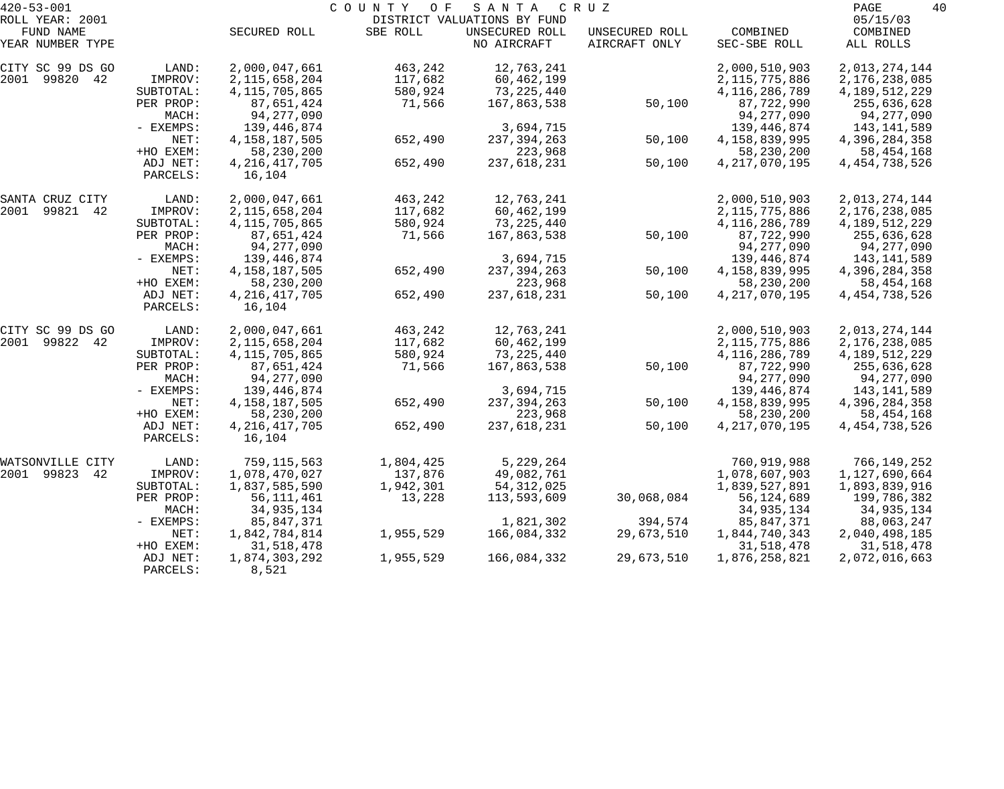| $420 - 53 - 001$                        |                      |                              | COUNTY<br>O F        | SANTA                                         | C R U Z        |                              | PAGE<br>40                   |
|-----------------------------------------|----------------------|------------------------------|----------------------|-----------------------------------------------|----------------|------------------------------|------------------------------|
| ROLL YEAR: 2001<br>FUND NAME            |                      | SECURED ROLL                 | SBE ROLL             | DISTRICT VALUATIONS BY FUND<br>UNSECURED ROLL | UNSECURED ROLL | COMBINED                     | 05/15/03<br>COMBINED         |
| YEAR NUMBER TYPE                        |                      |                              |                      | NO AIRCRAFT                                   | AIRCRAFT ONLY  | SEC-SBE ROLL                 | ALL ROLLS                    |
| CITY SC 99 DS GO                        | LAND:                | 2,000,047,661                | 463,242              | 12,763,241                                    |                | 2,000,510,903                | 2,013,274,144                |
| 2001 99820 42                           | IMPROV:              | 2, 115, 658, 204             | 117,682              | 60,462,199                                    |                | 2, 115, 775, 886             | 2,176,238,085                |
|                                         | SUBTOTAL:            | 4, 115, 705, 865             | 580,924              | 73, 225, 440                                  |                | 4, 116, 286, 789             | 4, 189, 512, 229             |
|                                         | PER PROP:            | 87,651,424                   | 71,566               | 167,863,538                                   | 50,100         | 87,722,990                   | 255,636,628                  |
|                                         | MACH:                | 94, 277, 090                 |                      |                                               |                | 94, 277, 090                 | 94,277,090                   |
|                                         | - EXEMPS:            | 139,446,874                  |                      | 3,694,715                                     |                | 139,446,874                  | 143,141,589                  |
|                                         | NET:                 | 4, 158, 187, 505             | 652,490              | 237, 394, 263                                 | 50,100         | 4,158,839,995                | 4,396,284,358                |
|                                         | +HO EXEM:            | 58,230,200                   |                      | 223,968                                       |                | 58,230,200                   | 58,454,168                   |
|                                         | ADJ NET:<br>PARCELS: | 4, 216, 417, 705<br>16,104   | 652,490              | 237,618,231                                   | 50,100         | 4, 217, 070, 195             | 4, 454, 738, 526             |
| SANTA CRUZ CITY                         | LAND:                | 2,000,047,661                | 463,242              | 12,763,241                                    |                | 2,000,510,903                | 2,013,274,144                |
| 2001 99821 42                           | IMPROV:              | 2, 115, 658, 204             | 117,682              | 60,462,199                                    |                | 2, 115, 775, 886             | 2, 176, 238, 085             |
|                                         | SUBTOTAL:            | 4, 115, 705, 865             | 580,924              | 73,225,440                                    |                | 4, 116, 286, 789             | 4, 189, 512, 229             |
|                                         | PER PROP:            | 87,651,424                   | 71,566               | 167,863,538                                   | 50,100         | 87,722,990                   | 255,636,628                  |
|                                         | MACH:                | 94,277,090                   |                      |                                               |                | 94, 277, 090                 | 94,277,090                   |
|                                         | - EXEMPS:            | 139,446,874                  |                      | 3,694,715                                     |                | 139,446,874                  | 143,141,589                  |
|                                         | NET:                 | 4, 158, 187, 505             | 652,490              | 237, 394, 263                                 | 50,100         | 4,158,839,995                | 4,396,284,358                |
|                                         | +HO EXEM:            | 58,230,200                   |                      | 223,968                                       |                | 58,230,200                   | 58,454,168                   |
|                                         | ADJ NET:<br>PARCELS: | 4, 216, 417, 705<br>16,104   | 652,490              | 237,618,231                                   | 50,100         | 4, 217, 070, 195             | 4, 454, 738, 526             |
| CITY SC 99 DS GO                        | LAND:                | 2,000,047,661                | 463,242              | 12,763,241                                    |                | 2,000,510,903                | 2,013,274,144                |
| 2001 99822 42                           | IMPROV:              | 2, 115, 658, 204             | 117,682              | 60,462,199                                    |                | 2, 115, 775, 886             | 2, 176, 238, 085             |
|                                         | SUBTOTAL:            | 4, 115, 705, 865             | 580,924              | 73,225,440                                    |                | 4, 116, 286, 789             | 4, 189, 512, 229             |
|                                         | PER PROP:            | 87,651,424                   | 71,566               | 167,863,538                                   | 50,100         | 87,722,990                   | 255,636,628                  |
|                                         | MACH:                | 94,277,090                   |                      |                                               |                | 94,277,090                   | 94,277,090                   |
|                                         | - EXEMPS:            | 139,446,874                  |                      | 3,694,715                                     |                | 139,446,874                  | 143,141,589                  |
|                                         | NET:                 | 4, 158, 187, 505             | 652,490              | 237, 394, 263                                 | 50,100         | 4,158,839,995                | 4,396,284,358                |
|                                         | +HO EXEM:            | 58,230,200                   |                      | 223,968                                       |                | 58,230,200                   | 58,454,168                   |
|                                         | ADJ NET:<br>PARCELS: | 4, 216, 417, 705<br>16,104   | 652,490              | 237,618,231                                   | 50,100         | 4, 217, 070, 195             | 4, 454, 738, 526             |
|                                         |                      |                              |                      |                                               |                |                              |                              |
| WATSONVILLE<br>CITY<br>2001 99823<br>42 | LAND:                | 759,115,563<br>1,078,470,027 | 1,804,425<br>137,876 | 5,229,264<br>49,082,761                       |                | 760,919,988<br>1,078,607,903 | 766,149,252<br>1,127,690,664 |
|                                         | IMPROV:<br>SUBTOTAL: | 1,837,585,590                | 1,942,301            | 54, 312, 025                                  |                | 1,839,527,891                | 1,893,839,916                |
|                                         | PER PROP:            | 56, 111, 461                 | 13,228               | 113,593,609                                   | 30,068,084     | 56,124,689                   | 199,786,382                  |
|                                         | MACH:                | 34,935,134                   |                      |                                               |                | 34,935,134                   | 34,935,134                   |
|                                         | $-$ EXEMPS:          | 85,847,371                   |                      | 1,821,302                                     | 394,574        | 85,847,371                   | 88,063,247                   |
|                                         | NET:                 | 1,842,784,814                | 1,955,529            | 166,084,332                                   | 29,673,510     | 1,844,740,343                | 2,040,498,185                |
|                                         | +HO EXEM:            | 31,518,478                   |                      |                                               |                | 31,518,478                   | 31,518,478                   |
|                                         | ADJ NET:             | 1,874,303,292                | 1,955,529            | 166,084,332                                   | 29,673,510     | 1,876,258,821                | 2,072,016,663                |
|                                         | PARCELS:             | 8,521                        |                      |                                               |                |                              |                              |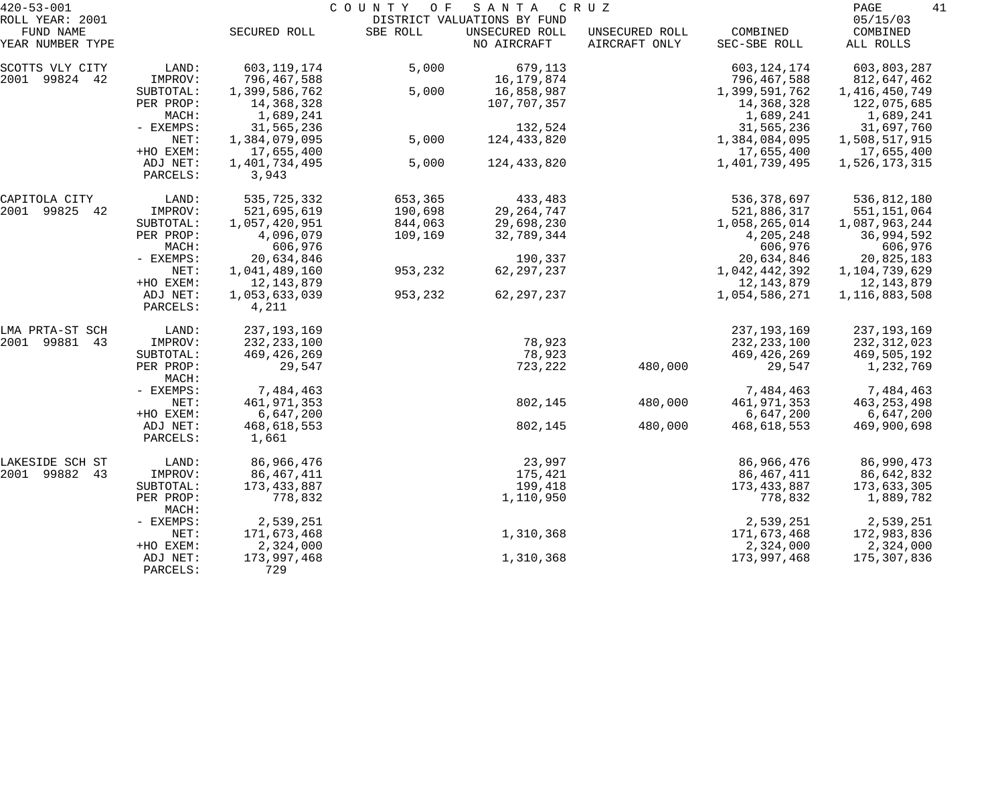| $420 - 53 - 001$                                 |                      | COUNTY<br>O F<br>SANTA<br>C R U Z |          |                                                              |                                 |                          |                                   |
|--------------------------------------------------|----------------------|-----------------------------------|----------|--------------------------------------------------------------|---------------------------------|--------------------------|-----------------------------------|
| ROLL YEAR: 2001<br>FUND NAME<br>YEAR NUMBER TYPE |                      | SECURED ROLL                      | SBE ROLL | DISTRICT VALUATIONS BY FUND<br>UNSECURED ROLL<br>NO AIRCRAFT | UNSECURED ROLL<br>AIRCRAFT ONLY | COMBINED<br>SEC-SBE ROLL | 05/15/03<br>COMBINED<br>ALL ROLLS |
|                                                  |                      |                                   |          |                                                              |                                 |                          |                                   |
| SCOTTS VLY CITY                                  | LAND:                | 603,119,174                       | 5,000    | 679,113                                                      |                                 | 603, 124, 174            | 603,803,287                       |
| 2001 99824 42                                    | IMPROV:              | 796,467,588                       |          | 16,179,874                                                   |                                 | 796,467,588              | 812,647,462                       |
|                                                  | SUBTOTAL:            | 1,399,586,762                     | 5,000    | 16,858,987                                                   |                                 | 1,399,591,762            | 1,416,450,749                     |
|                                                  | PER PROP:            | 14,368,328                        |          | 107,707,357                                                  |                                 | 14,368,328               | 122,075,685                       |
|                                                  | MACH:                | 1,689,241                         |          |                                                              |                                 | 1,689,241                | 1,689,241                         |
|                                                  | - EXEMPS:            | 31,565,236                        |          | 132,524                                                      |                                 | 31,565,236               | 31,697,760                        |
|                                                  | NET:                 | 1,384,079,095                     | 5,000    | 124,433,820                                                  |                                 | 1,384,084,095            | 1,508,517,915                     |
|                                                  | +HO EXEM:            | 17,655,400                        |          |                                                              |                                 | 17,655,400               | 17,655,400                        |
|                                                  | ADJ NET:<br>PARCELS: | 1,401,734,495<br>3,943            | 5,000    | 124,433,820                                                  |                                 | 1,401,739,495            | 1,526,173,315                     |
| CAPITOLA CITY                                    | LAND:                | 535,725,332                       | 653,365  | 433,483                                                      |                                 | 536, 378, 697            | 536,812,180                       |
| 2001 99825<br>42                                 | IMPROV:              | 521,695,619                       | 190,698  | 29, 264, 747                                                 |                                 | 521,886,317              | 551, 151, 064                     |
|                                                  | SUBTOTAL:            | 1,057,420,951                     | 844,063  | 29,698,230                                                   |                                 | 1,058,265,014            | 1,087,963,244                     |
|                                                  | PER PROP:            | 4,096,079                         | 109,169  | 32,789,344                                                   |                                 | 4,205,248                | 36,994,592                        |
|                                                  | MACH:                | 606,976                           |          |                                                              |                                 | 606,976                  | 606,976                           |
|                                                  | - EXEMPS:            | 20,634,846                        |          | 190,337                                                      |                                 | 20,634,846               | 20,825,183                        |
|                                                  | NET:                 | 1,041,489,160                     | 953,232  | 62, 297, 237                                                 |                                 | 1,042,442,392            | 1,104,739,629                     |
|                                                  | +HO EXEM:            | 12,143,879                        |          |                                                              |                                 | 12,143,879               | 12,143,879                        |
|                                                  | ADJ NET:<br>PARCELS: | 1,053,633,039<br>4,211            | 953,232  | 62, 297, 237                                                 |                                 | 1,054,586,271            | 1,116,883,508                     |
| LMA PRTA-ST SCH                                  | LAND:                | 237, 193, 169                     |          |                                                              |                                 | 237, 193, 169            | 237, 193, 169                     |
| 2001 99881<br>43                                 | IMPROV:              | 232, 233, 100                     |          | 78,923                                                       |                                 | 232, 233, 100            | 232, 312, 023                     |
|                                                  | SUBTOTAL:            | 469, 426, 269                     |          | 78,923                                                       |                                 | 469,426,269              | 469,505,192                       |
|                                                  | PER PROP:<br>MACH:   | 29,547                            |          | 723,222                                                      | 480,000                         | 29,547                   | 1,232,769                         |
|                                                  | - EXEMPS:            | 7,484,463                         |          |                                                              |                                 | 7,484,463                | 7,484,463                         |
|                                                  | NET:                 | 461, 971, 353                     |          | 802,145                                                      | 480,000                         | 461, 971, 353            | 463, 253, 498                     |
|                                                  | +HO EXEM:            | 6,647,200                         |          |                                                              |                                 | 6,647,200                | 6,647,200                         |
|                                                  | ADJ NET:             | 468,618,553                       |          | 802,145                                                      | 480,000                         | 468,618,553              | 469,900,698                       |
|                                                  | PARCELS:             | 1,661                             |          |                                                              |                                 |                          |                                   |
| LAKESIDE SCH ST                                  | LAND:                | 86,966,476                        |          | 23,997                                                       |                                 | 86,966,476               | 86,990,473                        |
| 2001 99882<br>43                                 | IMPROV:              | 86,467,411                        |          | 175,421                                                      |                                 | 86,467,411               | 86,642,832                        |
|                                                  | SUBTOTAL:            | 173, 433, 887                     |          | 199,418                                                      |                                 | 173, 433, 887            | 173,633,305                       |
|                                                  | PER PROP:<br>MACH:   | 778,832                           |          | 1,110,950                                                    |                                 | 778,832                  | 1,889,782                         |
|                                                  | - EXEMPS:            | 2,539,251                         |          |                                                              |                                 | 2,539,251                | 2,539,251                         |
|                                                  | NET:                 | 171,673,468                       |          | 1,310,368                                                    |                                 | 171,673,468              | 172,983,836                       |
|                                                  | +HO EXEM:            | 2,324,000                         |          |                                                              |                                 | 2,324,000                | 2,324,000                         |
|                                                  | ADJ NET:<br>PARCELS: | 173,997,468<br>729                |          | 1,310,368                                                    |                                 | 173,997,468              | 175,307,836                       |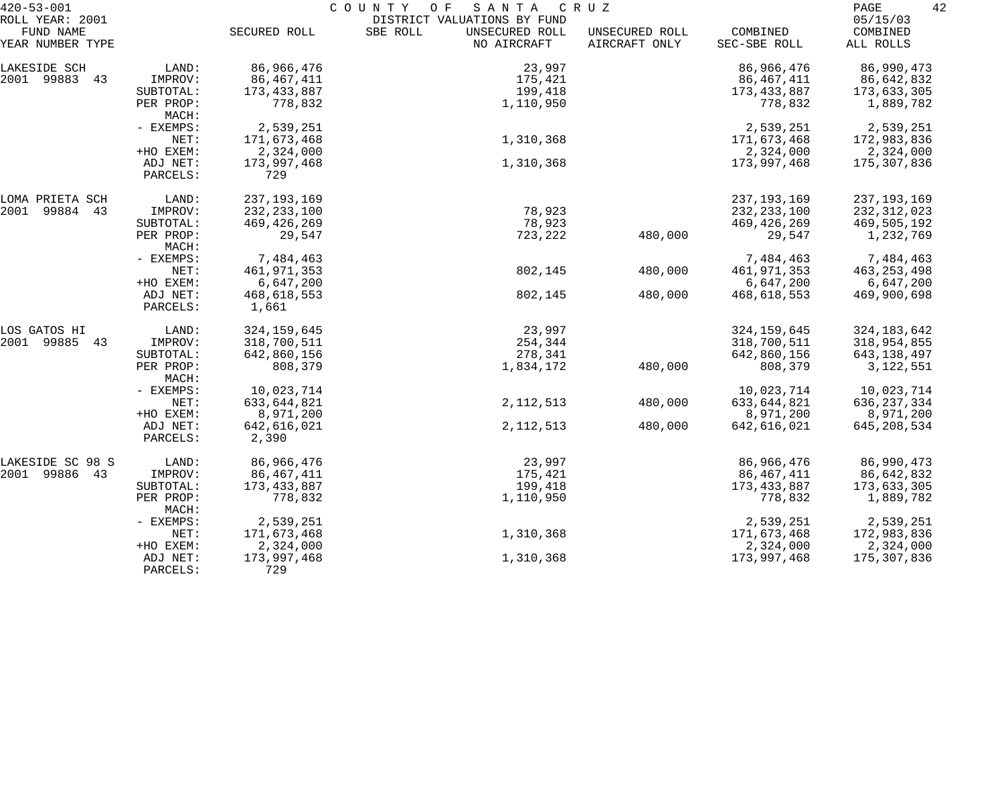| $420 - 53 - 001$                                 |                      | COUNTY<br>O F<br>SANTA<br>C R U Z |                                                                          |                                 |                          |                                   |  |
|--------------------------------------------------|----------------------|-----------------------------------|--------------------------------------------------------------------------|---------------------------------|--------------------------|-----------------------------------|--|
| ROLL YEAR: 2001<br>FUND NAME<br>YEAR NUMBER TYPE |                      | SECURED ROLL                      | DISTRICT VALUATIONS BY FUND<br>SBE ROLL<br>UNSECURED ROLL<br>NO AIRCRAFT | UNSECURED ROLL<br>AIRCRAFT ONLY | COMBINED<br>SEC-SBE ROLL | 05/15/03<br>COMBINED<br>ALL ROLLS |  |
| LAKESIDE SCH                                     | LAND:                | 86,966,476                        | 23,997                                                                   |                                 | 86,966,476               | 86,990,473                        |  |
| 2001 99883<br>43                                 | IMPROV:              | 86, 467, 411                      | 175,421                                                                  |                                 | 86,467,411               | 86,642,832                        |  |
|                                                  | SUBTOTAL:            | 173, 433, 887                     | 199,418                                                                  |                                 | 173,433,887              | 173,633,305                       |  |
|                                                  | PER PROP:<br>MACH:   | 778,832                           | 1,110,950                                                                |                                 | 778,832                  | 1,889,782                         |  |
|                                                  | - EXEMPS:            | 2,539,251                         |                                                                          |                                 | 2,539,251                | 2,539,251                         |  |
|                                                  | NET:                 | 171,673,468                       | 1,310,368                                                                |                                 | 171,673,468              | 172,983,836                       |  |
|                                                  | +HO EXEM:            | 2,324,000                         |                                                                          |                                 | 2,324,000                | 2,324,000                         |  |
|                                                  | ADJ NET:<br>PARCELS: | 173,997,468<br>729                | 1,310,368                                                                |                                 | 173,997,468              | 175,307,836                       |  |
| LOMA PRIETA SCH                                  | LAND:                | 237, 193, 169                     |                                                                          |                                 | 237, 193, 169            | 237, 193, 169                     |  |
| 2001<br>99884 43                                 | IMPROV:              | 232, 233, 100                     | 78,923                                                                   |                                 | 232, 233, 100            | 232, 312, 023                     |  |
|                                                  | SUBTOTAL:            | 469, 426, 269                     | 78,923                                                                   |                                 | 469,426,269              | 469,505,192                       |  |
|                                                  | PER PROP:<br>MACH:   | 29,547                            | 723,222                                                                  | 480,000                         | 29,547                   | 1,232,769                         |  |
|                                                  | - EXEMPS:            | 7,484,463                         |                                                                          |                                 | 7,484,463                | 7,484,463                         |  |
|                                                  | NET:                 | 461, 971, 353                     | 802,145                                                                  | 480,000                         | 461, 971, 353            | 463, 253, 498                     |  |
|                                                  | +HO EXEM:            | 6,647,200                         |                                                                          |                                 | 6,647,200                | 6,647,200                         |  |
|                                                  | ADJ NET:<br>PARCELS: | 468,618,553<br>1,661              | 802,145                                                                  | 480,000                         | 468,618,553              | 469,900,698                       |  |
| LOS GATOS HI                                     | LAND:                | 324, 159, 645                     | 23,997                                                                   |                                 | 324, 159, 645            | 324, 183, 642                     |  |
| 2001<br>99885<br>43                              | IMPROV:              | 318,700,511                       | 254,344                                                                  |                                 | 318,700,511              | 318,954,855                       |  |
|                                                  | SUBTOTAL:            | 642,860,156                       | 278,341                                                                  |                                 | 642,860,156              | 643,138,497                       |  |
|                                                  | PER PROP:<br>MACH:   | 808,379                           | 1,834,172                                                                | 480,000                         | 808,379                  | 3,122,551                         |  |
|                                                  | - EXEMPS:            | 10,023,714                        |                                                                          |                                 | 10,023,714               | 10,023,714                        |  |
|                                                  | NET:                 | 633, 644, 821                     | 2, 112, 513                                                              | 480,000                         | 633,644,821              | 636, 237, 334                     |  |
|                                                  | +HO EXEM:            | 8,971,200                         |                                                                          |                                 | 8,971,200                | 8,971,200                         |  |
|                                                  | ADJ NET:<br>PARCELS: | 642,616,021<br>2,390              | 2, 112, 513                                                              | 480,000                         | 642,616,021              | 645, 208, 534                     |  |
| LAKESIDE SC 98 S                                 | LAND:                | 86,966,476                        | 23,997                                                                   |                                 | 86,966,476               | 86,990,473                        |  |
| 2001 99886<br>43                                 | IMPROV:              | 86, 467, 411                      | 175,421                                                                  |                                 | 86, 467, 411             | 86,642,832                        |  |
|                                                  | SUBTOTAL:            | 173, 433, 887                     | 199,418                                                                  |                                 | 173,433,887              | 173,633,305                       |  |
|                                                  | PER PROP:<br>MACH:   | 778,832                           | 1,110,950                                                                |                                 | 778,832                  | 1,889,782                         |  |
|                                                  | - EXEMPS:            | 2,539,251                         |                                                                          |                                 | 2,539,251                | 2,539,251                         |  |
|                                                  | NET:                 | 171,673,468                       | 1,310,368                                                                |                                 | 171,673,468              | 172,983,836                       |  |
|                                                  | +HO EXEM:            | 2,324,000                         |                                                                          |                                 | 2,324,000                | 2,324,000                         |  |
|                                                  | ADJ NET:<br>PARCELS: | 173,997,468<br>729                | 1,310,368                                                                |                                 | 173,997,468              | 175,307,836                       |  |
|                                                  |                      |                                   |                                                                          |                                 |                          |                                   |  |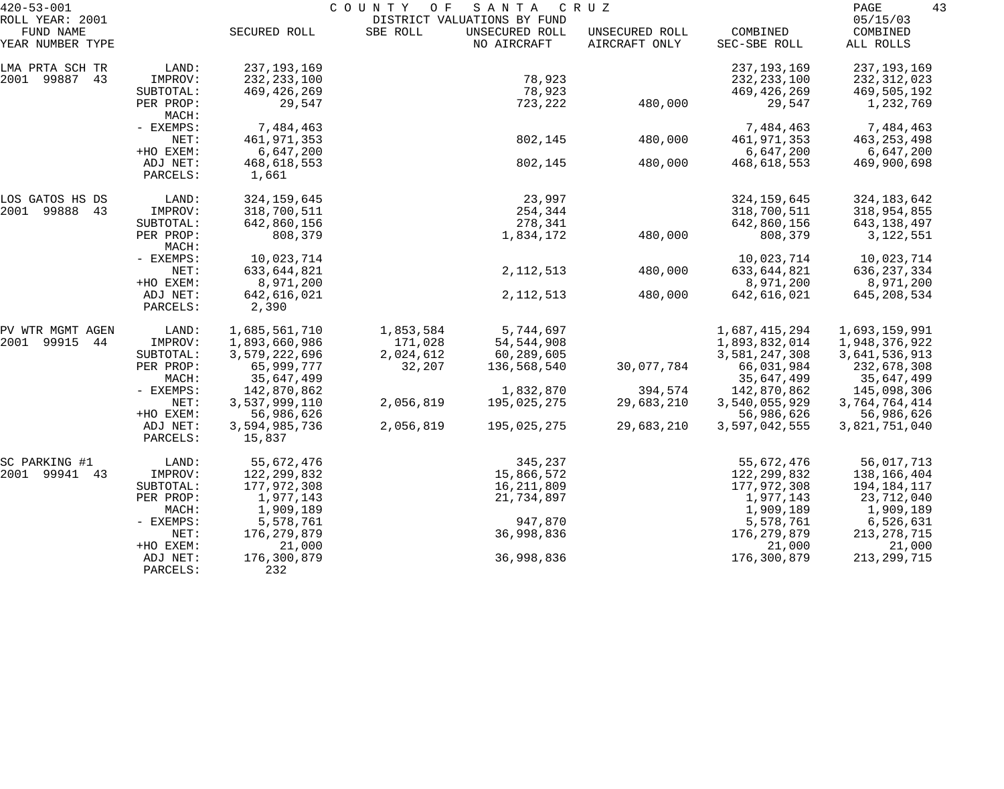| $420 - 53 - 001$             |                      |                         | COUNTY<br>O F | SANTA                                         | C R U Z        |               | 43<br>PAGE           |
|------------------------------|----------------------|-------------------------|---------------|-----------------------------------------------|----------------|---------------|----------------------|
| ROLL YEAR: 2001<br>FUND NAME |                      | SECURED ROLL            | SBE ROLL      | DISTRICT VALUATIONS BY FUND<br>UNSECURED ROLL | UNSECURED ROLL | COMBINED      | 05/15/03<br>COMBINED |
| YEAR NUMBER TYPE             |                      |                         |               | NO AIRCRAFT                                   | AIRCRAFT ONLY  | SEC-SBE ROLL  | ALL ROLLS            |
| LMA PRTA SCH TR              | LAND:                | 237, 193, 169           |               |                                               |                | 237, 193, 169 | 237, 193, 169        |
| 2001 99887<br>43             | IMPROV:              | 232, 233, 100           |               | 78,923                                        |                | 232, 233, 100 | 232,312,023          |
|                              | SUBTOTAL:            | 469,426,269             |               | 78,923                                        |                | 469,426,269   | 469,505,192          |
|                              | PER PROP:<br>MACH:   | 29,547                  |               | 723,222                                       | 480,000        | 29,547        | 1,232,769            |
|                              | - EXEMPS:            | 7,484,463               |               |                                               |                | 7,484,463     | 7,484,463            |
|                              | NET:                 | 461,971,353             |               | 802,145                                       | 480,000        | 461,971,353   | 463, 253, 498        |
|                              | +HO EXEM:            | 6,647,200               |               |                                               |                | 6,647,200     | 6,647,200            |
|                              | ADJ NET:<br>PARCELS: | 468,618,553<br>1,661    |               | 802,145                                       | 480,000        | 468,618,553   | 469,900,698          |
| LOS GATOS HS DS              | LAND:                | 324, 159, 645           |               | 23,997                                        |                | 324, 159, 645 | 324, 183, 642        |
| 2001 99888<br>43             | IMPROV:              | 318,700,511             |               | 254,344                                       |                | 318,700,511   | 318,954,855          |
|                              | SUBTOTAL:            | 642,860,156             |               | 278,341                                       |                | 642,860,156   | 643,138,497          |
|                              | PER PROP:<br>MACH:   | 808,379                 |               | 1,834,172                                     | 480,000        | 808,379       | 3,122,551            |
|                              | - EXEMPS:            | 10,023,714              |               |                                               |                | 10,023,714    | 10,023,714           |
|                              | NET:                 | 633,644,821             |               | 2, 112, 513                                   | 480,000        | 633,644,821   | 636, 237, 334        |
|                              | +HO EXEM:            | 8,971,200               |               |                                               |                | 8,971,200     | 8,971,200            |
|                              | ADJ NET:<br>PARCELS: | 642,616,021<br>2,390    |               | 2, 112, 513                                   | 480,000        | 642,616,021   | 645, 208, 534        |
| PV WTR MGMT AGEN             | LAND:                | 1,685,561,710           | 1,853,584     | 5,744,697                                     |                | 1,687,415,294 | 1,693,159,991        |
| 2001 99915<br>44             | IMPROV:              | 1,893,660,986           | 171,028       | 54,544,908                                    |                | 1,893,832,014 | 1,948,376,922        |
|                              | SUBTOTAL:            | 3,579,222,696           | 2,024,612     | 60,289,605                                    |                | 3,581,247,308 | 3,641,536,913        |
|                              | PER PROP:            | 65,999,777              | 32,207        | 136,568,540                                   | 30,077,784     | 66,031,984    | 232,678,308          |
|                              | MACH:                | 35,647,499              |               |                                               |                | 35,647,499    | 35,647,499           |
|                              | - EXEMPS:            | 142,870,862             |               | 1,832,870                                     | 394,574        | 142,870,862   | 145,098,306          |
|                              | NET:                 | 3,537,999,110           | 2,056,819     | 195,025,275                                   | 29,683,210     | 3,540,055,929 | 3,764,764,414        |
|                              | +HO EXEM:            | 56,986,626              |               |                                               |                | 56,986,626    | 56,986,626           |
|                              | ADJ NET:<br>PARCELS: | 3,594,985,736<br>15,837 | 2,056,819     | 195,025,275                                   | 29,683,210     | 3,597,042,555 | 3,821,751,040        |
| SC PARKING #1                | LAND:                | 55,672,476              |               | 345,237                                       |                | 55,672,476    | 56,017,713           |
| 2001 99941<br>43             | IMPROV:              | 122,299,832             |               | 15,866,572                                    |                | 122,299,832   | 138,166,404          |
|                              | SUBTOTAL:            | 177,972,308             |               | 16,211,809                                    |                | 177,972,308   | 194,184,117          |
|                              | PER PROP:            | 1,977,143               |               | 21,734,897                                    |                | 1,977,143     | 23,712,040           |
|                              | MACH:                | 1,909,189               |               |                                               |                | 1,909,189     | 1,909,189            |
|                              | - EXEMPS:            | 5,578,761               |               | 947,870                                       |                | 5,578,761     | 6,526,631            |
|                              | NET:                 | 176,279,879             |               | 36,998,836                                    |                | 176,279,879   | 213, 278, 715        |
|                              | +HO EXEM:            | 21,000                  |               |                                               |                | 21,000        | 21,000               |
|                              | ADJ NET:<br>PARCELS: | 176,300,879<br>232      |               | 36,998,836                                    |                | 176,300,879   | 213, 299, 715        |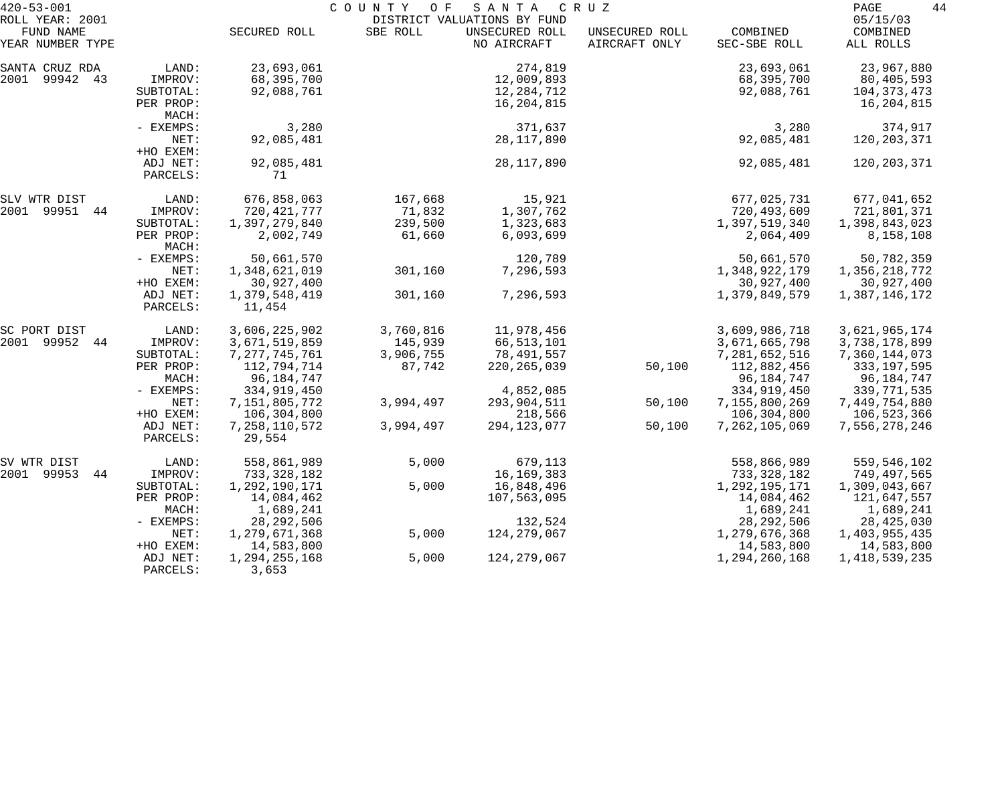| $420 - 53 - 001$                                 |                                            |                                        | C O U N T Y<br>O F | SANTA                                                        | C R U Z                         |                                        | 44<br>PAGE                                              |
|--------------------------------------------------|--------------------------------------------|----------------------------------------|--------------------|--------------------------------------------------------------|---------------------------------|----------------------------------------|---------------------------------------------------------|
| ROLL YEAR: 2001<br>FUND NAME<br>YEAR NUMBER TYPE |                                            | SECURED ROLL                           | SBE ROLL           | DISTRICT VALUATIONS BY FUND<br>UNSECURED ROLL<br>NO AIRCRAFT | UNSECURED ROLL<br>AIRCRAFT ONLY | COMBINED<br>SEC-SBE ROLL               | 05/15/03<br>COMBINED<br>ALL ROLLS                       |
|                                                  |                                            |                                        |                    |                                                              |                                 |                                        |                                                         |
| SANTA CRUZ RDA<br>2001 99942 43                  | LAND:<br>IMPROV:<br>SUBTOTAL:<br>PER PROP: | 23,693,061<br>68,395,700<br>92,088,761 |                    | 274,819<br>12,009,893<br>12,284,712<br>16,204,815            |                                 | 23,693,061<br>68,395,700<br>92,088,761 | 23,967,880<br>80,405,593<br>104, 373, 473<br>16,204,815 |
|                                                  | MACH:                                      |                                        |                    |                                                              |                                 |                                        |                                                         |
|                                                  | - EXEMPS:<br>NET:<br>+HO EXEM:             | 3,280<br>92,085,481                    |                    | 371,637<br>28,117,890                                        |                                 | 3,280<br>92,085,481                    | 374,917<br>120,203,371                                  |
|                                                  | ADJ NET:<br>PARCELS:                       | 92,085,481<br>71                       |                    | 28, 117, 890                                                 |                                 | 92,085,481                             | 120,203,371                                             |
| SLV WTR DIST                                     | LAND:                                      | 676,858,063                            | 167,668            | 15,921                                                       |                                 | 677,025,731                            | 677,041,652                                             |
| 2001 99951 44                                    | IMPROV:                                    | 720, 421, 777                          | 71,832             | 1,307,762                                                    |                                 | 720,493,609                            | 721,801,371                                             |
|                                                  | SUBTOTAL:                                  | 1,397,279,840                          | 239,500            | 1,323,683                                                    |                                 | 1,397,519,340                          | 1,398,843,023                                           |
|                                                  | PER PROP:<br>MACH:                         | 2,002,749                              | 61,660             | 6,093,699                                                    |                                 | 2,064,409                              | 8,158,108                                               |
|                                                  | - EXEMPS:                                  | 50,661,570                             |                    | 120,789                                                      |                                 | 50,661,570                             | 50,782,359                                              |
|                                                  | NET:                                       | 1,348,621,019                          | 301,160            | 7,296,593                                                    |                                 | 1,348,922,179                          | 1,356,218,772                                           |
|                                                  | +HO EXEM:                                  | 30,927,400                             |                    |                                                              |                                 | 30,927,400                             | 30,927,400                                              |
|                                                  | ADJ NET:<br>PARCELS:                       | 1,379,548,419<br>11,454                | 301,160            | 7,296,593                                                    |                                 | 1,379,849,579                          | 1,387,146,172                                           |
| SC PORT DIST                                     | LAND:                                      | 3,606,225,902                          | 3,760,816          | 11,978,456                                                   |                                 | 3,609,986,718                          | 3,621,965,174                                           |
| 2001 99952<br>44                                 | IMPROV:                                    | 3,671,519,859                          | 145,939            | 66,513,101                                                   |                                 | 3,671,665,798                          | 3,738,178,899                                           |
|                                                  | SUBTOTAL:                                  | 7, 277, 745, 761                       | 3,906,755          | 78,491,557                                                   |                                 | 7,281,652,516                          | 7,360,144,073                                           |
|                                                  | PER PROP:                                  | 112,794,714                            | 87,742             | 220, 265, 039                                                | 50,100                          | 112,882,456                            | 333, 197, 595                                           |
|                                                  | MACH:                                      | 96,184,747                             |                    |                                                              |                                 | 96,184,747                             | 96,184,747                                              |
|                                                  | - EXEMPS:                                  | 334,919,450                            |                    | 4,852,085                                                    |                                 | 334,919,450                            | 339,771,535                                             |
|                                                  | NET:                                       | 7,151,805,772                          | 3,994,497          | 293,904,511                                                  | 50,100                          | 7,155,800,269                          | 7,449,754,880                                           |
|                                                  | +HO EXEM:                                  | 106,304,800                            |                    | 218,566                                                      |                                 | 106,304,800                            | 106,523,366                                             |
|                                                  | ADJ NET:<br>PARCELS:                       | 7, 258, 110, 572<br>29,554             | 3,994,497          | 294, 123, 077                                                | 50,100                          | 7,262,105,069                          | 7,556,278,246                                           |
| SV WTR DIST                                      | LAND:                                      | 558,861,989                            | 5,000              | 679,113                                                      |                                 | 558,866,989                            | 559,546,102                                             |
| 2001 99953<br>44                                 | IMPROV:                                    | 733,328,182                            |                    | 16,169,383                                                   |                                 | 733, 328, 182                          | 749,497,565                                             |
|                                                  | SUBTOTAL:                                  | 1,292,190,171                          | 5,000              | 16,848,496                                                   |                                 | 1,292,195,171                          | 1,309,043,667                                           |
|                                                  | PER PROP:                                  | 14,084,462                             |                    | 107,563,095                                                  |                                 | 14,084,462                             | 121,647,557                                             |
|                                                  | MACH:                                      | 1,689,241                              |                    |                                                              |                                 | 1,689,241                              | 1,689,241                                               |
|                                                  | $-$ EXEMPS:                                | 28, 292, 506                           |                    | 132,524                                                      |                                 | 28, 292, 506                           | 28,425,030                                              |
|                                                  | NET:                                       | 1,279,671,368                          | 5,000              | 124, 279, 067                                                |                                 | 1,279,676,368                          | 1,403,955,435                                           |
|                                                  | +HO EXEM:                                  | 14,583,800                             |                    |                                                              |                                 | 14,583,800                             | 14,583,800                                              |
|                                                  | ADJ NET:<br>PARCELS:                       | 1,294,255,168<br>3,653                 | 5,000              | 124, 279, 067                                                |                                 | 1,294,260,168                          | 1,418,539,235                                           |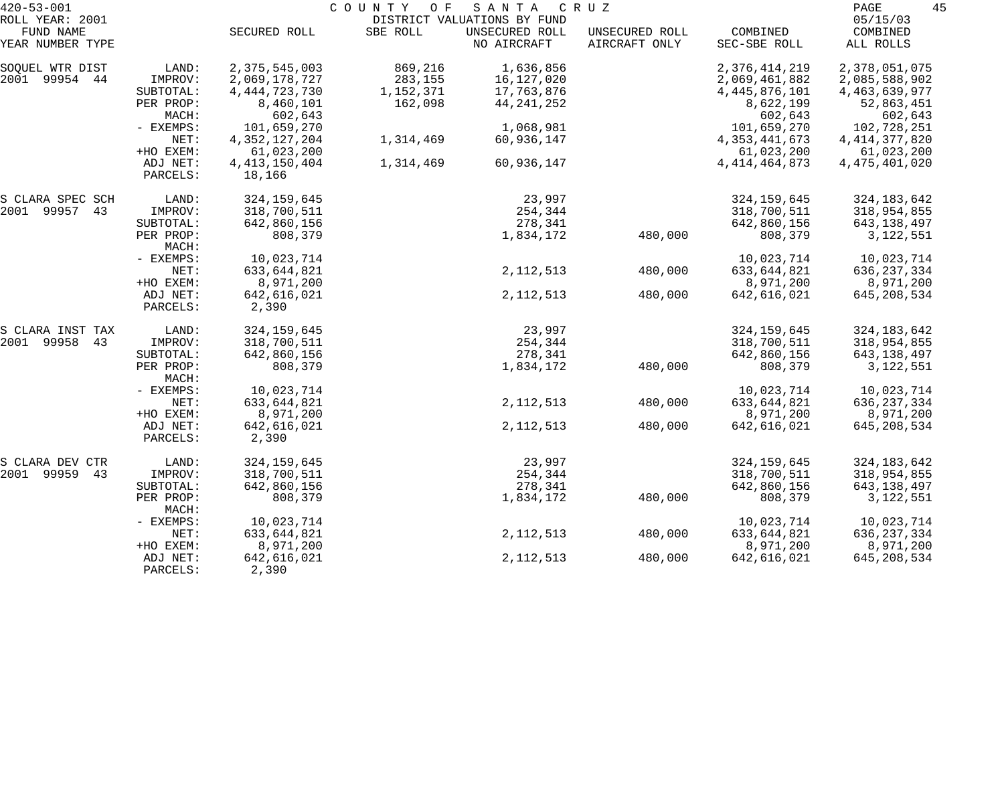| $420 - 53 - 001$              |                      | COUNTY OF<br>SANTA<br>C R U Z |           |                               |                                 |                          |                       |
|-------------------------------|----------------------|-------------------------------|-----------|-------------------------------|---------------------------------|--------------------------|-----------------------|
| ROLL YEAR: 2001               |                      |                               |           | DISTRICT VALUATIONS BY FUND   |                                 |                          | 05/15/03              |
| FUND NAME<br>YEAR NUMBER TYPE |                      | SECURED ROLL                  | SBE ROLL  | UNSECURED ROLL<br>NO AIRCRAFT | UNSECURED ROLL<br>AIRCRAFT ONLY | COMBINED<br>SEC-SBE ROLL | COMBINED<br>ALL ROLLS |
| SOQUEL WTR DIST               | LAND:                | 2,375,545,003                 | 869,216   | 1,636,856                     |                                 | 2,376,414,219            | 2,378,051,075         |
| 2001 99954 44                 | IMPROV:              | 2,069,178,727                 | 283,155   | 16,127,020                    |                                 | 2,069,461,882            | 2,085,588,902         |
|                               | SUBTOTAL:            | 4, 444, 723, 730              | 1,152,371 | 17,763,876                    |                                 | 4, 445, 876, 101         | 4, 463, 639, 977      |
|                               | PER PROP:<br>MACH:   | 8,460,101<br>602,643          | 162,098   | 44, 241, 252                  |                                 | 8,622,199<br>602,643     | 52,863,451<br>602,643 |
|                               | $-$ EXEMPS:          | 101,659,270                   |           | 1,068,981                     |                                 | 101,659,270              | 102,728,251           |
|                               | NET:                 | 4, 352, 127, 204              | 1,314,469 | 60,936,147                    |                                 | 4, 353, 441, 673         | 4, 414, 377, 820      |
|                               | +HO EXEM:            | 61,023,200                    |           |                               |                                 | 61,023,200               | 61,023,200            |
|                               | ADJ NET:             | 4, 413, 150, 404              | 1,314,469 | 60,936,147                    |                                 | 4, 414, 464, 873         | 4, 475, 401, 020      |
|                               | PARCELS:             | 18,166                        |           |                               |                                 |                          |                       |
| S CLARA SPEC SCH              | LAND:                | 324,159,645                   |           | 23,997                        |                                 | 324, 159, 645            | 324, 183, 642         |
| 2001 99957 43                 | IMPROV:              | 318,700,511                   |           | 254,344                       |                                 | 318,700,511              | 318,954,855           |
|                               | SUBTOTAL:            | 642,860,156                   |           | 278,341                       |                                 | 642,860,156              | 643,138,497           |
|                               | PER PROP:<br>MACH:   | 808,379                       |           | 1,834,172                     | 480,000                         | 808,379                  | 3, 122, 551           |
|                               | - EXEMPS:            | 10,023,714                    |           |                               |                                 | 10,023,714               | 10,023,714            |
|                               | NET:                 | 633, 644, 821                 |           | 2, 112, 513                   | 480,000                         | 633, 644, 821            | 636, 237, 334         |
|                               | +HO EXEM:            | 8,971,200                     |           |                               |                                 | 8,971,200                | 8,971,200             |
|                               | ADJ NET:<br>PARCELS: | 642,616,021<br>2,390          |           | 2, 112, 513                   | 480,000                         | 642,616,021              | 645, 208, 534         |
| S CLARA INST TAX              | LAND:                | 324, 159, 645                 |           | 23,997                        |                                 | 324, 159, 645            | 324, 183, 642         |
| 2001 99958<br>43              | IMPROV:              | 318,700,511                   |           | 254,344                       |                                 | 318,700,511              | 318,954,855           |
|                               | SUBTOTAL:            | 642,860,156                   |           | 278,341                       |                                 | 642,860,156              | 643,138,497           |
|                               | PER PROP:<br>MACH:   | 808,379                       |           | 1,834,172                     | 480,000                         | 808,379                  | 3,122,551             |
|                               | - EXEMPS:            | 10,023,714                    |           |                               |                                 | 10,023,714               | 10,023,714            |
|                               | NET:                 | 633,644,821                   |           | 2, 112, 513                   | 480,000                         | 633, 644, 821            | 636, 237, 334         |
|                               | +HO EXEM:            | 8,971,200                     |           |                               |                                 | 8,971,200                | 8,971,200             |
|                               | ADJ NET:             | 642,616,021                   |           | 2, 112, 513                   | 480,000                         | 642,616,021              | 645, 208, 534         |
|                               | PARCELS:             | 2,390                         |           |                               |                                 |                          |                       |
| S CLARA DEV CTR               | LAND:                | 324, 159, 645                 |           | 23,997                        |                                 | 324, 159, 645            | 324, 183, 642         |
| 2001 99959<br>43              | IMPROV:              | 318,700,511                   |           | 254,344                       |                                 | 318,700,511              | 318,954,855           |
|                               | SUBTOTAL:            | 642,860,156                   |           | 278,341                       |                                 | 642,860,156              | 643,138,497           |
|                               | PER PROP:<br>MACH:   | 808,379                       |           | 1,834,172                     | 480,000                         | 808,379                  | 3,122,551             |
|                               | - EXEMPS:            | 10,023,714                    |           |                               |                                 | 10,023,714               | 10,023,714            |
|                               | NET:                 | 633, 644, 821                 |           | 2, 112, 513                   | 480,000                         | 633,644,821              | 636, 237, 334         |
|                               | +HO EXEM:            | 8,971,200                     |           |                               |                                 | 8,971,200                | 8,971,200             |
|                               | ADJ NET:<br>PARCELS: | 642,616,021<br>2,390          |           | 2, 112, 513                   | 480,000                         | 642,616,021              | 645, 208, 534         |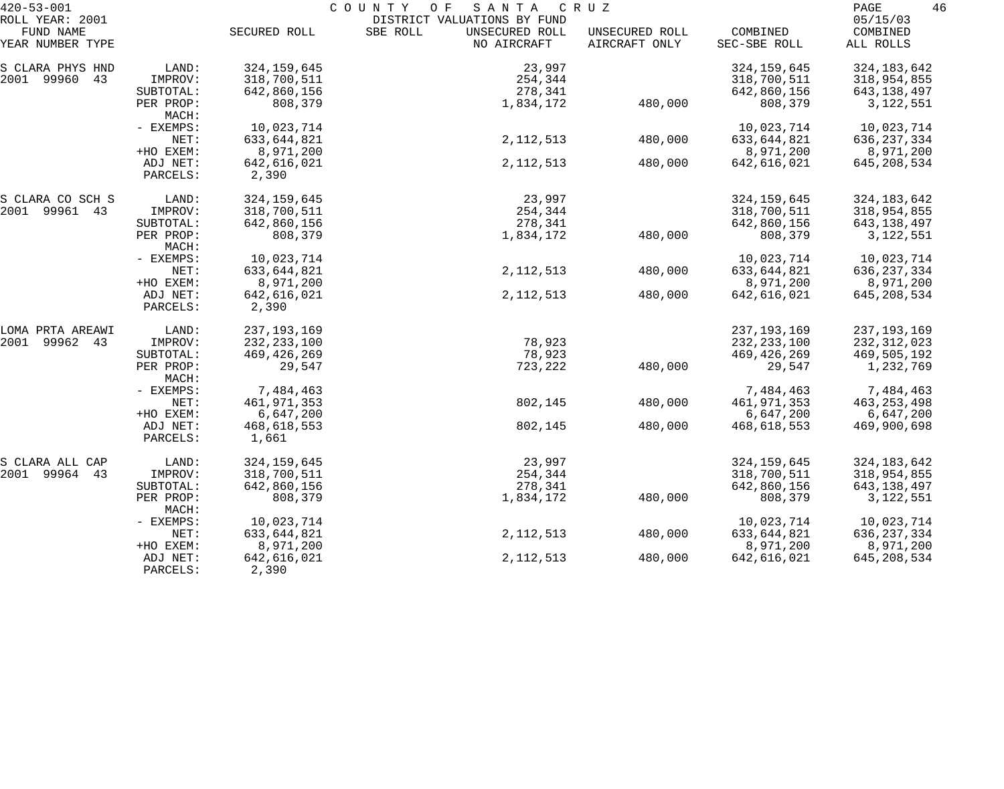| SBE ROLL<br>UNSECURED ROLL<br>COMBINED<br>FUND NAME<br>SECURED ROLL<br>UNSECURED ROLL<br>COMBINED<br>NO AIRCRAFT<br>AIRCRAFT ONLY<br>YEAR NUMBER TYPE<br>SEC-SBE ROLL<br>ALL ROLLS<br>324, 159, 645<br>LAND:<br>23,997<br>324, 159, 645<br>324, 183, 642<br>43<br>IMPROV:<br>318,700,511<br>254,344<br>318,700,511<br>318,954,855<br>278,341<br>SUBTOTAL:<br>642,860,156<br>642,860,156<br>643,138,497<br>PER PROP:<br>808,379<br>1,834,172<br>480,000<br>808,379<br>3,122,551<br>MACH:<br>10,023,714<br>10,023,714<br>- EXEMPS:<br>10,023,714<br>NET:<br>2, 112, 513<br>633,644,821<br>480,000<br>633,644,821<br>636, 237, 334<br>+HO EXEM:<br>8,971,200<br>8,971,200<br>8,971,200<br>ADJ NET:<br>642,616,021<br>2, 112, 513<br>480,000<br>642,616,021<br>645, 208, 534<br>2,390<br>PARCELS:<br>324, 159, 645<br>23,997<br>324, 159, 645<br>324, 183, 642<br>LAND:<br>IMPROV:<br>318,700,511<br>254,344<br>318,700,511<br>318,954,855<br>278,341<br>SUBTOTAL:<br>642,860,156<br>642,860,156<br>643,138,497<br>PER PROP:<br>808,379<br>1,834,172<br>808,379<br>480,000<br>3,122,551<br>MACH:<br>10,023,714<br>10,023,714<br>- EXEMPS:<br>10,023,714<br>NET:<br>2, 112, 513<br>480,000<br>633, 644, 821<br>633,644,821<br>636, 237, 334<br>+HO EXEM:<br>8,971,200<br>8,971,200<br>8,971,200<br>ADJ NET:<br>642,616,021<br>2, 112, 513<br>480,000<br>642,616,021<br>645, 208, 534<br>PARCELS:<br>2,390<br>237, 193, 169<br>237, 193, 169<br>LAND:<br>237, 193, 169<br>LOMA PRTA AREAWI<br>78,923<br>2001<br>99962<br>IMPROV:<br>232, 233, 100<br>232, 233, 100<br>43<br>232, 312, 023<br>78,923<br>469, 426, 269<br>469,426,269<br>469,505,192<br>SUBTOTAL:<br>29,547<br>723,222<br>480,000<br>29,547<br>1,232,769<br>PER PROP:<br>MACH:<br>7,484,463<br>7,484,463<br>- EXEMPS:<br>7,484,463<br>NET:<br>461,971,353<br>802,145<br>480,000<br>461,971,353<br>463, 253, 498<br>+HO EXEM:<br>6,647,200<br>6,647,200<br>6,647,200<br>802,145<br>ADJ NET:<br>468,618,553<br>480,000<br>469,900,698<br>468,618,553<br>PARCELS:<br>1,661<br>324, 159, 645<br>23,997<br>324, 159, 645<br>324, 183, 642<br>LAND:<br>S CLARA ALL CAP<br>2001 99964<br>43<br>318,700,511<br>254,344<br>318,700,511<br>318,954,855<br>IMPROV:<br>642,860,156<br>642,860,156<br>278,341<br>643, 138, 497<br>SUBTOTAL:<br>808,379<br>1,834,172<br>480,000<br>808,379<br>3,122,551<br>PER PROP:<br>MACH:<br>10,023,714<br>10,023,714<br>10,023,714<br>- EXEMPS:<br>2, 112, 513<br>633,644,821<br>480,000<br>633,644,821<br>NET:<br>636, 237, 334<br>8,971,200<br>8,971,200<br>8,971,200<br>+HO EXEM:<br>480,000<br>642,616,021<br>2, 112, 513<br>642,616,021<br>645, 208, 534<br>ADJ NET:<br>2,390<br>PARCELS: | $420 - 53 - 001$ |  | COUNTY<br>O F<br>SANTA<br>C R U Z | 46<br>PAGE |          |
|-------------------------------------------------------------------------------------------------------------------------------------------------------------------------------------------------------------------------------------------------------------------------------------------------------------------------------------------------------------------------------------------------------------------------------------------------------------------------------------------------------------------------------------------------------------------------------------------------------------------------------------------------------------------------------------------------------------------------------------------------------------------------------------------------------------------------------------------------------------------------------------------------------------------------------------------------------------------------------------------------------------------------------------------------------------------------------------------------------------------------------------------------------------------------------------------------------------------------------------------------------------------------------------------------------------------------------------------------------------------------------------------------------------------------------------------------------------------------------------------------------------------------------------------------------------------------------------------------------------------------------------------------------------------------------------------------------------------------------------------------------------------------------------------------------------------------------------------------------------------------------------------------------------------------------------------------------------------------------------------------------------------------------------------------------------------------------------------------------------------------------------------------------------------------------------------------------------------------------------------------------------------------------------------------------------------------------------------------------------------------------------------------------------------------------------------------------------------------------------------------------------------------------------------------------------------------------------------------------------------------------------------------------------------------------|------------------|--|-----------------------------------|------------|----------|
|                                                                                                                                                                                                                                                                                                                                                                                                                                                                                                                                                                                                                                                                                                                                                                                                                                                                                                                                                                                                                                                                                                                                                                                                                                                                                                                                                                                                                                                                                                                                                                                                                                                                                                                                                                                                                                                                                                                                                                                                                                                                                                                                                                                                                                                                                                                                                                                                                                                                                                                                                                                                                                                                               | ROLL YEAR: 2001  |  | DISTRICT VALUATIONS BY FUND       |            | 05/15/03 |
|                                                                                                                                                                                                                                                                                                                                                                                                                                                                                                                                                                                                                                                                                                                                                                                                                                                                                                                                                                                                                                                                                                                                                                                                                                                                                                                                                                                                                                                                                                                                                                                                                                                                                                                                                                                                                                                                                                                                                                                                                                                                                                                                                                                                                                                                                                                                                                                                                                                                                                                                                                                                                                                                               |                  |  |                                   |            |          |
|                                                                                                                                                                                                                                                                                                                                                                                                                                                                                                                                                                                                                                                                                                                                                                                                                                                                                                                                                                                                                                                                                                                                                                                                                                                                                                                                                                                                                                                                                                                                                                                                                                                                                                                                                                                                                                                                                                                                                                                                                                                                                                                                                                                                                                                                                                                                                                                                                                                                                                                                                                                                                                                                               | S CLARA PHYS HND |  |                                   |            |          |
|                                                                                                                                                                                                                                                                                                                                                                                                                                                                                                                                                                                                                                                                                                                                                                                                                                                                                                                                                                                                                                                                                                                                                                                                                                                                                                                                                                                                                                                                                                                                                                                                                                                                                                                                                                                                                                                                                                                                                                                                                                                                                                                                                                                                                                                                                                                                                                                                                                                                                                                                                                                                                                                                               | 2001 99960       |  |                                   |            |          |
|                                                                                                                                                                                                                                                                                                                                                                                                                                                                                                                                                                                                                                                                                                                                                                                                                                                                                                                                                                                                                                                                                                                                                                                                                                                                                                                                                                                                                                                                                                                                                                                                                                                                                                                                                                                                                                                                                                                                                                                                                                                                                                                                                                                                                                                                                                                                                                                                                                                                                                                                                                                                                                                                               |                  |  |                                   |            |          |
|                                                                                                                                                                                                                                                                                                                                                                                                                                                                                                                                                                                                                                                                                                                                                                                                                                                                                                                                                                                                                                                                                                                                                                                                                                                                                                                                                                                                                                                                                                                                                                                                                                                                                                                                                                                                                                                                                                                                                                                                                                                                                                                                                                                                                                                                                                                                                                                                                                                                                                                                                                                                                                                                               |                  |  |                                   |            |          |
|                                                                                                                                                                                                                                                                                                                                                                                                                                                                                                                                                                                                                                                                                                                                                                                                                                                                                                                                                                                                                                                                                                                                                                                                                                                                                                                                                                                                                                                                                                                                                                                                                                                                                                                                                                                                                                                                                                                                                                                                                                                                                                                                                                                                                                                                                                                                                                                                                                                                                                                                                                                                                                                                               |                  |  |                                   |            |          |
|                                                                                                                                                                                                                                                                                                                                                                                                                                                                                                                                                                                                                                                                                                                                                                                                                                                                                                                                                                                                                                                                                                                                                                                                                                                                                                                                                                                                                                                                                                                                                                                                                                                                                                                                                                                                                                                                                                                                                                                                                                                                                                                                                                                                                                                                                                                                                                                                                                                                                                                                                                                                                                                                               |                  |  |                                   |            |          |
|                                                                                                                                                                                                                                                                                                                                                                                                                                                                                                                                                                                                                                                                                                                                                                                                                                                                                                                                                                                                                                                                                                                                                                                                                                                                                                                                                                                                                                                                                                                                                                                                                                                                                                                                                                                                                                                                                                                                                                                                                                                                                                                                                                                                                                                                                                                                                                                                                                                                                                                                                                                                                                                                               |                  |  |                                   |            |          |
|                                                                                                                                                                                                                                                                                                                                                                                                                                                                                                                                                                                                                                                                                                                                                                                                                                                                                                                                                                                                                                                                                                                                                                                                                                                                                                                                                                                                                                                                                                                                                                                                                                                                                                                                                                                                                                                                                                                                                                                                                                                                                                                                                                                                                                                                                                                                                                                                                                                                                                                                                                                                                                                                               |                  |  |                                   |            |          |
|                                                                                                                                                                                                                                                                                                                                                                                                                                                                                                                                                                                                                                                                                                                                                                                                                                                                                                                                                                                                                                                                                                                                                                                                                                                                                                                                                                                                                                                                                                                                                                                                                                                                                                                                                                                                                                                                                                                                                                                                                                                                                                                                                                                                                                                                                                                                                                                                                                                                                                                                                                                                                                                                               |                  |  |                                   |            |          |
|                                                                                                                                                                                                                                                                                                                                                                                                                                                                                                                                                                                                                                                                                                                                                                                                                                                                                                                                                                                                                                                                                                                                                                                                                                                                                                                                                                                                                                                                                                                                                                                                                                                                                                                                                                                                                                                                                                                                                                                                                                                                                                                                                                                                                                                                                                                                                                                                                                                                                                                                                                                                                                                                               |                  |  |                                   |            |          |
|                                                                                                                                                                                                                                                                                                                                                                                                                                                                                                                                                                                                                                                                                                                                                                                                                                                                                                                                                                                                                                                                                                                                                                                                                                                                                                                                                                                                                                                                                                                                                                                                                                                                                                                                                                                                                                                                                                                                                                                                                                                                                                                                                                                                                                                                                                                                                                                                                                                                                                                                                                                                                                                                               | S CLARA CO SCH S |  |                                   |            |          |
|                                                                                                                                                                                                                                                                                                                                                                                                                                                                                                                                                                                                                                                                                                                                                                                                                                                                                                                                                                                                                                                                                                                                                                                                                                                                                                                                                                                                                                                                                                                                                                                                                                                                                                                                                                                                                                                                                                                                                                                                                                                                                                                                                                                                                                                                                                                                                                                                                                                                                                                                                                                                                                                                               | 2001 99961 43    |  |                                   |            |          |
|                                                                                                                                                                                                                                                                                                                                                                                                                                                                                                                                                                                                                                                                                                                                                                                                                                                                                                                                                                                                                                                                                                                                                                                                                                                                                                                                                                                                                                                                                                                                                                                                                                                                                                                                                                                                                                                                                                                                                                                                                                                                                                                                                                                                                                                                                                                                                                                                                                                                                                                                                                                                                                                                               |                  |  |                                   |            |          |
|                                                                                                                                                                                                                                                                                                                                                                                                                                                                                                                                                                                                                                                                                                                                                                                                                                                                                                                                                                                                                                                                                                                                                                                                                                                                                                                                                                                                                                                                                                                                                                                                                                                                                                                                                                                                                                                                                                                                                                                                                                                                                                                                                                                                                                                                                                                                                                                                                                                                                                                                                                                                                                                                               |                  |  |                                   |            |          |
|                                                                                                                                                                                                                                                                                                                                                                                                                                                                                                                                                                                                                                                                                                                                                                                                                                                                                                                                                                                                                                                                                                                                                                                                                                                                                                                                                                                                                                                                                                                                                                                                                                                                                                                                                                                                                                                                                                                                                                                                                                                                                                                                                                                                                                                                                                                                                                                                                                                                                                                                                                                                                                                                               |                  |  |                                   |            |          |
|                                                                                                                                                                                                                                                                                                                                                                                                                                                                                                                                                                                                                                                                                                                                                                                                                                                                                                                                                                                                                                                                                                                                                                                                                                                                                                                                                                                                                                                                                                                                                                                                                                                                                                                                                                                                                                                                                                                                                                                                                                                                                                                                                                                                                                                                                                                                                                                                                                                                                                                                                                                                                                                                               |                  |  |                                   |            |          |
|                                                                                                                                                                                                                                                                                                                                                                                                                                                                                                                                                                                                                                                                                                                                                                                                                                                                                                                                                                                                                                                                                                                                                                                                                                                                                                                                                                                                                                                                                                                                                                                                                                                                                                                                                                                                                                                                                                                                                                                                                                                                                                                                                                                                                                                                                                                                                                                                                                                                                                                                                                                                                                                                               |                  |  |                                   |            |          |
|                                                                                                                                                                                                                                                                                                                                                                                                                                                                                                                                                                                                                                                                                                                                                                                                                                                                                                                                                                                                                                                                                                                                                                                                                                                                                                                                                                                                                                                                                                                                                                                                                                                                                                                                                                                                                                                                                                                                                                                                                                                                                                                                                                                                                                                                                                                                                                                                                                                                                                                                                                                                                                                                               |                  |  |                                   |            |          |
|                                                                                                                                                                                                                                                                                                                                                                                                                                                                                                                                                                                                                                                                                                                                                                                                                                                                                                                                                                                                                                                                                                                                                                                                                                                                                                                                                                                                                                                                                                                                                                                                                                                                                                                                                                                                                                                                                                                                                                                                                                                                                                                                                                                                                                                                                                                                                                                                                                                                                                                                                                                                                                                                               |                  |  |                                   |            |          |
|                                                                                                                                                                                                                                                                                                                                                                                                                                                                                                                                                                                                                                                                                                                                                                                                                                                                                                                                                                                                                                                                                                                                                                                                                                                                                                                                                                                                                                                                                                                                                                                                                                                                                                                                                                                                                                                                                                                                                                                                                                                                                                                                                                                                                                                                                                                                                                                                                                                                                                                                                                                                                                                                               |                  |  |                                   |            |          |
|                                                                                                                                                                                                                                                                                                                                                                                                                                                                                                                                                                                                                                                                                                                                                                                                                                                                                                                                                                                                                                                                                                                                                                                                                                                                                                                                                                                                                                                                                                                                                                                                                                                                                                                                                                                                                                                                                                                                                                                                                                                                                                                                                                                                                                                                                                                                                                                                                                                                                                                                                                                                                                                                               |                  |  |                                   |            |          |
|                                                                                                                                                                                                                                                                                                                                                                                                                                                                                                                                                                                                                                                                                                                                                                                                                                                                                                                                                                                                                                                                                                                                                                                                                                                                                                                                                                                                                                                                                                                                                                                                                                                                                                                                                                                                                                                                                                                                                                                                                                                                                                                                                                                                                                                                                                                                                                                                                                                                                                                                                                                                                                                                               |                  |  |                                   |            |          |
|                                                                                                                                                                                                                                                                                                                                                                                                                                                                                                                                                                                                                                                                                                                                                                                                                                                                                                                                                                                                                                                                                                                                                                                                                                                                                                                                                                                                                                                                                                                                                                                                                                                                                                                                                                                                                                                                                                                                                                                                                                                                                                                                                                                                                                                                                                                                                                                                                                                                                                                                                                                                                                                                               |                  |  |                                   |            |          |
|                                                                                                                                                                                                                                                                                                                                                                                                                                                                                                                                                                                                                                                                                                                                                                                                                                                                                                                                                                                                                                                                                                                                                                                                                                                                                                                                                                                                                                                                                                                                                                                                                                                                                                                                                                                                                                                                                                                                                                                                                                                                                                                                                                                                                                                                                                                                                                                                                                                                                                                                                                                                                                                                               |                  |  |                                   |            |          |
|                                                                                                                                                                                                                                                                                                                                                                                                                                                                                                                                                                                                                                                                                                                                                                                                                                                                                                                                                                                                                                                                                                                                                                                                                                                                                                                                                                                                                                                                                                                                                                                                                                                                                                                                                                                                                                                                                                                                                                                                                                                                                                                                                                                                                                                                                                                                                                                                                                                                                                                                                                                                                                                                               |                  |  |                                   |            |          |
|                                                                                                                                                                                                                                                                                                                                                                                                                                                                                                                                                                                                                                                                                                                                                                                                                                                                                                                                                                                                                                                                                                                                                                                                                                                                                                                                                                                                                                                                                                                                                                                                                                                                                                                                                                                                                                                                                                                                                                                                                                                                                                                                                                                                                                                                                                                                                                                                                                                                                                                                                                                                                                                                               |                  |  |                                   |            |          |
|                                                                                                                                                                                                                                                                                                                                                                                                                                                                                                                                                                                                                                                                                                                                                                                                                                                                                                                                                                                                                                                                                                                                                                                                                                                                                                                                                                                                                                                                                                                                                                                                                                                                                                                                                                                                                                                                                                                                                                                                                                                                                                                                                                                                                                                                                                                                                                                                                                                                                                                                                                                                                                                                               |                  |  |                                   |            |          |
|                                                                                                                                                                                                                                                                                                                                                                                                                                                                                                                                                                                                                                                                                                                                                                                                                                                                                                                                                                                                                                                                                                                                                                                                                                                                                                                                                                                                                                                                                                                                                                                                                                                                                                                                                                                                                                                                                                                                                                                                                                                                                                                                                                                                                                                                                                                                                                                                                                                                                                                                                                                                                                                                               |                  |  |                                   |            |          |
|                                                                                                                                                                                                                                                                                                                                                                                                                                                                                                                                                                                                                                                                                                                                                                                                                                                                                                                                                                                                                                                                                                                                                                                                                                                                                                                                                                                                                                                                                                                                                                                                                                                                                                                                                                                                                                                                                                                                                                                                                                                                                                                                                                                                                                                                                                                                                                                                                                                                                                                                                                                                                                                                               |                  |  |                                   |            |          |
|                                                                                                                                                                                                                                                                                                                                                                                                                                                                                                                                                                                                                                                                                                                                                                                                                                                                                                                                                                                                                                                                                                                                                                                                                                                                                                                                                                                                                                                                                                                                                                                                                                                                                                                                                                                                                                                                                                                                                                                                                                                                                                                                                                                                                                                                                                                                                                                                                                                                                                                                                                                                                                                                               |                  |  |                                   |            |          |
|                                                                                                                                                                                                                                                                                                                                                                                                                                                                                                                                                                                                                                                                                                                                                                                                                                                                                                                                                                                                                                                                                                                                                                                                                                                                                                                                                                                                                                                                                                                                                                                                                                                                                                                                                                                                                                                                                                                                                                                                                                                                                                                                                                                                                                                                                                                                                                                                                                                                                                                                                                                                                                                                               |                  |  |                                   |            |          |
|                                                                                                                                                                                                                                                                                                                                                                                                                                                                                                                                                                                                                                                                                                                                                                                                                                                                                                                                                                                                                                                                                                                                                                                                                                                                                                                                                                                                                                                                                                                                                                                                                                                                                                                                                                                                                                                                                                                                                                                                                                                                                                                                                                                                                                                                                                                                                                                                                                                                                                                                                                                                                                                                               |                  |  |                                   |            |          |
|                                                                                                                                                                                                                                                                                                                                                                                                                                                                                                                                                                                                                                                                                                                                                                                                                                                                                                                                                                                                                                                                                                                                                                                                                                                                                                                                                                                                                                                                                                                                                                                                                                                                                                                                                                                                                                                                                                                                                                                                                                                                                                                                                                                                                                                                                                                                                                                                                                                                                                                                                                                                                                                                               |                  |  |                                   |            |          |
|                                                                                                                                                                                                                                                                                                                                                                                                                                                                                                                                                                                                                                                                                                                                                                                                                                                                                                                                                                                                                                                                                                                                                                                                                                                                                                                                                                                                                                                                                                                                                                                                                                                                                                                                                                                                                                                                                                                                                                                                                                                                                                                                                                                                                                                                                                                                                                                                                                                                                                                                                                                                                                                                               |                  |  |                                   |            |          |
|                                                                                                                                                                                                                                                                                                                                                                                                                                                                                                                                                                                                                                                                                                                                                                                                                                                                                                                                                                                                                                                                                                                                                                                                                                                                                                                                                                                                                                                                                                                                                                                                                                                                                                                                                                                                                                                                                                                                                                                                                                                                                                                                                                                                                                                                                                                                                                                                                                                                                                                                                                                                                                                                               |                  |  |                                   |            |          |
|                                                                                                                                                                                                                                                                                                                                                                                                                                                                                                                                                                                                                                                                                                                                                                                                                                                                                                                                                                                                                                                                                                                                                                                                                                                                                                                                                                                                                                                                                                                                                                                                                                                                                                                                                                                                                                                                                                                                                                                                                                                                                                                                                                                                                                                                                                                                                                                                                                                                                                                                                                                                                                                                               |                  |  |                                   |            |          |
|                                                                                                                                                                                                                                                                                                                                                                                                                                                                                                                                                                                                                                                                                                                                                                                                                                                                                                                                                                                                                                                                                                                                                                                                                                                                                                                                                                                                                                                                                                                                                                                                                                                                                                                                                                                                                                                                                                                                                                                                                                                                                                                                                                                                                                                                                                                                                                                                                                                                                                                                                                                                                                                                               |                  |  |                                   |            |          |
|                                                                                                                                                                                                                                                                                                                                                                                                                                                                                                                                                                                                                                                                                                                                                                                                                                                                                                                                                                                                                                                                                                                                                                                                                                                                                                                                                                                                                                                                                                                                                                                                                                                                                                                                                                                                                                                                                                                                                                                                                                                                                                                                                                                                                                                                                                                                                                                                                                                                                                                                                                                                                                                                               |                  |  |                                   |            |          |
|                                                                                                                                                                                                                                                                                                                                                                                                                                                                                                                                                                                                                                                                                                                                                                                                                                                                                                                                                                                                                                                                                                                                                                                                                                                                                                                                                                                                                                                                                                                                                                                                                                                                                                                                                                                                                                                                                                                                                                                                                                                                                                                                                                                                                                                                                                                                                                                                                                                                                                                                                                                                                                                                               |                  |  |                                   |            |          |
|                                                                                                                                                                                                                                                                                                                                                                                                                                                                                                                                                                                                                                                                                                                                                                                                                                                                                                                                                                                                                                                                                                                                                                                                                                                                                                                                                                                                                                                                                                                                                                                                                                                                                                                                                                                                                                                                                                                                                                                                                                                                                                                                                                                                                                                                                                                                                                                                                                                                                                                                                                                                                                                                               |                  |  |                                   |            |          |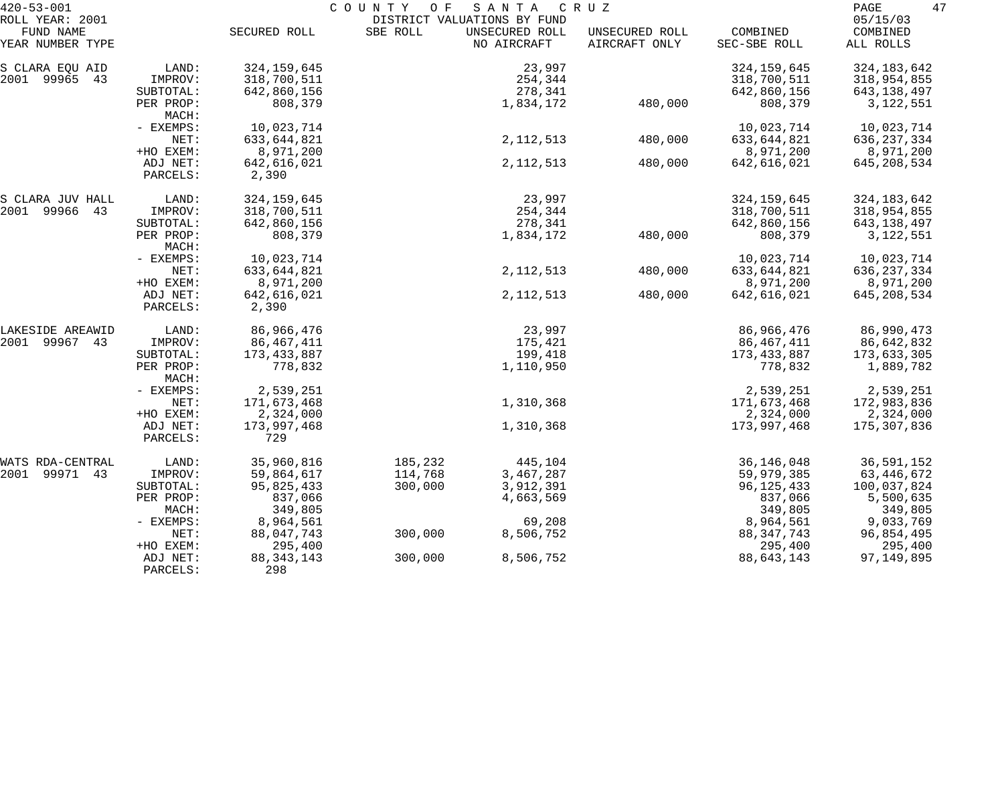| $420 - 53 - 001$             |                      |                      | COUNTY<br>O F | SANTA                                         | C R U Z        |               | 47<br>PAGE           |
|------------------------------|----------------------|----------------------|---------------|-----------------------------------------------|----------------|---------------|----------------------|
| ROLL YEAR: 2001<br>FUND NAME |                      | SECURED ROLL         | SBE ROLL      | DISTRICT VALUATIONS BY FUND<br>UNSECURED ROLL | UNSECURED ROLL | COMBINED      | 05/15/03<br>COMBINED |
| YEAR NUMBER TYPE             |                      |                      |               | NO AIRCRAFT                                   | AIRCRAFT ONLY  | SEC-SBE ROLL  | ALL ROLLS            |
| S CLARA EQU AID              | LAND:                | 324, 159, 645        |               | 23,997                                        |                | 324, 159, 645 | 324, 183, 642        |
| 2001 99965 43                | IMPROV:              | 318,700,511          |               | 254,344                                       |                | 318,700,511   | 318,954,855          |
|                              | SUBTOTAL:            | 642,860,156          |               | 278,341                                       |                | 642,860,156   | 643,138,497          |
|                              | PER PROP:<br>MACH:   | 808,379              |               | 1,834,172                                     | 480,000        | 808,379       | 3, 122, 551          |
|                              | - EXEMPS:            | 10,023,714           |               |                                               |                | 10,023,714    | 10,023,714           |
|                              | NET:                 | 633,644,821          |               | 2, 112, 513                                   | 480,000        | 633, 644, 821 | 636, 237, 334        |
|                              | +HO EXEM:            | 8,971,200            |               |                                               |                | 8,971,200     | 8,971,200            |
|                              | ADJ NET:             | 642,616,021          |               | 2, 112, 513                                   | 480,000        | 642,616,021   | 645, 208, 534        |
|                              | PARCELS:             | 2,390                |               |                                               |                |               |                      |
| S CLARA JUV HALL             | LAND:                | 324, 159, 645        |               | 23,997                                        |                | 324, 159, 645 | 324, 183, 642        |
| 2001 99966<br>43             | IMPROV:              | 318,700,511          |               | 254,344                                       |                | 318,700,511   | 318,954,855          |
|                              | SUBTOTAL:            | 642,860,156          |               | 278,341                                       |                | 642,860,156   | 643,138,497          |
|                              | PER PROP:<br>MACH:   | 808,379              |               | 1,834,172                                     | 480,000        | 808,379       | 3,122,551            |
|                              | - EXEMPS:            | 10,023,714           |               |                                               |                | 10,023,714    | 10,023,714           |
|                              | NET:                 | 633,644,821          |               | 2, 112, 513                                   | 480,000        | 633,644,821   | 636, 237, 334        |
|                              | +HO EXEM:            | 8,971,200            |               |                                               |                | 8,971,200     | 8,971,200            |
|                              | ADJ NET:<br>PARCELS: | 642,616,021<br>2,390 |               | 2, 112, 513                                   | 480,000        | 642,616,021   | 645, 208, 534        |
| LAKESIDE AREAWID             | LAND:                | 86,966,476           |               | 23,997                                        |                | 86,966,476    | 86,990,473           |
| 2001 99967 43                | IMPROV:              | 86,467,411           |               | 175,421                                       |                | 86,467,411    | 86,642,832           |
|                              | SUBTOTAL:            | 173,433,887          |               | 199,418                                       |                | 173,433,887   | 173,633,305          |
|                              | PER PROP:<br>MACH:   | 778,832              |               | 1,110,950                                     |                | 778,832       | 1,889,782            |
|                              | - EXEMPS:            | 2,539,251            |               |                                               |                | 2,539,251     | 2,539,251            |
|                              | NET:                 | 171,673,468          |               | 1,310,368                                     |                | 171,673,468   | 172,983,836          |
|                              | +HO EXEM:            | 2,324,000            |               |                                               |                | 2,324,000     | 2,324,000            |
|                              | ADJ NET:<br>PARCELS: | 173,997,468<br>729   |               | 1,310,368                                     |                | 173,997,468   | 175,307,836          |
| WATS RDA-CENTRAL             | LAND:                | 35,960,816           | 185,232       | 445,104                                       |                | 36, 146, 048  | 36,591,152           |
| 2001 99971 43                | IMPROV:              | 59,864,617           | 114,768       | 3,467,287                                     |                | 59,979,385    | 63,446,672           |
|                              | SUBTOTAL:            | 95,825,433           | 300,000       | 3,912,391                                     |                | 96, 125, 433  | 100,037,824          |
|                              | PER PROP:            | 837,066              |               | 4,663,569                                     |                | 837,066       | 5,500,635            |
|                              | MACH:                | 349,805              |               |                                               |                | 349,805       | 349,805              |
|                              | - EXEMPS:            | 8,964,561            |               | 69,208                                        |                | 8,964,561     | 9,033,769            |
|                              | NET:                 | 88,047,743           | 300,000       | 8,506,752                                     |                | 88, 347, 743  | 96,854,495           |
|                              | +HO EXEM:            | 295,400              |               |                                               |                | 295,400       | 295,400              |
|                              | ADJ NET:<br>PARCELS: | 88, 343, 143<br>298  | 300,000       | 8,506,752                                     |                | 88, 643, 143  | 97, 149, 895         |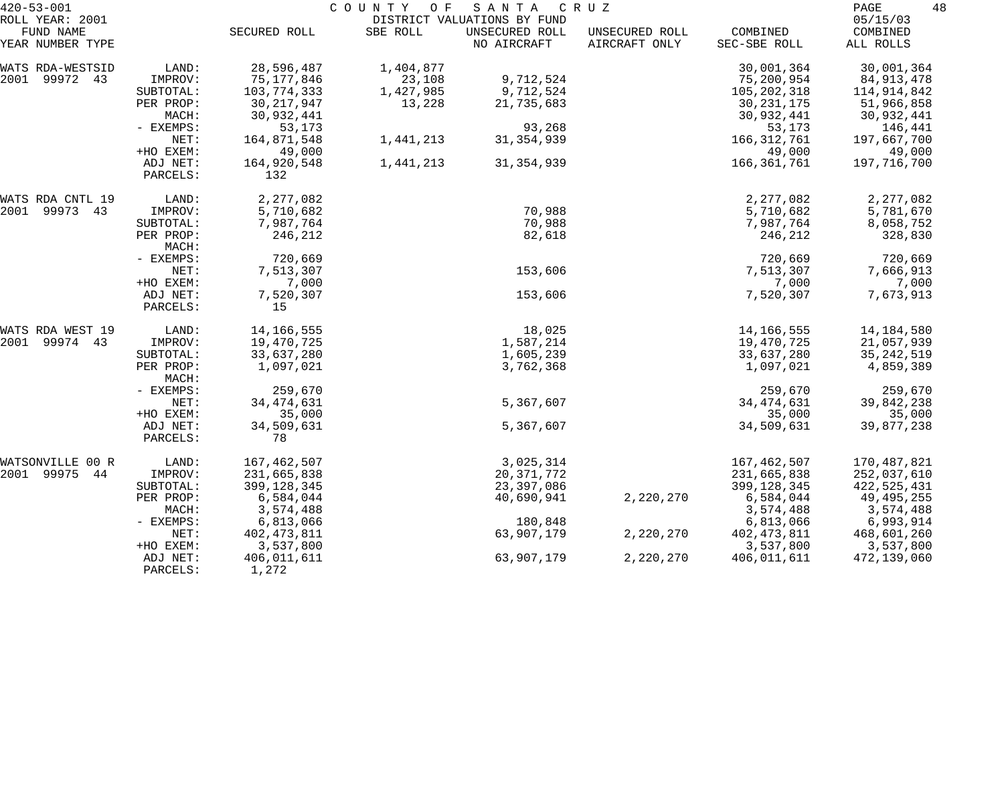| $420 - 53 - 001$              |                      | COUNTY<br>O F<br>SANTA<br>C R U Z |           |                               |                                 |                          |                       |  |
|-------------------------------|----------------------|-----------------------------------|-----------|-------------------------------|---------------------------------|--------------------------|-----------------------|--|
| ROLL YEAR: 2001               |                      |                                   |           | DISTRICT VALUATIONS BY FUND   |                                 |                          | 05/15/03              |  |
| FUND NAME<br>YEAR NUMBER TYPE |                      | SECURED ROLL                      | SBE ROLL  | UNSECURED ROLL<br>NO AIRCRAFT | UNSECURED ROLL<br>AIRCRAFT ONLY | COMBINED<br>SEC-SBE ROLL | COMBINED<br>ALL ROLLS |  |
| WATS RDA-WESTSID              | LAND:                | 28,596,487                        | 1,404,877 |                               |                                 | 30,001,364               | 30,001,364            |  |
| 2001 99972 43                 | IMPROV:              | 75,177,846                        | 23,108    | 9,712,524                     |                                 | 75,200,954               | 84, 913, 478          |  |
|                               | SUBTOTAL:            | 103,774,333                       | 1,427,985 | 9,712,524                     |                                 | 105,202,318              | 114,914,842           |  |
|                               | PER PROP:            | 30, 217, 947                      | 13,228    | 21,735,683                    |                                 | 30, 231, 175             | 51,966,858            |  |
|                               | MACH:                | 30,932,441                        |           |                               |                                 | 30,932,441               | 30,932,441            |  |
|                               | - EXEMPS:            | 53,173                            |           | 93,268                        |                                 | 53,173                   | 146,441               |  |
|                               | NET:                 | 164,871,548                       | 1,441,213 | 31, 354, 939                  |                                 | 166, 312, 761            | 197,667,700           |  |
|                               | +HO EXEM:            | 49,000                            |           |                               |                                 | 49,000                   | 49,000                |  |
|                               | ADJ NET:<br>PARCELS: | 164,920,548<br>132                | 1,441,213 | 31, 354, 939                  |                                 | 166, 361, 761            | 197,716,700           |  |
| WATS RDA CNTL 19              | LAND:                | 2,277,082                         |           |                               |                                 | 2, 277, 082              | 2, 277, 082           |  |
| 2001 99973 43                 | IMPROV:              | 5,710,682                         |           | 70,988                        |                                 | 5,710,682                | 5,781,670             |  |
|                               | SUBTOTAL:            | 7,987,764                         |           | 70,988                        |                                 | 7,987,764                | 8,058,752             |  |
|                               | PER PROP:            | 246,212                           |           | 82,618                        |                                 | 246,212                  | 328,830               |  |
|                               | MACH:                |                                   |           |                               |                                 |                          |                       |  |
|                               | - EXEMPS:            | 720,669                           |           |                               |                                 | 720,669                  | 720,669               |  |
|                               | NET:                 | 7,513,307                         |           | 153,606                       |                                 | 7,513,307                | 7,666,913             |  |
|                               | +HO EXEM:            | 7,000                             |           |                               |                                 | 7,000                    | 7,000                 |  |
|                               | ADJ NET:             | 7,520,307                         |           | 153,606                       |                                 | 7,520,307                | 7,673,913             |  |
|                               | PARCELS:             | 15                                |           |                               |                                 |                          |                       |  |
| WATS RDA WEST 19              | LAND:                | 14, 166, 555                      |           | 18,025                        |                                 | 14,166,555               | 14,184,580            |  |
| 2001 99974 43                 | IMPROV:              | 19,470,725                        |           | 1,587,214                     |                                 | 19,470,725               | 21,057,939            |  |
|                               | SUBTOTAL:            | 33,637,280                        |           | 1,605,239                     |                                 | 33,637,280               | 35, 242, 519          |  |
|                               | PER PROP:<br>MACH:   | 1,097,021                         |           | 3,762,368                     |                                 | 1,097,021                | 4,859,389             |  |
|                               | - EXEMPS:            | 259,670                           |           |                               |                                 | 259,670                  | 259,670               |  |
|                               | NET:                 | 34, 474, 631                      |           | 5,367,607                     |                                 | 34, 474, 631             | 39,842,238            |  |
|                               | +HO EXEM:            | 35,000                            |           |                               |                                 | 35,000                   | 35,000                |  |
|                               | ADJ NET:             | 34,509,631                        |           | 5,367,607                     |                                 | 34,509,631               | 39,877,238            |  |
|                               | PARCELS:             | 78                                |           |                               |                                 |                          |                       |  |
| WATSONVILLE 00 R              | LAND:                | 167,462,507                       |           | 3,025,314                     |                                 | 167,462,507              | 170,487,821           |  |
| 2001 99975<br>44              | IMPROV:              | 231,665,838                       |           | 20, 371, 772                  |                                 | 231,665,838              | 252,037,610           |  |
|                               | SUBTOTAL:            | 399, 128, 345                     |           | 23,397,086                    |                                 | 399, 128, 345            | 422,525,431           |  |
|                               | PER PROP:            | 6,584,044                         |           | 40,690,941                    | 2,220,270                       | 6,584,044                | 49,495,255            |  |
|                               | MACH:                | 3,574,488                         |           |                               |                                 | 3,574,488                | 3,574,488             |  |
|                               | - EXEMPS:            | 6,813,066                         |           | 180,848                       |                                 | 6,813,066                | 6,993,914             |  |
|                               | NET:                 | 402, 473, 811                     |           | 63,907,179                    | 2,220,270                       | 402, 473, 811            | 468,601,260           |  |
|                               | +HO EXEM:            | 3,537,800                         |           |                               |                                 | 3,537,800                | 3,537,800             |  |
|                               | ADJ NET:             | 406,011,611                       |           | 63,907,179                    | 2,220,270                       | 406,011,611              | 472,139,060           |  |
|                               | PARCELS:             | 1,272                             |           |                               |                                 |                          |                       |  |